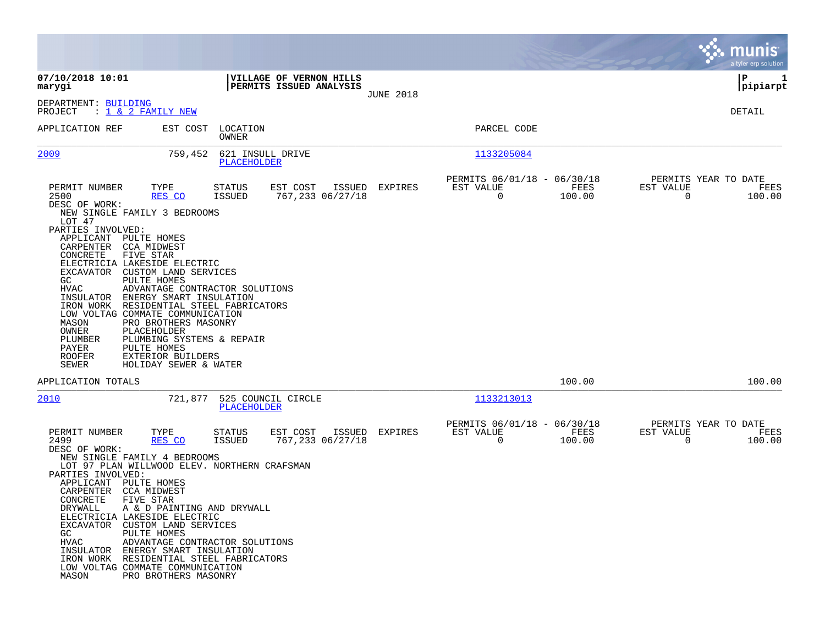|                                                                                                                                                                                                                                                                                                                                                                                                                                                                                                                                                                                                                                     |                                                                                                     |                  |                                                         |                            | munis<br>a tyler erp solution                                      |
|-------------------------------------------------------------------------------------------------------------------------------------------------------------------------------------------------------------------------------------------------------------------------------------------------------------------------------------------------------------------------------------------------------------------------------------------------------------------------------------------------------------------------------------------------------------------------------------------------------------------------------------|-----------------------------------------------------------------------------------------------------|------------------|---------------------------------------------------------|----------------------------|--------------------------------------------------------------------|
| 07/10/2018 10:01<br>marygi                                                                                                                                                                                                                                                                                                                                                                                                                                                                                                                                                                                                          | VILLAGE OF VERNON HILLS<br>PERMITS ISSUED ANALYSIS                                                  |                  |                                                         |                            | IΡ<br>1<br> pipiarpt                                               |
| DEPARTMENT: BUILDING<br>PROJECT<br>: 1 & 2 FAMILY NEW                                                                                                                                                                                                                                                                                                                                                                                                                                                                                                                                                                               |                                                                                                     | <b>JUNE 2018</b> |                                                         |                            | DETAIL                                                             |
| APPLICATION REF<br>EST COST                                                                                                                                                                                                                                                                                                                                                                                                                                                                                                                                                                                                         | LOCATION<br>OWNER                                                                                   |                  | PARCEL CODE                                             |                            |                                                                    |
| 2009<br>759,452                                                                                                                                                                                                                                                                                                                                                                                                                                                                                                                                                                                                                     | 621 INSULL DRIVE<br>PLACEHOLDER                                                                     |                  | 1133205084                                              |                            |                                                                    |
| PERMIT NUMBER<br>TYPE<br>2500<br>RES CO<br>DESC OF WORK:<br>NEW SINGLE FAMILY 3 BEDROOMS<br>LOT 47<br>PARTIES INVOLVED:<br>APPLICANT PULTE HOMES<br>CARPENTER<br>CCA MIDWEST<br>CONCRETE<br><b>FIVE STAR</b><br>ELECTRICIA LAKESIDE ELECTRIC<br>EXCAVATOR CUSTOM LAND SERVICES<br>GC<br>PULTE HOMES<br>HVAC<br>ENERGY SMART INSULATION<br>INSULATOR<br>IRON WORK RESIDENTIAL STEEL FABRICATORS<br>LOW VOLTAG COMMATE COMMUNICATION<br>MASON<br>PRO BROTHERS MASONRY<br>OWNER<br>PLACEHOLDER<br>PLUMBER<br>PLUMBING SYSTEMS & REPAIR<br>PAYER<br>PULTE HOMES<br><b>ROOFER</b><br>EXTERIOR BUILDERS<br>SEWER<br>HOLIDAY SEWER & WATER | STATUS<br>EST COST<br>ISSUED<br>767,233 06/27/18<br><b>ISSUED</b><br>ADVANTAGE CONTRACTOR SOLUTIONS | EXPIRES          | PERMITS 06/01/18 - 06/30/18<br>EST VALUE<br>$\mathbf 0$ | FEES<br>100.00             | PERMITS YEAR TO DATE<br>EST VALUE<br>FEES<br>$\mathbf 0$<br>100.00 |
| APPLICATION TOTALS                                                                                                                                                                                                                                                                                                                                                                                                                                                                                                                                                                                                                  |                                                                                                     |                  |                                                         | 100.00                     | 100.00                                                             |
| 2010<br>721,877                                                                                                                                                                                                                                                                                                                                                                                                                                                                                                                                                                                                                     | 525 COUNCIL CIRCLE<br>PLACEHOLDER                                                                   |                  | 1133213013                                              |                            |                                                                    |
| PERMIT NUMBER<br>TYPE<br>2499<br>RES CO<br>DESC OF WORK:<br>NEW SINGLE FAMILY 4 BEDROOMS<br>LOT 97 PLAN WILLWOOD ELEV. NORTHERN CRAFSMAN<br>PARTIES INVOLVED:<br>APPLICANT<br>PULTE HOMES<br>CARPENTER<br>CCA MIDWEST<br>CONCRETE<br>FIVE STAR<br>A & D PAINTING AND DRYWALL<br>DRYWALL<br>ELECTRICIA LAKESIDE ELECTRIC<br>EXCAVATOR CUSTOM LAND SERVICES<br>PULTE HOMES<br>GC.<br>HVAC<br>INSULATOR ENERGY SMART INSULATION<br>IRON WORK RESIDENTIAL STEEL FABRICATORS<br>LOW VOLTAG COMMATE COMMUNICATION<br>MASON<br>PRO BROTHERS MASONRY                                                                                        | STATUS<br>EST COST<br>ISSUED<br>ISSUED<br>767,233 06/27/18<br>ADVANTAGE CONTRACTOR SOLUTIONS        | EXPIRES          | PERMITS 06/01/18 -<br>EST VALUE<br>$\overline{0}$       | 06/30/18<br>FEES<br>100.00 | PERMITS YEAR TO DATE<br>EST VALUE<br>FEES<br>$\mathbf 0$<br>100.00 |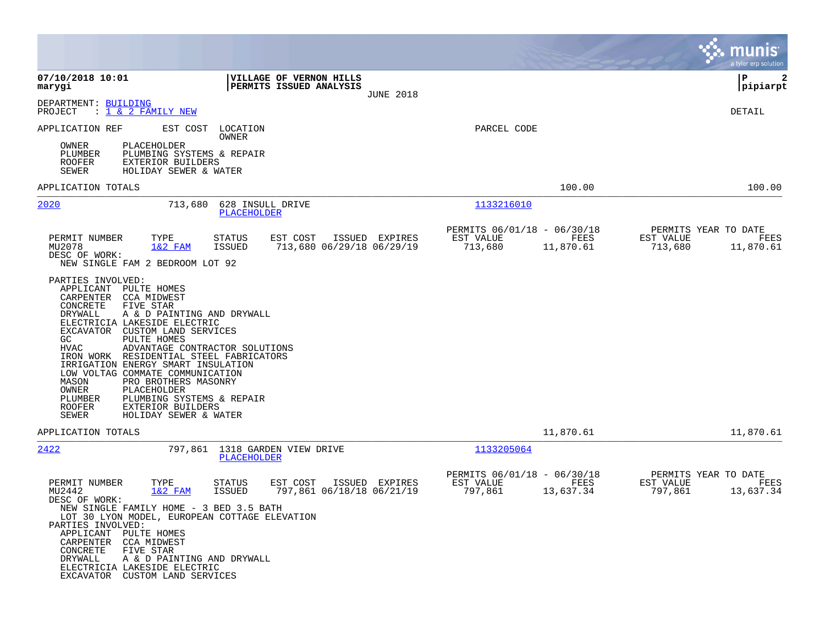|                                                                                                                                                                                                                                                                                                                                                                                                                                                                                                                                                                      |                                                                             |                                                                          | a tyler erp solution                                              |
|----------------------------------------------------------------------------------------------------------------------------------------------------------------------------------------------------------------------------------------------------------------------------------------------------------------------------------------------------------------------------------------------------------------------------------------------------------------------------------------------------------------------------------------------------------------------|-----------------------------------------------------------------------------|--------------------------------------------------------------------------|-------------------------------------------------------------------|
| 07/10/2018 10:01<br>marygi                                                                                                                                                                                                                                                                                                                                                                                                                                                                                                                                           | VILLAGE OF VERNON HILLS<br>PERMITS ISSUED ANALYSIS<br><b>JUNE 2018</b>      |                                                                          | l P<br>2<br> pipiarpt                                             |
| DEPARTMENT: BUILDING<br>PROJECT<br>: 1 <u>&amp; 2 FAMILY NEW</u>                                                                                                                                                                                                                                                                                                                                                                                                                                                                                                     |                                                                             |                                                                          | DETAIL                                                            |
| APPLICATION REF<br>EST COST<br>OWNER<br>PLACEHOLDER<br>PLUMBER<br>PLUMBING SYSTEMS & REPAIR<br>ROOFER<br>EXTERIOR BUILDERS<br>SEWER<br>HOLIDAY SEWER & WATER                                                                                                                                                                                                                                                                                                                                                                                                         | LOCATION<br>OWNER                                                           | PARCEL CODE                                                              |                                                                   |
| APPLICATION TOTALS                                                                                                                                                                                                                                                                                                                                                                                                                                                                                                                                                   |                                                                             | 100.00                                                                   | 100.00                                                            |
| 2020<br>713,680                                                                                                                                                                                                                                                                                                                                                                                                                                                                                                                                                      | 628 INSULL DRIVE<br>PLACEHOLDER                                             | 1133216010                                                               |                                                                   |
| PERMIT NUMBER<br>TYPE<br>MU2078<br>$1&2$ FAM<br>DESC OF WORK:<br>NEW SINGLE FAM 2 BEDROOM LOT 92                                                                                                                                                                                                                                                                                                                                                                                                                                                                     | STATUS<br>EST COST<br>ISSUED EXPIRES<br>ISSUED<br>713,680 06/29/18 06/29/19 | PERMITS 06/01/18 - 06/30/18<br>EST VALUE<br>FEES<br>713,680<br>11,870.61 | PERMITS YEAR TO DATE<br>EST VALUE<br>FEES<br>713,680<br>11,870.61 |
| PARTIES INVOLVED:<br>APPLICANT PULTE HOMES<br>CARPENTER CCA MIDWEST<br>CONCRETE<br>FIVE STAR<br>DRYWALL<br>A & D PAINTING AND DRYWALL<br>ELECTRICIA LAKESIDE ELECTRIC<br>EXCAVATOR CUSTOM LAND SERVICES<br>GC<br>PULTE HOMES<br>ADVANTAGE CONTRACTOR SOLUTIONS<br>HVAC<br>IRON WORK RESIDENTIAL STEEL FABRICATORS<br>IRRIGATION ENERGY SMART INSULATION<br>LOW VOLTAG COMMATE COMMUNICATION<br>MASON<br>PRO BROTHERS MASONRY<br>OWNER<br>PLACEHOLDER<br>PLUMBING SYSTEMS & REPAIR<br>PLUMBER<br><b>ROOFER</b><br>EXTERIOR BUILDERS<br>SEWER<br>HOLIDAY SEWER & WATER |                                                                             |                                                                          |                                                                   |
| APPLICATION TOTALS                                                                                                                                                                                                                                                                                                                                                                                                                                                                                                                                                   |                                                                             | 11,870.61                                                                | 11,870.61                                                         |
| 2422<br>797,861                                                                                                                                                                                                                                                                                                                                                                                                                                                                                                                                                      | 1318 GARDEN VIEW DRIVE<br>PLACEHOLDER                                       | 1133205064                                                               |                                                                   |
| PERMIT NUMBER<br>TYPE<br>MU2442<br>$1&2$ FAM<br>DESC OF WORK:<br>NEW SINGLE FAMILY HOME - 3 BED 3.5 BATH<br>LOT 30 LYON MODEL, EUROPEAN COTTAGE ELEVATION<br>PARTIES INVOLVED:<br>APPLICANT PULTE HOMES<br>CARPENTER CCA MIDWEST<br>CONCRETE<br>FIVE STAR<br>DRYWALL<br>A & D PAINTING AND DRYWALL<br>ELECTRICIA LAKESIDE ELECTRIC<br>EXCAVATOR CUSTOM LAND SERVICES                                                                                                                                                                                                 | EST COST<br>ISSUED EXPIRES<br>STATUS<br>797,861 06/18/18 06/21/19<br>ISSUED | PERMITS 06/01/18 - 06/30/18<br>EST VALUE<br>FEES<br>797,861<br>13,637.34 | PERMITS YEAR TO DATE<br>EST VALUE<br>FEES<br>797,861<br>13,637.34 |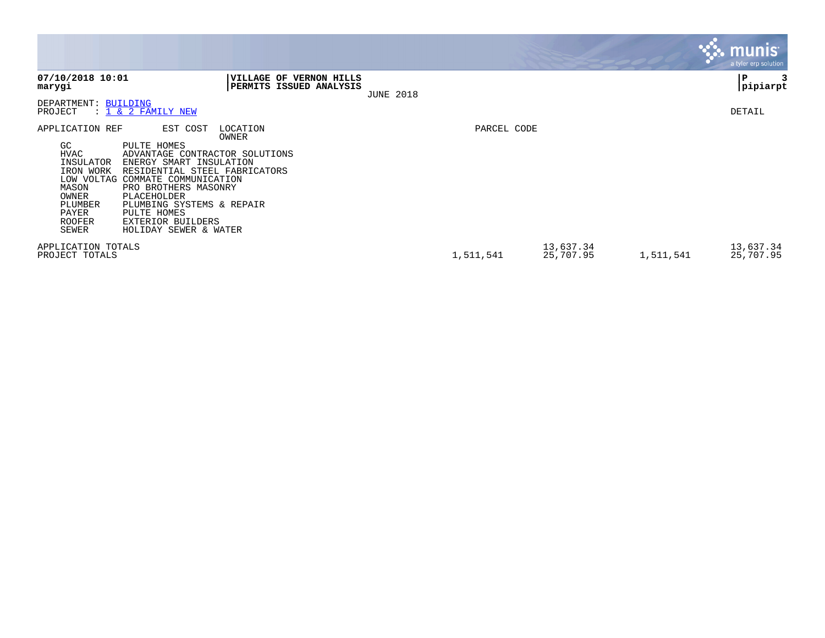|                                                                                                                                 |                                                                                                                                                                                                                                                                                                   |                                                    |                  |             |                        |           | <b>munis</b><br>a tyler erp solution |
|---------------------------------------------------------------------------------------------------------------------------------|---------------------------------------------------------------------------------------------------------------------------------------------------------------------------------------------------------------------------------------------------------------------------------------------------|----------------------------------------------------|------------------|-------------|------------------------|-----------|--------------------------------------|
| 07/10/2018 10:01<br>marygi                                                                                                      |                                                                                                                                                                                                                                                                                                   | VILLAGE OF VERNON HILLS<br>PERMITS ISSUED ANALYSIS | <b>JUNE 2018</b> |             |                        |           | P<br> pipiarpt                       |
| DEPARTMENT: BUILDING<br>PROJECT                                                                                                 | $: 1 \& 2$ FAMILY NEW                                                                                                                                                                                                                                                                             |                                                    |                  |             |                        |           | DETAIL                               |
| APPLICATION REF<br>GC.<br><b>HVAC</b><br>INSULATOR<br>IRON WORK<br>MASON<br>OWNER<br>PLUMBER<br>PAYER<br><b>ROOFER</b><br>SEWER | EST COST<br>PULTE HOMES<br>ADVANTAGE CONTRACTOR SOLUTIONS<br>ENERGY SMART INSULATION<br>RESIDENTIAL STEEL FABRICATORS<br>LOW VOLTAG COMMATE COMMUNICATION<br>PRO BROTHERS MASONRY<br>PLACEHOLDER<br>PLUMBING SYSTEMS & REPAIR<br>PULTE HOMES<br><b>EXTERIOR BUILDERS</b><br>HOLIDAY SEWER & WATER | LOCATION<br>OWNER                                  |                  | PARCEL CODE |                        |           |                                      |
| APPLICATION TOTALS<br>PROJECT TOTALS                                                                                            |                                                                                                                                                                                                                                                                                                   |                                                    |                  | 1,511,541   | 13,637.34<br>25,707.95 | 1,511,541 | 13,637.34<br>25,707.95               |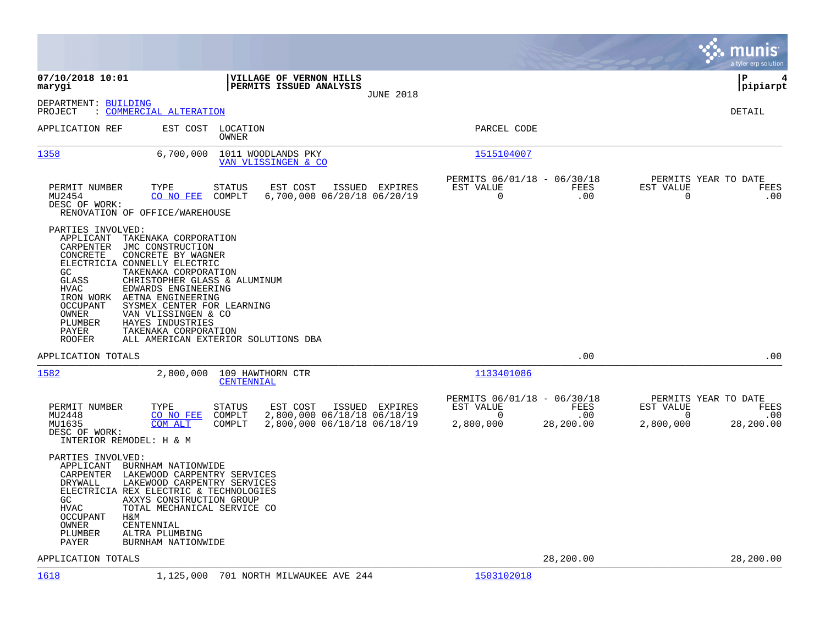|                                                                                                                                                                                                                                                                                                                                                                                                       |                                                                                                                               |                                                                                                      | munis<br>a tyler erp solution                                                          |
|-------------------------------------------------------------------------------------------------------------------------------------------------------------------------------------------------------------------------------------------------------------------------------------------------------------------------------------------------------------------------------------------------------|-------------------------------------------------------------------------------------------------------------------------------|------------------------------------------------------------------------------------------------------|----------------------------------------------------------------------------------------|
| 07/10/2018 10:01<br>marygi                                                                                                                                                                                                                                                                                                                                                                            | VILLAGE OF VERNON HILLS<br>PERMITS ISSUED ANALYSIS<br><b>JUNE 2018</b>                                                        |                                                                                                      | l P<br>4<br> pipiarpt                                                                  |
| DEPARTMENT: BUILDING<br>: COMMERCIAL ALTERATION<br>PROJECT                                                                                                                                                                                                                                                                                                                                            |                                                                                                                               |                                                                                                      | DETAIL                                                                                 |
| APPLICATION REF                                                                                                                                                                                                                                                                                                                                                                                       | EST COST<br>LOCATION<br>OWNER                                                                                                 | PARCEL CODE                                                                                          |                                                                                        |
| 1358<br>6,700,000                                                                                                                                                                                                                                                                                                                                                                                     | 1011 WOODLANDS PKY<br>VAN VLISSINGEN & CO                                                                                     | 1515104007                                                                                           |                                                                                        |
| PERMIT NUMBER<br>TYPE<br>MU2454<br>CO NO FEE<br>DESC OF WORK:<br>RENOVATION OF OFFICE/WAREHOUSE                                                                                                                                                                                                                                                                                                       | EST COST<br><b>STATUS</b><br>ISSUED EXPIRES<br>COMPLT<br>6,700,000 06/20/18 06/20/19                                          | PERMITS 06/01/18 - 06/30/18<br>EST VALUE<br>FEES<br>.00<br>0                                         | PERMITS YEAR TO DATE<br>EST VALUE<br>FEES<br>$\mathbf 0$<br>.00                        |
| PARTIES INVOLVED:<br>APPLICANT<br>TAKENAKA CORPORATION<br>CARPENTER<br>JMC CONSTRUCTION<br>CONCRETE BY WAGNER<br>CONCRETE<br>ELECTRICIA CONNELLY ELECTRIC<br>GC<br>TAKENAKA CORPORATION<br>GLASS<br>HVAC<br>EDWARDS ENGINEERING<br>IRON WORK<br>AETNA ENGINEERING<br><b>OCCUPANT</b><br>OWNER<br>VAN VLISSINGEN & CO<br>PLUMBER<br>HAYES INDUSTRIES<br>PAYER<br>TAKENAKA CORPORATION<br><b>ROOFER</b> | CHRISTOPHER GLASS & ALUMINUM<br>SYSMEX CENTER FOR LEARNING<br>ALL AMERICAN EXTERIOR SOLUTIONS DBA                             |                                                                                                      |                                                                                        |
| APPLICATION TOTALS                                                                                                                                                                                                                                                                                                                                                                                    |                                                                                                                               | .00                                                                                                  | .00                                                                                    |
| 1582<br>2,800,000                                                                                                                                                                                                                                                                                                                                                                                     | 109 HAWTHORN CTR<br>CENTENNIAL                                                                                                | 1133401086                                                                                           |                                                                                        |
| PERMIT NUMBER<br>TYPE<br>MU2448<br>CO NO FEE<br>MU1635<br>COM ALT<br>DESC OF WORK:<br>INTERIOR REMODEL: H & M                                                                                                                                                                                                                                                                                         | <b>STATUS</b><br>EST COST<br>ISSUED EXPIRES<br>2,800,000 06/18/18 06/18/19<br>COMPLT<br>2,800,000 06/18/18 06/18/19<br>COMPLT | PERMITS 06/01/18 - 06/30/18<br><b>FEES</b><br>EST VALUE<br>.00<br>$\Omega$<br>2,800,000<br>28,200.00 | PERMITS YEAR TO DATE<br>EST VALUE<br>FEES<br>$\Omega$<br>.00<br>28,200.00<br>2,800,000 |
| PARTIES INVOLVED:<br>APPLICANT<br>BURNHAM NATIONWIDE<br>CARPENTER<br>DRYWALL<br>ELECTRICIA REX ELECTRIC & TECHNOLOGIES<br>GC.<br><b>HVAC</b><br>OCCUPANT<br>H&M<br>OWNER<br>CENTENNIAL<br>PLUMBER<br>ALTRA PLUMBING<br>PAYER<br>BURNHAM NATIONWIDE                                                                                                                                                    | LAKEWOOD CARPENTRY SERVICES<br>LAKEWOOD CARPENTRY SERVICES<br>AXXYS CONSTRUCTION GROUP<br>TOTAL MECHANICAL SERVICE CO         |                                                                                                      |                                                                                        |
| APPLICATION TOTALS                                                                                                                                                                                                                                                                                                                                                                                    |                                                                                                                               | 28,200.00                                                                                            | 28,200.00                                                                              |
| 1618<br>1,125,000                                                                                                                                                                                                                                                                                                                                                                                     | 701 NORTH MILWAUKEE AVE 244                                                                                                   | 1503102018                                                                                           |                                                                                        |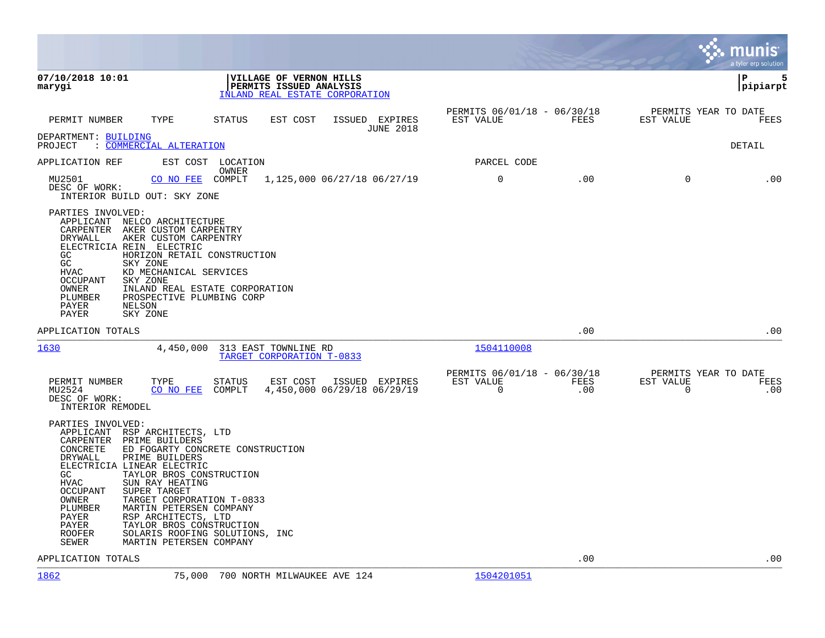|                                                                                                                                                                                                                                                                                                                                                                                                                                                                                                            |                                                                                      |                                               |             |                                        | munis<br>a tyler erp solution |
|------------------------------------------------------------------------------------------------------------------------------------------------------------------------------------------------------------------------------------------------------------------------------------------------------------------------------------------------------------------------------------------------------------------------------------------------------------------------------------------------------------|--------------------------------------------------------------------------------------|-----------------------------------------------|-------------|----------------------------------------|-------------------------------|
| 07/10/2018 10:01<br>marygi                                                                                                                                                                                                                                                                                                                                                                                                                                                                                 | VILLAGE OF VERNON HILLS<br>PERMITS ISSUED ANALYSIS<br>INLAND REAL ESTATE CORPORATION |                                               |             |                                        | l P<br>5<br> pipiarpt         |
| PERMIT NUMBER<br>TYPE                                                                                                                                                                                                                                                                                                                                                                                                                                                                                      | ISSUED EXPIRES<br>STATUS<br>EST COST<br><b>JUNE 2018</b>                             | PERMITS 06/01/18 - 06/30/18<br>EST VALUE      | FEES        | PERMITS YEAR TO DATE<br>EST VALUE      | FEES                          |
| DEPARTMENT: BUILDING<br>: COMMERCIAL ALTERATION<br>PROJECT                                                                                                                                                                                                                                                                                                                                                                                                                                                 |                                                                                      |                                               |             |                                        | DETAIL                        |
| APPLICATION REF                                                                                                                                                                                                                                                                                                                                                                                                                                                                                            | EST COST LOCATION<br>OWNER                                                           | PARCEL CODE                                   |             |                                        |                               |
| CO NO FEE<br>MU2501<br>DESC OF WORK:<br>INTERIOR BUILD OUT: SKY ZONE                                                                                                                                                                                                                                                                                                                                                                                                                                       | 1,125,000 06/27/18 06/27/19<br>COMPLT                                                | $\mathbf 0$                                   | .00         | 0                                      | .00                           |
| PARTIES INVOLVED:<br>APPLICANT<br>NELCO ARCHITECTURE<br>CARPENTER<br>AKER CUSTOM CARPENTRY<br>AKER CUSTOM CARPENTRY<br>DRYWALL<br>ELECTRICIA REIN ELECTRIC<br>GC<br>HORIZON RETAIL CONSTRUCTION<br>GC<br>SKY ZONE<br>HVAC<br>KD MECHANICAL SERVICES<br>OCCUPANT<br>SKY ZONE<br>INLAND REAL ESTATE CORPORATION<br>OWNER<br>PROSPECTIVE PLUMBING CORP<br>PLUMBER<br>PAYER<br>NELSON<br>PAYER<br>SKY ZONE                                                                                                     |                                                                                      |                                               |             |                                        |                               |
| APPLICATION TOTALS                                                                                                                                                                                                                                                                                                                                                                                                                                                                                         |                                                                                      |                                               | .00         |                                        | .00                           |
| 1630<br>4,450,000                                                                                                                                                                                                                                                                                                                                                                                                                                                                                          | 313 EAST TOWNLINE RD<br>TARGET CORPORATION T-0833                                    | 1504110008                                    |             |                                        |                               |
| TYPE<br>PERMIT NUMBER<br>MU2524<br>CO NO FEE<br>DESC OF WORK:<br>INTERIOR REMODEL                                                                                                                                                                                                                                                                                                                                                                                                                          | <b>STATUS</b><br>EST COST<br>ISSUED EXPIRES<br>COMPLT<br>4,450,000 06/29/18 06/29/19 | PERMITS 06/01/18 - 06/30/18<br>EST VALUE<br>0 | FEES<br>.00 | PERMITS YEAR TO DATE<br>EST VALUE<br>0 | FEES<br>.00                   |
| PARTIES INVOLVED:<br>APPLICANT<br>RSP ARCHITECTS, LTD<br>CARPENTER<br>PRIME BUILDERS<br>CONCRETE<br>DRYWALL<br>PRIME BUILDERS<br>ELECTRICIA LINEAR ELECTRIC<br>GC<br>TAYLOR BROS CONSTRUCTION<br><b>HVAC</b><br>SUN RAY HEATING<br><b>OCCUPANT</b><br>SUPER TARGET<br>OWNER<br>TARGET CORPORATION T-0833<br>PLUMBER<br>MARTIN PETERSEN COMPANY<br>RSP ARCHITECTS, LTD<br>PAYER<br>PAYER<br>TAYLOR BROS CONSTRUCTION<br><b>ROOFER</b><br>SOLARIS ROOFING SOLUTIONS, INC<br>MARTIN PETERSEN COMPANY<br>SEWER | ED FOGARTY CONCRETE CONSTRUCTION                                                     |                                               |             |                                        |                               |
| APPLICATION TOTALS                                                                                                                                                                                                                                                                                                                                                                                                                                                                                         |                                                                                      |                                               | .00         |                                        | .00                           |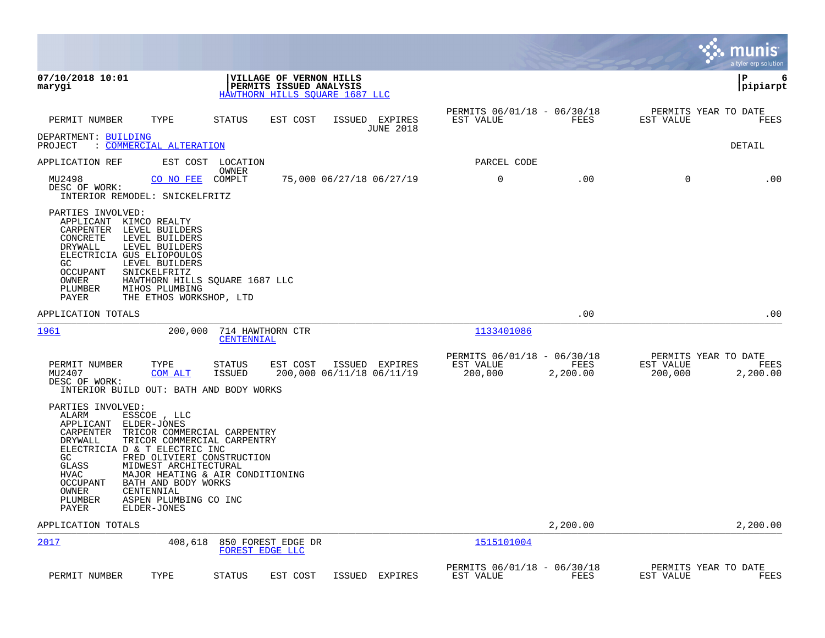|                                                                                                                                                                                                                                                                                                                                                                                                                       |                                       |                                                                                      |                                    |                                                     |                  |                                              | munis<br>a tyler erp solution |
|-----------------------------------------------------------------------------------------------------------------------------------------------------------------------------------------------------------------------------------------------------------------------------------------------------------------------------------------------------------------------------------------------------------------------|---------------------------------------|--------------------------------------------------------------------------------------|------------------------------------|-----------------------------------------------------|------------------|----------------------------------------------|-------------------------------|
| 07/10/2018 10:01<br>marygi                                                                                                                                                                                                                                                                                                                                                                                            |                                       | VILLAGE OF VERNON HILLS<br>PERMITS ISSUED ANALYSIS<br>HAWTHORN HILLS SOUARE 1687 LLC |                                    |                                                     |                  |                                              | ΙP<br>6<br> pipiarpt          |
| TYPE<br>PERMIT NUMBER                                                                                                                                                                                                                                                                                                                                                                                                 | STATUS                                | EST COST                                                                             | ISSUED EXPIRES<br><b>JUNE 2018</b> | PERMITS 06/01/18 - 06/30/18<br>EST VALUE            | FEES             | PERMITS YEAR TO DATE<br>EST VALUE            | FEES                          |
| DEPARTMENT: BUILDING<br>: COMMERCIAL ALTERATION<br>PROJECT                                                                                                                                                                                                                                                                                                                                                            |                                       |                                                                                      |                                    |                                                     |                  |                                              | DETAIL                        |
| APPLICATION REF                                                                                                                                                                                                                                                                                                                                                                                                       | EST COST LOCATION<br>OWNER            |                                                                                      |                                    | PARCEL CODE                                         |                  |                                              |                               |
| MU2498<br>CO NO FEE<br>DESC OF WORK:<br>INTERIOR REMODEL: SNICKELFRITZ                                                                                                                                                                                                                                                                                                                                                | COMPLT                                | 75,000 06/27/18 06/27/19                                                             |                                    | 0                                                   | .00              | $\mathbf 0$                                  | .00                           |
| PARTIES INVOLVED:<br>APPLICANT<br>KIMCO REALTY<br>CARPENTER LEVEL BUILDERS<br>LEVEL BUILDERS<br>CONCRETE<br>DRYWALL<br>LEVEL BUILDERS<br>ELECTRICIA GUS ELIOPOULOS<br>LEVEL BUILDERS<br>GC<br>OCCUPANT<br>SNICKELFRITZ<br>OWNER<br>PLUMBER<br>MIHOS PLUMBING<br>PAYER<br>THE ETHOS WORKSHOP, LTD                                                                                                                      | HAWTHORN HILLS SQUARE 1687 LLC        |                                                                                      |                                    |                                                     |                  |                                              |                               |
| APPLICATION TOTALS                                                                                                                                                                                                                                                                                                                                                                                                    |                                       |                                                                                      |                                    |                                                     | .00              |                                              | .00                           |
| 1961<br>200,000                                                                                                                                                                                                                                                                                                                                                                                                       | 714 HAWTHORN CTR<br>CENTENNIAL        |                                                                                      |                                    | 1133401086                                          |                  |                                              |                               |
| PERMIT NUMBER<br>TYPE<br>MU2407<br>COM ALT<br>DESC OF WORK:<br>INTERIOR BUILD OUT: BATH AND BODY WORKS                                                                                                                                                                                                                                                                                                                | STATUS<br><b>ISSUED</b>               | EST COST<br>200,000 06/11/18 06/11/19                                                | ISSUED EXPIRES                     | PERMITS 06/01/18 - 06/30/18<br>EST VALUE<br>200,000 | FEES<br>2,200.00 | PERMITS YEAR TO DATE<br>EST VALUE<br>200,000 | FEES<br>2,200.00              |
| PARTIES INVOLVED:<br>ALARM<br>ESSCOE, LLC<br>APPLICANT<br>ELDER-JONES<br>CARPENTER<br>TRICOR COMMERCIAL CARPENTRY<br>TRICOR COMMERCIAL CARPENTRY<br>DRYWALL<br>ELECTRICIA D & T ELECTRIC INC<br>GC<br>FRED OLIVIERI CONSTRUCTION<br><b>GLASS</b><br>MIDWEST ARCHITECTURAL<br><b>HVAC</b><br><b>OCCUPANT</b><br>BATH AND BODY WORKS<br>OWNER<br>CENTENNIAL<br>PLUMBER<br>ASPEN PLUMBING CO INC<br>PAYER<br>ELDER-JONES | MAJOR HEATING & AIR CONDITIONING      |                                                                                      |                                    |                                                     |                  |                                              |                               |
| APPLICATION TOTALS                                                                                                                                                                                                                                                                                                                                                                                                    |                                       |                                                                                      |                                    |                                                     | 2,200.00         |                                              | 2,200.00                      |
| 2017<br>408,618                                                                                                                                                                                                                                                                                                                                                                                                       | 850 FOREST EDGE DR<br>FOREST EDGE LLC |                                                                                      |                                    | 1515101004                                          |                  |                                              |                               |
| PERMIT NUMBER<br>TYPE                                                                                                                                                                                                                                                                                                                                                                                                 | <b>STATUS</b>                         | EST COST<br>ISSUED                                                                   | EXPIRES                            | PERMITS 06/01/18 - 06/30/18<br>EST VALUE            | FEES             | PERMITS YEAR TO DATE<br>EST VALUE            | FEES                          |

 $\sim$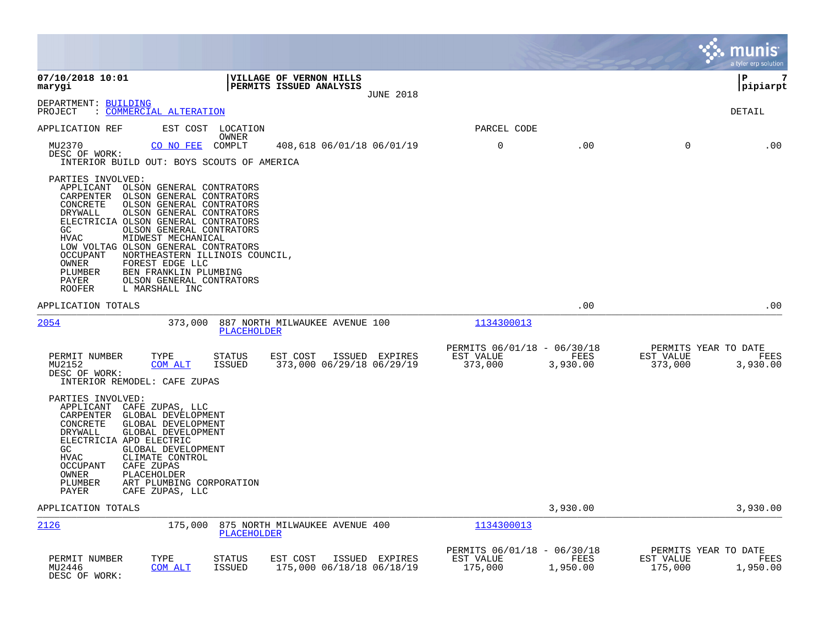|                                                                                                                                                                                                                                                                                                                                                  |                                                                                                                                                                                                        |                                                    |                  |                                                     |                  |                                              | munis<br>a tyler erp solution |
|--------------------------------------------------------------------------------------------------------------------------------------------------------------------------------------------------------------------------------------------------------------------------------------------------------------------------------------------------|--------------------------------------------------------------------------------------------------------------------------------------------------------------------------------------------------------|----------------------------------------------------|------------------|-----------------------------------------------------|------------------|----------------------------------------------|-------------------------------|
| 07/10/2018 10:01<br>marygi                                                                                                                                                                                                                                                                                                                       |                                                                                                                                                                                                        | VILLAGE OF VERNON HILLS<br>PERMITS ISSUED ANALYSIS | <b>JUNE 2018</b> |                                                     |                  |                                              | l P<br>7<br> pipiarpt         |
| DEPARTMENT: BUILDING<br>: COMMERCIAL ALTERATION<br>PROJECT                                                                                                                                                                                                                                                                                       |                                                                                                                                                                                                        |                                                    |                  |                                                     |                  |                                              | DETAIL                        |
| APPLICATION REF                                                                                                                                                                                                                                                                                                                                  | EST COST LOCATION<br>OWNER                                                                                                                                                                             |                                                    |                  | PARCEL CODE                                         |                  |                                              |                               |
| MU2370<br>CO NO FEE<br>DESC OF WORK:<br>INTERIOR BUILD OUT: BOYS SCOUTS OF AMERICA                                                                                                                                                                                                                                                               | COMPLT                                                                                                                                                                                                 | 408,618 06/01/18 06/01/19                          |                  | $\mathbf 0$                                         | .00              | $\mathbf 0$                                  | .00                           |
| PARTIES INVOLVED:<br>APPLICANT<br>CARPENTER<br>CONCRETE<br>DRYWALL<br>ELECTRICIA OLSON GENERAL CONTRATORS<br>GC<br><b>HVAC</b><br>MIDWEST MECHANICAL<br>LOW VOLTAG OLSON GENERAL CONTRATORS<br><b>OCCUPANT</b><br>OWNER<br>FOREST EDGE LLC<br>BEN FRANKLIN PLUMBING<br>PLUMBER<br>PAYER<br><b>ROOFER</b><br>L MARSHALL INC                       | OLSON GENERAL CONTRATORS<br>OLSON GENERAL CONTRATORS<br>OLSON GENERAL CONTRATORS<br>OLSON GENERAL CONTRATORS<br>OLSON GENERAL CONTRATORS<br>NORTHEASTERN ILLINOIS COUNCIL,<br>OLSON GENERAL CONTRATORS |                                                    |                  |                                                     |                  |                                              |                               |
| APPLICATION TOTALS                                                                                                                                                                                                                                                                                                                               |                                                                                                                                                                                                        |                                                    |                  |                                                     | .00              |                                              | .00                           |
| 2054                                                                                                                                                                                                                                                                                                                                             | 373,000<br>PLACEHOLDER                                                                                                                                                                                 | 887 NORTH MILWAUKEE AVENUE 100                     |                  | 1134300013                                          |                  |                                              |                               |
| PERMIT NUMBER<br>TYPE<br>MU2152<br>COM ALT<br>DESC OF WORK:<br>INTERIOR REMODEL: CAFE ZUPAS                                                                                                                                                                                                                                                      | <b>STATUS</b><br>ISSUED                                                                                                                                                                                | EST COST<br>373,000 06/29/18 06/29/19              | ISSUED EXPIRES   | PERMITS 06/01/18 - 06/30/18<br>EST VALUE<br>373,000 | FEES<br>3,930.00 | PERMITS YEAR TO DATE<br>EST VALUE<br>373,000 | FEES<br>3,930.00              |
| PARTIES INVOLVED:<br>APPLICANT<br>CAFE ZUPAS, LLC<br>CARPENTER<br>GLOBAL DEVELOPMENT<br>CONCRETE<br>GLOBAL DEVELOPMENT<br>GLOBAL DEVELOPMENT<br>DRYWALL<br>ELECTRICIA APD ELECTRIC<br>GLOBAL DEVELOPMENT<br>GC<br><b>HVAC</b><br>CLIMATE CONTROL<br><b>OCCUPANT</b><br>CAFE ZUPAS<br>PLACEHOLDER<br>OWNER<br>PLUMBER<br>PAYER<br>CAFE ZUPAS, LLC | ART PLUMBING CORPORATION                                                                                                                                                                               |                                                    |                  |                                                     |                  |                                              |                               |
| APPLICATION TOTALS                                                                                                                                                                                                                                                                                                                               |                                                                                                                                                                                                        |                                                    |                  |                                                     | 3,930.00         |                                              | 3,930.00                      |
| 2126                                                                                                                                                                                                                                                                                                                                             | 175,000<br>PLACEHOLDER                                                                                                                                                                                 | 875 NORTH MILWAUKEE AVENUE 400                     |                  | 1134300013                                          |                  |                                              |                               |
| PERMIT NUMBER<br>TYPE<br>MU2446<br>COM ALT<br>DESC OF WORK:                                                                                                                                                                                                                                                                                      | <b>STATUS</b><br><b>ISSUED</b>                                                                                                                                                                         | EST COST<br>175,000 06/18/18 06/18/19              | ISSUED EXPIRES   | PERMITS 06/01/18 - 06/30/18<br>EST VALUE<br>175,000 | FEES<br>1,950.00 | PERMITS YEAR TO DATE<br>EST VALUE<br>175,000 | FEES<br>1,950.00              |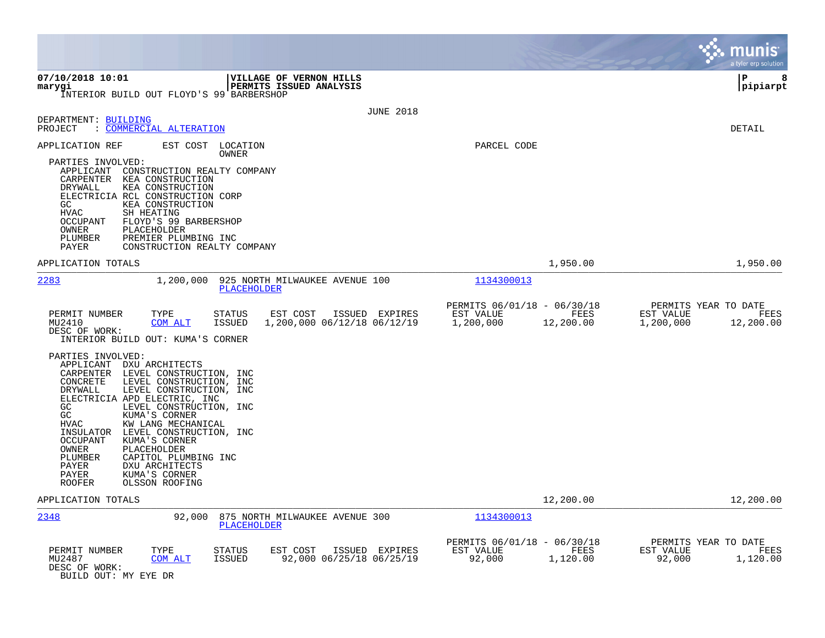|                                                                                                                                                                                                                                                                                                                                                                                                                                                                                                                         |                                                                            | munis<br>a tyler erp solution                                       |
|-------------------------------------------------------------------------------------------------------------------------------------------------------------------------------------------------------------------------------------------------------------------------------------------------------------------------------------------------------------------------------------------------------------------------------------------------------------------------------------------------------------------------|----------------------------------------------------------------------------|---------------------------------------------------------------------|
| 07/10/2018 10:01<br>VILLAGE OF VERNON HILLS<br>marygi<br>PERMITS ISSUED ANALYSIS<br>INTERIOR BUILD OUT FLOYD'S 99 BARBERSHOP                                                                                                                                                                                                                                                                                                                                                                                            |                                                                            | l P<br>8<br> pipiarpt                                               |
| <b>JUNE 2018</b><br>DEPARTMENT: BUILDING<br>: COMMERCIAL ALTERATION<br>PROJECT                                                                                                                                                                                                                                                                                                                                                                                                                                          |                                                                            | <b>DETAIL</b>                                                       |
| APPLICATION REF<br>EST COST LOCATION<br>OWNER<br>PARTIES INVOLVED:<br>APPLICANT<br>CONSTRUCTION REALTY COMPANY<br>CARPENTER<br>KEA CONSTRUCTION<br>KEA CONSTRUCTION<br>DRYWALL<br>ELECTRICIA RCL CONSTRUCTION CORP<br>GC<br>KEA CONSTRUCTION<br><b>HVAC</b><br>SH HEATING<br>OCCUPANT<br>FLOYD'S 99 BARBERSHOP<br>PLACEHOLDER<br>OWNER<br>PLUMBER<br>PREMIER PLUMBING INC<br>PAYER<br>CONSTRUCTION REALTY COMPANY                                                                                                       | PARCEL CODE                                                                |                                                                     |
| APPLICATION TOTALS                                                                                                                                                                                                                                                                                                                                                                                                                                                                                                      | 1,950.00                                                                   | 1,950.00                                                            |
| 2283<br>1,200,000<br>925 NORTH MILWAUKEE AVENUE 100<br>PLACEHOLDER                                                                                                                                                                                                                                                                                                                                                                                                                                                      | 1134300013                                                                 |                                                                     |
| PERMIT NUMBER<br>TYPE<br>EST COST<br>ISSUED EXPIRES<br>STATUS<br>MU2410<br>COM ALT<br><b>ISSUED</b><br>1,200,000 06/12/18 06/12/19<br>DESC OF WORK:<br>INTERIOR BUILD OUT: KUMA'S CORNER                                                                                                                                                                                                                                                                                                                                | PERMITS 06/01/18 - 06/30/18<br>EST VALUE<br>FEES<br>1,200,000<br>12,200.00 | PERMITS YEAR TO DATE<br>EST VALUE<br>FEES<br>1,200,000<br>12,200.00 |
| PARTIES INVOLVED:<br>APPLICANT<br>DXU ARCHITECTS<br>CARPENTER LEVEL CONSTRUCTION, INC<br>CONCRETE<br>LEVEL CONSTRUCTION, INC<br>LEVEL CONSTRUCTION, INC<br>DRYWALL<br>ELECTRICIA APD ELECTRIC, INC<br>GC<br>LEVEL CONSTRUCTION, INC<br>GC<br>KUMA'S CORNER<br><b>HVAC</b><br>KW LANG MECHANICAL<br>LEVEL CONSTRUCTION, INC<br>INSULATOR<br>KUMA'S CORNER<br>OCCUPANT<br>OWNER<br>PLACEHOLDER<br>PLUMBER<br>CAPITOL PLUMBING INC<br>PAYER<br>DXU ARCHITECTS<br>PAYER<br>KUMA'S CORNER<br>OLSSON ROOFING<br><b>ROOFER</b> |                                                                            |                                                                     |
| APPLICATION TOTALS                                                                                                                                                                                                                                                                                                                                                                                                                                                                                                      | 12,200.00                                                                  | 12,200.00                                                           |
| 2348<br>92,000<br>875 NORTH MILWAUKEE AVENUE 300<br><b>PLACEHOLDER</b>                                                                                                                                                                                                                                                                                                                                                                                                                                                  | 1134300013                                                                 |                                                                     |
| PERMIT NUMBER<br>TYPE<br><b>STATUS</b><br>EST COST<br>ISSUED EXPIRES<br>92,000 06/25/18 06/25/19<br>MU2487<br>COM ALT<br><b>ISSUED</b><br>DESC OF WORK:<br>BUILD OUT: MY EYE DR                                                                                                                                                                                                                                                                                                                                         | PERMITS 06/01/18 - 06/30/18<br>EST VALUE<br>FEES<br>92,000<br>1,120.00     | PERMITS YEAR TO DATE<br>EST VALUE<br>FEES<br>92,000<br>1,120.00     |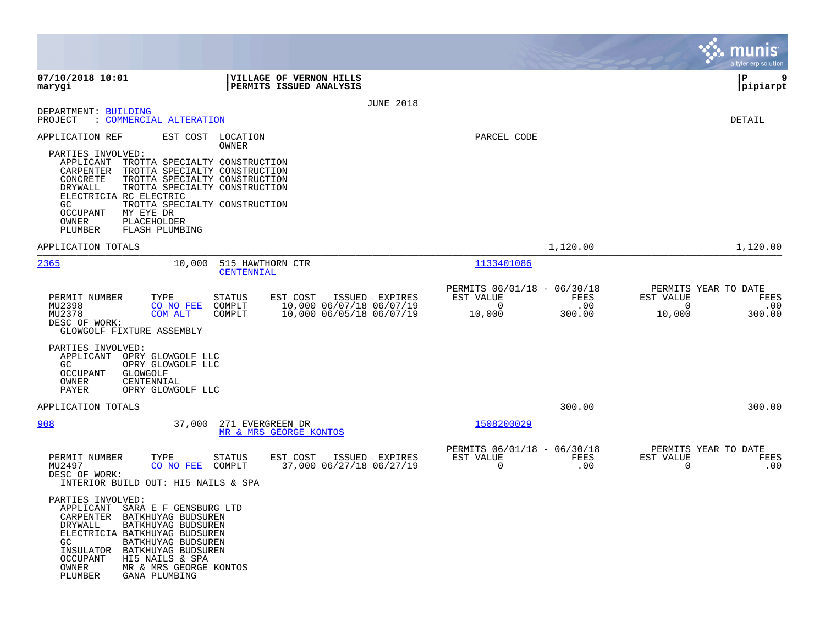|                                                                                                                                                                                                                                                                                                                                                                                      |                                                                                                                         |                                                                |                       | a tyler erp solution                                              |             |
|--------------------------------------------------------------------------------------------------------------------------------------------------------------------------------------------------------------------------------------------------------------------------------------------------------------------------------------------------------------------------------------|-------------------------------------------------------------------------------------------------------------------------|----------------------------------------------------------------|-----------------------|-------------------------------------------------------------------|-------------|
| 07/10/2018 10:01<br>marygi                                                                                                                                                                                                                                                                                                                                                           | VILLAGE OF VERNON HILLS<br><b>PERMITS ISSUED ANALYSIS</b>                                                               |                                                                |                       | P<br> pipiarpt                                                    | 9           |
|                                                                                                                                                                                                                                                                                                                                                                                      | <b>JUNE 2018</b>                                                                                                        |                                                                |                       |                                                                   |             |
| DEPARTMENT: BUILDING<br>: COMMERCIAL ALTERATION<br>PROJECT                                                                                                                                                                                                                                                                                                                           |                                                                                                                         |                                                                |                       | DETAIL                                                            |             |
| EST COST<br>APPLICATION REF<br>PARTIES INVOLVED:<br>APPLICANT<br>TROTTA SPECIALTY CONSTRUCTION<br>TROTTA SPECIALTY CONSTRUCTION<br>CARPENTER<br>CONCRETE<br>TROTTA SPECIALTY CONSTRUCTION<br>DRYWALL<br>TROTTA SPECIALTY CONSTRUCTION<br>ELECTRICIA RC ELECTRIC<br>TROTTA SPECIALTY CONSTRUCTION<br>GC<br>OCCUPANT<br>MY EYE DR<br>OWNER<br>PLACEHOLDER<br>PLUMBER<br>FLASH PLUMBING | LOCATION<br>OWNER                                                                                                       | PARCEL CODE                                                    |                       |                                                                   |             |
| APPLICATION TOTALS                                                                                                                                                                                                                                                                                                                                                                   |                                                                                                                         |                                                                | 1,120.00              | 1,120.00                                                          |             |
| 2365<br>10,000                                                                                                                                                                                                                                                                                                                                                                       | 515 HAWTHORN CTR<br>CENTENNIAL                                                                                          | 1133401086                                                     |                       |                                                                   |             |
| PERMIT NUMBER<br>TYPE<br>MU2398<br>CO NO FEE<br>MU2378<br><b>COM ALT</b><br>DESC OF WORK:<br>GLOWGOLF FIXTURE ASSEMBLY                                                                                                                                                                                                                                                               | <b>STATUS</b><br>EST COST<br>ISSUED EXPIRES<br>10,000 06/07/18 06/07/19<br>COMPLT<br>COMPLT<br>10,000 06/05/18 06/07/19 | PERMITS 06/01/18 - 06/30/18<br>EST VALUE<br>$\Omega$<br>10,000 | FEES<br>.00<br>300.00 | PERMITS YEAR TO DATE<br>EST VALUE<br>$\Omega$<br>10,000<br>300.00 | FEES<br>.00 |
| PARTIES INVOLVED:<br>APPLICANT<br>OPRY GLOWGOLF LLC<br>GC<br>OPRY GLOWGOLF LLC<br>OCCUPANT<br>GLOWGOLF<br>OWNER<br>CENTENNIAL<br>PAYER<br>OPRY GLOWGOLF LLC                                                                                                                                                                                                                          |                                                                                                                         |                                                                |                       |                                                                   |             |
| APPLICATION TOTALS                                                                                                                                                                                                                                                                                                                                                                   |                                                                                                                         |                                                                | 300.00                | 300.00                                                            |             |
| 908                                                                                                                                                                                                                                                                                                                                                                                  | 37,000 271 EVERGREEN DR<br>MR & MRS GEORGE KONTOS                                                                       | 1508200029                                                     |                       |                                                                   |             |
| PERMIT NUMBER<br>TYPE<br>MU2497<br>CO NO FEE<br>DESC OF WORK:<br>INTERIOR BUILD OUT: HI5 NAILS & SPA                                                                                                                                                                                                                                                                                 | <b>STATUS</b><br>EST COST<br>ISSUED EXPIRES<br>37,000 06/27/18 06/27/19<br>COMPLT                                       | PERMITS 06/01/18 - 06/30/18<br>EST VALUE<br>$\Omega$           | <b>FEES</b><br>.00    | PERMITS YEAR TO DATE<br>EST VALUE<br>$\Omega$                     | FEES<br>.00 |
| PARTIES INVOLVED:<br>APPLICANT<br>SARA E F GENSBURG LTD<br><b>CARPENTER</b><br>BATKHUYAG BUDSUREN<br>DRYWALL<br>BATKHUYAG BUDSUREN<br>ELECTRICIA BATKHUYAG BUDSUREN<br>GC<br>BATKHUYAG BUDSUREN<br>INSULATOR<br>BATKHUYAG BUDSUREN<br><b>OCCUPANT</b><br>HI5 NAILS & SPA<br>MR & MRS GEORGE KONTOS<br>OWNER<br>GANA PLUMBING<br>PLUMBER                                              |                                                                                                                         |                                                                |                       |                                                                   |             |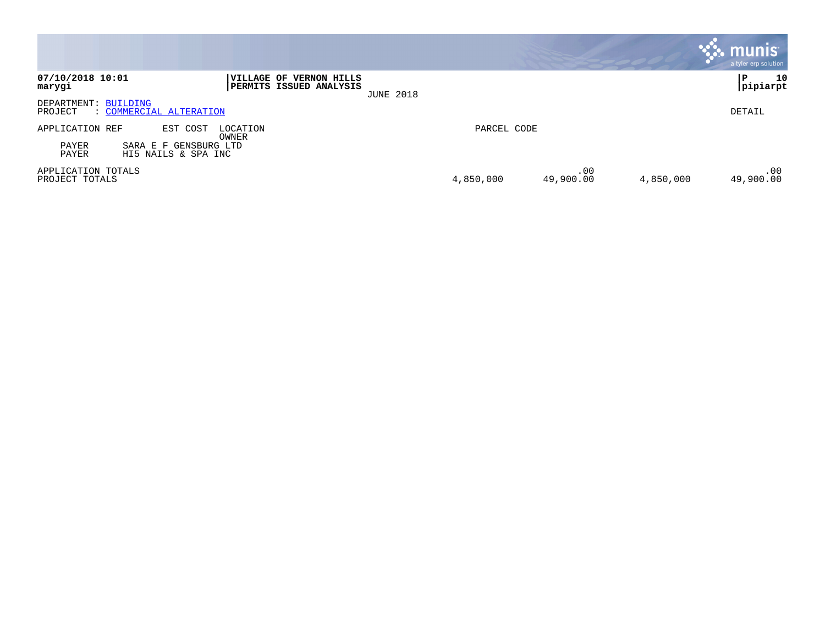|                                      |                                              |                                                                  |                  |             |                  |           | munis <sup>®</sup><br>a tyler erp solution |
|--------------------------------------|----------------------------------------------|------------------------------------------------------------------|------------------|-------------|------------------|-----------|--------------------------------------------|
| 07/10/2018 10:01<br>marygi           |                                              | <b>VILLAGE OF VERNON HILLS</b><br><b>PERMITS ISSUED ANALYSIS</b> | <b>JUNE 2018</b> |             |                  |           | 10<br>P<br>pipiarpt                        |
| DEPARTMENT: BUILDING<br>PROJECT      | : COMMERCIAL ALTERATION                      |                                                                  |                  |             |                  |           | DETAIL                                     |
| APPLICATION REF                      | EST COST                                     | LOCATION<br>OWNER                                                |                  | PARCEL CODE |                  |           |                                            |
| PAYER<br>PAYER                       | SARA E F GENSBURG LTD<br>HI5 NAILS & SPA INC |                                                                  |                  |             |                  |           |                                            |
| APPLICATION TOTALS<br>PROJECT TOTALS |                                              |                                                                  |                  | 4,850,000   | .00<br>49,900.00 | 4,850,000 | .00<br>49,900.00                           |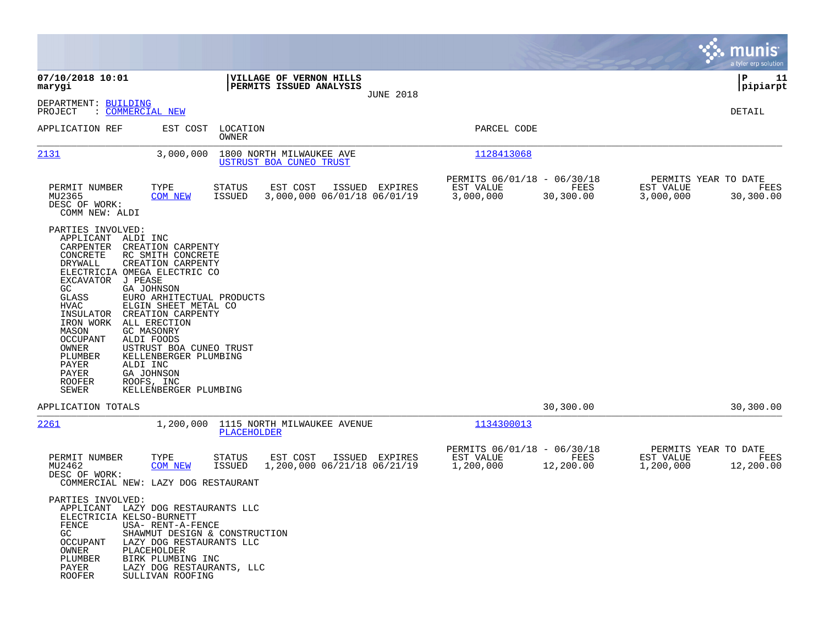|                                                                                                                                                                                                                              |                                                                                                                                                                                                                                                                                                                                                                                    |                   |                                                     |                  |                                                       |                   |                                                | munis<br>a tyler erp solution |
|------------------------------------------------------------------------------------------------------------------------------------------------------------------------------------------------------------------------------|------------------------------------------------------------------------------------------------------------------------------------------------------------------------------------------------------------------------------------------------------------------------------------------------------------------------------------------------------------------------------------|-------------------|-----------------------------------------------------|------------------|-------------------------------------------------------|-------------------|------------------------------------------------|-------------------------------|
| 07/10/2018 10:01<br>marygi                                                                                                                                                                                                   |                                                                                                                                                                                                                                                                                                                                                                                    |                   | VILLAGE OF VERNON HILLS<br>PERMITS ISSUED ANALYSIS  | <b>JUNE 2018</b> |                                                       |                   |                                                | 11<br>IΡ<br> pipiarpt         |
| DEPARTMENT: BUILDING<br>PROJECT                                                                                                                                                                                              | : COMMERCIAL NEW                                                                                                                                                                                                                                                                                                                                                                   |                   |                                                     |                  |                                                       |                   |                                                | DETAIL                        |
| APPLICATION REF                                                                                                                                                                                                              | EST COST                                                                                                                                                                                                                                                                                                                                                                           | LOCATION<br>OWNER |                                                     |                  | PARCEL CODE                                           |                   |                                                |                               |
| 2131                                                                                                                                                                                                                         | 3,000,000                                                                                                                                                                                                                                                                                                                                                                          |                   | 1800 NORTH MILWAUKEE AVE<br>USTRUST BOA CUNEO TRUST |                  | 1128413068                                            |                   |                                                |                               |
| PERMIT NUMBER<br>MU2365<br>DESC OF WORK:<br>COMM NEW: ALDI                                                                                                                                                                   | TYPE<br><b>COM NEW</b>                                                                                                                                                                                                                                                                                                                                                             | STATUS<br>ISSUED  | EST COST<br>3,000,000 06/01/18 06/01/19             | ISSUED EXPIRES   | PERMITS 06/01/18 - 06/30/18<br>EST VALUE<br>3,000,000 | FEES<br>30,300.00 | PERMITS YEAR TO DATE<br>EST VALUE<br>3,000,000 | FEES<br>30,300.00             |
| PARTIES INVOLVED:<br>APPLICANT<br>CARPENTER<br>CONCRETE<br>DRYWALL<br>EXCAVATOR<br>GC<br>GLASS<br>HVAC<br>INSULATOR<br>IRON WORK<br>MASON<br>OCCUPANT<br>OWNER<br>PLUMBER<br>PAYER<br>PAYER<br><b>ROOFER</b><br><b>SEWER</b> | ALDI INC<br>CREATION CARPENTY<br>RC SMITH CONCRETE<br>CREATION CARPENTY<br>ELECTRICIA OMEGA ELECTRIC CO<br>J PEASE<br><b>GA JOHNSON</b><br>EURO ARHITECTUAL PRODUCTS<br>ELGIN SHEET METAL CO<br>CREATION CARPENTY<br>ALL ERECTION<br>GC MASONRY<br>ALDI FOODS<br>USTRUST BOA CUNEO TRUST<br>KELLENBERGER PLUMBING<br>ALDI INC<br>GA JOHNSON<br>ROOFS, INC<br>KELLENBERGER PLUMBING |                   |                                                     |                  |                                                       |                   |                                                |                               |
| APPLICATION TOTALS                                                                                                                                                                                                           |                                                                                                                                                                                                                                                                                                                                                                                    |                   |                                                     |                  |                                                       | 30,300.00         |                                                | 30,300.00                     |
| 2261                                                                                                                                                                                                                         | 1,200,000                                                                                                                                                                                                                                                                                                                                                                          | PLACEHOLDER       | 1115 NORTH MILWAUKEE AVENUE                         |                  | 1134300013                                            |                   |                                                |                               |
| PERMIT NUMBER<br>MU2462<br>DESC OF WORK:                                                                                                                                                                                     | TYPE<br><b>COM NEW</b><br>COMMERCIAL NEW: LAZY DOG RESTAURANT                                                                                                                                                                                                                                                                                                                      | STATUS<br>ISSUED  | EST COST<br>1,200,000 06/21/18 06/21/19             | ISSUED EXPIRES   | PERMITS 06/01/18 - 06/30/18<br>EST VALUE<br>1,200,000 | FEES<br>12,200.00 | PERMITS YEAR TO DATE<br>EST VALUE<br>1,200,000 | FEES<br>12,200.00             |
| PARTIES INVOLVED:<br>APPLICANT<br>FENCE<br>GC<br>OCCUPANT<br>OWNER<br>PLUMBER<br>PAYER<br><b>ROOFER</b>                                                                                                                      | LAZY DOG RESTAURANTS LLC<br>ELECTRICIA KELSO-BURNETT<br>USA- RENT-A-FENCE<br>SHAWMUT DESIGN & CONSTRUCTION<br>LAZY DOG RESTAURANTS LLC<br>PLACEHOLDER<br>BIRK PLUMBING INC<br>LAZY DOG RESTAURANTS, LLC<br>SULLIVAN ROOFING                                                                                                                                                        |                   |                                                     |                  |                                                       |                   |                                                |                               |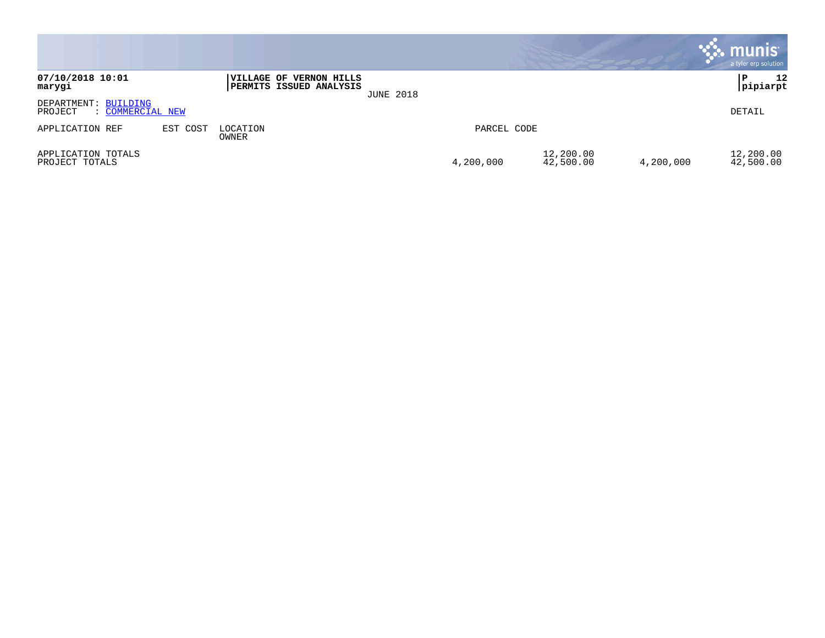|                                                     |          |                                                    |                  |             |                        |           | munis<br>a tyler erp solution |
|-----------------------------------------------------|----------|----------------------------------------------------|------------------|-------------|------------------------|-----------|-------------------------------|
| 07/10/2018 10:01<br>marygi                          |          | VILLAGE OF VERNON HILLS<br>PERMITS ISSUED ANALYSIS | <b>JUNE 2018</b> |             |                        |           | l P<br>12<br>pipiarpt         |
| DEPARTMENT: BUILDING<br>PROJECT<br>: COMMERCIAL NEW |          |                                                    |                  |             |                        |           | DETAIL                        |
| APPLICATION REF                                     | EST COST | LOCATION<br>OWNER                                  |                  | PARCEL CODE |                        |           |                               |
| APPLICATION TOTALS<br>PROJECT TOTALS                |          |                                                    |                  | 4,200,000   | 12,200.00<br>42,500.00 | 4,200,000 | 12,200.00<br>42,500.00        |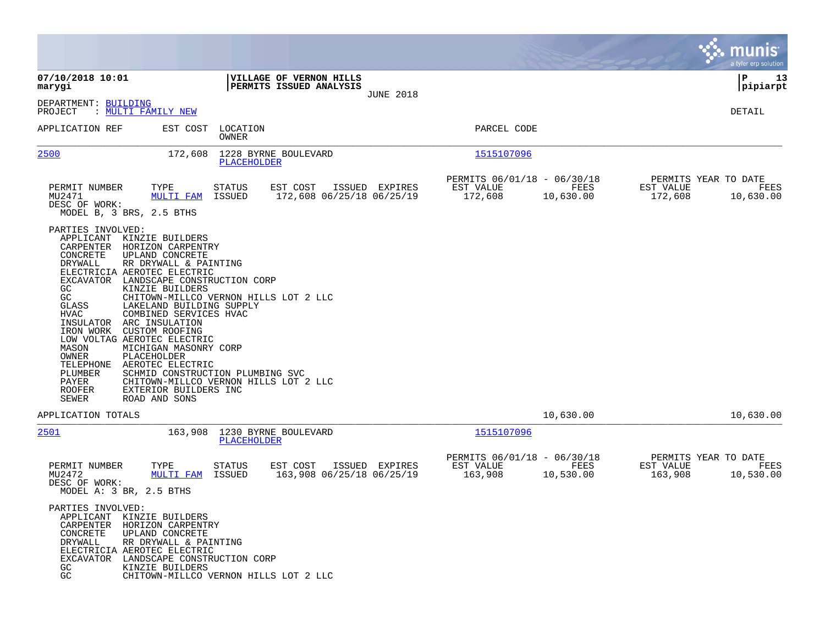|                                                                                                                                                                                                                                                                                                                                                                                                                                                                                                                                                                                                             |                                                                                                                    |                                                     |                                                                                                                     | munis<br>a tyler erp solution             |
|-------------------------------------------------------------------------------------------------------------------------------------------------------------------------------------------------------------------------------------------------------------------------------------------------------------------------------------------------------------------------------------------------------------------------------------------------------------------------------------------------------------------------------------------------------------------------------------------------------------|--------------------------------------------------------------------------------------------------------------------|-----------------------------------------------------|---------------------------------------------------------------------------------------------------------------------|-------------------------------------------|
| 07/10/2018 10:01<br>marygi                                                                                                                                                                                                                                                                                                                                                                                                                                                                                                                                                                                  | VILLAGE OF VERNON HILLS<br>PERMITS ISSUED ANALYSIS<br><b>JUNE 2018</b>                                             |                                                     |                                                                                                                     | 13<br>l P<br> pipiarpt                    |
| DEPARTMENT: BUILDING<br>PROJECT<br>: MULTI FAMILY NEW                                                                                                                                                                                                                                                                                                                                                                                                                                                                                                                                                       |                                                                                                                    |                                                     |                                                                                                                     | DETAIL                                    |
| APPLICATION REF<br>EST COST                                                                                                                                                                                                                                                                                                                                                                                                                                                                                                                                                                                 | LOCATION<br>OWNER                                                                                                  | PARCEL CODE                                         |                                                                                                                     |                                           |
| 2500<br>172,608                                                                                                                                                                                                                                                                                                                                                                                                                                                                                                                                                                                             | 1228 BYRNE BOULEVARD<br>PLACEHOLDER                                                                                | 1515107096                                          |                                                                                                                     |                                           |
| PERMIT NUMBER<br>TYPE<br>MU2471<br><b>MULTI FAM</b><br>DESC OF WORK:<br>MODEL B, 3 BRS, 2.5 BTHS                                                                                                                                                                                                                                                                                                                                                                                                                                                                                                            | STATUS<br>EST COST<br>ISSUED EXPIRES<br>ISSUED<br>172,608 06/25/18 06/25/19                                        | PERMITS 06/01/18 - 06/30/18<br>EST VALUE<br>172,608 | <b>EXECUTE: EXECUTE: EXECUTE: EXECUTE: EXECUTE: EXECUTE: EXECUTE: EXECUTE:</b><br>EST VALUE<br>10,630.00<br>172,608 | PERMITS YEAR TO DATE<br>FEES<br>10,630.00 |
| PARTIES INVOLVED:<br>APPLICANT KINZIE BUILDERS<br>CARPENTER HORIZON CARPENTRY<br>CONCRETE<br>UPLAND CONCRETE<br>DRYWALL<br>RR DRYWALL & PAINTING<br>ELECTRICIA AEROTEC ELECTRIC<br>EXCAVATOR LANDSCAPE CONSTRUCTION CORP<br>KINZIE BUILDERS<br>GC<br>GC<br>LAKELAND BUILDING SUPPLY<br>GLASS<br>COMBINED SERVICES HVAC<br>HVAC<br>INSULATOR ARC INSULATION<br>IRON WORK<br>CUSTOM ROOFING<br>LOW VOLTAG AEROTEC ELECTRIC<br>MICHIGAN MASONRY CORP<br>MASON<br>OWNER<br>PLACEHOLDER<br>TELEPHONE<br>AEROTEC ELECTRIC<br>PLUMBER<br>PAYER<br><b>ROOFER</b><br>EXTERIOR BUILDERS INC<br>SEWER<br>ROAD AND SONS | CHITOWN-MILLCO VERNON HILLS LOT 2 LLC<br>SCHMID CONSTRUCTION PLUMBING SVC<br>CHITOWN-MILLCO VERNON HILLS LOT 2 LLC |                                                     |                                                                                                                     |                                           |
| APPLICATION TOTALS                                                                                                                                                                                                                                                                                                                                                                                                                                                                                                                                                                                          |                                                                                                                    |                                                     | 10,630.00                                                                                                           | 10,630.00                                 |
| 2501<br>163,908                                                                                                                                                                                                                                                                                                                                                                                                                                                                                                                                                                                             | 1230 BYRNE BOULEVARD<br>PLACEHOLDER                                                                                | 1515107096                                          |                                                                                                                     |                                           |
| PERMIT NUMBER<br>TYPE<br>MU2472<br><b>MULTI FAM ISSUED</b><br>DESC OF WORK:<br>MODEL A: 3 BR, 2.5 BTHS                                                                                                                                                                                                                                                                                                                                                                                                                                                                                                      | STATUS<br>EST COST ISSUED EXPIRES<br>163,908 06/25/18 06/25/19                                                     | PERMITS 06/01/18 - 06/30/18<br>EST VALUE<br>163,908 | FEES<br>EST VALUE<br>10,530.00<br>163,908                                                                           | PERMITS YEAR TO DATE<br>FEES<br>10,530.00 |
| PARTIES INVOLVED:<br>APPLICANT KINZIE BUILDERS<br>CARPENTER HORIZON CARPENTRY<br>CONCRETE<br>UPLAND CONCRETE<br>DRYWALL<br>RR DRYWALL & PAINTING<br>ELECTRICIA AEROTEC ELECTRIC<br>EXCAVATOR LANDSCAPE CONSTRUCTION CORP<br>KINZIE BUILDERS<br>GC.<br>GC                                                                                                                                                                                                                                                                                                                                                    | CHITOWN-MILLCO VERNON HILLS LOT 2 LLC                                                                              |                                                     |                                                                                                                     |                                           |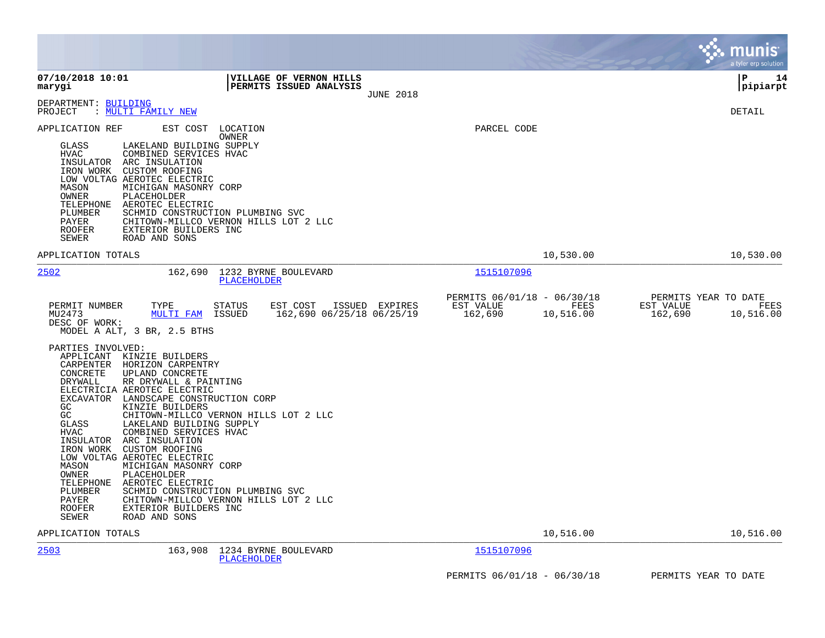|                                                                                                                                                                                                                                                                                                                                                                                                                                                                                                                                                                                                                                                                                                                                                                                                                                                                                                                                           |                                                                          | munis<br>a tyler erp solution                                     |
|-------------------------------------------------------------------------------------------------------------------------------------------------------------------------------------------------------------------------------------------------------------------------------------------------------------------------------------------------------------------------------------------------------------------------------------------------------------------------------------------------------------------------------------------------------------------------------------------------------------------------------------------------------------------------------------------------------------------------------------------------------------------------------------------------------------------------------------------------------------------------------------------------------------------------------------------|--------------------------------------------------------------------------|-------------------------------------------------------------------|
| 07/10/2018 10:01<br>VILLAGE OF VERNON HILLS<br>PERMITS ISSUED ANALYSIS<br>marygi<br><b>JUNE 2018</b>                                                                                                                                                                                                                                                                                                                                                                                                                                                                                                                                                                                                                                                                                                                                                                                                                                      |                                                                          | l P<br>14<br> pipiarpt                                            |
| DEPARTMENT: BUILDING<br>: <u>MULTI FAMILY NEW</u><br>PROJECT                                                                                                                                                                                                                                                                                                                                                                                                                                                                                                                                                                                                                                                                                                                                                                                                                                                                              |                                                                          | <b>DETAIL</b>                                                     |
| EST COST<br>APPLICATION REF<br>LOCATION<br><b>OWNER</b><br>GLASS<br>LAKELAND BUILDING SUPPLY<br><b>HVAC</b><br>COMBINED SERVICES HVAC<br>INSULATOR<br>ARC INSULATION<br>IRON WORK<br><b>CUSTOM ROOFING</b><br>LOW VOLTAG AEROTEC ELECTRIC<br>MASON<br>MICHIGAN MASONRY CORP<br><b>OWNER</b><br>PLACEHOLDER<br>TELEPHONE<br>AEROTEC ELECTRIC<br>PLUMBER<br>SCHMID CONSTRUCTION PLUMBING SVC<br>CHITOWN-MILLCO VERNON HILLS LOT 2 LLC<br>PAYER<br>EXTERIOR BUILDERS INC<br>ROOFER<br>SEWER<br>ROAD AND SONS                                                                                                                                                                                                                                                                                                                                                                                                                                 | PARCEL CODE                                                              |                                                                   |
| APPLICATION TOTALS                                                                                                                                                                                                                                                                                                                                                                                                                                                                                                                                                                                                                                                                                                                                                                                                                                                                                                                        | 10,530.00                                                                | 10,530.00                                                         |
| 2502<br>1232 BYRNE BOULEVARD<br>162,690<br>PLACEHOLDER                                                                                                                                                                                                                                                                                                                                                                                                                                                                                                                                                                                                                                                                                                                                                                                                                                                                                    | 1515107096                                                               |                                                                   |
| PERMIT NUMBER<br>TYPE<br><b>STATUS</b><br>EST COST<br>ISSUED EXPIRES<br>MULTI FAM ISSUED<br>162,690 06/25/18 06/25/19<br>MU2473<br>DESC OF WORK:<br>MODEL A ALT, 3 BR, 2.5 BTHS<br>PARTIES INVOLVED:<br>APPLICANT KINZIE BUILDERS<br>CARPENTER HORIZON CARPENTRY<br>CONCRETE<br>UPLAND CONCRETE<br><b>DRYWALL</b><br>RR DRYWALL & PAINTING<br>ELECTRICIA AEROTEC ELECTRIC<br>EXCAVATOR LANDSCAPE CONSTRUCTION CORP<br>GC<br>KINZIE BUILDERS<br>GC<br>CHITOWN-MILLCO VERNON HILLS LOT 2 LLC<br>LAKELAND BUILDING SUPPLY<br>GLASS<br><b>HVAC</b><br>COMBINED SERVICES HVAC<br>INSULATOR<br>ARC INSULATION<br>IRON WORK CUSTOM ROOFING<br>LOW VOLTAG AEROTEC ELECTRIC<br>MASON<br>MICHIGAN MASONRY CORP<br><b>OWNER</b><br>PLACEHOLDER<br>TELEPHONE<br>AEROTEC ELECTRIC<br>PLUMBER<br>SCHMID CONSTRUCTION PLUMBING SVC<br>PAYER<br>CHITOWN-MILLCO VERNON HILLS LOT 2 LLC<br><b>ROOFER</b><br>EXTERIOR BUILDERS INC<br>SEWER<br>ROAD AND SONS | PERMITS 06/01/18 - 06/30/18<br>FEES<br>EST VALUE<br>162,690<br>10,516.00 | PERMITS YEAR TO DATE<br>EST VALUE<br>FEES<br>162,690<br>10,516.00 |
| APPLICATION TOTALS                                                                                                                                                                                                                                                                                                                                                                                                                                                                                                                                                                                                                                                                                                                                                                                                                                                                                                                        | 10,516.00                                                                | 10,516.00                                                         |
| 2503<br>163,908<br>1234 BYRNE BOULEVARD<br><b>PLACEHOLDER</b>                                                                                                                                                                                                                                                                                                                                                                                                                                                                                                                                                                                                                                                                                                                                                                                                                                                                             | 1515107096                                                               |                                                                   |
|                                                                                                                                                                                                                                                                                                                                                                                                                                                                                                                                                                                                                                                                                                                                                                                                                                                                                                                                           | PERMITS 06/01/18 - 06/30/18                                              | PERMITS YEAR TO DATE                                              |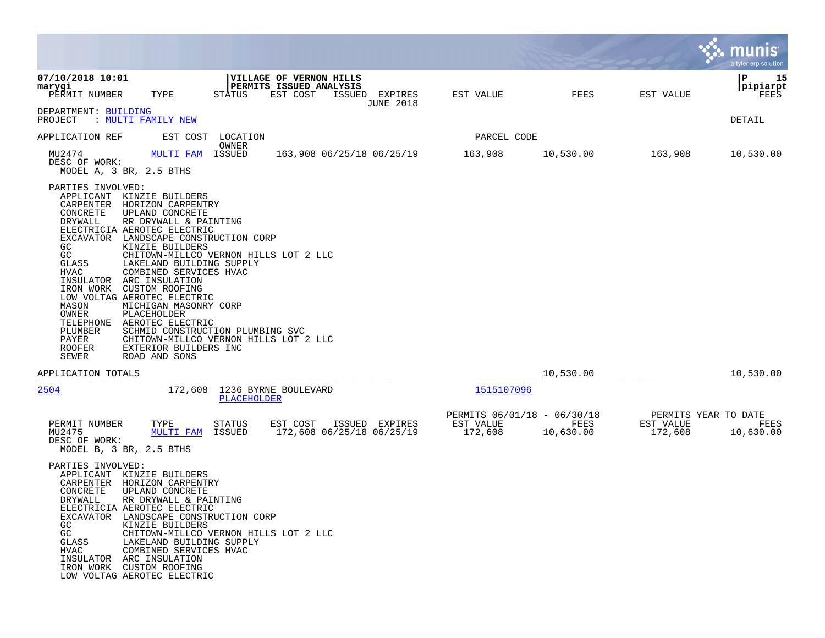|                                                                                                                                                                                                                                                                                                                                                                                                                                                                                                                                                                                                                                                                                                                                            |                                                     |                   |                                              | a tyler erp solution          |
|--------------------------------------------------------------------------------------------------------------------------------------------------------------------------------------------------------------------------------------------------------------------------------------------------------------------------------------------------------------------------------------------------------------------------------------------------------------------------------------------------------------------------------------------------------------------------------------------------------------------------------------------------------------------------------------------------------------------------------------------|-----------------------------------------------------|-------------------|----------------------------------------------|-------------------------------|
| 07/10/2018 10:01<br>VILLAGE OF VERNON HILLS<br>PERMITS ISSUED ANALYSIS<br>marygi<br>EST COST<br>PERMIT NUMBER<br>TYPE<br>STATUS<br>ISSUED EXPIRES<br><b>JUNE 2018</b>                                                                                                                                                                                                                                                                                                                                                                                                                                                                                                                                                                      | EST VALUE                                           | FEES              | EST VALUE                                    | ΙP<br>15<br> pipiarpt<br>FEES |
| DEPARTMENT: BUILDING<br>: MULTI FAMILY NEW<br>PROJECT                                                                                                                                                                                                                                                                                                                                                                                                                                                                                                                                                                                                                                                                                      |                                                     |                   |                                              | DETAIL                        |
| EST COST<br>APPLICATION REF<br>LOCATION                                                                                                                                                                                                                                                                                                                                                                                                                                                                                                                                                                                                                                                                                                    | PARCEL CODE                                         |                   |                                              |                               |
| OWNER<br>ISSUED<br>MU2474<br>163,908 06/25/18 06/25/19<br>MULTI FAM<br>DESC OF WORK:<br>MODEL A, 3 BR, 2.5 BTHS                                                                                                                                                                                                                                                                                                                                                                                                                                                                                                                                                                                                                            | 163,908                                             | 10,530.00         | 163,908                                      | 10,530.00                     |
| PARTIES INVOLVED:<br>APPLICANT KINZIE BUILDERS<br>CARPENTER<br>HORIZON CARPENTRY<br>CONCRETE<br>UPLAND CONCRETE<br>RR DRYWALL & PAINTING<br>DRYWALL<br>ELECTRICIA AEROTEC ELECTRIC<br>LANDSCAPE CONSTRUCTION CORP<br>EXCAVATOR<br>GC<br>KINZIE BUILDERS<br>GC<br>CHITOWN-MILLCO VERNON HILLS LOT 2 LLC<br>GLASS<br>LAKELAND BUILDING SUPPLY<br>COMBINED SERVICES HVAC<br>HVAC<br>ARC INSULATION<br>INSULATOR<br>IRON WORK<br>CUSTOM ROOFING<br>LOW VOLTAG AEROTEC ELECTRIC<br>MASON<br>MICHIGAN MASONRY CORP<br>OWNER<br>PLACEHOLDER<br>TELEPHONE<br>AEROTEC ELECTRIC<br>PLUMBER<br>SCHMID CONSTRUCTION PLUMBING SVC<br>PAYER<br>CHITOWN-MILLCO VERNON HILLS LOT 2 LLC<br><b>ROOFER</b><br>EXTERIOR BUILDERS INC<br>SEWER<br>ROAD AND SONS |                                                     |                   |                                              |                               |
| APPLICATION TOTALS                                                                                                                                                                                                                                                                                                                                                                                                                                                                                                                                                                                                                                                                                                                         |                                                     | 10,530.00         |                                              | 10,530.00                     |
| 2504<br>172,608 1236 BYRNE BOULEVARD<br>PLACEHOLDER                                                                                                                                                                                                                                                                                                                                                                                                                                                                                                                                                                                                                                                                                        | 1515107096                                          |                   |                                              |                               |
| PERMIT NUMBER<br>TYPE<br>STATUS<br>EST COST<br>ISSUED EXPIRES<br>MU2475<br>172,608 06/25/18 06/25/19<br>MULTI FAM<br>ISSUED<br>DESC OF WORK:<br>MODEL B, 3 BR, 2.5 BTHS                                                                                                                                                                                                                                                                                                                                                                                                                                                                                                                                                                    | PERMITS 06/01/18 - 06/30/18<br>EST VALUE<br>172,608 | FEES<br>10,630.00 | PERMITS YEAR TO DATE<br>EST VALUE<br>172,608 | FEES<br>10,630.00             |
| PARTIES INVOLVED:<br>KINZIE BUILDERS<br>APPLICANT<br>CARPENTER<br>HORIZON CARPENTRY<br>CONCRETE<br>UPLAND CONCRETE<br>DRYWALL<br>RR DRYWALL & PAINTING<br>ELECTRICIA AEROTEC ELECTRIC<br>EXCAVATOR LANDSCAPE CONSTRUCTION CORP<br>KINZIE BUILDERS<br>GC<br>GC<br>CHITOWN-MILLCO VERNON HILLS LOT 2 LLC<br>LAKELAND BUILDING SUPPLY<br>GLASS<br>COMBINED SERVICES HVAC<br>HVAC<br>INSULATOR ARC INSULATION<br>IRON WORK CUSTOM ROOFING<br>LOW VOLTAG AEROTEC ELECTRIC                                                                                                                                                                                                                                                                       |                                                     |                   |                                              |                               |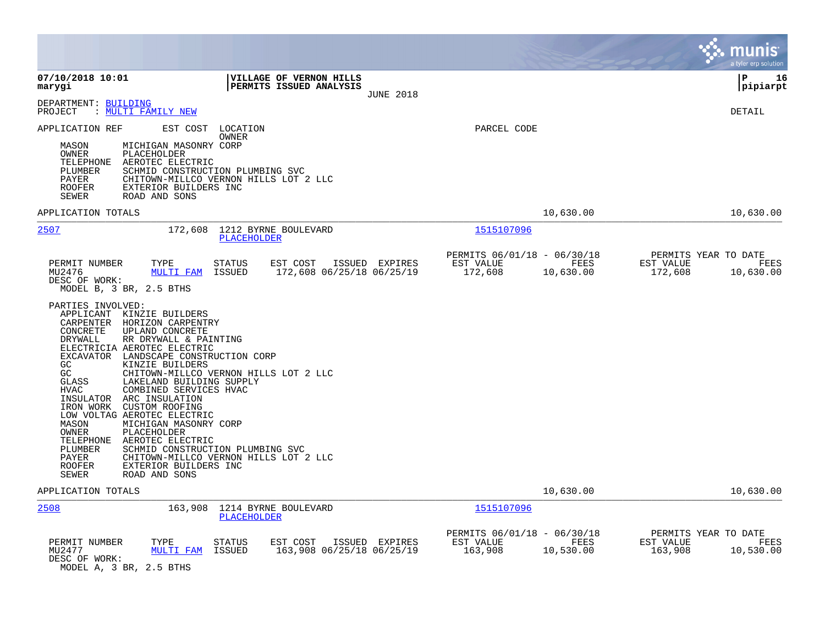|                                                                                                                                                                                                                                                                                                                                                                                                                                                                                                                                                                                                                                                                                                                       |                                                                                                                                                                                                   |                                                                          | munis<br>a tyler erp solution                                     |
|-----------------------------------------------------------------------------------------------------------------------------------------------------------------------------------------------------------------------------------------------------------------------------------------------------------------------------------------------------------------------------------------------------------------------------------------------------------------------------------------------------------------------------------------------------------------------------------------------------------------------------------------------------------------------------------------------------------------------|---------------------------------------------------------------------------------------------------------------------------------------------------------------------------------------------------|--------------------------------------------------------------------------|-------------------------------------------------------------------|
| 07/10/2018 10:01<br>marygi                                                                                                                                                                                                                                                                                                                                                                                                                                                                                                                                                                                                                                                                                            | <b>VILLAGE OF VERNON HILLS</b><br><b>PERMITS ISSUED ANALYSIS</b><br><b>JUNE 2018</b>                                                                                                              |                                                                          | l P<br>16<br> pipiarpt                                            |
| DEPARTMENT: BUILDING<br>: MULTI FAMILY NEW<br>PROJECT                                                                                                                                                                                                                                                                                                                                                                                                                                                                                                                                                                                                                                                                 |                                                                                                                                                                                                   |                                                                          | <b>DETAIL</b>                                                     |
| APPLICATION REF<br>EST COST<br>MICHIGAN MASONRY CORP<br>MASON<br>OWNER<br>PLACEHOLDER<br>TELEPHONE<br>AEROTEC ELECTRIC<br>PLUMBER<br>PAYER<br>EXTERIOR BUILDERS INC<br><b>ROOFER</b><br>SEWER<br>ROAD AND SONS                                                                                                                                                                                                                                                                                                                                                                                                                                                                                                        | LOCATION<br><b>OWNER</b><br>SCHMID CONSTRUCTION PLUMBING SVC<br>CHITOWN-MILLCO VERNON HILLS LOT 2 LLC                                                                                             | PARCEL CODE                                                              |                                                                   |
| APPLICATION TOTALS                                                                                                                                                                                                                                                                                                                                                                                                                                                                                                                                                                                                                                                                                                    |                                                                                                                                                                                                   | 10,630.00                                                                | 10,630.00                                                         |
| 2507<br>172,608                                                                                                                                                                                                                                                                                                                                                                                                                                                                                                                                                                                                                                                                                                       | 1212 BYRNE BOULEVARD<br><b>PLACEHOLDER</b>                                                                                                                                                        | 1515107096                                                               |                                                                   |
| PERMIT NUMBER<br>TYPE<br>MU2476<br><b>MULTI FAM</b><br>DESC OF WORK:<br>MODEL B, 3 BR, 2.5 BTHS<br>PARTIES INVOLVED:<br>APPLICANT KINZIE BUILDERS<br>CARPENTER<br>HORIZON CARPENTRY<br>CONCRETE<br>UPLAND CONCRETE<br>DRYWALL<br>RR DRYWALL & PAINTING<br>ELECTRICIA AEROTEC ELECTRIC<br>EXCAVATOR LANDSCAPE CONSTRUCTION CORP<br>GC<br>KINZIE BUILDERS<br>GC<br>GLASS<br>LAKELAND BUILDING SUPPLY<br>COMBINED SERVICES HVAC<br><b>HVAC</b><br>INSULATOR ARC INSULATION<br>IRON WORK CUSTOM ROOFING<br>LOW VOLTAG AEROTEC ELECTRIC<br>MASON<br>MICHIGAN MASONRY CORP<br>OWNER<br>PLACEHOLDER<br>AEROTEC ELECTRIC<br>TELEPHONE<br>PLUMBER<br>PAYER<br>EXTERIOR BUILDERS INC<br><b>ROOFER</b><br>SEWER<br>ROAD AND SONS | EST COST<br>ISSUED EXPIRES<br>STATUS<br>172,608 06/25/18 06/25/19<br>ISSUED<br>CHITOWN-MILLCO VERNON HILLS LOT 2 LLC<br>SCHMID CONSTRUCTION PLUMBING SVC<br>CHITOWN-MILLCO VERNON HILLS LOT 2 LLC | PERMITS 06/01/18 - 06/30/18<br>FEES<br>EST VALUE<br>172,608<br>10,630.00 | PERMITS YEAR TO DATE<br>EST VALUE<br>FEES<br>172,608<br>10,630.00 |
| APPLICATION TOTALS                                                                                                                                                                                                                                                                                                                                                                                                                                                                                                                                                                                                                                                                                                    |                                                                                                                                                                                                   | 10,630.00                                                                | 10,630.00                                                         |
| 2508<br>163,908                                                                                                                                                                                                                                                                                                                                                                                                                                                                                                                                                                                                                                                                                                       | 1214 BYRNE BOULEVARD<br>PLACEHOLDER                                                                                                                                                               | 1515107096                                                               |                                                                   |
| PERMIT NUMBER<br>TYPE<br>MU2477<br><b>MULTI FAM</b><br>DESC OF WORK:<br>MODEL A, 3 BR, 2.5 BTHS                                                                                                                                                                                                                                                                                                                                                                                                                                                                                                                                                                                                                       | ISSUED EXPIRES<br><b>STATUS</b><br>EST COST<br>ISSUED<br>163,908 06/25/18 06/25/19                                                                                                                | PERMITS 06/01/18 - 06/30/18<br>EST VALUE<br>FEES<br>163,908<br>10,530.00 | PERMITS YEAR TO DATE<br>EST VALUE<br>FEES<br>163,908<br>10,530.00 |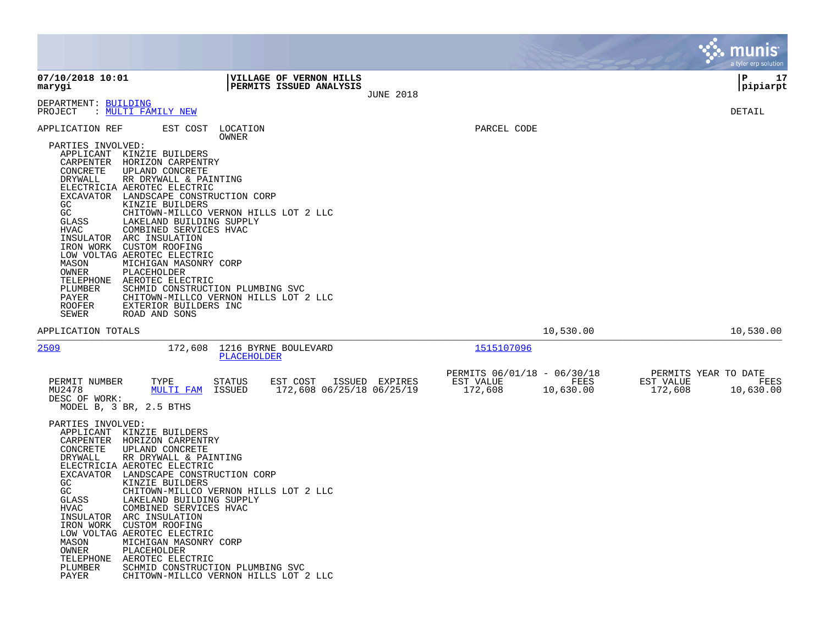|                                                                                                                                                                                                                                   |                                                                                                                                                                                                                                                                                                                                                                                                                                                                                                                                              |                                 |                                                               |                  |                                                                   |                   |                                              | munis<br>a tyler erp solution |
|-----------------------------------------------------------------------------------------------------------------------------------------------------------------------------------------------------------------------------------|----------------------------------------------------------------------------------------------------------------------------------------------------------------------------------------------------------------------------------------------------------------------------------------------------------------------------------------------------------------------------------------------------------------------------------------------------------------------------------------------------------------------------------------------|---------------------------------|---------------------------------------------------------------|------------------|-------------------------------------------------------------------|-------------------|----------------------------------------------|-------------------------------|
| 07/10/2018 10:01<br>marygi                                                                                                                                                                                                        |                                                                                                                                                                                                                                                                                                                                                                                                                                                                                                                                              |                                 | VILLAGE OF VERNON HILLS<br>PERMITS ISSUED ANALYSIS            | <b>JUNE 2018</b> |                                                                   |                   |                                              | ΙP<br>17<br>pipiarpt          |
| DEPARTMENT: BUILDING<br>PROJECT                                                                                                                                                                                                   | : MULTI FAMILY NEW                                                                                                                                                                                                                                                                                                                                                                                                                                                                                                                           |                                 |                                                               |                  |                                                                   |                   |                                              | DETAIL                        |
| APPLICATION REF<br>PARTIES INVOLVED:<br>CARPENTER<br>CONCRETE<br>DRYWALL<br>EXCAVATOR<br>GC.<br>GC<br>GLASS<br>HVAC<br>INSULATOR<br>IRON WORK<br>MASON<br>OWNER<br>TELEPHONE<br>PLUMBER<br>PAYER<br><b>ROOFER</b><br><b>SEWER</b> | EST COST<br>APPLICANT KINZIE BUILDERS<br>HORIZON CARPENTRY<br>UPLAND CONCRETE<br>RR DRYWALL & PAINTING<br>ELECTRICIA AEROTEC ELECTRIC<br>LANDSCAPE CONSTRUCTION CORP<br>KINZIE BUILDERS<br>CHITOWN-MILLCO VERNON HILLS LOT 2 LLC<br>LAKELAND BUILDING SUPPLY<br>COMBINED SERVICES HVAC<br>ARC INSULATION<br>CUSTOM ROOFING<br>LOW VOLTAG AEROTEC ELECTRIC<br>MICHIGAN MASONRY CORP<br>PLACEHOLDER<br>AEROTEC ELECTRIC<br>SCHMID CONSTRUCTION PLUMBING SVC<br>CHITOWN-MILLCO VERNON HILLS LOT 2 LLC<br>EXTERIOR BUILDERS INC<br>ROAD AND SONS | LOCATION<br>OWNER               |                                                               |                  | PARCEL CODE                                                       |                   |                                              |                               |
| APPLICATION TOTALS                                                                                                                                                                                                                |                                                                                                                                                                                                                                                                                                                                                                                                                                                                                                                                              |                                 |                                                               |                  |                                                                   | 10,530.00         |                                              | 10,530.00                     |
| 2509<br>PERMIT NUMBER<br>MU2478<br>DESC OF WORK:                                                                                                                                                                                  | 172,608<br>TYPE<br><b>MULTI FAM</b><br>MODEL B, 3 BR, 2.5 BTHS                                                                                                                                                                                                                                                                                                                                                                                                                                                                               | PLACEHOLDER<br>STATUS<br>ISSUED | 1216 BYRNE BOULEVARD<br>EST COST<br>172,608 06/25/18 06/25/19 | ISSUED EXPIRES   | 1515107096<br>PERMITS 06/01/18 - 06/30/18<br>EST VALUE<br>172,608 | FEES<br>10,630.00 | PERMITS YEAR TO DATE<br>EST VALUE<br>172,608 | FEES<br>10,630.00             |
| PARTIES INVOLVED:<br>APPLICANT<br>CARPENTER<br>CONCRETE<br>DRYWALL<br>EXCAVATOR<br>GC<br>GC<br>GLASS<br>HVAC<br>INSULATOR<br>IRON WORK<br>MASON<br>OWNER<br>TELEPHONE<br>PLUMBER<br>PAYER                                         | KINZIE BUILDERS<br>HORIZON CARPENTRY<br>UPLAND CONCRETE<br>RR DRYWALL & PAINTING<br>ELECTRICIA AEROTEC ELECTRIC<br>LANDSCAPE CONSTRUCTION CORP<br>KINZIE BUILDERS<br>CHITOWN-MILLCO VERNON HILLS LOT 2 LLC<br>LAKELAND BUILDING SUPPLY<br>COMBINED SERVICES HVAC<br>ARC INSULATION<br>CUSTOM ROOFING<br>LOW VOLTAG AEROTEC ELECTRIC<br>MICHIGAN MASONRY CORP<br>PLACEHOLDER<br>AEROTEC ELECTRIC<br>SCHMID CONSTRUCTION PLUMBING SVC<br>CHITOWN-MILLCO VERNON HILLS LOT 2 LLC                                                                 |                                 |                                                               |                  |                                                                   |                   |                                              |                               |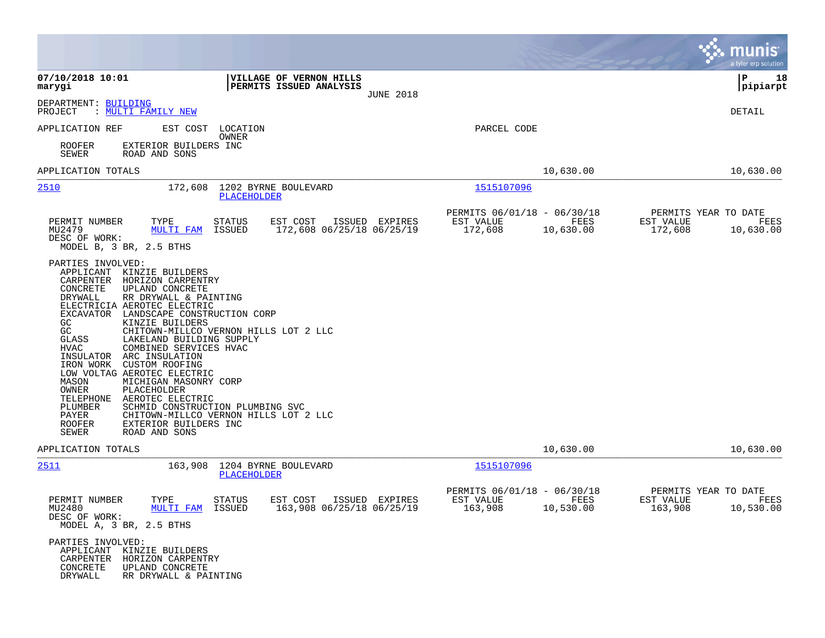|                                                                                                                                                                                                                                                                                                                                                                                                                                                                                                                                                                                                                      |                                                                                                                    |                                                     |                   | munis<br>a tyler erp solution                                     |
|----------------------------------------------------------------------------------------------------------------------------------------------------------------------------------------------------------------------------------------------------------------------------------------------------------------------------------------------------------------------------------------------------------------------------------------------------------------------------------------------------------------------------------------------------------------------------------------------------------------------|--------------------------------------------------------------------------------------------------------------------|-----------------------------------------------------|-------------------|-------------------------------------------------------------------|
| 07/10/2018 10:01<br>marygi                                                                                                                                                                                                                                                                                                                                                                                                                                                                                                                                                                                           | VILLAGE OF VERNON HILLS<br>PERMITS ISSUED ANALYSIS<br><b>JUNE 2018</b>                                             |                                                     |                   | l P<br>18<br> pipiarpt                                            |
| DEPARTMENT: BUILDING<br>PROJECT<br>: MULTI FAMILY NEW                                                                                                                                                                                                                                                                                                                                                                                                                                                                                                                                                                |                                                                                                                    |                                                     |                   | DETAIL                                                            |
| APPLICATION REF<br>EST COST<br>ROOFER<br>EXTERIOR BUILDERS INC<br><b>SEWER</b><br>ROAD AND SONS                                                                                                                                                                                                                                                                                                                                                                                                                                                                                                                      | LOCATION<br>OWNER                                                                                                  | PARCEL CODE                                         |                   |                                                                   |
| APPLICATION TOTALS                                                                                                                                                                                                                                                                                                                                                                                                                                                                                                                                                                                                   |                                                                                                                    |                                                     | 10,630.00         | 10,630.00                                                         |
| 2510<br>172,608                                                                                                                                                                                                                                                                                                                                                                                                                                                                                                                                                                                                      | 1202 BYRNE BOULEVARD<br>PLACEHOLDER                                                                                | 1515107096                                          |                   |                                                                   |
| PERMIT NUMBER<br>TYPE<br>MU2479<br>MULTI FAM<br>DESC OF WORK:<br>MODEL B, 3 BR, 2.5 BTHS                                                                                                                                                                                                                                                                                                                                                                                                                                                                                                                             | EST COST<br>STATUS<br>ISSUED EXPIRES<br>172,608 06/25/18 06/25/19<br>ISSUED                                        | PERMITS 06/01/18 - 06/30/18<br>EST VALUE<br>172,608 | FEES<br>10,630.00 | PERMITS YEAR TO DATE<br>EST VALUE<br>FEES<br>172,608<br>10,630.00 |
| PARTIES INVOLVED:<br>APPLICANT<br>KINZIE BUILDERS<br>CARPENTER<br>HORIZON CARPENTRY<br>CONCRETE<br>UPLAND CONCRETE<br>DRYWALL<br>RR DRYWALL & PAINTING<br>ELECTRICIA AEROTEC ELECTRIC<br>EXCAVATOR LANDSCAPE CONSTRUCTION CORP<br>GC<br>KINZIE BUILDERS<br>GC<br>GLASS<br>LAKELAND BUILDING SUPPLY<br><b>HVAC</b><br>COMBINED SERVICES HVAC<br>INSULATOR<br>ARC INSULATION<br>IRON WORK<br>CUSTOM ROOFING<br>LOW VOLTAG AEROTEC ELECTRIC<br>MASON<br>MICHIGAN MASONRY CORP<br>OWNER<br>PLACEHOLDER<br>TELEPHONE<br>AEROTEC ELECTRIC<br>PLUMBER<br>PAYER<br>ROOFER<br>EXTERIOR BUILDERS INC<br>SEWER<br>ROAD AND SONS | CHITOWN-MILLCO VERNON HILLS LOT 2 LLC<br>SCHMID CONSTRUCTION PLUMBING SVC<br>CHITOWN-MILLCO VERNON HILLS LOT 2 LLC |                                                     |                   |                                                                   |
| APPLICATION TOTALS                                                                                                                                                                                                                                                                                                                                                                                                                                                                                                                                                                                                   |                                                                                                                    |                                                     | 10,630.00         | 10,630.00                                                         |
| 2511<br>163,908                                                                                                                                                                                                                                                                                                                                                                                                                                                                                                                                                                                                      | 1204 BYRNE BOULEVARD<br>PLACEHOLDER                                                                                | 1515107096                                          |                   |                                                                   |
| PERMIT NUMBER<br>TYPE<br>MU2480<br>DESC OF WORK:<br>MODEL A, 3 BR, 2.5 BTHS                                                                                                                                                                                                                                                                                                                                                                                                                                                                                                                                          | <b>STATUS</b><br>EST COST<br>ISSUED EXPIRES<br>MULTI FAM ISSUED 163,908 06/25/18 06/25/19                          | PERMITS 06/01/18 - 06/30/18<br>EST VALUE<br>163,908 | FEES<br>10,530.00 | PERMITS YEAR TO DATE<br>EST VALUE<br>FEES<br>163,908<br>10,530.00 |
| PARTIES INVOLVED:<br>APPLICANT KINZIE BUILDERS<br>CARPENTER HORIZON CARPENTRY<br>CONCRETE<br>UPLAND CONCRETE<br>DRYWALL<br>RR DRYWALL & PAINTING                                                                                                                                                                                                                                                                                                                                                                                                                                                                     |                                                                                                                    |                                                     |                   |                                                                   |

 $\sim$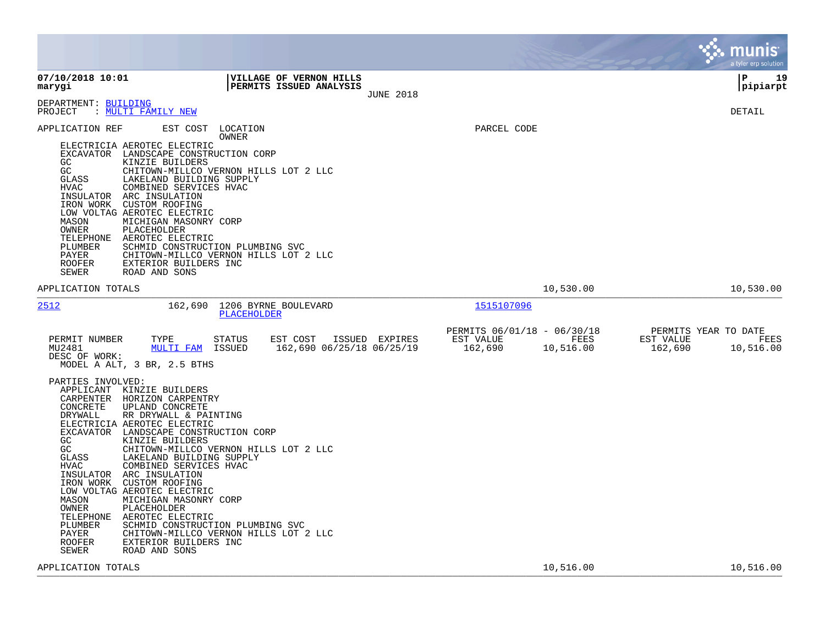|                                                                                                                                                                                                                                                                                                                                                                                                                                                                                                                                                                                                                                                                                                                                                                                                          |                                                                                        | munis<br>a tyler erp solution                                     |
|----------------------------------------------------------------------------------------------------------------------------------------------------------------------------------------------------------------------------------------------------------------------------------------------------------------------------------------------------------------------------------------------------------------------------------------------------------------------------------------------------------------------------------------------------------------------------------------------------------------------------------------------------------------------------------------------------------------------------------------------------------------------------------------------------------|----------------------------------------------------------------------------------------|-------------------------------------------------------------------|
| 07/10/2018 10:01<br>VILLAGE OF VERNON HILLS<br>PERMITS ISSUED ANALYSIS<br>marygi<br><b>JUNE 2018</b>                                                                                                                                                                                                                                                                                                                                                                                                                                                                                                                                                                                                                                                                                                     |                                                                                        | l P<br>19<br> pipiarpt                                            |
| DEPARTMENT: BUILDING<br>: MULTI FAMILY NEW<br>PROJECT                                                                                                                                                                                                                                                                                                                                                                                                                                                                                                                                                                                                                                                                                                                                                    |                                                                                        | DETAIL                                                            |
| APPLICATION REF<br>EST COST LOCATION<br>OWNER<br>ELECTRICIA AEROTEC ELECTRIC<br>EXCAVATOR LANDSCAPE CONSTRUCTION CORP<br>GC<br>KINZIE BUILDERS<br>GC<br>CHITOWN-MILLCO VERNON HILLS LOT 2 LLC<br>GLASS<br>LAKELAND BUILDING SUPPLY<br>HVAC<br>COMBINED SERVICES HVAC<br>INSULATOR ARC INSULATION<br>IRON WORK<br><b>CUSTOM ROOFING</b><br>LOW VOLTAG AEROTEC ELECTRIC<br>MASON<br>MICHIGAN MASONRY CORP<br>OWNER<br>PLACEHOLDER<br>TELEPHONE<br>AEROTEC ELECTRIC<br>PLUMBER<br>SCHMID CONSTRUCTION PLUMBING SVC<br>PAYER<br>CHITOWN-MILLCO VERNON HILLS LOT 2 LLC<br>EXTERIOR BUILDERS INC<br><b>ROOFER</b><br>SEWER<br>ROAD AND SONS                                                                                                                                                                    | PARCEL CODE                                                                            |                                                                   |
| APPLICATION TOTALS                                                                                                                                                                                                                                                                                                                                                                                                                                                                                                                                                                                                                                                                                                                                                                                       | 10,530.00                                                                              | 10,530.00                                                         |
| 2512<br>162,690 1206 BYRNE BOULEVARD<br>PLACEHOLDER<br>TYPE<br>EST COST ISSUED EXPIRES<br>PERMIT NUMBER<br>STATUS<br><b>MULTI FAM</b><br>MU2481<br>ISSUED<br>162,690 06/25/18 06/25/19                                                                                                                                                                                                                                                                                                                                                                                                                                                                                                                                                                                                                   | 1515107096<br>PERMITS 06/01/18 - 06/30/18<br>FEES<br>EST VALUE<br>162,690<br>10,516.00 | PERMITS YEAR TO DATE<br>EST VALUE<br>FEES<br>162,690<br>10,516.00 |
| DESC OF WORK:<br>MODEL A ALT, 3 BR, 2.5 BTHS<br>PARTIES INVOLVED:<br>APPLICANT KINZIE BUILDERS<br>CARPENTER HORIZON CARPENTRY<br>CONCRETE<br>UPLAND CONCRETE<br>RR DRYWALL & PAINTING<br>DRYWALL<br>ELECTRICIA AEROTEC ELECTRIC<br>EXCAVATOR LANDSCAPE CONSTRUCTION CORP<br>KINZIE BUILDERS<br>GC.<br>GC<br>CHITOWN-MILLCO VERNON HILLS LOT 2 LLC<br>GLASS<br>LAKELAND BUILDING SUPPLY<br>HVAC<br>COMBINED SERVICES HVAC<br>INSULATOR ARC INSULATION<br>IRON WORK<br>CUSTOM ROOFING<br>LOW VOLTAG AEROTEC ELECTRIC<br>MASON<br>MICHIGAN MASONRY CORP<br>PLACEHOLDER<br>OWNER<br>AEROTEC ELECTRIC<br>TELEPHONE<br>PLUMBER<br>SCHMID CONSTRUCTION PLUMBING SVC<br>PAYER<br>CHITOWN-MILLCO VERNON HILLS LOT 2 LLC<br>EXTERIOR BUILDERS INC<br><b>ROOFER</b><br>SEWER<br>ROAD AND SONS<br>APPLICATION TOTALS | 10,516.00                                                                              | 10,516.00                                                         |
|                                                                                                                                                                                                                                                                                                                                                                                                                                                                                                                                                                                                                                                                                                                                                                                                          |                                                                                        |                                                                   |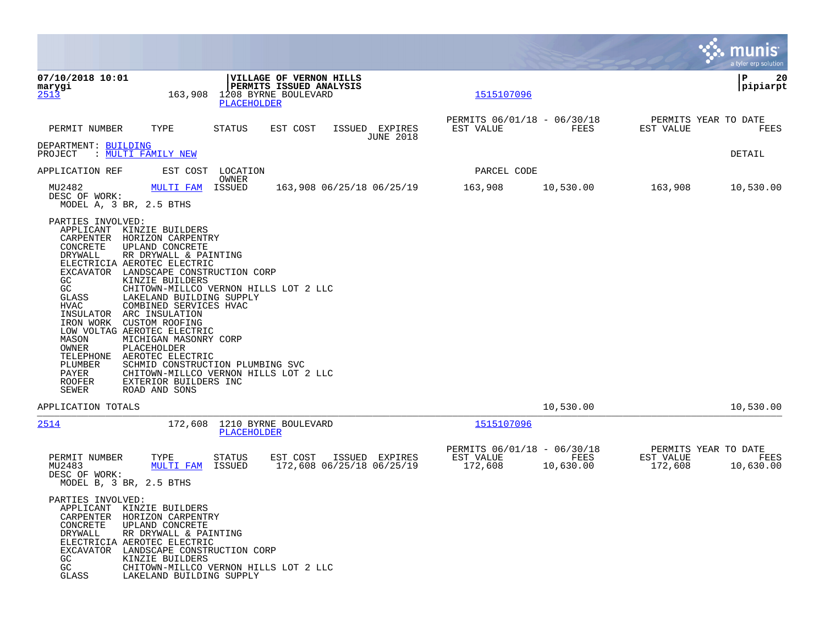|                                                                                                                                                                                    |                                                                                                                                                                                                                                                                                                                                                                                                                                                                                                                                                   |                    |                                                                            |                                             |                                                     |                   |                      | munis $\dot{}$<br>a tyler erp solution    |
|------------------------------------------------------------------------------------------------------------------------------------------------------------------------------------|---------------------------------------------------------------------------------------------------------------------------------------------------------------------------------------------------------------------------------------------------------------------------------------------------------------------------------------------------------------------------------------------------------------------------------------------------------------------------------------------------------------------------------------------------|--------------------|----------------------------------------------------------------------------|---------------------------------------------|-----------------------------------------------------|-------------------|----------------------|-------------------------------------------|
| 07/10/2018 10:01<br>marygi<br>2513                                                                                                                                                 | 163,908                                                                                                                                                                                                                                                                                                                                                                                                                                                                                                                                           | <b>PLACEHOLDER</b> | VILLAGE OF VERNON HILLS<br>PERMITS ISSUED ANALYSIS<br>1208 BYRNE BOULEVARD |                                             | 1515107096                                          |                   |                      | l P<br>20<br> pipiarpt                    |
| PERMIT NUMBER                                                                                                                                                                      | TYPE                                                                                                                                                                                                                                                                                                                                                                                                                                                                                                                                              | STATUS             | EST COST                                                                   | ISSUED EXPIRES<br><b>JUNE 2018</b>          | PERMITS 06/01/18 - 06/30/18<br>EST VALUE            | FEES              | EST VALUE            | PERMITS YEAR TO DATE<br>FEES              |
| DEPARTMENT: BUILDING<br>PROJECT                                                                                                                                                    | : MULTI FAMILY NEW                                                                                                                                                                                                                                                                                                                                                                                                                                                                                                                                |                    |                                                                            |                                             |                                                     |                   |                      | DETAIL                                    |
| APPLICATION REF                                                                                                                                                                    | EST COST                                                                                                                                                                                                                                                                                                                                                                                                                                                                                                                                          | LOCATION           |                                                                            |                                             | PARCEL CODE                                         |                   |                      |                                           |
| MU2482<br>DESC OF WORK:<br>MODEL A, 3 BR, 2.5 BTHS                                                                                                                                 | <b>MULTI FAM</b>                                                                                                                                                                                                                                                                                                                                                                                                                                                                                                                                  | OWNER<br>ISSUED    |                                                                            | 163,908 06/25/18 06/25/19                   | 163,908                                             | 10,530.00         | 163,908              | 10,530.00                                 |
| PARTIES INVOLVED:<br>CARPENTER<br>CONCRETE<br>DRYWALL<br>GC<br>GC<br>GLASS<br>HVAC<br>INSULATOR<br>IRON WORK<br>MASON<br>OWNER<br>TELEPHONE<br>PLUMBER<br>PAYER<br>ROOFER<br>SEWER | APPLICANT KINZIE BUILDERS<br>HORIZON CARPENTRY<br>UPLAND CONCRETE<br>RR DRYWALL & PAINTING<br>ELECTRICIA AEROTEC ELECTRIC<br>EXCAVATOR LANDSCAPE CONSTRUCTION CORP<br>KINZIE BUILDERS<br>CHITOWN-MILLCO VERNON HILLS LOT 2 LLC<br>LAKELAND BUILDING SUPPLY<br>COMBINED SERVICES HVAC<br>ARC INSULATION<br><b>CUSTOM ROOFING</b><br>LOW VOLTAG AEROTEC ELECTRIC<br>MICHIGAN MASONRY CORP<br>PLACEHOLDER<br>AEROTEC ELECTRIC<br>SCHMID CONSTRUCTION PLUMBING SVC<br>CHITOWN-MILLCO VERNON HILLS LOT 2 LLC<br>EXTERIOR BUILDERS INC<br>ROAD AND SONS |                    |                                                                            |                                             |                                                     |                   |                      |                                           |
| APPLICATION TOTALS                                                                                                                                                                 |                                                                                                                                                                                                                                                                                                                                                                                                                                                                                                                                                   |                    |                                                                            |                                             |                                                     | 10,530.00         |                      | 10,530.00                                 |
| <u> 2514</u>                                                                                                                                                                       | 172,608                                                                                                                                                                                                                                                                                                                                                                                                                                                                                                                                           | PLACEHOLDER        | 1210 BYRNE BOULEVARD                                                       |                                             | 1515107096                                          |                   |                      |                                           |
| PERMIT NUMBER<br>MU2483<br>DESC OF WORK:<br>MODEL B, 3 BR, 2.5 BTHS<br>PARTIES INVOLVED:                                                                                           | TYPE<br>MULTI FAM                                                                                                                                                                                                                                                                                                                                                                                                                                                                                                                                 | STATUS<br>ISSUED   | EST COST                                                                   | ISSUED EXPIRES<br>172,608 06/25/18 06/25/19 | PERMITS 06/01/18 - 06/30/18<br>EST VALUE<br>172,608 | FEES<br>10,630.00 | EST VALUE<br>172,608 | PERMITS YEAR TO DATE<br>FEES<br>10,630.00 |
| CARPENTER<br>CONCRETE<br>DRYWALL<br>EXCAVATOR<br>GC<br>GC<br>GLASS                                                                                                                 | APPLICANT KINZIE BUILDERS<br>HORIZON CARPENTRY<br>UPLAND CONCRETE<br>RR DRYWALL & PAINTING<br>ELECTRICIA AEROTEC ELECTRIC<br>LANDSCAPE CONSTRUCTION CORP<br>KINZIE BUILDERS<br>CHITOWN-MILLCO VERNON HILLS LOT 2 LLC<br>LAKELAND BUILDING SUPPLY                                                                                                                                                                                                                                                                                                  |                    |                                                                            |                                             |                                                     |                   |                      |                                           |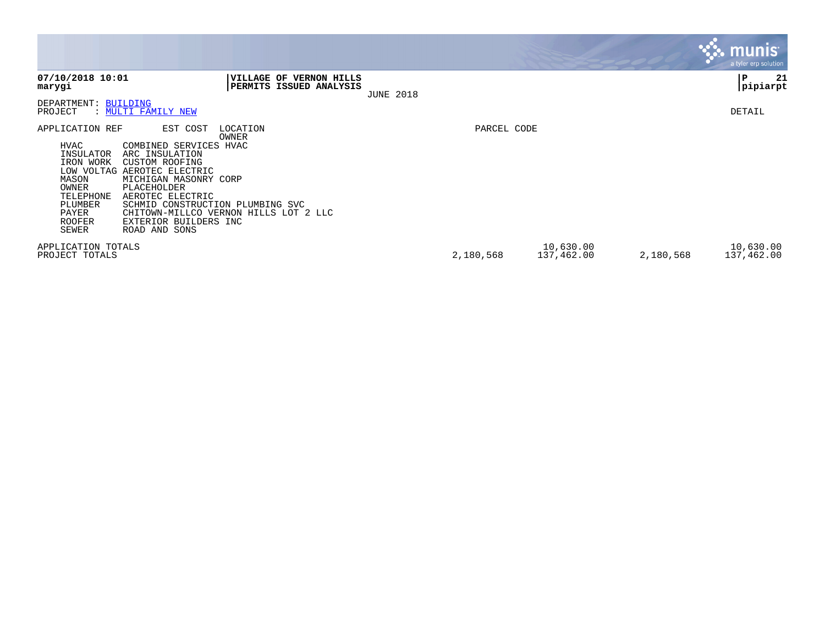|                                                                                                                                              |                                                                                                                                                                                                                                                                                                           |                  |             |                         |           | <b>munis</b><br>a tyler erp solution |
|----------------------------------------------------------------------------------------------------------------------------------------------|-----------------------------------------------------------------------------------------------------------------------------------------------------------------------------------------------------------------------------------------------------------------------------------------------------------|------------------|-------------|-------------------------|-----------|--------------------------------------|
| 07/10/2018 10:01<br>marygi                                                                                                                   | VILLAGE OF VERNON HILLS<br>PERMITS ISSUED ANALYSIS                                                                                                                                                                                                                                                        | <b>JUNE 2018</b> |             |                         |           | 21<br>ΙP<br>pipiarpt                 |
| DEPARTMENT: BUILDING<br>PROJECT                                                                                                              | : MULTI FAMILY NEW                                                                                                                                                                                                                                                                                        |                  |             |                         |           | DETAIL                               |
| APPLICATION REF<br>HVAC<br>INSULATOR<br>IRON WORK<br>LOW VOLTAG<br>MASON<br>OWNER<br>TELEPHONE<br>PLUMBER<br>PAYER<br><b>ROOFER</b><br>SEWER | EST COST<br>LOCATION<br>OWNER<br>COMBINED SERVICES HVAC<br>ARC INSULATION<br><b>CUSTOM ROOFING</b><br>AEROTEC ELECTRIC<br>MICHIGAN MASONRY CORP<br>PLACEHOLDER<br>AEROTEC ELECTRIC<br>SCHMID CONSTRUCTION PLUMBING SVC<br>CHITOWN-MILLCO VERNON HILLS LOT 2 LLC<br>EXTERIOR BUILDERS INC<br>ROAD AND SONS |                  | PARCEL CODE |                         |           |                                      |
| APPLICATION TOTALS<br>PROJECT TOTALS                                                                                                         |                                                                                                                                                                                                                                                                                                           |                  | 2,180,568   | 10,630.00<br>137,462.00 | 2,180,568 | 10,630.00<br>137,462.00              |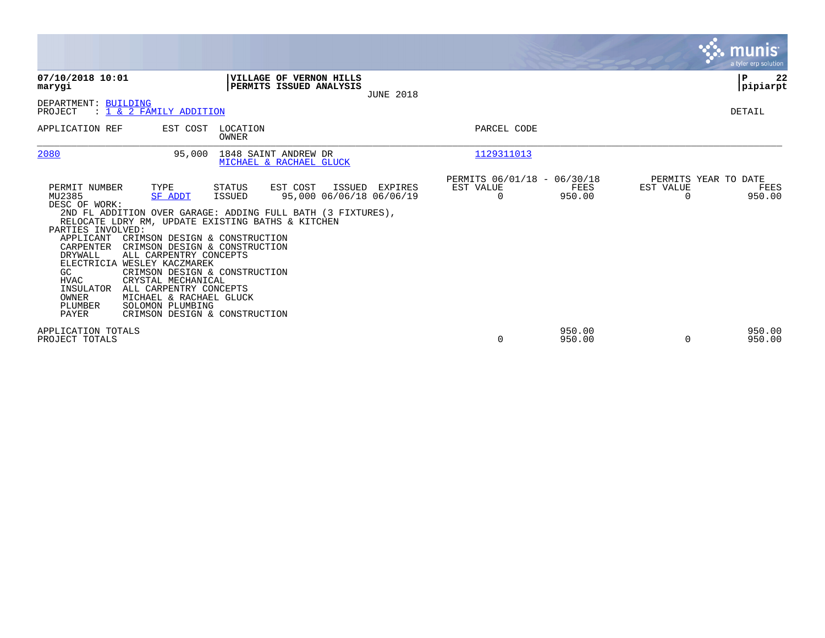|                                                                                                                                                                                                                                                                                                                                                                                                                                                                                                                                                      |                                                                                                                                           |                                                         |                  |                                               | munis<br>a tyler erp solution |
|------------------------------------------------------------------------------------------------------------------------------------------------------------------------------------------------------------------------------------------------------------------------------------------------------------------------------------------------------------------------------------------------------------------------------------------------------------------------------------------------------------------------------------------------------|-------------------------------------------------------------------------------------------------------------------------------------------|---------------------------------------------------------|------------------|-----------------------------------------------|-------------------------------|
| 07/10/2018 10:01<br>marygi                                                                                                                                                                                                                                                                                                                                                                                                                                                                                                                           | VILLAGE OF VERNON HILLS<br>PERMITS ISSUED ANALYSIS<br><b>JUNE 2018</b>                                                                    |                                                         |                  |                                               | ΙP<br>22<br> pipiarpt         |
| DEPARTMENT: BUILDING<br>: 1 & 2 FAMILY ADDITION<br>PROJECT                                                                                                                                                                                                                                                                                                                                                                                                                                                                                           |                                                                                                                                           |                                                         |                  |                                               | DETAIL                        |
| APPLICATION REF<br>EST COST                                                                                                                                                                                                                                                                                                                                                                                                                                                                                                                          | LOCATION<br><b>OWNER</b>                                                                                                                  | PARCEL CODE                                             |                  |                                               |                               |
| 2080<br>95,000                                                                                                                                                                                                                                                                                                                                                                                                                                                                                                                                       | 1848 SAINT ANDREW DR<br>MICHAEL & RACHAEL GLUCK                                                                                           | 1129311013                                              |                  |                                               |                               |
| TYPE<br>PERMIT NUMBER<br>MU2385<br><b>SF ADDT</b><br>DESC OF WORK:<br>RELOCATE LDRY RM, UPDATE EXISTING BATHS & KITCHEN<br>PARTIES INVOLVED:<br>CRIMSON DESIGN & CONSTRUCTION<br>APPLICANT<br>CARPENTER<br>CRIMSON DESIGN & CONSTRUCTION<br>DRYWALL<br>ALL CARPENTRY CONCEPTS<br>ELECTRICIA WESLEY KACZMAREK<br>GC.<br>CRIMSON DESIGN & CONSTRUCTION<br><b>HVAC</b><br>CRYSTAL MECHANICAL<br>INSULATOR<br>ALL CARPENTRY CONCEPTS<br>OWNER<br>MICHAEL & RACHAEL GLUCK<br>SOLOMON PLUMBING<br>PLUMBER<br><b>PAYER</b><br>CRIMSON DESIGN & CONSTRUCTION | EST COST<br>STATUS<br>ISSUED EXPIRES<br>95,000 06/06/18 06/06/19<br>ISSUED<br>2ND FL ADDITION OVER GARAGE: ADDING FULL BATH (3 FIXTURES), | PERMITS 06/01/18 - 06/30/18<br>EST VALUE<br>$\mathbf 0$ | FEES<br>950.00   | PERMITS YEAR TO DATE<br>EST VALUE<br>$\Omega$ | FEES<br>950.00                |
| APPLICATION TOTALS<br>PROJECT TOTALS                                                                                                                                                                                                                                                                                                                                                                                                                                                                                                                 |                                                                                                                                           | 0                                                       | 950.00<br>950.00 | $\Omega$                                      | 950.00<br>950.00              |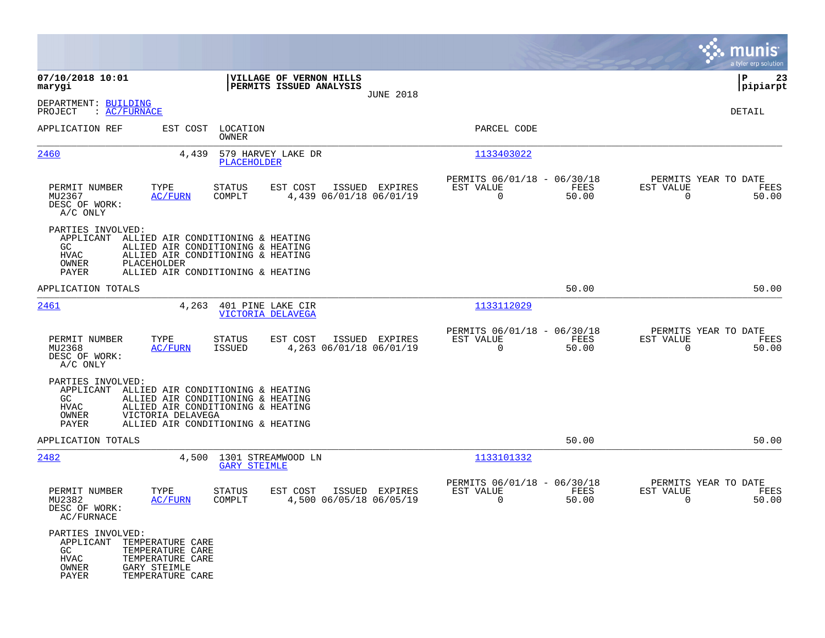|                                                                                                                                                             |                                                                                                                                                  |                                                                       | munis<br>a tyler erp solution                                            |
|-------------------------------------------------------------------------------------------------------------------------------------------------------------|--------------------------------------------------------------------------------------------------------------------------------------------------|-----------------------------------------------------------------------|--------------------------------------------------------------------------|
| 07/10/2018 10:01<br>marygi                                                                                                                                  | VILLAGE OF VERNON HILLS<br>PERMITS ISSUED ANALYSIS                                                                                               |                                                                       | ∣P<br>23<br>$ $ pipiarpt                                                 |
| DEPARTMENT: BUILDING<br>PROJECT<br>: AC/FURNACE                                                                                                             | <b>JUNE 2018</b>                                                                                                                                 |                                                                       | <b>DETAIL</b>                                                            |
| APPLICATION REF<br>EST COST                                                                                                                                 | LOCATION<br>OWNER                                                                                                                                | PARCEL CODE                                                           |                                                                          |
| 2460<br>4,439                                                                                                                                               | 579 HARVEY LAKE DR<br>PLACEHOLDER                                                                                                                | 1133403022                                                            |                                                                          |
| PERMIT NUMBER<br>TYPE<br>MU2367<br><b>AC/FURN</b><br>DESC OF WORK:<br>A/C ONLY                                                                              | STATUS<br>EST COST<br>ISSUED EXPIRES<br>COMPLT<br>4,439 06/01/18 06/01/19                                                                        | PERMITS 06/01/18 - 06/30/18<br>EST VALUE<br>FEES<br>0<br>50.00        | PERMITS YEAR TO DATE<br><b>EST VALUE</b><br>FEES<br>$\mathbf 0$<br>50.00 |
| PARTIES INVOLVED:<br>APPLICANT<br>GC<br>HVAC<br>PLACEHOLDER<br>OWNER<br>PAYER                                                                               | ALLIED AIR CONDITIONING & HEATING<br>ALLIED AIR CONDITIONING & HEATING<br>ALLIED AIR CONDITIONING & HEATING<br>ALLIED AIR CONDITIONING & HEATING |                                                                       |                                                                          |
| APPLICATION TOTALS                                                                                                                                          |                                                                                                                                                  | 50.00                                                                 | 50.00                                                                    |
| 2461<br>4,263                                                                                                                                               | 401 PINE LAKE CIR<br>VICTORIA DELAVEGA                                                                                                           | 1133112029                                                            |                                                                          |
| PERMIT NUMBER<br>TYPE<br>MU2368<br>AC/FURN<br>DESC OF WORK:<br>A/C ONLY                                                                                     | STATUS<br>EST COST<br>ISSUED EXPIRES<br>4,263 06/01/18 06/01/19<br>ISSUED                                                                        | PERMITS 06/01/18 - 06/30/18<br>EST VALUE<br>FEES<br>$\Omega$<br>50.00 | PERMITS YEAR TO DATE<br>EST VALUE<br>FEES<br>$\mathbf 0$<br>50.00        |
| PARTIES INVOLVED:<br>APPLICANT<br>GC.<br><b>HVAC</b><br>OWNER<br>VICTORIA DELAVEGA<br>PAYER                                                                 | ALLIED AIR CONDITIONING & HEATING<br>ALLIED AIR CONDITIONING & HEATING<br>ALLIED AIR CONDITIONING & HEATING<br>ALLIED AIR CONDITIONING & HEATING |                                                                       |                                                                          |
| APPLICATION TOTALS                                                                                                                                          |                                                                                                                                                  | 50.00                                                                 | 50.00                                                                    |
| 2482<br>4,500                                                                                                                                               | 1301 STREAMWOOD LN<br><b>GARY STEIMLE</b>                                                                                                        | 1133101332                                                            |                                                                          |
| PERMIT NUMBER<br>TYPE<br>MU2382<br>AC/FURN<br>DESC OF WORK:<br>AC/FURNACE                                                                                   | EST COST<br>ISSUED EXPIRES<br>STATUS<br>4,500 06/05/18 06/05/19<br>COMPLT                                                                        | PERMITS 06/01/18 - 06/30/18<br>EST VALUE<br>FEES<br>0<br>50.00        | PERMITS YEAR TO DATE<br>EST VALUE<br>FEES<br>0<br>50.00                  |
| PARTIES INVOLVED:<br>APPLICANT TEMPERATURE CARE<br>GC<br>TEMPERATURE CARE<br>HVAC<br>TEMPERATURE CARE<br>OWNER<br>GARY STEIMLE<br>PAYER<br>TEMPERATURE CARE |                                                                                                                                                  |                                                                       |                                                                          |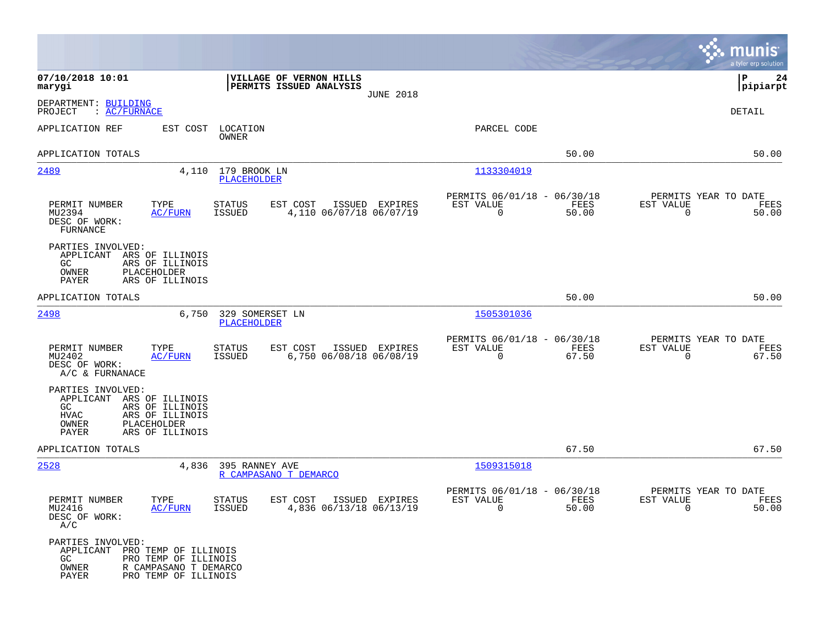|                                                                                 |                                                                       |                                    |                                                    |                  |                                               |               |                                                  | munis<br>a tyler erp solution |
|---------------------------------------------------------------------------------|-----------------------------------------------------------------------|------------------------------------|----------------------------------------------------|------------------|-----------------------------------------------|---------------|--------------------------------------------------|-------------------------------|
| 07/10/2018 10:01<br>marygi                                                      |                                                                       |                                    | VILLAGE OF VERNON HILLS<br>PERMITS ISSUED ANALYSIS | <b>JUNE 2018</b> |                                               |               |                                                  | P<br>24<br> pipiarpt          |
| DEPARTMENT: BUILDING<br>: <u>AC/FURNACE</u><br>PROJECT                          |                                                                       |                                    |                                                    |                  |                                               |               |                                                  | DETAIL                        |
| APPLICATION REF                                                                 | EST COST                                                              | LOCATION<br>OWNER                  |                                                    |                  | PARCEL CODE                                   |               |                                                  |                               |
| APPLICATION TOTALS                                                              |                                                                       |                                    |                                                    |                  |                                               | 50.00         |                                                  | 50.00                         |
| 2489                                                                            | 4,110                                                                 | 179 BROOK LN<br><b>PLACEHOLDER</b> |                                                    |                  | 1133304019                                    |               |                                                  |                               |
| PERMIT NUMBER<br>MU2394<br>DESC OF WORK:<br>FURNANCE                            | TYPE<br><u>AC/FURN</u>                                                | STATUS<br>ISSUED                   | EST COST<br>4,110 06/07/18 06/07/19                | ISSUED EXPIRES   | PERMITS 06/01/18 - 06/30/18<br>EST VALUE<br>0 | FEES<br>50.00 | PERMITS YEAR TO DATE<br>EST VALUE<br>$\mathbf 0$ | FEES<br>50.00                 |
| PARTIES INVOLVED:<br>APPLICANT<br>GC.<br>OWNER<br>PAYER                         | ARS OF ILLINOIS<br>ARS OF ILLINOIS<br>PLACEHOLDER<br>ARS OF ILLINOIS  |                                    |                                                    |                  |                                               |               |                                                  |                               |
| APPLICATION TOTALS                                                              |                                                                       |                                    |                                                    |                  |                                               | 50.00         |                                                  | 50.00                         |
| 2498                                                                            | 6,750                                                                 | 329 SOMERSET LN<br>PLACEHOLDER     |                                                    |                  | 1505301036                                    |               |                                                  |                               |
| PERMIT NUMBER<br>MU2402<br>DESC OF WORK:<br>A/C & FURNANACE                     | TYPE<br><b>AC/FURN</b>                                                | <b>STATUS</b><br>ISSUED            | EST COST<br>6,750 06/08/18 06/08/19                | ISSUED EXPIRES   | PERMITS 06/01/18 - 06/30/18<br>EST VALUE<br>0 | FEES<br>67.50 | PERMITS YEAR TO DATE<br>EST VALUE<br>0           | FEES<br>67.50                 |
| PARTIES INVOLVED:<br>APPLICANT ARS OF ILLINOIS<br>GC.<br>HVAC<br>OWNER<br>PAYER | ARS OF ILLINOIS<br>ARS OF ILLINOIS<br>PLACEHOLDER<br>ARS OF ILLINOIS  |                                    |                                                    |                  |                                               |               |                                                  |                               |
| APPLICATION TOTALS                                                              |                                                                       |                                    |                                                    |                  |                                               | 67.50         |                                                  | 67.50                         |
| 2528                                                                            | 4,836                                                                 | 395 RANNEY AVE                     | R CAMPASANO T DEMARCO                              |                  | 1509315018                                    |               |                                                  |                               |
| PERMIT NUMBER<br>MU2416<br>DESC OF WORK:<br>A/C                                 | TYPE<br>AC/FURN                                                       | <b>STATUS</b><br>ISSUED            | EST COST<br>4,836 06/13/18 06/13/19                | ISSUED EXPIRES   | PERMITS 06/01/18 - 06/30/18<br>EST VALUE<br>U | FEES<br>50.00 | PERMITS YEAR TO DATE<br>EST VALUE<br>U           | FEES<br>50.00                 |
| PARTIES INVOLVED:<br>APPLICANT PRO TEMP OF ILLINOIS<br>GC<br>OWNER<br>PAYER     | PRO TEMP OF ILLINOIS<br>R CAMPASANO T DEMARCO<br>PRO TEMP OF ILLINOIS |                                    |                                                    |                  |                                               |               |                                                  |                               |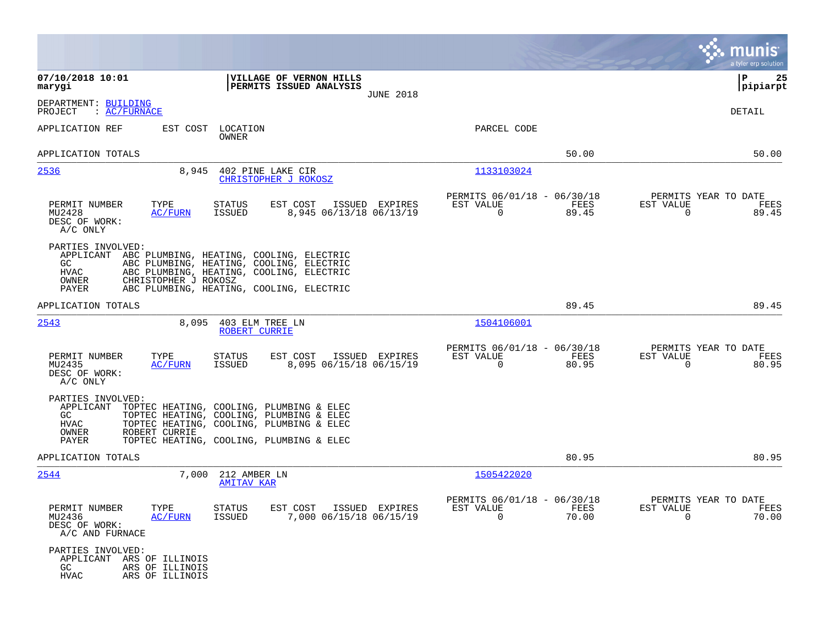|                                                                                                                                                                                                                                                                      |                                                                          | munis<br>a tyler erp solution                                        |
|----------------------------------------------------------------------------------------------------------------------------------------------------------------------------------------------------------------------------------------------------------------------|--------------------------------------------------------------------------|----------------------------------------------------------------------|
| 07/10/2018 10:01<br>VILLAGE OF VERNON HILLS<br>PERMITS ISSUED ANALYSIS<br>marygi<br><b>JUNE 2018</b>                                                                                                                                                                 |                                                                          | P<br>25<br> pipiarpt                                                 |
| DEPARTMENT: BUILDING<br>PROJECT<br>: AC/FURNACE                                                                                                                                                                                                                      |                                                                          | DETAIL                                                               |
| APPLICATION REF<br>EST COST<br>LOCATION<br>OWNER                                                                                                                                                                                                                     | PARCEL CODE                                                              |                                                                      |
| APPLICATION TOTALS                                                                                                                                                                                                                                                   | 50.00                                                                    | 50.00                                                                |
| 2536<br>8,945<br>402 PINE LAKE CIR<br>CHRISTOPHER J ROKOSZ                                                                                                                                                                                                           | 1133103024                                                               |                                                                      |
| PERMIT NUMBER<br>TYPE<br>EST COST<br>ISSUED EXPIRES<br>STATUS<br>MU2428<br>ISSUED<br>8,945 06/13/18 06/13/19<br><u>AC/FURN</u><br>DESC OF WORK:<br>A/C ONLY                                                                                                          | PERMITS 06/01/18 - 06/30/18<br>EST VALUE<br>FEES<br>$\mathbf 0$<br>89.45 | PERMITS YEAR TO DATE<br>EST VALUE<br>FEES<br>$\Omega$<br>89.45       |
| PARTIES INVOLVED:<br>APPLICANT ABC PLUMBING, HEATING, COOLING, ELECTRIC<br>GC.<br>ABC PLUMBING, HEATING, COOLING, ELECTRIC<br>HVAC<br>ABC PLUMBING, HEATING, COOLING, ELECTRIC<br>OWNER<br>CHRISTOPHER J ROKOSZ<br>ABC PLUMBING, HEATING, COOLING, ELECTRIC<br>PAYER |                                                                          |                                                                      |
| APPLICATION TOTALS                                                                                                                                                                                                                                                   | 89.45                                                                    | 89.45                                                                |
| 2543<br>8,095<br>403 ELM TREE LN<br>ROBERT CURRIE                                                                                                                                                                                                                    | 1504106001                                                               |                                                                      |
| PERMIT NUMBER<br>TYPE<br><b>STATUS</b><br>EST COST<br>ISSUED EXPIRES<br>ISSUED<br>8,095 06/15/18 06/15/19<br>MU2435<br>AC/FURN<br>DESC OF WORK:<br>A/C ONLY                                                                                                          | PERMITS 06/01/18 - 06/30/18<br>FEES<br>EST VALUE<br>$\mathbf 0$<br>80.95 | PERMITS YEAR TO DATE<br>EST VALUE<br>FEES<br>80.95<br>$\overline{0}$ |
| PARTIES INVOLVED:<br>APPLICANT<br>TOPTEC HEATING, COOLING, PLUMBING & ELEC<br>GC.<br>TOPTEC HEATING, COOLING, PLUMBING & ELEC<br>HVAC<br>TOPTEC HEATING, COOLING, PLUMBING & ELEC<br>ROBERT CURRIE<br>OWNER<br>PAYER<br>TOPTEC HEATING, COOLING, PLUMBING & ELEC     |                                                                          |                                                                      |
| APPLICATION TOTALS                                                                                                                                                                                                                                                   | 80.95                                                                    | 80.95                                                                |
| 2544<br>7,000<br>212 AMBER LN<br><b>AMITAV KAR</b>                                                                                                                                                                                                                   | 1505422020                                                               |                                                                      |
| PERMIT NUMBER<br>TYPE<br>STATUS<br>EST COST ISSUED EXPIRES<br>MU2436<br>7,000 06/15/18 06/15/19<br><u>AC/FURN</u><br>ISSUED<br>DESC OF WORK:<br>A/C AND FURNACE                                                                                                      | PERMITS 06/01/18 - 06/30/18<br>EST VALUE<br>FEES<br>$\Omega$<br>70.00    | PERMITS YEAR TO DATE<br>EST VALUE<br>FEES<br>70.00<br>$\Omega$       |
| PARTIES INVOLVED:<br>APPLICANT ARS OF ILLINOIS<br>GC<br>ARS OF ILLINOIS<br>HVAC<br>ARS OF ILLINOIS                                                                                                                                                                   |                                                                          |                                                                      |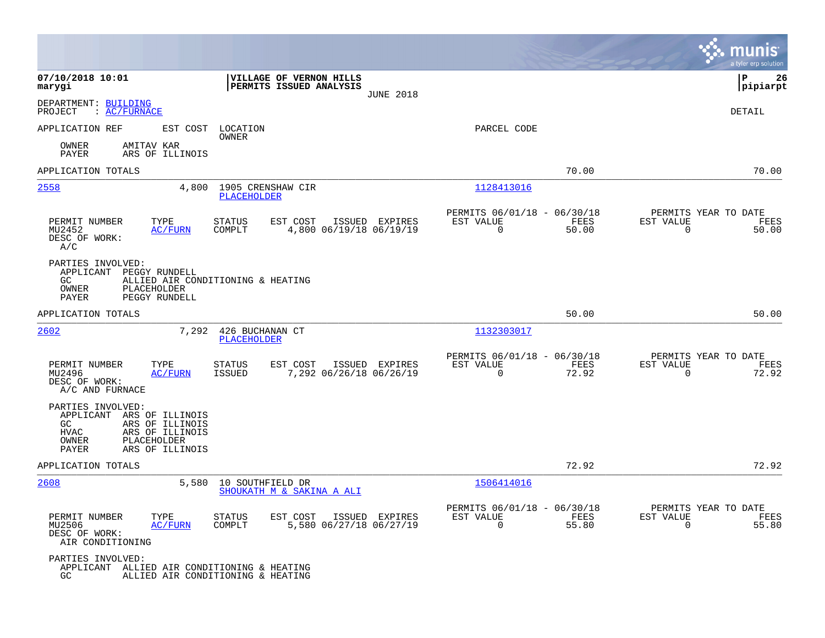|                                                                                                                                                                   |                                                                                  |                                                                          | munis<br>a tyler erp solution                                        |
|-------------------------------------------------------------------------------------------------------------------------------------------------------------------|----------------------------------------------------------------------------------|--------------------------------------------------------------------------|----------------------------------------------------------------------|
| 07/10/2018 10:01<br>marygi                                                                                                                                        | VILLAGE OF VERNON HILLS<br>PERMITS ISSUED ANALYSIS<br><b>JUNE 2018</b>           |                                                                          | 26<br>l P<br> pipiarpt                                               |
| DEPARTMENT: BUILDING<br>: AC/FURNACE<br>PROJECT                                                                                                                   |                                                                                  |                                                                          | <b>DETAIL</b>                                                        |
| APPLICATION REF<br>EST COST                                                                                                                                       | LOCATION<br><b>OWNER</b>                                                         | PARCEL CODE                                                              |                                                                      |
| AMITAV KAR<br>OWNER<br>PAYER<br>ARS OF ILLINOIS                                                                                                                   |                                                                                  |                                                                          |                                                                      |
| APPLICATION TOTALS                                                                                                                                                |                                                                                  | 70.00                                                                    | 70.00                                                                |
| 2558<br>4,800                                                                                                                                                     | 1905 CRENSHAW CIR<br>PLACEHOLDER                                                 | 1128413016                                                               |                                                                      |
| TYPE<br>PERMIT NUMBER<br>MU2452<br><b>AC/FURN</b><br>DESC OF WORK:<br>A/C                                                                                         | EST COST<br><b>STATUS</b><br>ISSUED EXPIRES<br>COMPLT<br>4,800 06/19/18 06/19/19 | PERMITS 06/01/18 - 06/30/18<br>EST VALUE<br>FEES<br>$\mathbf 0$<br>50.00 | PERMITS YEAR TO DATE<br>EST VALUE<br>FEES<br>$\overline{0}$<br>50.00 |
| PARTIES INVOLVED:<br>APPLICANT<br>PEGGY RUNDELL<br>GC.<br>OWNER<br>PLACEHOLDER<br>PAYER<br>PEGGY RUNDELL                                                          | ALLIED AIR CONDITIONING & HEATING                                                |                                                                          |                                                                      |
| APPLICATION TOTALS                                                                                                                                                |                                                                                  | 50.00                                                                    | 50.00                                                                |
| 2602<br>7,292                                                                                                                                                     | 426 BUCHANAN CT<br>PLACEHOLDER                                                   | 1132303017                                                               |                                                                      |
| PERMIT NUMBER<br>TYPE<br>MU2496<br>AC/FURN<br>DESC OF WORK:<br>A/C AND FURNACE                                                                                    | <b>STATUS</b><br>EST COST<br>ISSUED EXPIRES<br>7,292 06/26/18 06/26/19<br>ISSUED | PERMITS 06/01/18 - 06/30/18<br>EST VALUE<br>FEES<br>$\mathbf 0$<br>72.92 | PERMITS YEAR TO DATE<br>EST VALUE<br>FEES<br>72.92<br>0              |
| PARTIES INVOLVED:<br>APPLICANT<br>ARS OF ILLINOIS<br>ARS OF ILLINOIS<br>GC.<br><b>HVAC</b><br>ARS OF ILLINOIS<br>OWNER<br>PLACEHOLDER<br>PAYER<br>ARS OF ILLINOIS |                                                                                  |                                                                          |                                                                      |
| APPLICATION TOTALS                                                                                                                                                |                                                                                  | 72.92                                                                    | 72.92                                                                |
| 2608<br>5,580                                                                                                                                                     | 10 SOUTHFIELD DR<br>SHOUKATH M & SAKINA A ALI                                    | 1506414016                                                               |                                                                      |
| PERMIT NUMBER<br>TYPE<br>MU2506<br><b>AC/FURN</b><br>DESC OF WORK:<br>AIR CONDITIONING                                                                            | STATUS<br>EST COST<br>ISSUED EXPIRES<br>5,580 06/27/18 06/27/19<br>COMPLT        | PERMITS 06/01/18 - 06/30/18<br>EST VALUE<br>FEES<br>0<br>55.80           | PERMITS YEAR TO DATE<br>EST VALUE<br>FEES<br>$\mathbf 0$<br>55.80    |
| PARTIES INVOLVED:<br>APPLICANT ALLIED AIR CONDITIONING & HEATING<br>GC.                                                                                           | ALLIED AIR CONDITIONING & HEATING                                                |                                                                          |                                                                      |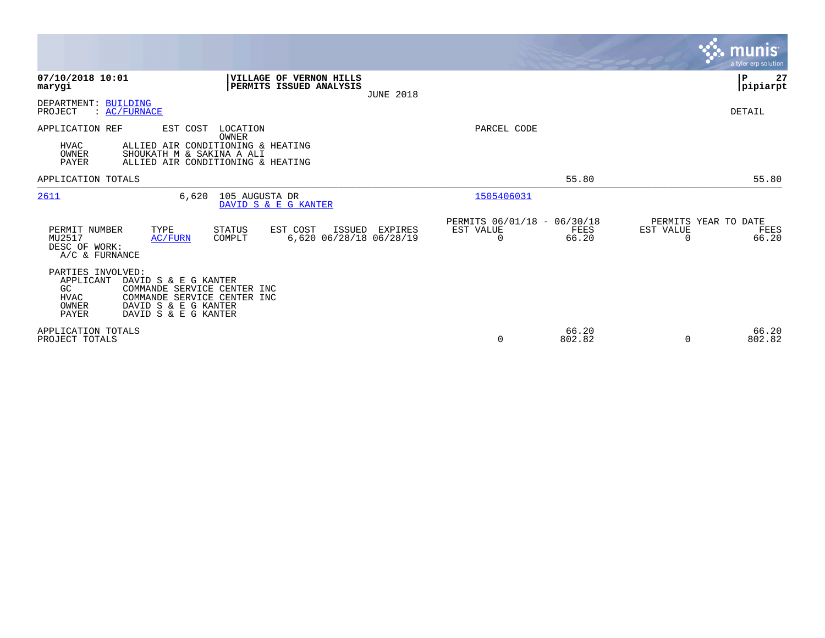|                                                                       |                                                                                                                                    |                   |                                                           |                  |                                                      |                 |                                               | munis<br>a tyler erp solution |
|-----------------------------------------------------------------------|------------------------------------------------------------------------------------------------------------------------------------|-------------------|-----------------------------------------------------------|------------------|------------------------------------------------------|-----------------|-----------------------------------------------|-------------------------------|
| 07/10/2018 10:01<br>marygi                                            |                                                                                                                                    |                   | <b>VILLAGE OF VERNON HILLS</b><br>PERMITS ISSUED ANALYSIS | <b>JUNE 2018</b> |                                                      |                 |                                               | P<br>27<br> pipiarpt          |
| DEPARTMENT: BUILDING<br>PROJECT                                       | $\colon$ AC/FURNACE                                                                                                                |                   |                                                           |                  |                                                      |                 |                                               | DETAIL                        |
| APPLICATION REF<br><b>HVAC</b><br>OWNER<br>PAYER                      | EST COST<br>ALLIED AIR CONDITIONING & HEATING<br>SHOUKATH M & SAKINA A ALI<br>ALLIED AIR CONDITIONING & HEATING                    | LOCATION<br>OWNER |                                                           |                  | PARCEL CODE                                          |                 |                                               |                               |
| APPLICATION TOTALS                                                    |                                                                                                                                    |                   |                                                           |                  |                                                      | 55.80           |                                               | 55.80                         |
| 2611                                                                  | 6,620                                                                                                                              | 105 AUGUSTA DR    | DAVID S & E G KANTER                                      |                  | 1505406031                                           |                 |                                               |                               |
| PERMIT NUMBER<br>MU2517<br>DESC OF WORK:<br>A/C & FURNANCE            | TYPE<br>AC/FURN                                                                                                                    | STATUS<br>COMPLT  | EST COST<br>ISSUED<br>6,620 06/28/18 06/28/19             | EXPIRES          | PERMITS 06/01/18 - 06/30/18<br>EST VALUE<br>$\Omega$ | FEES<br>66.20   | PERMITS YEAR TO DATE<br>EST VALUE<br>$\Omega$ | FEES<br>66.20                 |
| PARTIES INVOLVED:<br>APPLICANT<br>GC<br><b>HVAC</b><br>OWNER<br>PAYER | DAVID S & E G KANTER<br>COMMANDE SERVICE CENTER INC<br>COMMANDE SERVICE CENTER INC<br>DAVID S & E G KANTER<br>DAVID S & E G KANTER |                   |                                                           |                  |                                                      |                 |                                               |                               |
| APPLICATION TOTALS<br>PROJECT TOTALS                                  |                                                                                                                                    |                   |                                                           |                  | $\mathbf 0$                                          | 66.20<br>802.82 | $\Omega$                                      | 66.20<br>802.82               |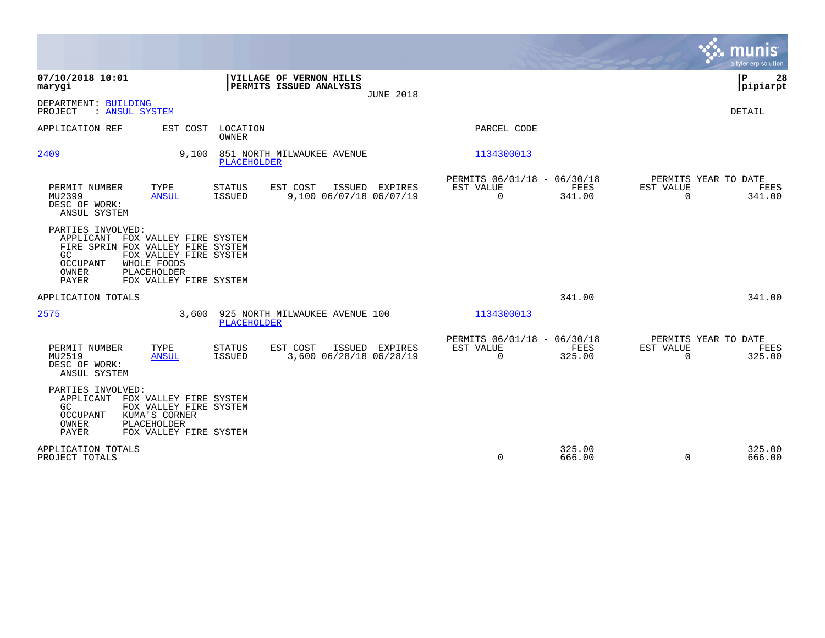|                                                                                                                                                                                                                            |                                                                       |                  |                                                         |                       | munis<br>a tyler erp solution                                      |
|----------------------------------------------------------------------------------------------------------------------------------------------------------------------------------------------------------------------------|-----------------------------------------------------------------------|------------------|---------------------------------------------------------|-----------------------|--------------------------------------------------------------------|
| 07/10/2018 10:01<br>marygi                                                                                                                                                                                                 | <b>VILLAGE OF VERNON HILLS</b><br>PERMITS ISSUED ANALYSIS             | <b>JUNE 2018</b> |                                                         |                       | ΙP<br>28<br> pipiarpt                                              |
| DEPARTMENT: BUILDING<br>PROJECT<br>: ANSUL SYSTEM                                                                                                                                                                          |                                                                       |                  |                                                         |                       | <b>DETAIL</b>                                                      |
| APPLICATION REF<br>EST COST                                                                                                                                                                                                | LOCATION<br><b>OWNER</b>                                              |                  | PARCEL CODE                                             |                       |                                                                    |
| 2409<br>9.100                                                                                                                                                                                                              | 851 NORTH MILWAUKEE AVENUE<br><b>PLACEHOLDER</b>                      |                  | 1134300013                                              |                       |                                                                    |
| PERMIT NUMBER<br>TYPE<br>MU2399<br><b>ANSUL</b><br>DESC OF WORK:<br>ANSUL SYSTEM                                                                                                                                           | <b>STATUS</b><br>EST COST<br>9,100 06/07/18 06/07/19<br>ISSUED        | ISSUED EXPIRES   | PERMITS 06/01/18 - 06/30/18<br>EST VALUE<br>$\Omega$    | FEES<br>341.00        | PERMITS YEAR TO DATE<br>EST VALUE<br>FEES<br>$\Omega$<br>341.00    |
| PARTIES INVOLVED:<br>APPLICANT<br>FOX VALLEY FIRE SYSTEM<br>FIRE SPRIN FOX VALLEY FIRE SYSTEM<br>FOX VALLEY FIRE SYSTEM<br>GC<br><b>OCCUPANT</b><br>WHOLE FOODS<br>OWNER<br>PLACEHOLDER<br>PAYER<br>FOX VALLEY FIRE SYSTEM |                                                                       |                  |                                                         |                       |                                                                    |
| APPLICATION TOTALS                                                                                                                                                                                                         |                                                                       |                  |                                                         | 341.00                | 341.00                                                             |
| 2575<br>3,600                                                                                                                                                                                                              | 925 NORTH MILWAUKEE AVENUE 100<br>PLACEHOLDER                         |                  | 1134300013                                              |                       |                                                                    |
| PERMIT NUMBER<br>TYPE<br>MU2519<br><b>ANSUL</b><br>DESC OF WORK:<br>ANSUL SYSTEM                                                                                                                                           | EST COST<br><b>STATUS</b><br>3,600 06/28/18 06/28/19<br><b>ISSUED</b> | ISSUED EXPIRES   | PERMITS 06/01/18 - 06/30/18<br>EST VALUE<br>$\mathbf 0$ | <b>FEES</b><br>325.00 | PERMITS YEAR TO DATE<br>EST VALUE<br>FEES<br>$\mathbf 0$<br>325.00 |
| PARTIES INVOLVED:<br>APPLICANT<br>FOX VALLEY FIRE SYSTEM<br>GC<br>FOX VALLEY FIRE SYSTEM<br>OCCUPANT<br>KUMA'S CORNER<br>OWNER<br>PLACEHOLDER<br>PAYER<br>FOX VALLEY FIRE SYSTEM                                           |                                                                       |                  |                                                         |                       |                                                                    |
| APPLICATION TOTALS<br>PROJECT TOTALS                                                                                                                                                                                       |                                                                       |                  | $\mathbf 0$                                             | 325.00<br>666.00      | 325.00<br>$\mathbf 0$<br>666.00                                    |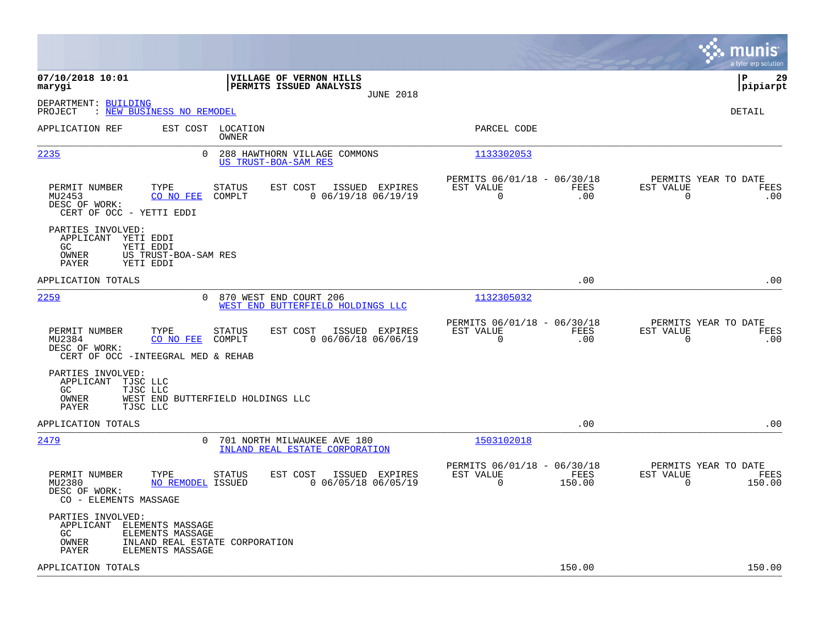|                                                                                                                                                   |                                                                        |                                                                        | munis<br>a tyler erp solution                                |
|---------------------------------------------------------------------------------------------------------------------------------------------------|------------------------------------------------------------------------|------------------------------------------------------------------------|--------------------------------------------------------------|
| 07/10/2018 10:01<br>marygi                                                                                                                        | VILLAGE OF VERNON HILLS<br>PERMITS ISSUED ANALYSIS<br><b>JUNE 2018</b> |                                                                        | lР<br>29<br> pipiarpt                                        |
| DEPARTMENT: BUILDING<br>: NEW BUSINESS NO REMODEL<br>PROJECT                                                                                      |                                                                        |                                                                        | <b>DETAIL</b>                                                |
| APPLICATION REF<br>EST COST LOCATION<br>OWNER                                                                                                     |                                                                        | PARCEL CODE                                                            |                                                              |
| 2235<br>0                                                                                                                                         | 288 HAWTHORN VILLAGE COMMONS<br>US TRUST-BOA-SAM RES                   | 1133302053                                                             |                                                              |
| PERMIT NUMBER<br>TYPE<br>STATUS<br>MU2453<br>COMPLT<br>CO NO FEE<br>DESC OF WORK:<br>CERT OF OCC - YETTI EDDI                                     | EST COST<br>ISSUED EXPIRES<br>$0$ 06/19/18 06/19/19                    | PERMITS 06/01/18 - 06/30/18<br>EST VALUE<br>FEES<br>$\Omega$<br>.00    | PERMITS YEAR TO DATE<br>EST VALUE<br>FEES<br>$\Omega$<br>.00 |
| PARTIES INVOLVED:<br>APPLICANT YETI EDDI<br>GC.<br>YETI EDDI<br><b>OWNER</b><br>US TRUST-BOA-SAM RES<br>PAYER<br>YETI EDDI                        |                                                                        |                                                                        |                                                              |
| APPLICATION TOTALS                                                                                                                                |                                                                        | .00                                                                    | .00                                                          |
| 2259<br>$\Omega$                                                                                                                                  | 870 WEST END COURT 206<br>WEST END BUTTERFIELD HOLDINGS LLC            | 1132305032                                                             |                                                              |
| PERMIT NUMBER<br>TYPE<br>STATUS<br>MU2384<br>COMPLT<br>CO NO FEE<br>DESC OF WORK:<br>CERT OF OCC - INTEEGRAL MED & REHAB                          | EST COST<br>ISSUED EXPIRES<br>$0$ 06/06/18 06/06/19                    | PERMITS 06/01/18 - 06/30/18<br>EST VALUE<br>FEES<br>$\mathbf 0$<br>.00 | PERMITS YEAR TO DATE<br>EST VALUE<br>FEES<br>0<br>.00        |
| PARTIES INVOLVED:<br>APPLICANT<br>TJSC LLC<br>GC<br>TJSC LLC<br>OWNER<br>WEST END BUTTERFIELD HOLDINGS LLC<br>PAYER<br>TJSC LLC                   |                                                                        |                                                                        |                                                              |
| APPLICATION TOTALS                                                                                                                                |                                                                        | .00                                                                    | .00                                                          |
| 2479<br>0                                                                                                                                         | 701 NORTH MILWAUKEE AVE 180<br>INLAND REAL ESTATE CORPORATION          | 1503102018                                                             |                                                              |
| TYPE<br>PERMIT NUMBER<br>STATUS<br>NO REMODEL ISSUED<br>MU2380<br>DESC OF WORK:<br>CO - ELEMENTS MASSAGE                                          | EST COST<br>ISSUED EXPIRES<br>$0$ 06/05/18 06/05/19                    | PERMITS 06/01/18 - 06/30/18<br>EST VALUE<br>FEES<br>0<br>150.00        | PERMITS YEAR TO DATE<br>EST VALUE<br>FEES<br>150.00<br>0     |
| PARTIES INVOLVED:<br>APPLICANT ELEMENTS MASSAGE<br>GC<br>ELEMENTS MASSAGE<br>OWNER<br>INLAND REAL ESTATE CORPORATION<br>PAYER<br>ELEMENTS MASSAGE |                                                                        |                                                                        |                                                              |
| APPLICATION TOTALS                                                                                                                                |                                                                        | 150.00                                                                 | 150.00                                                       |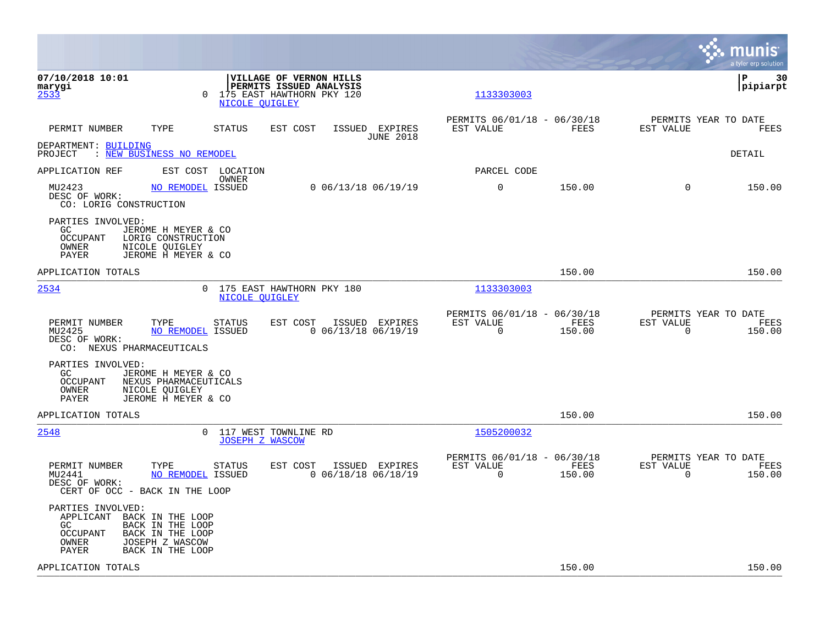|                                                                                                                                                                            |                                                            |                                                                                 |                  |                                                         |                |                                                     | munis<br>a tyler erp solution |
|----------------------------------------------------------------------------------------------------------------------------------------------------------------------------|------------------------------------------------------------|---------------------------------------------------------------------------------|------------------|---------------------------------------------------------|----------------|-----------------------------------------------------|-------------------------------|
| 07/10/2018 10:01<br>marygi<br>2533                                                                                                                                         | $\Omega$<br><b>NICOLE OUIGLEY</b>                          | VILLAGE OF VERNON HILLS<br>PERMITS ISSUED ANALYSIS<br>175 EAST HAWTHORN PKY 120 |                  | 1133303003                                              |                |                                                     | lР<br>30<br> pipiarpt         |
| TYPE<br>PERMIT NUMBER                                                                                                                                                      | <b>STATUS</b>                                              | EST COST<br>ISSUED EXPIRES                                                      | <b>JUNE 2018</b> | PERMITS 06/01/18 - 06/30/18<br>EST VALUE                | FEES           | PERMITS YEAR TO DATE<br>EST VALUE                   | FEES                          |
| DEPARTMENT: BUILDING<br>: NEW BUSINESS NO REMODEL<br>PROJECT                                                                                                               |                                                            |                                                                                 |                  |                                                         |                |                                                     | <b>DETAIL</b>                 |
| APPLICATION REF                                                                                                                                                            | EST COST LOCATION<br>OWNER                                 |                                                                                 |                  | PARCEL CODE                                             |                |                                                     |                               |
| MU2423<br>DESC OF WORK:<br>CO: LORIG CONSTRUCTION                                                                                                                          | NO REMODEL ISSUED                                          | $0$ 06/13/18 06/19/19                                                           |                  | 0                                                       | 150.00         | $\Omega$                                            | 150.00                        |
| PARTIES INVOLVED:<br>GC.<br>JEROME H MEYER & CO<br><b>OCCUPANT</b><br>LORIG CONSTRUCTION<br>NICOLE QUIGLEY<br>OWNER<br>PAYER<br>JEROME H MEYER & CO                        |                                                            |                                                                                 |                  |                                                         |                |                                                     |                               |
| APPLICATION TOTALS                                                                                                                                                         |                                                            |                                                                                 |                  |                                                         | 150.00         |                                                     | 150.00                        |
| 2534                                                                                                                                                                       | 0 175 EAST HAWTHORN PKY 180<br><b>NICOLE OUIGLEY</b>       |                                                                                 |                  | 1133303003                                              |                |                                                     |                               |
| PERMIT NUMBER<br>TYPE<br>MU2425<br>DESC OF WORK:<br>CO: NEXUS PHARMACEUTICALS                                                                                              | <b>STATUS</b><br>NO REMODEL ISSUED                         | EST COST<br>ISSUED EXPIRES<br>$0$ 06/13/18 06/19/19                             |                  | PERMITS 06/01/18 - 06/30/18<br>EST VALUE<br>$\mathbf 0$ | FEES<br>150.00 | PERMITS YEAR TO DATE<br>EST VALUE<br>$\overline{0}$ | FEES<br>150.00                |
| PARTIES INVOLVED:<br>GC.<br>JEROME H MEYER & CO<br><b>OCCUPANT</b><br>NICOLE QUIGLEY<br>OWNER<br>JEROME H MEYER & CO<br>PAYER                                              | NEXUS PHARMACEUTICALS                                      |                                                                                 |                  |                                                         |                |                                                     |                               |
| APPLICATION TOTALS                                                                                                                                                         |                                                            |                                                                                 |                  |                                                         | 150.00         |                                                     | 150.00                        |
| 2548                                                                                                                                                                       | 117 WEST TOWNLINE RD<br>$\Omega$<br><b>JOSEPH Z WASCOW</b> |                                                                                 |                  | 1505200032                                              |                |                                                     |                               |
| PERMIT NUMBER<br>TYPE<br>MU2441<br>DESC OF WORK:<br>CERT OF OCC - BACK IN THE LOOP                                                                                         | <b>STATUS</b><br>NO REMODEL ISSUED                         | EST COST<br>ISSUED EXPIRES<br>$0$ 06/18/18 06/18/19                             |                  | PERMITS 06/01/18 - 06/30/18<br>EST VALUE<br>$\mathbf 0$ | FEES<br>150.00 | PERMITS YEAR TO DATE<br>EST VALUE<br>$\mathbf 0$    | FEES<br>150.00                |
| PARTIES INVOLVED:<br>APPLICANT BACK IN THE LOOP<br>GC.<br>BACK IN THE LOOP<br><b>OCCUPANT</b><br>BACK IN THE LOOP<br>JOSEPH Z WASCOW<br>OWNER<br>PAYER<br>BACK IN THE LOOP |                                                            |                                                                                 |                  |                                                         |                |                                                     |                               |
| APPLICATION TOTALS                                                                                                                                                         |                                                            |                                                                                 |                  |                                                         | 150.00         |                                                     | 150.00                        |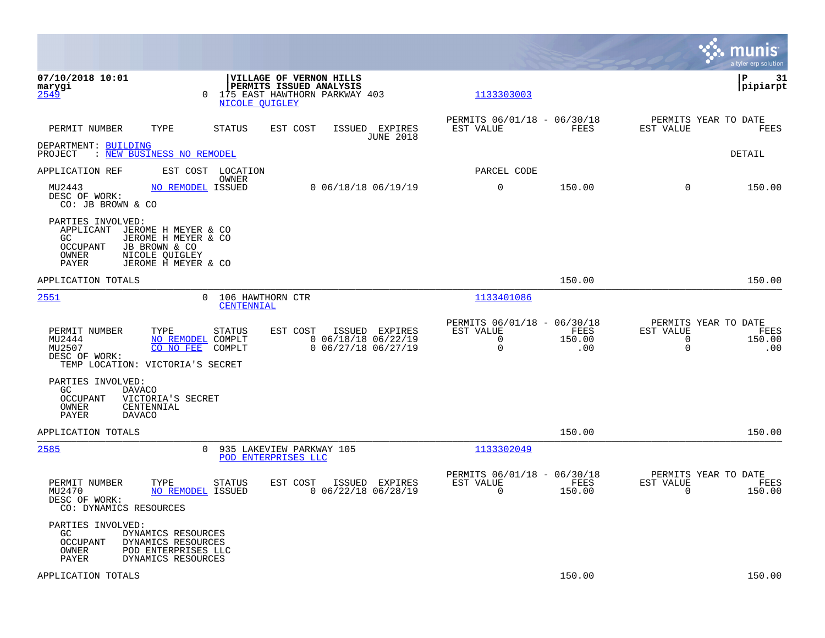|                                                                                                                                                                            |                                                           |                                                                      |                       |                                                                 | munis<br>a tyler erp solution |
|----------------------------------------------------------------------------------------------------------------------------------------------------------------------------|-----------------------------------------------------------|----------------------------------------------------------------------|-----------------------|-----------------------------------------------------------------|-------------------------------|
| 07/10/2018 10:01<br>VILLAGE OF VERNON HILLS<br>PERMITS ISSUED ANALYSIS<br>marygi<br>2549<br>175 EAST HAWTHORN PARKWAY 403<br>$\Omega$<br>NICOLE OUIGLEY                    |                                                           | 1133303003                                                           |                       |                                                                 | ΙP<br>31<br> pipiarpt         |
| PERMIT NUMBER<br>TYPE<br>STATUS<br>EST COST                                                                                                                                | ISSUED EXPIRES<br><b>JUNE 2018</b>                        | PERMITS 06/01/18 - 06/30/18<br>EST VALUE                             | FEES                  | PERMITS YEAR TO DATE<br>EST VALUE                               | FEES                          |
| DEPARTMENT: BUILDING<br>: NEW BUSINESS NO REMODEL<br>PROJECT                                                                                                               |                                                           |                                                                      |                       |                                                                 | DETAIL                        |
| APPLICATION REF<br>EST COST LOCATION<br>OWNER                                                                                                                              |                                                           | PARCEL CODE                                                          |                       |                                                                 |                               |
| MU2443<br>NO REMODEL ISSUED<br>DESC OF WORK:<br>CO: JB BROWN & CO                                                                                                          | $0$ 06/18/18 06/19/19                                     | $\mathbf 0$                                                          | 150.00                | $\Omega$                                                        | 150.00                        |
| PARTIES INVOLVED:<br>APPLICANT JEROME H MEYER & CO<br>JEROME H MEYER & CO<br>GC.<br>OCCUPANT<br>JB BROWN & CO<br>OWNER<br>NICOLE QUIGLEY<br>JEROME H MEYER & CO<br>PAYER   |                                                           |                                                                      |                       |                                                                 |                               |
| APPLICATION TOTALS                                                                                                                                                         |                                                           |                                                                      | 150.00                |                                                                 | 150.00                        |
| 2551<br>106 HAWTHORN CTR<br>$\Omega$<br>CENTENNIAL                                                                                                                         |                                                           | 1133401086                                                           |                       |                                                                 |                               |
| PERMIT NUMBER<br>TYPE<br>STATUS<br>EST COST<br>ISSUED<br>MU2444<br>NO REMODEL COMPLT<br>MU2507<br>CO NO FEE<br>COMPLT<br>DESC OF WORK:<br>TEMP LOCATION: VICTORIA'S SECRET | EXPIRES<br>$0$ 06/18/18 06/22/19<br>$0$ 06/27/18 06/27/19 | PERMITS 06/01/18 - 06/30/18<br>EST VALUE<br>$\mathsf{O}$<br>$\Omega$ | FEES<br>150.00<br>.00 | PERMITS YEAR TO DATE<br>EST VALUE<br>$\mathbf 0$<br>$\mathbf 0$ | FEES<br>150.00<br>.00         |
| PARTIES INVOLVED:<br>GC<br><b>DAVACO</b><br>OCCUPANT<br>VICTORIA'S SECRET<br>OWNER<br>CENTENNIAL<br>PAYER<br><b>DAVACO</b>                                                 |                                                           |                                                                      |                       |                                                                 |                               |
| APPLICATION TOTALS                                                                                                                                                         |                                                           |                                                                      | 150.00                |                                                                 | 150.00                        |
| 2585<br>$\Omega$<br>935 LAKEVIEW PARKWAY 105<br>POD ENTERPRISES LLC                                                                                                        |                                                           | 1133302049                                                           |                       |                                                                 |                               |
| EST COST<br>PERMIT NUMBER<br>TYPE<br><b>STATUS</b><br>MU2470<br>NO REMODEL ISSUED<br>DESC OF WORK:<br>CO: DYNAMICS RESOURCES                                               | ISSUED EXPIRES<br>$0$ 06/22/18 06/28/19                   | PERMITS 06/01/18 - 06/30/18<br>EST VALUE<br>$\mathbf 0$              | FEES<br>150.00        | PERMITS YEAR TO DATE<br>EST VALUE<br>$\overline{0}$             | FEES<br>150.00                |
| PARTIES INVOLVED:<br>GC.<br>DYNAMICS RESOURCES<br>OCCUPANT<br>DYNAMICS RESOURCES<br>OWNER<br>POD ENTERPRISES LLC<br>PAYER<br>DYNAMICS RESOURCES                            |                                                           |                                                                      |                       |                                                                 |                               |
| APPLICATION TOTALS                                                                                                                                                         |                                                           |                                                                      | 150.00                |                                                                 | 150.00                        |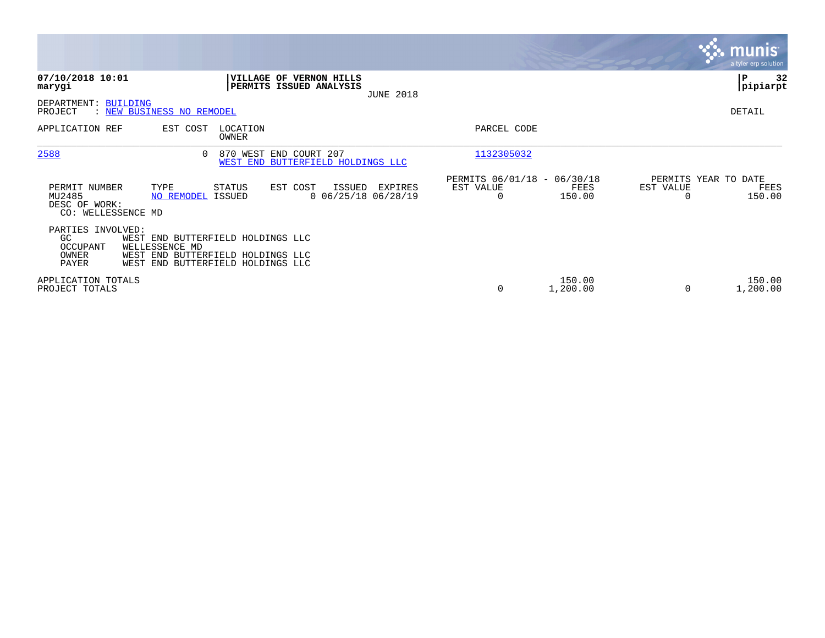|                                                                |                                                                                                                               |                   |                                                             |                  |                                               |                    |           | <b>munis</b><br>a tyler erp solution   |
|----------------------------------------------------------------|-------------------------------------------------------------------------------------------------------------------------------|-------------------|-------------------------------------------------------------|------------------|-----------------------------------------------|--------------------|-----------|----------------------------------------|
| 07/10/2018 10:01<br>marygi                                     |                                                                                                                               |                   | VILLAGE OF VERNON HILLS<br>PERMITS ISSUED ANALYSIS          | <b>JUNE 2018</b> |                                               |                    |           | ∣P<br>32<br> pipiarpt                  |
| DEPARTMENT: BUILDING<br>PROJECT                                | : NEW BUSINESS NO REMODEL                                                                                                     |                   |                                                             |                  |                                               |                    |           | DETAIL                                 |
| APPLICATION REF                                                | EST COST                                                                                                                      | LOCATION<br>OWNER |                                                             |                  | PARCEL CODE                                   |                    |           |                                        |
| 2588                                                           | $\Omega$                                                                                                                      |                   | 870 WEST END COURT 207<br>WEST END BUTTERFIELD HOLDINGS LLC |                  | 1132305032                                    |                    |           |                                        |
| PERMIT NUMBER<br>MU2485<br>DESC OF WORK:<br>CO: WELLESSENCE MD | TYPE<br><b>NO REMODEL ISSUED</b>                                                                                              | STATUS            | EST COST<br>ISSUED<br>$0$ 06/25/18 06/28/19                 | EXPIRES          | PERMITS 06/01/18 - 06/30/18<br>EST VALUE<br>0 | FEES<br>150.00     | EST VALUE | PERMITS YEAR TO DATE<br>FEES<br>150.00 |
| PARTIES INVOLVED:<br>GC.<br>OCCUPANT<br>OWNER<br>PAYER         | WEST END BUTTERFIELD HOLDINGS LLC<br>WELLESSENCE MD<br>WEST END BUTTERFIELD HOLDINGS LLC<br>WEST END BUTTERFIELD HOLDINGS LLC |                   |                                                             |                  |                                               |                    |           |                                        |
| APPLICATION TOTALS<br>PROJECT TOTALS                           |                                                                                                                               |                   |                                                             |                  | 0                                             | 150.00<br>1,200.00 |           | 150.00<br>1,200.00                     |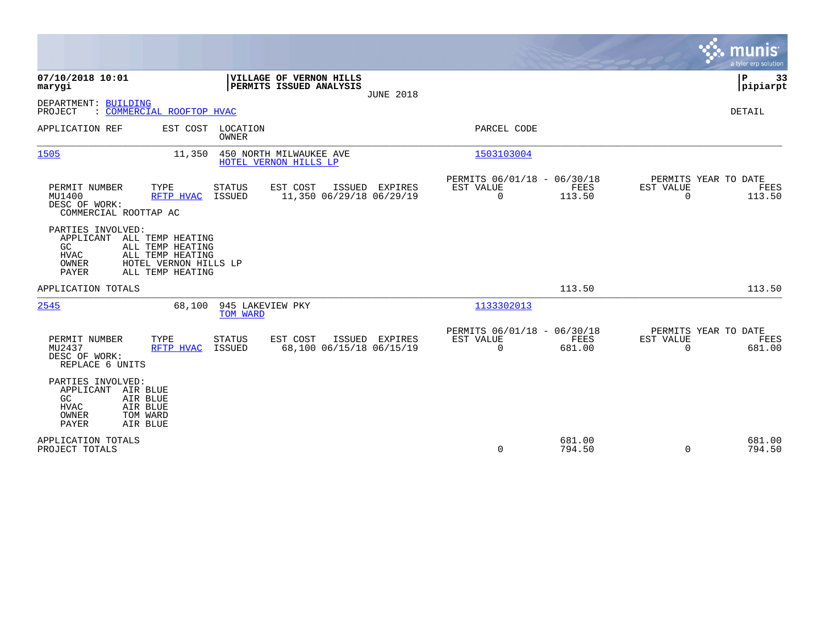|                                                                                                                                                       |                                        |                                                    |                  |                                                         |                  |                          | <b>munis</b><br>a tyler erp solution   |
|-------------------------------------------------------------------------------------------------------------------------------------------------------|----------------------------------------|----------------------------------------------------|------------------|---------------------------------------------------------|------------------|--------------------------|----------------------------------------|
| 07/10/2018 10:01<br>marygi                                                                                                                            |                                        | VILLAGE OF VERNON HILLS<br>PERMITS ISSUED ANALYSIS |                  |                                                         |                  |                          | ΙP<br>33<br> pipiarpt                  |
| DEPARTMENT: BUILDING<br>: COMMERCIAL ROOFTOP HVAC<br>PROJECT                                                                                          |                                        |                                                    | <b>JUNE 2018</b> |                                                         |                  |                          | DETAIL                                 |
| APPLICATION REF                                                                                                                                       | EST COST<br>LOCATION<br><b>OWNER</b>   |                                                    |                  | PARCEL CODE                                             |                  |                          |                                        |
| 1505                                                                                                                                                  | 11,350                                 | 450 NORTH MILWAUKEE AVE<br>HOTEL VERNON HILLS LP   |                  | 1503103004                                              |                  |                          |                                        |
| PERMIT NUMBER<br>TYPE<br>MU1400<br>DESC OF WORK:<br>COMMERCIAL ROOTTAP AC                                                                             | <b>STATUS</b><br>ISSUED<br>RFTP HVAC   | EST COST<br>11,350 06/29/18 06/29/19               | ISSUED EXPIRES   | PERMITS 06/01/18 - 06/30/18<br>EST VALUE<br>$\mathbf 0$ | FEES<br>113.50   | EST VALUE<br>$\mathbf 0$ | PERMITS YEAR TO DATE<br>FEES<br>113.50 |
| PARTIES INVOLVED:<br>ALL TEMP HEATING<br>APPLICANT<br>GC<br>ALL TEMP HEATING<br><b>HVAC</b><br>ALL TEMP HEATING<br>OWNER<br>PAYER<br>ALL TEMP HEATING | HOTEL VERNON HILLS LP                  |                                                    |                  |                                                         |                  |                          |                                        |
| APPLICATION TOTALS                                                                                                                                    |                                        |                                                    |                  |                                                         | 113.50           |                          | 113.50                                 |
| 2545                                                                                                                                                  | 68,100<br>945 LAKEVIEW PKY<br>TOM WARD |                                                    |                  | 1133302013                                              |                  |                          |                                        |
| PERMIT NUMBER<br>TYPE<br>MU2437<br>DESC OF WORK:<br>REPLACE 6 UNITS                                                                                   | <b>STATUS</b><br>RFTP HVAC<br>ISSUED   | EST COST<br>68,100 06/15/18 06/15/19               | ISSUED EXPIRES   | PERMITS 06/01/18 - 06/30/18<br>EST VALUE<br>$\Omega$    | FEES<br>681.00   | EST VALUE<br>$\Omega$    | PERMITS YEAR TO DATE<br>FEES<br>681.00 |
| PARTIES INVOLVED:<br>APPLICANT AIR BLUE<br>GC<br>AIR BLUE<br>AIR BLUE<br><b>HVAC</b><br>OWNER<br>TOM WARD<br><b>PAYER</b><br>AIR BLUE                 |                                        |                                                    |                  |                                                         |                  |                          |                                        |
| APPLICATION TOTALS<br>PROJECT TOTALS                                                                                                                  |                                        |                                                    |                  | 0                                                       | 681.00<br>794.50 | $\Omega$                 | 681.00<br>794.50                       |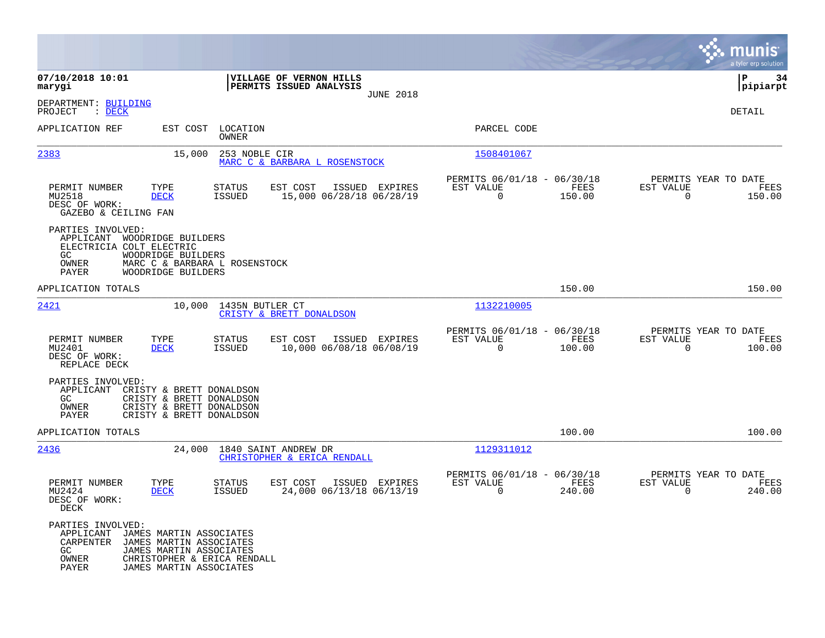|                                                                                           |                                                                                                                                         |                                |                                                     |                  |                                                         |                            |                                                  | munis<br>a tyler erp solution |
|-------------------------------------------------------------------------------------------|-----------------------------------------------------------------------------------------------------------------------------------------|--------------------------------|-----------------------------------------------------|------------------|---------------------------------------------------------|----------------------------|--------------------------------------------------|-------------------------------|
| 07/10/2018 10:01<br>marygi                                                                |                                                                                                                                         |                                | VILLAGE OF VERNON HILLS<br>PERMITS ISSUED ANALYSIS  | <b>JUNE 2018</b> |                                                         |                            |                                                  | P<br>34<br> pipiarpt          |
| DEPARTMENT: BUILDING<br>PROJECT<br>$\therefore$ DECK                                      |                                                                                                                                         |                                |                                                     |                  |                                                         |                            |                                                  | <b>DETAIL</b>                 |
| APPLICATION REF                                                                           | EST COST                                                                                                                                | LOCATION<br>OWNER              |                                                     |                  | PARCEL CODE                                             |                            |                                                  |                               |
| 2383                                                                                      | 15,000                                                                                                                                  | 253 NOBLE CIR                  | MARC C & BARBARA L ROSENSTOCK                       |                  | 1508401067                                              |                            |                                                  |                               |
| PERMIT NUMBER<br>MU2518<br>DESC OF WORK:<br>GAZEBO & CEILING FAN                          | TYPE<br><b>DECK</b>                                                                                                                     | STATUS<br>ISSUED               | EST COST<br>15,000 06/28/18 06/28/19                | ISSUED EXPIRES   | PERMITS 06/01/18 - 06/30/18<br>EST VALUE<br>$\Omega$    | FEES<br>150.00             | PERMITS YEAR TO DATE<br>EST VALUE<br>$\Omega$    | FEES<br>150.00                |
| PARTIES INVOLVED:<br>APPLICANT<br>ELECTRICIA COLT ELECTRIC<br>GC<br>OWNER<br><b>PAYER</b> | WOODRIDGE BUILDERS<br>WOODRIDGE BUILDERS<br>MARC C & BARBARA L ROSENSTOCK<br>WOODRIDGE BUILDERS                                         |                                |                                                     |                  |                                                         |                            |                                                  |                               |
| APPLICATION TOTALS                                                                        |                                                                                                                                         |                                |                                                     |                  |                                                         | 150.00                     |                                                  | 150.00                        |
| <u> 2421</u>                                                                              | 10,000                                                                                                                                  | 1435N BUTLER CT                | CRISTY & BRETT DONALDSON                            |                  | 1132210005                                              |                            |                                                  |                               |
| PERMIT NUMBER<br>MU2401<br>DESC OF WORK:<br>REPLACE DECK                                  | TYPE<br><b>DECK</b>                                                                                                                     | STATUS<br><b>ISSUED</b>        | ISSUED<br>EST COST<br>10,000 06/08/18 06/08/19      | EXPIRES          | PERMITS 06/01/18 - 06/30/18<br>EST VALUE<br>$\mathbf 0$ | FEES<br>100.00             | PERMITS YEAR TO DATE<br>EST VALUE<br>$\Omega$    | FEES<br>100.00                |
| PARTIES INVOLVED:<br>APPLICANT<br>GC<br>OWNER<br><b>PAYER</b>                             | CRISTY & BRETT DONALDSON<br>CRISTY & BRETT DONALDSON<br>CRISTY & BRETT DONALDSON<br>CRISTY & BRETT DONALDSON                            |                                |                                                     |                  |                                                         |                            |                                                  |                               |
| APPLICATION TOTALS                                                                        |                                                                                                                                         |                                |                                                     |                  |                                                         | 100.00                     |                                                  | 100.00                        |
| 2436                                                                                      | 24,000                                                                                                                                  |                                | 1840 SAINT ANDREW DR<br>CHRISTOPHER & ERICA RENDALL |                  | 1129311012                                              |                            |                                                  |                               |
| PERMIT NUMBER<br>MU2424<br>DESC OF WORK:<br>DECK                                          | TYPE<br><b>DECK</b>                                                                                                                     | <b>STATUS</b><br><b>ISSUED</b> | EST COST<br>24,000 06/13/18 06/13/19                | ISSUED EXPIRES   | PERMITS 06/01/18 -<br>EST VALUE<br>$\mathbf 0$          | 06/30/18<br>FEES<br>240.00 | PERMITS YEAR TO DATE<br>EST VALUE<br>$\mathbf 0$ | FEES<br>240.00                |
| PARTIES INVOLVED:<br>APPLICANT<br>CARPENTER<br>GC.<br>OWNER<br>PAYER                      | JAMES MARTIN ASSOCIATES<br>JAMES MARTIN ASSOCIATES<br>JAMES MARTIN ASSOCIATES<br>CHRISTOPHER & ERICA RENDALL<br>JAMES MARTIN ASSOCIATES |                                |                                                     |                  |                                                         |                            |                                                  |                               |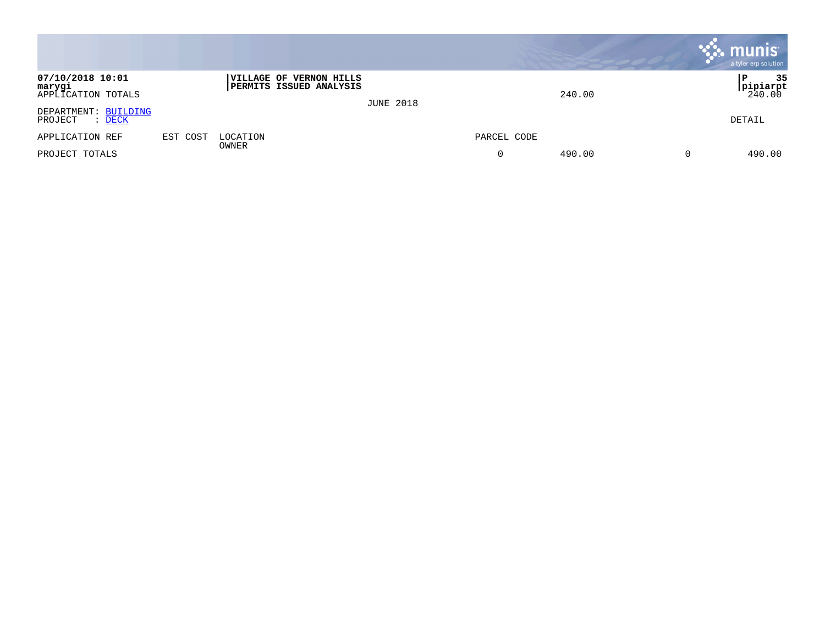|                                                      |          |                                                                  |                  |             |        |          | $\sim$ munis<br>a tyler erp solution        |
|------------------------------------------------------|----------|------------------------------------------------------------------|------------------|-------------|--------|----------|---------------------------------------------|
| 07/10/2018 10:01<br>marygi<br>APPLICATION TOTALS     |          | <b>VILLAGE OF VERNON HILLS</b><br><b>PERMITS ISSUED ANALYSIS</b> | <b>JUNE 2018</b> |             | 240.00 |          | 35<br>P<br>$\frac{\text{pipiarpt}}{240.00}$ |
| DEPARTMENT: BUILDING<br>PROJECT<br>$\therefore$ DECK |          |                                                                  |                  |             |        |          | DETAIL                                      |
| APPLICATION REF                                      | EST COST | LOCATION<br>OWNER                                                |                  | PARCEL CODE |        |          |                                             |
| PROJECT TOTALS                                       |          |                                                                  |                  | 0           | 490.00 | $\Omega$ | 490.00                                      |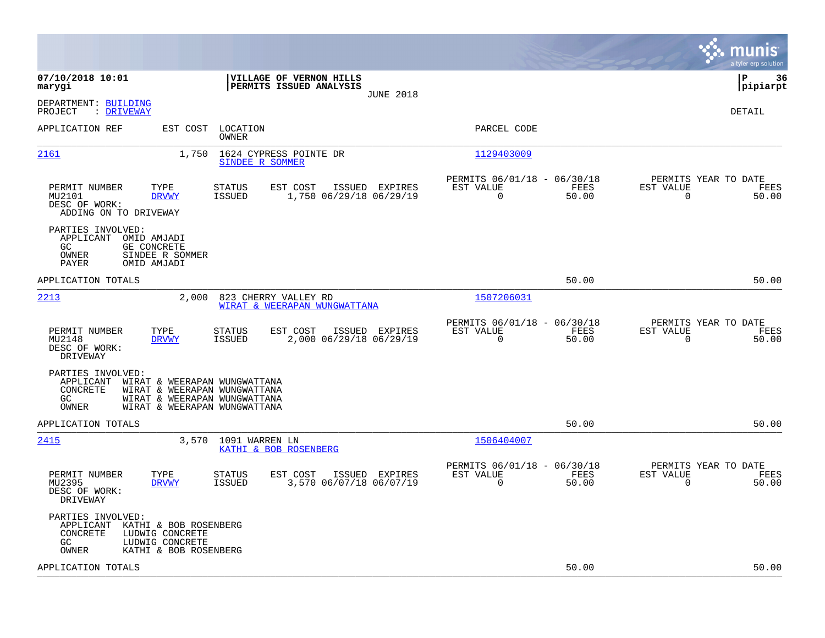|                                                                                                                                                                                            |                                                                                         |                                                                          | munis<br>a tyler erp solution                                     |
|--------------------------------------------------------------------------------------------------------------------------------------------------------------------------------------------|-----------------------------------------------------------------------------------------|--------------------------------------------------------------------------|-------------------------------------------------------------------|
| 07/10/2018 10:01<br>marygi                                                                                                                                                                 | VILLAGE OF VERNON HILLS<br>PERMITS ISSUED ANALYSIS<br><b>JUNE 2018</b>                  |                                                                          | lР<br>36<br> pipiarpt                                             |
| DEPARTMENT: BUILDING<br>PROJECT<br>: DRIVEWAY                                                                                                                                              |                                                                                         |                                                                          | DETAIL                                                            |
| APPLICATION REF<br>EST COST                                                                                                                                                                | LOCATION<br>OWNER                                                                       | PARCEL CODE                                                              |                                                                   |
| 2161<br>1,750                                                                                                                                                                              | 1624 CYPRESS POINTE DR<br>SINDEE R SOMMER                                               | 1129403009                                                               |                                                                   |
| PERMIT NUMBER<br>TYPE<br>MU2101<br><b>DRVWY</b><br>DESC OF WORK:<br>ADDING ON TO DRIVEWAY                                                                                                  | <b>STATUS</b><br>EST COST<br>ISSUED EXPIRES<br><b>ISSUED</b><br>1,750 06/29/18 06/29/19 | PERMITS 06/01/18 - 06/30/18<br>EST VALUE<br>FEES<br>$\Omega$<br>50.00    | PERMITS YEAR TO DATE<br>EST VALUE<br>FEES<br>$\Omega$<br>50.00    |
| PARTIES INVOLVED:<br>APPLICANT<br>OMID AMJADI<br>GE CONCRETE<br>GC<br>OWNER<br>SINDEE R SOMMER<br><b>PAYER</b><br>OMID AMJADI                                                              |                                                                                         |                                                                          |                                                                   |
| APPLICATION TOTALS                                                                                                                                                                         |                                                                                         | 50.00                                                                    | 50.00                                                             |
| 2213<br>2,000                                                                                                                                                                              | 823 CHERRY VALLEY RD<br>WIRAT & WEERAPAN WUNGWATTANA                                    | 1507206031                                                               |                                                                   |
| PERMIT NUMBER<br>TYPE<br>MU2148<br><b>DRVWY</b><br>DESC OF WORK:<br>DRIVEWAY                                                                                                               | STATUS<br>EST COST<br>ISSUED EXPIRES<br>2,000 06/29/18 06/29/19<br><b>ISSUED</b>        | PERMITS 06/01/18 - 06/30/18<br>EST VALUE<br>FEES<br>$\mathbf 0$<br>50.00 | PERMITS YEAR TO DATE<br>EST VALUE<br>FEES<br>$\mathbf 0$<br>50.00 |
| PARTIES INVOLVED:<br>APPLICANT<br>WIRAT & WEERAPAN WUNGWATTANA<br>CONCRETE<br>WIRAT & WEERAPAN WUNGWATTANA<br>GC.<br>WIRAT & WEERAPAN WUNGWATTANA<br>OWNER<br>WIRAT & WEERAPAN WUNGWATTANA |                                                                                         |                                                                          |                                                                   |
| APPLICATION TOTALS                                                                                                                                                                         |                                                                                         | 50.00                                                                    | 50.00                                                             |
| 2415<br>3,570                                                                                                                                                                              | 1091 WARREN LN<br>KATHI & BOB ROSENBERG                                                 | 1506404007                                                               |                                                                   |
| PERMIT NUMBER<br>TYPE<br>MU2395<br><b>DRVWY</b><br>DESC OF WORK:<br>DRIVEWAY                                                                                                               | STATUS<br>EST COST<br>ISSUED EXPIRES<br><b>ISSUED</b><br>3,570 06/07/18 06/07/19        | PERMITS 06/01/18 - 06/30/18<br>EST VALUE<br>FEES<br>0<br>50.00           | PERMITS YEAR TO DATE<br>EST VALUE<br>FEES<br>50.00<br>0           |
| PARTIES INVOLVED:<br>APPLICANT<br>KATHI & BOB ROSENBERG<br><b>CONCRETE</b><br>LUDWIG CONCRETE<br>LUDWIG CONCRETE<br>GC<br>OWNER<br>KATHI & BOB ROSENBERG                                   |                                                                                         |                                                                          |                                                                   |
| APPLICATION TOTALS                                                                                                                                                                         |                                                                                         | 50.00                                                                    | 50.00                                                             |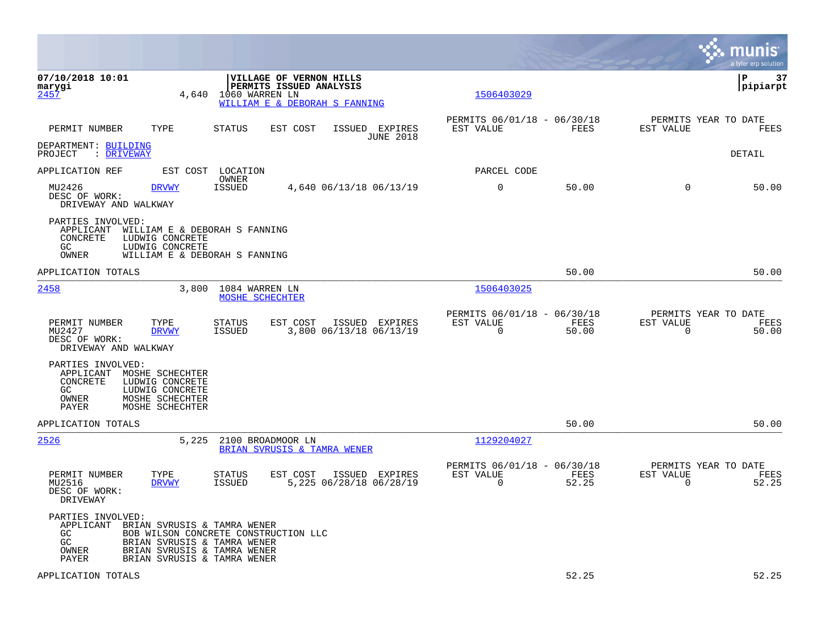|                                                                                                                                                                   |                                                                                                                                                                  |                                                                          | munis<br>a tyler erp solution                                     |
|-------------------------------------------------------------------------------------------------------------------------------------------------------------------|------------------------------------------------------------------------------------------------------------------------------------------------------------------|--------------------------------------------------------------------------|-------------------------------------------------------------------|
| 07/10/2018 10:01<br>marygi<br><u>2457</u>                                                                                                                         | VILLAGE OF VERNON HILLS<br>PERMITS ISSUED ANALYSIS<br>4,640<br>1060 WARREN LN<br>WILLIAM E & DEBORAH S FANNING                                                   | 1506403029                                                               | ΙP<br>37<br> pipiarpt                                             |
| PERMIT NUMBER<br>TYPE                                                                                                                                             | <b>STATUS</b><br>ISSUED EXPIRES<br>EST COST<br><b>JUNE 2018</b>                                                                                                  | PERMITS 06/01/18 - 06/30/18<br><b>FEES</b><br>EST VALUE                  | PERMITS YEAR TO DATE<br>EST VALUE<br><b>FEES</b>                  |
| DEPARTMENT: BUILDING<br>: DRIVEWAY<br>PROJECT                                                                                                                     |                                                                                                                                                                  |                                                                          | DETAIL                                                            |
| APPLICATION REF                                                                                                                                                   | EST COST LOCATION                                                                                                                                                | PARCEL CODE                                                              |                                                                   |
| MU2426<br><b>DRVWY</b><br>DESC OF WORK:<br>DRIVEWAY AND WALKWAY                                                                                                   | OWNER<br><b>ISSUED</b><br>4,640 06/13/18 06/13/19                                                                                                                | $\mathbf 0$<br>50.00                                                     | $\mathbf 0$<br>50.00                                              |
| PARTIES INVOLVED:<br>APPLICANT<br>CONCRETE<br>LUDWIG CONCRETE<br>GC.<br>LUDWIG CONCRETE<br>OWNER                                                                  | WILLIAM E & DEBORAH S FANNING<br>WILLIAM E & DEBORAH S FANNING                                                                                                   |                                                                          |                                                                   |
| APPLICATION TOTALS                                                                                                                                                |                                                                                                                                                                  | 50.00                                                                    | 50.00                                                             |
| 2458                                                                                                                                                              | 3,800<br>1084 WARREN LN<br>MOSHE SCHECHTER                                                                                                                       | 1506403025                                                               |                                                                   |
| PERMIT NUMBER<br>TYPE<br>MU2427<br><b>DRVWY</b><br>DESC OF WORK:<br>DRIVEWAY AND WALKWAY                                                                          | <b>STATUS</b><br>EST COST<br>ISSUED EXPIRES<br><b>ISSUED</b><br>3,800 06/13/18 06/13/19                                                                          | PERMITS 06/01/18 - 06/30/18<br>EST VALUE<br>FEES<br>$\mathbf 0$<br>50.00 | PERMITS YEAR TO DATE<br>EST VALUE<br>FEES<br>$\mathbf 0$<br>50.00 |
| PARTIES INVOLVED:<br>MOSHE SCHECHTER<br>APPLICANT<br>CONCRETE<br>LUDWIG CONCRETE<br>GC<br>LUDWIG CONCRETE<br>OWNER<br>MOSHE SCHECHTER<br>PAYER<br>MOSHE SCHECHTER |                                                                                                                                                                  |                                                                          |                                                                   |
| APPLICATION TOTALS                                                                                                                                                |                                                                                                                                                                  | 50.00                                                                    | 50.00                                                             |
| 2526                                                                                                                                                              | 5,225<br>2100 BROADMOOR LN<br>BRIAN SVRUSIS & TAMRA WENER                                                                                                        | 1129204027                                                               |                                                                   |
| PERMIT NUMBER<br>TYPE<br>MU2516<br><b>DRVWY</b><br>DESC OF WORK:<br>DRIVEWAY                                                                                      | <b>STATUS</b><br>EST COST<br>ISSUED EXPIRES<br><b>ISSUED</b><br>5,225 06/28/18 06/28/19                                                                          | PERMITS 06/01/18 - 06/30/18<br>EST VALUE<br>FEES<br>52.25<br>$\Omega$    | PERMITS YEAR TO DATE<br>EST VALUE<br>FEES<br>$\Omega$<br>52.25    |
| PARTIES INVOLVED:<br>APPLICANT<br>GC.<br>GC<br>OWNER<br>PAYER                                                                                                     | BRIAN SVRUSIS & TAMRA WENER<br>BOB WILSON CONCRETE CONSTRUCTION LLC<br>BRIAN SVRUSIS & TAMRA WENER<br>BRIAN SVRUSIS & TAMRA WENER<br>BRIAN SVRUSIS & TAMRA WENER |                                                                          |                                                                   |
| APPLICATION TOTALS                                                                                                                                                |                                                                                                                                                                  | 52.25                                                                    | 52.25                                                             |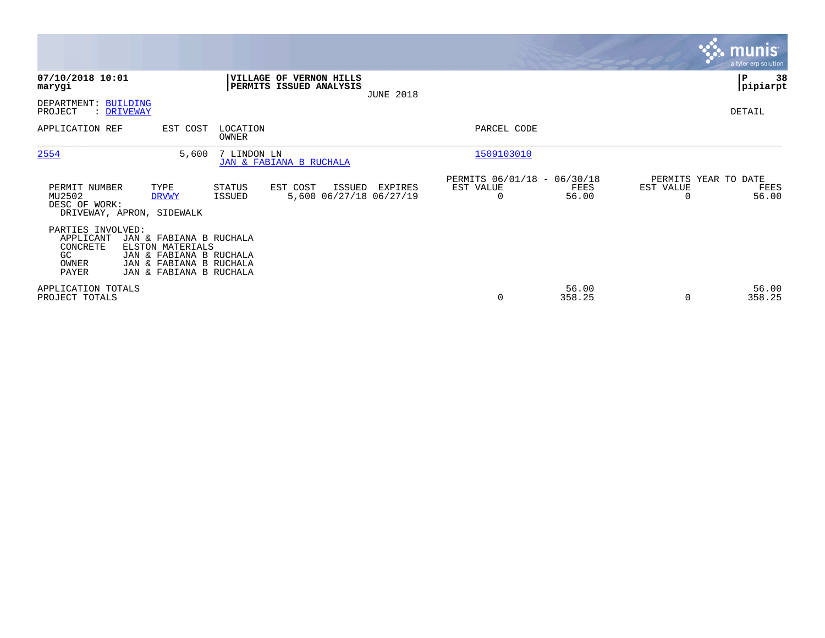|                                                                    |                                                                                                                              |                   |                                                           |                  |                                                         |                 |                                   | munis <sup>®</sup><br>a tyler erp solution |
|--------------------------------------------------------------------|------------------------------------------------------------------------------------------------------------------------------|-------------------|-----------------------------------------------------------|------------------|---------------------------------------------------------|-----------------|-----------------------------------|--------------------------------------------|
| 07/10/2018 10:01<br>marygi                                         |                                                                                                                              |                   | <b>VILLAGE OF VERNON HILLS</b><br>PERMITS ISSUED ANALYSIS | <b>JUNE 2018</b> |                                                         |                 |                                   | ∣P<br>38<br> pipiarpt                      |
| DEPARTMENT: BUILDING<br>PROJECT                                    | : DRIVEWAY                                                                                                                   |                   |                                                           |                  |                                                         |                 |                                   | DETAIL                                     |
| APPLICATION REF                                                    | EST COST                                                                                                                     | LOCATION<br>OWNER |                                                           |                  | PARCEL CODE                                             |                 |                                   |                                            |
| 2554                                                               | 5,600                                                                                                                        | 7 LINDON LN       | JAN & FABIANA B RUCHALA                                   |                  | 1509103010                                              |                 |                                   |                                            |
| PERMIT NUMBER<br>MU2502<br>DESC OF WORK:                           | TYPE<br><b>DRVWY</b><br>DRIVEWAY, APRON, SIDEWALK                                                                            | STATUS<br>ISSUED  | EST COST<br>ISSUED<br>5,600 06/27/18 06/27/19             | EXPIRES          | PERMITS 06/01/18 - 06/30/18<br>EST VALUE<br>$\mathbf 0$ | FEES<br>56.00   | PERMITS YEAR TO DATE<br>EST VALUE | FEES<br>56.00                              |
| PARTIES INVOLVED:<br>APPLICANT<br>CONCRETE<br>GC<br>OWNER<br>PAYER | JAN & FABIANA B RUCHALA<br>ELSTON MATERIALS<br>JAN & FABIANA B RUCHALA<br>JAN & FABIANA B RUCHALA<br>JAN & FABIANA B RUCHALA |                   |                                                           |                  |                                                         |                 |                                   |                                            |
| APPLICATION TOTALS<br>PROJECT TOTALS                               |                                                                                                                              |                   |                                                           |                  | 0                                                       | 56.00<br>358.25 | $\Omega$                          | 56.00<br>358.25                            |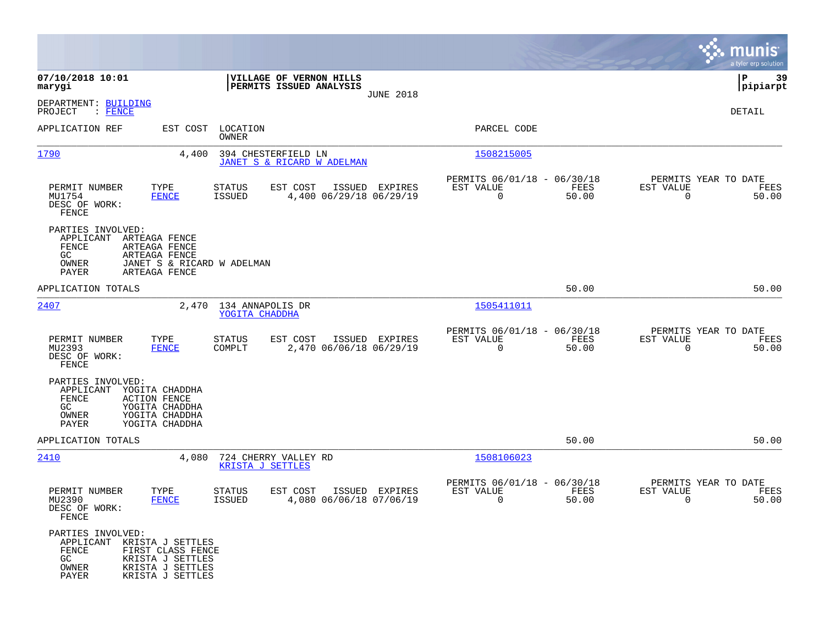|                                                                                                                                                                   |                                                                                  |                                                                          | munis<br>a tyler erp solution                                  |
|-------------------------------------------------------------------------------------------------------------------------------------------------------------------|----------------------------------------------------------------------------------|--------------------------------------------------------------------------|----------------------------------------------------------------|
| 07/10/2018 10:01<br>marygi                                                                                                                                        | VILLAGE OF VERNON HILLS<br>PERMITS ISSUED ANALYSIS                               |                                                                          | 39<br>IΡ<br> pipiarpt                                          |
| DEPARTMENT: BUILDING<br>PROJECT<br>: FENCE                                                                                                                        | <b>JUNE 2018</b>                                                                 |                                                                          | DETAIL                                                         |
| APPLICATION REF<br>EST COST                                                                                                                                       | LOCATION<br>OWNER                                                                | PARCEL CODE                                                              |                                                                |
| 1790                                                                                                                                                              | 394 CHESTERFIELD LN<br>4,400<br>JANET S & RICARD W ADELMAN                       | 1508215005                                                               |                                                                |
| PERMIT NUMBER<br>TYPE<br>MU1754<br><b>FENCE</b><br>DESC OF WORK:<br>FENCE                                                                                         | EST COST<br>STATUS<br>ISSUED EXPIRES<br><b>ISSUED</b><br>4,400 06/29/18 06/29/19 | PERMITS 06/01/18 - 06/30/18<br>FEES<br>EST VALUE<br>$\mathbf 0$<br>50.00 | PERMITS YEAR TO DATE<br>EST VALUE<br>FEES<br>$\Omega$<br>50.00 |
| PARTIES INVOLVED:<br>ARTEAGA FENCE<br>APPLICANT<br>FENCE<br>ARTEAGA FENCE<br>GC.<br>ARTEAGA FENCE<br>OWNER<br>PAYER<br>ARTEAGA FENCE                              | JANET S & RICARD W ADELMAN                                                       |                                                                          |                                                                |
| APPLICATION TOTALS                                                                                                                                                |                                                                                  | 50.00                                                                    | 50.00                                                          |
| 2407                                                                                                                                                              | 134 ANNAPOLIS DR<br>2,470<br>YOGITA CHADDHA                                      | 1505411011                                                               |                                                                |
| PERMIT NUMBER<br>TYPE<br>MU2393<br>FENCE<br>DESC OF WORK:<br>FENCE                                                                                                | <b>STATUS</b><br>EST COST<br>ISSUED EXPIRES<br>COMPLT<br>2,470 06/06/18 06/29/19 | PERMITS 06/01/18 - 06/30/18<br>EST VALUE<br>FEES<br>$\mathbf 0$<br>50.00 | PERMITS YEAR TO DATE<br>EST VALUE<br>FEES<br>$\Omega$<br>50.00 |
| PARTIES INVOLVED:<br>YOGITA CHADDHA<br>APPLICANT<br>FENCE<br><b>ACTION FENCE</b><br>GC<br>YOGITA CHADDHA<br>OWNER<br>YOGITA CHADDHA<br>PAYER<br>YOGITA CHADDHA    |                                                                                  |                                                                          |                                                                |
| APPLICATION TOTALS                                                                                                                                                |                                                                                  | 50.00                                                                    | 50.00                                                          |
| 2410                                                                                                                                                              | 724 CHERRY VALLEY RD<br>4,080<br><b>KRISTA J SETTLES</b>                         | 1508106023                                                               |                                                                |
| PERMIT NUMBER<br>TYPE<br>MU2390<br><b>FENCE</b><br>DESC OF WORK:<br>FENCE                                                                                         | STATUS<br>EST COST<br>ISSUED EXPIRES<br>4,080 06/06/18 07/06/19<br><b>ISSUED</b> | PERMITS 06/01/18 - 06/30/18<br>EST VALUE<br>FEES<br>0<br>50.00           | PERMITS YEAR TO DATE<br>EST VALUE<br>FEES<br>0<br>50.00        |
| PARTIES INVOLVED:<br>APPLICANT KRISTA J SETTLES<br>FENCE<br>FIRST CLASS FENCE<br>GC<br>KRISTA J SETTLES<br>OWNER<br>KRISTA J SETTLES<br>PAYER<br>KRISTA J SETTLES |                                                                                  |                                                                          |                                                                |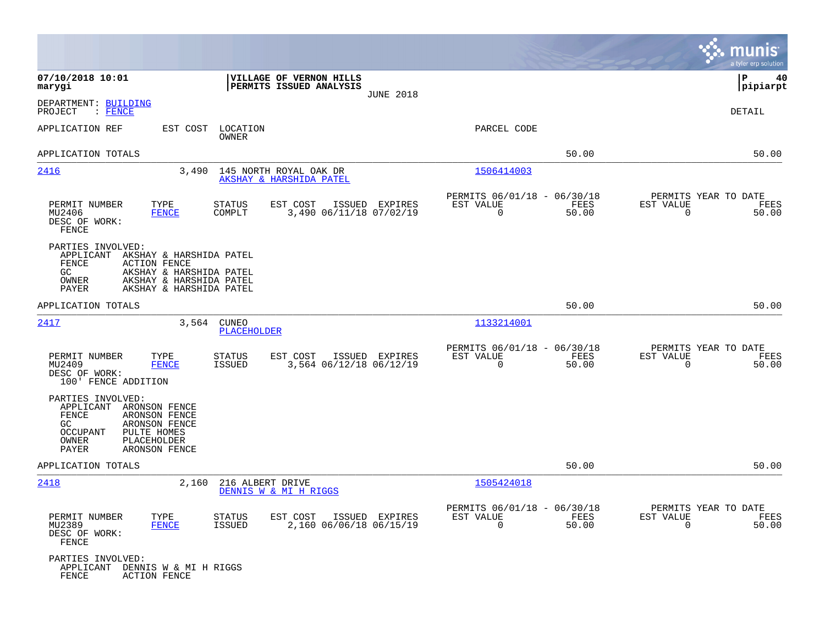|                                                                                                                                                                                                     |                                                                                         |                                                                          | munis<br>a tyler erp solution                                        |
|-----------------------------------------------------------------------------------------------------------------------------------------------------------------------------------------------------|-----------------------------------------------------------------------------------------|--------------------------------------------------------------------------|----------------------------------------------------------------------|
| 07/10/2018 10:01<br>marygi                                                                                                                                                                          | VILLAGE OF VERNON HILLS<br>PERMITS ISSUED ANALYSIS<br><b>JUNE 2018</b>                  |                                                                          | ΙP<br>40<br> pipiarpt                                                |
| DEPARTMENT: BUILDING<br>PROJECT<br>$\colon$ FENCE                                                                                                                                                   |                                                                                         |                                                                          | <b>DETAIL</b>                                                        |
| APPLICATION REF<br>EST COST                                                                                                                                                                         | LOCATION<br>OWNER                                                                       | PARCEL CODE                                                              |                                                                      |
| APPLICATION TOTALS                                                                                                                                                                                  |                                                                                         | 50.00                                                                    | 50.00                                                                |
| 2416<br>3,490                                                                                                                                                                                       | 145 NORTH ROYAL OAK DR<br>AKSHAY & HARSHIDA PATEL                                       | 1506414003                                                               |                                                                      |
| PERMIT NUMBER<br>TYPE<br>MU2406<br><b>FENCE</b><br>DESC OF WORK:<br>FENCE                                                                                                                           | <b>STATUS</b><br>EST COST<br>ISSUED EXPIRES<br>3,490 06/11/18 07/02/19<br>COMPLT        | PERMITS 06/01/18 - 06/30/18<br>EST VALUE<br>FEES<br>$\mathsf 0$<br>50.00 | PERMITS YEAR TO DATE<br>EST VALUE<br>FEES<br>$\overline{0}$<br>50.00 |
| PARTIES INVOLVED:<br>APPLICANT<br>AKSHAY & HARSHIDA PATEL<br>FENCE<br><b>ACTION FENCE</b><br>GC.<br>AKSHAY & HARSHIDA PATEL<br>AKSHAY & HARSHIDA PATEL<br>OWNER<br>PAYER<br>AKSHAY & HARSHIDA PATEL |                                                                                         |                                                                          |                                                                      |
| APPLICATION TOTALS                                                                                                                                                                                  |                                                                                         | 50.00                                                                    | 50.00                                                                |
| 2417<br>3,564                                                                                                                                                                                       | <b>CUNEO</b><br><b>PLACEHOLDER</b>                                                      | 1133214001                                                               |                                                                      |
| PERMIT NUMBER<br>TYPE<br>MU2409<br><b>FENCE</b><br>DESC OF WORK:<br>100' FENCE ADDITION                                                                                                             | <b>STATUS</b><br>EST COST<br>ISSUED EXPIRES<br><b>ISSUED</b><br>3,564 06/12/18 06/12/19 | PERMITS 06/01/18 - 06/30/18<br>FEES<br>EST VALUE<br>$\mathbf 0$<br>50.00 | PERMITS YEAR TO DATE<br>EST VALUE<br>FEES<br>$\mathbf 0$<br>50.00    |
| PARTIES INVOLVED:<br>APPLICANT<br>ARONSON FENCE<br>FENCE<br>ARONSON FENCE<br>GC.<br>ARONSON FENCE<br>PULTE HOMES<br>OCCUPANT<br>OWNER<br>PLACEHOLDER<br>PAYER<br>ARONSON FENCE                      |                                                                                         |                                                                          |                                                                      |
| APPLICATION TOTALS                                                                                                                                                                                  |                                                                                         | 50.00                                                                    | 50.00                                                                |
| 2418<br>2,160                                                                                                                                                                                       | 216 ALBERT DRIVE<br>DENNIS W & MI H RIGGS                                               | 1505424018                                                               |                                                                      |
| PERMIT NUMBER<br>TYPE<br>MU2389<br><b>FENCE</b><br>DESC OF WORK:<br>FENCE                                                                                                                           | EST COST<br>ISSUED EXPIRES<br>STATUS<br>2,160 06/06/18 06/15/19<br><b>ISSUED</b>        | PERMITS 06/01/18 - 06/30/18<br>EST VALUE<br>FEES<br>$\mathbf 0$<br>50.00 | PERMITS YEAR TO DATE<br>EST VALUE<br>FEES<br>$\mathbf 0$<br>50.00    |
| PARTIES INVOLVED:<br>APPLICANT DENNIS W & MI H RIGGS<br>FENCE<br><b>ACTION FENCE</b>                                                                                                                |                                                                                         |                                                                          |                                                                      |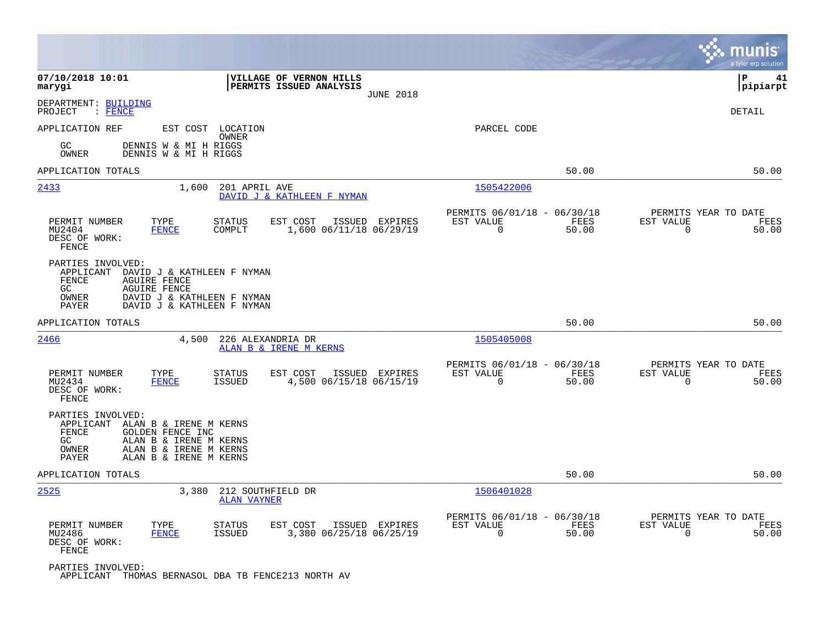|                                                                                                               |                                                                                        |                                                                       | munis<br>a tyler erp solution                                     |
|---------------------------------------------------------------------------------------------------------------|----------------------------------------------------------------------------------------|-----------------------------------------------------------------------|-------------------------------------------------------------------|
| 07/10/2018 10:01<br>marygi                                                                                    | VILLAGE OF VERNON HILLS<br>PERMITS ISSUED ANALYSIS<br><b>JUNE 2018</b>                 |                                                                       | ΙP<br>41<br> pipiarpt                                             |
| DEPARTMENT: BUILDING<br>PROJECT<br>$:$ FENCE                                                                  |                                                                                        |                                                                       | DETAIL                                                            |
| APPLICATION REF<br>GC<br>OWNER                                                                                | EST COST LOCATION<br>OWNER<br>DENNIS W & MI H RIGGS<br>DENNIS W & MI H RIGGS           | PARCEL CODE                                                           |                                                                   |
| APPLICATION TOTALS                                                                                            |                                                                                        | 50.00                                                                 | 50.00                                                             |
| <u>2433</u>                                                                                                   | 1,600<br>201 APRIL AVE<br>DAVID J & KATHLEEN F NYMAN                                   | 1505422006                                                            |                                                                   |
| PERMIT NUMBER<br>TYPE<br>MU2404<br><b>FENCE</b><br>DESC OF WORK:<br>FENCE                                     | <b>STATUS</b><br>EST COST<br>ISSUED<br>EXPIRES<br>COMPLT<br>1,600 06/11/18 06/29/19    | PERMITS 06/01/18 - 06/30/18<br>EST VALUE<br>FEES<br>$\Omega$<br>50.00 | PERMITS YEAR TO DATE<br>EST VALUE<br>FEES<br>$\Omega$<br>50.00    |
| PARTIES INVOLVED:<br>APPLICANT<br>FENCE<br><b>AGUIRE FENCE</b><br>GC<br><b>AGUIRE FENCE</b><br>OWNER<br>PAYER | DAVID J & KATHLEEN F NYMAN<br>DAVID J & KATHLEEN F NYMAN<br>DAVID J & KATHLEEN F NYMAN |                                                                       |                                                                   |
| APPLICATION TOTALS                                                                                            |                                                                                        | 50.00                                                                 | 50.00                                                             |
| 2466                                                                                                          | 4,500<br>226 ALEXANDRIA DR<br>ALAN B & IRENE M KERNS                                   | 1505405008                                                            |                                                                   |
| PERMIT NUMBER<br>TYPE<br>MU2434<br><b>FENCE</b><br>DESC OF WORK:<br>FENCE                                     | <b>STATUS</b><br>EST COST<br>ISSUED EXPIRES<br>ISSUED<br>4,500 06/15/18 06/15/19       | PERMITS 06/01/18 - 06/30/18<br>EST VALUE<br>FEES<br>$\Omega$<br>50.00 | PERMITS YEAR TO DATE<br>EST VALUE<br>FEES<br>$\Omega$<br>50.00    |
| PARTIES INVOLVED:<br>APPLICANT ALAN B & IRENE M KERNS<br>FENCE<br>GOLDEN FENCE INC<br>GC<br>OWNER<br>PAYER    | ALAN B & IRENE M KERNS<br>ALAN B & IRENE M KERNS<br>ALAN B & IRENE M KERNS             |                                                                       |                                                                   |
| APPLICATION TOTALS                                                                                            |                                                                                        | 50.00                                                                 | 50.00                                                             |
| 2525                                                                                                          | 212 SOUTHFIELD DR<br>3,380<br><b>ALAN VAYNER</b>                                       | 1506401028                                                            |                                                                   |
| PERMIT NUMBER<br>TYPE<br><b>FENCE</b><br>MU2486<br>DESC OF WORK:<br>FENCE                                     | EST COST<br>ISSUED EXPIRES<br><b>STATUS</b><br>3,380 06/25/18 06/25/19<br>ISSUED       | PERMITS 06/01/18 - 06/30/18<br>EST VALUE<br>FEES<br>0<br>50.00        | PERMITS YEAR TO DATE<br>EST VALUE<br>FEES<br>$\mathbf 0$<br>50.00 |
| PARTIES INVOLVED:                                                                                             | APPLICANT THOMAS BERNASOL DBA TB FENCE213 NORTH AV                                     |                                                                       |                                                                   |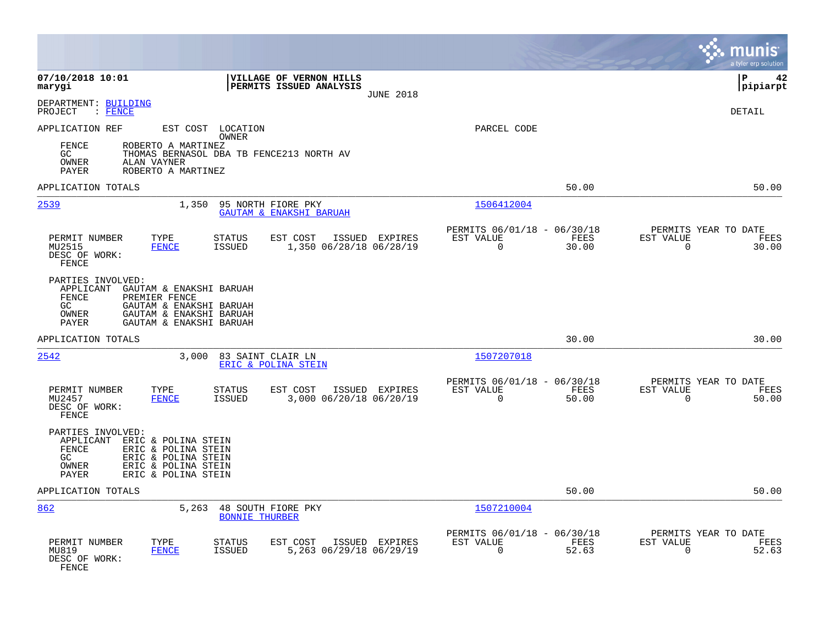|                                                                                                                                                                                              |                                                       |                                                         |                                              | munis<br>a tyler erp solution         |
|----------------------------------------------------------------------------------------------------------------------------------------------------------------------------------------------|-------------------------------------------------------|---------------------------------------------------------|----------------------------------------------|---------------------------------------|
| 07/10/2018 10:01<br>marygi                                                                                                                                                                   | VILLAGE OF VERNON HILLS<br>PERMITS ISSUED ANALYSIS    | <b>JUNE 2018</b>                                        |                                              | lР<br>42<br> pipiarpt                 |
| DEPARTMENT: BUILDING<br>PROJECT<br>$\blacksquare$ FENCE                                                                                                                                      |                                                       |                                                         |                                              | DETAIL                                |
| APPLICATION REF<br>EST COST LOCATION<br>OWNER                                                                                                                                                |                                                       | PARCEL CODE                                             |                                              |                                       |
| <b>FENCE</b><br>ROBERTO A MARTINEZ<br>GC<br>THOMAS BERNASOL DBA TB FENCE213 NORTH AV<br>OWNER<br>ALAN VAYNER<br>PAYER<br>ROBERTO A MARTINEZ                                                  |                                                       |                                                         |                                              |                                       |
| APPLICATION TOTALS                                                                                                                                                                           |                                                       |                                                         | 50.00                                        | 50.00                                 |
| 2539<br>1,350                                                                                                                                                                                | 95 NORTH FIORE PKY<br>GAUTAM & ENAKSHI BARUAH         | 1506412004                                              |                                              |                                       |
| PERMIT NUMBER<br>TYPE<br><b>STATUS</b><br><b>FENCE</b><br><b>ISSUED</b><br>MU2515<br>DESC OF WORK:<br>FENCE                                                                                  | EST COST<br>ISSUED EXPIRES<br>1,350 06/28/18 06/28/19 | PERMITS 06/01/18 - 06/30/18<br>EST VALUE<br>$\mathbf 0$ | FEES<br>EST VALUE<br>30.00<br>$\overline{0}$ | PERMITS YEAR TO DATE<br>FEES<br>30.00 |
| PARTIES INVOLVED:<br>APPLICANT<br>GAUTAM & ENAKSHI BARUAH<br>FENCE<br>PREMIER FENCE<br>GC<br>GAUTAM & ENAKSHI BARUAH<br>GAUTAM & ENAKSHI BARUAH<br>OWNER<br>PAYER<br>GAUTAM & ENAKSHI BARUAH |                                                       |                                                         |                                              |                                       |
| APPLICATION TOTALS                                                                                                                                                                           |                                                       |                                                         | 30.00                                        | 30.00                                 |
| 2542<br>3,000                                                                                                                                                                                | 83 SAINT CLAIR LN<br>ERIC & POLINA STEIN              | 1507207018                                              |                                              |                                       |
| PERMIT NUMBER<br>TYPE<br><b>STATUS</b><br><b>ISSUED</b><br>MU2457<br><b>FENCE</b><br>DESC OF WORK:<br>FENCE                                                                                  | EST COST<br>ISSUED EXPIRES<br>3,000 06/20/18 06/20/19 | PERMITS 06/01/18 - 06/30/18<br>EST VALUE<br>$\mathbf 0$ | FEES<br>EST VALUE<br>50.00<br>$\mathbf 0$    | PERMITS YEAR TO DATE<br>FEES<br>50.00 |
| PARTIES INVOLVED:<br>APPLICANT ERIC & POLINA STEIN<br>FENCE<br>ERIC & POLINA STEIN<br>GC<br>ERIC & POLINA STEIN<br>OWNER<br>ERIC & POLINA STEIN<br>PAYER<br>ERIC & POLINA STEIN              |                                                       |                                                         |                                              |                                       |
| APPLICATION TOTALS                                                                                                                                                                           |                                                       |                                                         | 50.00                                        | 50.00                                 |
| 862<br>5,263 48 SOUTH FIORE PKY                                                                                                                                                              | <b>BONNIE THURBER</b>                                 | 1507210004                                              |                                              |                                       |
| PERMIT NUMBER<br>TYPE<br><b>STATUS</b><br>MU819<br><b>FENCE</b><br><b>ISSUED</b><br>DESC OF WORK:<br>FENCE                                                                                   | EST COST<br>ISSUED EXPIRES<br>5,263 06/29/18 06/29/19 | PERMITS 06/01/18 - 06/30/18<br>EST VALUE<br>$\Omega$    | FEES<br>EST VALUE<br>52.63<br>$\mathbf 0$    | PERMITS YEAR TO DATE<br>FEES<br>52.63 |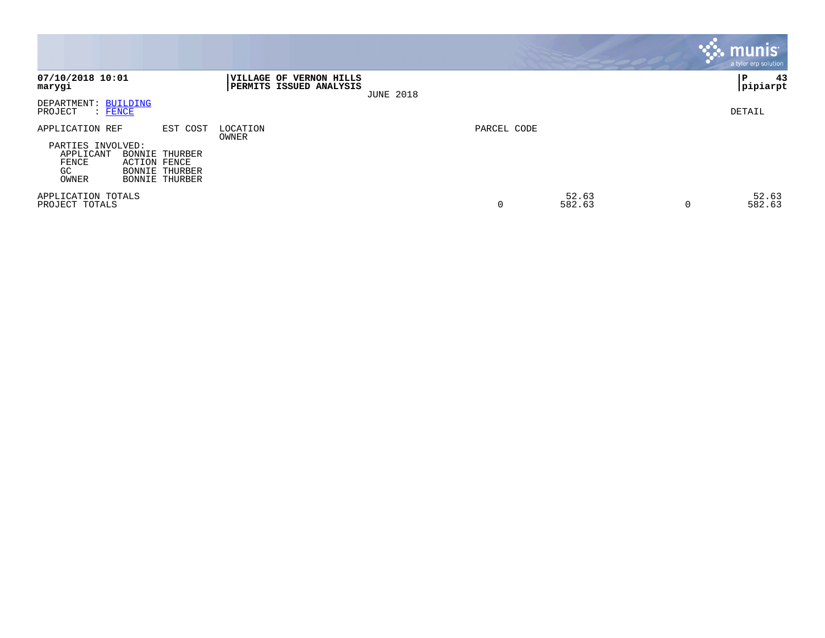|                                                                                                   |                                                                       |                                                           |                  |             |                 |          | <b>munis</b><br>a tyler erp solution |
|---------------------------------------------------------------------------------------------------|-----------------------------------------------------------------------|-----------------------------------------------------------|------------------|-------------|-----------------|----------|--------------------------------------|
| 07/10/2018 10:01<br>marygi                                                                        |                                                                       | VILLAGE OF VERNON HILLS<br><b>PERMITS ISSUED ANALYSIS</b> | <b>JUNE 2018</b> |             |                 |          | 43<br> P<br> pipiarpt                |
| <b>BUILDING</b><br>DEPARTMENT:<br>PROJECT<br>$:$ FENCE                                            |                                                                       |                                                           |                  |             |                 |          | DETAIL                               |
| APPLICATION REF<br>PARTIES INVOLVED:<br>APPLICANT<br>FENCE<br><b>ACTION FENCE</b><br>GC.<br>OWNER | EST COST<br>BONNIE THURBER<br>BONNIE THURBER<br><b>BONNIE THURBER</b> | LOCATION<br>OWNER                                         |                  | PARCEL CODE |                 |          |                                      |
| APPLICATION TOTALS<br>PROJECT TOTALS                                                              |                                                                       |                                                           |                  | 0           | 52.63<br>582.63 | $\Omega$ | 52.63<br>582.63                      |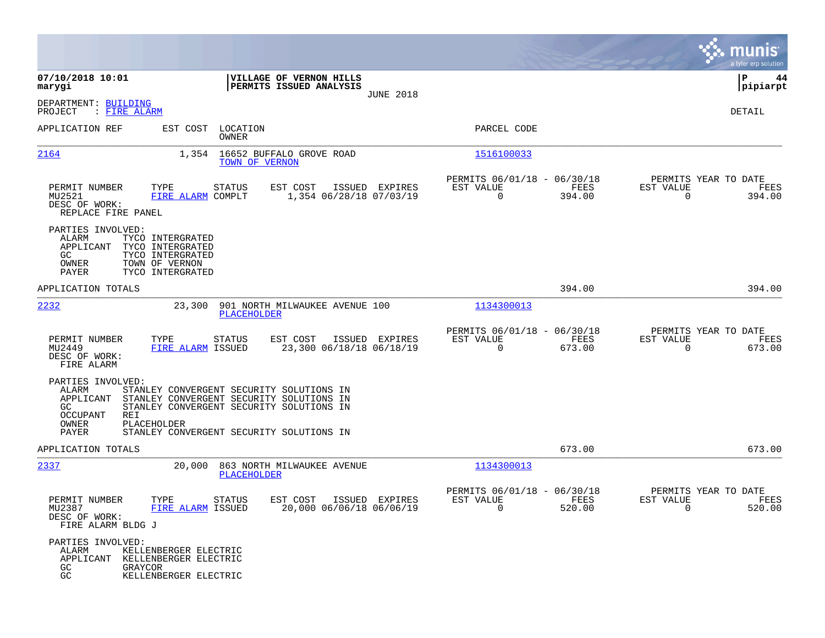|                                                                                           |                                                                                                                                                                                             |                                                    |                  |                                                            |                                                                                                                       |                                               | munis<br>a tyler erp solution |
|-------------------------------------------------------------------------------------------|---------------------------------------------------------------------------------------------------------------------------------------------------------------------------------------------|----------------------------------------------------|------------------|------------------------------------------------------------|-----------------------------------------------------------------------------------------------------------------------|-----------------------------------------------|-------------------------------|
| 07/10/2018 10:01<br>marygi                                                                |                                                                                                                                                                                             | VILLAGE OF VERNON HILLS<br>PERMITS ISSUED ANALYSIS |                  |                                                            |                                                                                                                       |                                               | 44<br>l P<br> pipiarpt        |
| DEPARTMENT: BUILDING<br>: FIRE ALARM<br>PROJECT                                           |                                                                                                                                                                                             |                                                    | <b>JUNE 2018</b> |                                                            |                                                                                                                       |                                               | DETAIL                        |
| APPLICATION REF                                                                           | EST COST LOCATION<br>OWNER                                                                                                                                                                  |                                                    |                  | PARCEL CODE                                                |                                                                                                                       |                                               |                               |
| 2164                                                                                      | TOWN OF VERNON                                                                                                                                                                              | 1,354 16652 BUFFALO GROVE ROAD                     |                  | 1516100033                                                 |                                                                                                                       |                                               |                               |
| PERMIT NUMBER<br>MU2521<br>DESC OF WORK:<br>REPLACE FIRE PANEL                            | TYPE<br>STATUS<br>FIRE ALARM COMPLT                                                                                                                                                         | EST COST<br>1,354 06/28/18 07/03/19                | ISSUED EXPIRES   | PERMITS 06/01/18 - 06/30/18<br>EST VALUE<br>$\overline{0}$ | FEES<br>394.00                                                                                                        | PERMITS YEAR TO DATE<br>EST VALUE<br>$\Omega$ | FEES<br>394.00                |
| PARTIES INVOLVED:<br>ALARM<br>APPLICANT<br>GC.<br>OWNER<br>PAYER                          | TYCO INTERGRATED<br>TYCO INTERGRATED<br>TYCO INTERGRATED<br>TOWN OF VERNON<br>TYCO INTERGRATED                                                                                              |                                                    |                  |                                                            |                                                                                                                       |                                               |                               |
| APPLICATION TOTALS                                                                        |                                                                                                                                                                                             |                                                    |                  |                                                            | 394.00                                                                                                                |                                               | 394.00                        |
| 2232                                                                                      | 23,300<br>PLACEHOLDER                                                                                                                                                                       | 901 NORTH MILWAUKEE AVENUE 100                     |                  | 1134300013                                                 |                                                                                                                       |                                               |                               |
| PERMIT NUMBER<br>MU2449<br>DESC OF WORK:<br>FIRE ALARM                                    | TYPE<br>STATUS<br>FIRE ALARM ISSUED                                                                                                                                                         | EST COST<br>23,300 06/18/18 06/18/19               | ISSUED EXPIRES   | PERMITS 06/01/18 - 06/30/18<br>EST VALUE<br>$\overline{0}$ | <b>EXECUTE: EXECUTE: EXECUTE: EXECUTE: EXECUTE: EXECUTE: EXECUTE: EXECUTE: EXECUTE: EXECUTE: EXECUTE: E</b><br>673.00 | PERMITS YEAR TO DATE<br>EST VALUE<br>$\Omega$ | FEES<br>673.00                |
| PARTIES INVOLVED:<br>ALARM<br>APPLICANT<br>GC<br><b>OCCUPANT</b><br>REI<br>OWNER<br>PAYER | STANLEY CONVERGENT SECURITY SOLUTIONS IN<br>STANLEY CONVERGENT SECURITY SOLUTIONS IN<br>STANLEY CONVERGENT SECURITY SOLUTIONS IN<br>PLACEHOLDER<br>STANLEY CONVERGENT SECURITY SOLUTIONS IN |                                                    |                  |                                                            |                                                                                                                       |                                               |                               |
| APPLICATION TOTALS                                                                        |                                                                                                                                                                                             |                                                    |                  |                                                            | 673.00                                                                                                                |                                               | 673.00                        |
| 2337                                                                                      | 20,000<br>PLACEHOLDER                                                                                                                                                                       | 863 NORTH MILWAUKEE AVENUE                         |                  | 1134300013                                                 |                                                                                                                       |                                               |                               |
| PERMIT NUMBER<br>MU2387<br>DESC OF WORK:<br>FIRE ALARM BLDG J                             | <b>STATUS</b><br>TYPE<br>FIRE ALARM ISSUED                                                                                                                                                  | EST COST<br>20,000 06/06/18 06/06/19               | ISSUED EXPIRES   | PERMITS 06/01/18 - 06/30/18<br>EST VALUE<br>$\overline{0}$ | <b>EXECUTE: PEES</b><br>520.00                                                                                        | PERMITS YEAR TO DATE<br>EST VALUE<br>$\sim$ 0 | FEES<br>520.00                |
| PARTIES INVOLVED:<br>ALARM<br>GC<br>GC                                                    | KELLENBERGER ELECTRIC<br>APPLICANT KELLENBERGER ELECTRIC<br>GRAYCOR<br>KELLENBERGER ELECTRIC                                                                                                |                                                    |                  |                                                            |                                                                                                                       |                                               |                               |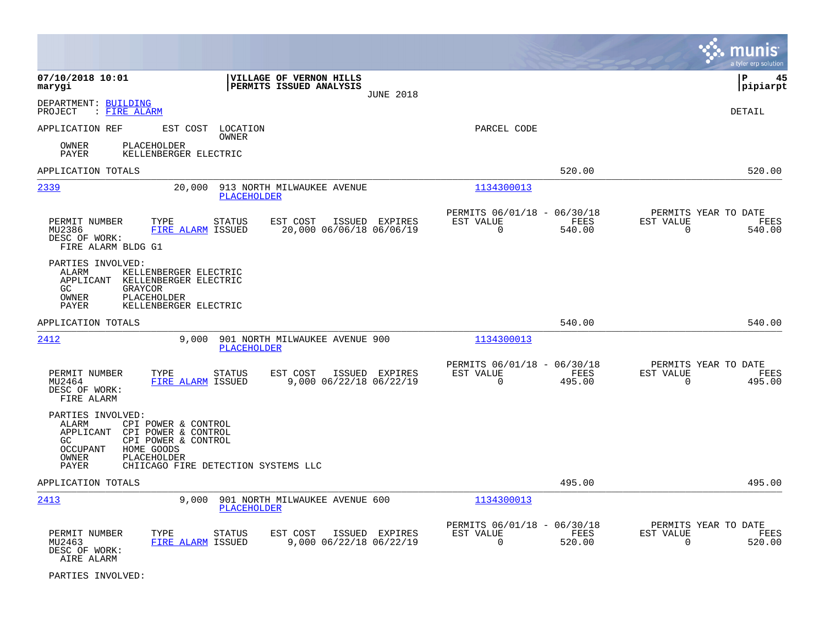|                                                                                                                                                                                      |                                                       |                  |                                                         |                |                                                  | munis<br>a tyler erp solution |
|--------------------------------------------------------------------------------------------------------------------------------------------------------------------------------------|-------------------------------------------------------|------------------|---------------------------------------------------------|----------------|--------------------------------------------------|-------------------------------|
| 07/10/2018 10:01<br>marygi                                                                                                                                                           | VILLAGE OF VERNON HILLS<br>PERMITS ISSUED ANALYSIS    | <b>JUNE 2018</b> |                                                         |                | lР                                               | 45<br> pipiarpt               |
| DEPARTMENT: BUILDING<br>: FIRE ALARM<br>PROJECT                                                                                                                                      |                                                       |                  |                                                         |                | DETAIL                                           |                               |
| APPLICATION REF<br>PLACEHOLDER<br>OWNER                                                                                                                                              | EST COST LOCATION<br><b>OWNER</b>                     |                  | PARCEL CODE                                             |                |                                                  |                               |
| KELLENBERGER ELECTRIC<br>PAYER                                                                                                                                                       |                                                       |                  |                                                         |                |                                                  |                               |
| APPLICATION TOTALS                                                                                                                                                                   |                                                       |                  |                                                         | 520.00         |                                                  | 520.00                        |
| 2339<br>20,000                                                                                                                                                                       | 913 NORTH MILWAUKEE AVENUE<br><b>PLACEHOLDER</b>      |                  | 1134300013                                              |                |                                                  |                               |
| PERMIT NUMBER<br>TYPE<br>MU2386<br>FIRE ALARM ISSUED<br>DESC OF WORK:<br>FIRE ALARM BLDG G1                                                                                          | <b>STATUS</b><br>EST COST<br>20,000 06/06/18 06/06/19 | ISSUED EXPIRES   | PERMITS 06/01/18 - 06/30/18<br>EST VALUE<br>$\mathbf 0$ | FEES<br>540.00 | PERMITS YEAR TO DATE<br>EST VALUE<br>$\mathbf 0$ | FEES<br>540.00                |
| PARTIES INVOLVED:<br>ALARM<br>KELLENBERGER ELECTRIC<br>APPLICANT<br>KELLENBERGER ELECTRIC<br>GC.<br>GRAYCOR<br>PLACEHOLDER<br>OWNER<br>PAYER<br>KELLENBERGER ELECTRIC                |                                                       |                  |                                                         |                |                                                  |                               |
| APPLICATION TOTALS                                                                                                                                                                   |                                                       |                  |                                                         | 540.00         |                                                  | 540.00                        |
| <u> 2412</u><br>9,000                                                                                                                                                                | 901 NORTH MILWAUKEE AVENUE 900<br><b>PLACEHOLDER</b>  |                  | 1134300013                                              |                |                                                  |                               |
| PERMIT NUMBER<br>TYPE<br>MU2464<br>FIRE ALARM ISSUED<br>DESC OF WORK:<br>FIRE ALARM                                                                                                  | <b>STATUS</b><br>EST COST<br>9,000 06/22/18 06/22/19  | ISSUED EXPIRES   | PERMITS 06/01/18 - 06/30/18<br>EST VALUE<br>$\Omega$    | FEES<br>495.00 | PERMITS YEAR TO DATE<br>EST VALUE<br>$\Omega$    | FEES<br>495.00                |
| PARTIES INVOLVED:<br>ALARM<br>CPI POWER & CONTROL<br>APPLICANT<br>CPI POWER & CONTROL<br>GC<br>CPI POWER & CONTROL<br>HOME GOODS<br>OCCUPANT<br>PLACEHOLDER<br>OWNER<br><b>PAYER</b> | CHIICAGO FIRE DETECTION SYSTEMS LLC                   |                  |                                                         |                |                                                  |                               |
| APPLICATION TOTALS                                                                                                                                                                   |                                                       |                  |                                                         | 495.00         |                                                  | 495.00                        |
| 2413<br>9,000                                                                                                                                                                        | 901 NORTH MILWAUKEE AVENUE 600<br>PLACEHOLDER         |                  | 1134300013                                              |                |                                                  |                               |
| PERMIT NUMBER<br>TYPE<br>FIRE ALARM ISSUED<br>MU2463<br>DESC OF WORK:<br>AIRE ALARM                                                                                                  | <b>STATUS</b><br>EST COST<br>9,000 06/22/18 06/22/19  | ISSUED EXPIRES   | PERMITS 06/01/18 - 06/30/18<br>EST VALUE<br>$\Omega$    | FEES<br>520.00 | PERMITS YEAR TO DATE<br>EST VALUE<br>0           | FEES<br>520.00                |

PARTIES INVOLVED: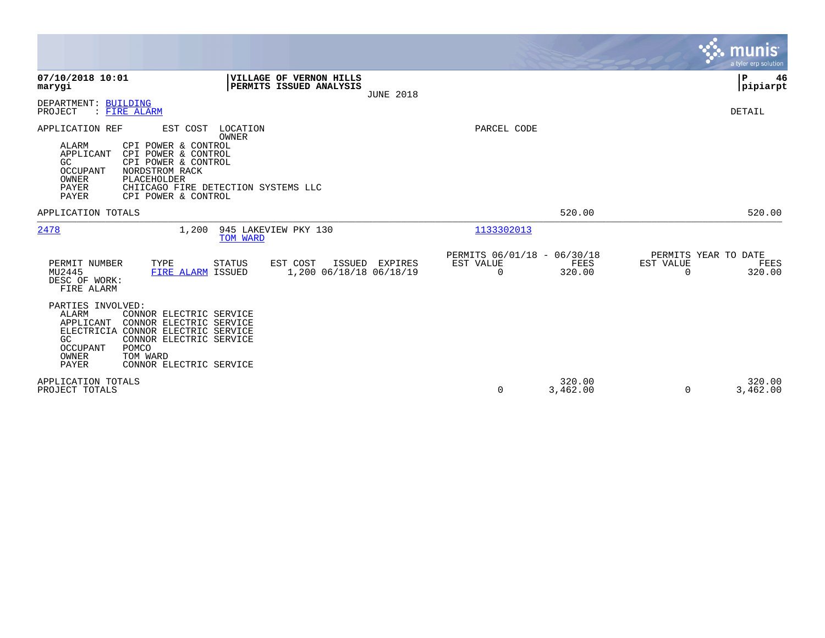|                                                                                                                                                                                                                                                              |                                                                        |                                                                 | munis<br>a tyler erp solution                                   |
|--------------------------------------------------------------------------------------------------------------------------------------------------------------------------------------------------------------------------------------------------------------|------------------------------------------------------------------------|-----------------------------------------------------------------|-----------------------------------------------------------------|
| 07/10/2018 10:01<br>marygi                                                                                                                                                                                                                                   | VILLAGE OF VERNON HILLS<br>PERMITS ISSUED ANALYSIS<br><b>JUNE 2018</b> |                                                                 | P<br>46<br> pipiarpt                                            |
| DEPARTMENT: BUILDING<br>PROJECT<br>: FIRE ALARM                                                                                                                                                                                                              |                                                                        |                                                                 | DETAIL                                                          |
| APPLICATION REF<br>EST COST LOCATION<br>ALARM<br>CPI POWER & CONTROL<br>APPLICANT<br>CPI POWER & CONTROL<br>CPI POWER & CONTROL<br>GC<br><b>OCCUPANT</b><br>NORDSTROM RACK<br>OWNER<br>PLACEHOLDER<br>PAYER<br>PAYER<br>CPI POWER & CONTROL                  | <b>OWNER</b><br>CHIICAGO FIRE DETECTION SYSTEMS LLC                    | PARCEL CODE                                                     |                                                                 |
| APPLICATION TOTALS                                                                                                                                                                                                                                           |                                                                        | 520.00                                                          | 520.00                                                          |
| 2478<br>1,200                                                                                                                                                                                                                                                | 945 LAKEVIEW PKY 130<br>TOM WARD                                       | 1133302013                                                      |                                                                 |
| TYPE<br>PERMIT NUMBER<br>MU2445<br>FIRE ALARM ISSUED<br>DESC OF WORK:<br>FIRE ALARM                                                                                                                                                                          | EST COST<br>ISSUED EXPIRES<br><b>STATUS</b><br>1,200 06/18/18 06/18/19 | PERMITS 06/01/18 - 06/30/18<br>EST VALUE<br>FEES<br>320.00<br>0 | PERMITS YEAR TO DATE<br>EST VALUE<br>FEES<br>320.00<br>$\Omega$ |
| PARTIES INVOLVED:<br><b>ALARM</b><br>CONNOR ELECTRIC SERVICE<br>CONNOR ELECTRIC SERVICE<br>APPLICANT<br>ELECTRICIA<br>CONNOR ELECTRIC SERVICE<br>GC<br>CONNOR ELECTRIC SERVICE<br>POMCO<br>OCCUPANT<br>OWNER<br>TOM WARD<br>PAYER<br>CONNOR ELECTRIC SERVICE |                                                                        |                                                                 |                                                                 |
| APPLICATION TOTALS<br>PROJECT TOTALS                                                                                                                                                                                                                         |                                                                        | 320.00<br>$\Omega$<br>3,462.00                                  | 320.00<br>3,462.00<br>$\Omega$                                  |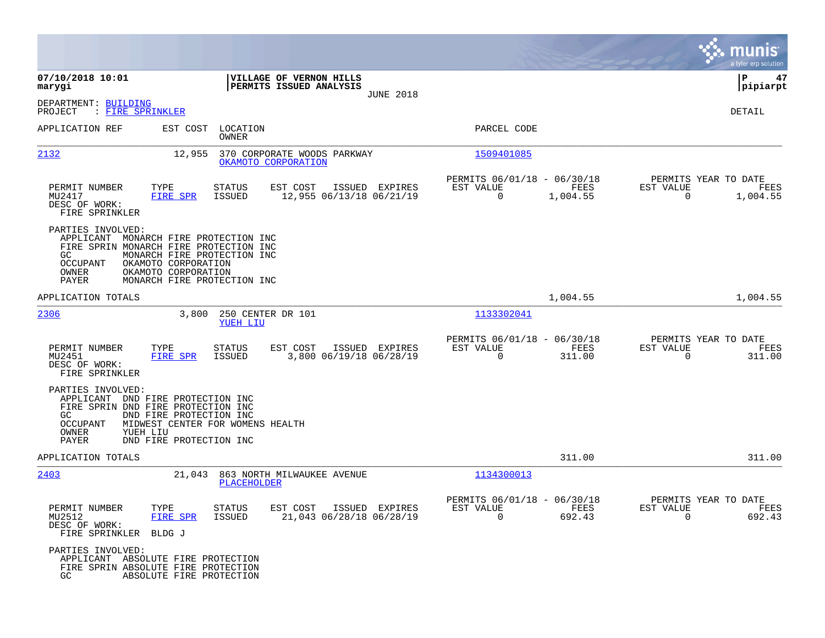|                                                                    |                                                                                                                                                                                             |                                                     |                                                         |                  |                                                  | munis<br>a tyler erp solution |
|--------------------------------------------------------------------|---------------------------------------------------------------------------------------------------------------------------------------------------------------------------------------------|-----------------------------------------------------|---------------------------------------------------------|------------------|--------------------------------------------------|-------------------------------|
| 07/10/2018 10:01<br>marygi                                         | VILLAGE OF VERNON HILLS<br>PERMITS ISSUED ANALYSIS                                                                                                                                          |                                                     |                                                         |                  |                                                  | 47<br>ΙP<br> pipiarpt         |
| DEPARTMENT: BUILDING<br>PROJECT<br>: FIRE SPRINKLER                |                                                                                                                                                                                             | <b>JUNE 2018</b>                                    |                                                         |                  |                                                  | DETAIL                        |
| APPLICATION REF                                                    | LOCATION<br>EST COST<br>OWNER                                                                                                                                                               |                                                     | PARCEL CODE                                             |                  |                                                  |                               |
| 2132                                                               | 370 CORPORATE WOODS PARKWAY<br>12,955<br>OKAMOTO CORPORATION                                                                                                                                |                                                     | 1509401085                                              |                  |                                                  |                               |
| PERMIT NUMBER<br>MU2417<br>DESC OF WORK:<br>FIRE SPRINKLER         | TYPE<br>STATUS<br>EST COST<br><b>FIRE SPR</b><br>ISSUED                                                                                                                                     | ISSUED EXPIRES<br>12,955 06/13/18 06/21/19          | PERMITS 06/01/18 - 06/30/18<br>EST VALUE<br>$\mathbf 0$ | FEES<br>1,004.55 | PERMITS YEAR TO DATE<br>EST VALUE<br>$\mathbf 0$ | FEES<br>1,004.55              |
| PARTIES INVOLVED:<br>GC.<br>OCCUPANT<br>OWNER<br>PAYER             | APPLICANT MONARCH FIRE PROTECTION INC<br>FIRE SPRIN MONARCH FIRE PROTECTION INC<br>MONARCH FIRE PROTECTION INC<br>OKAMOTO CORPORATION<br>OKAMOTO CORPORATION<br>MONARCH FIRE PROTECTION INC |                                                     |                                                         |                  |                                                  |                               |
| APPLICATION TOTALS                                                 |                                                                                                                                                                                             |                                                     |                                                         | 1,004.55         |                                                  | 1,004.55                      |
| 2306                                                               | 3,800<br>250 CENTER DR 101<br>YUEH LIU                                                                                                                                                      |                                                     | 1133302041                                              |                  |                                                  |                               |
| PERMIT NUMBER<br>MU2451<br>DESC OF WORK:<br>FIRE SPRINKLER         | EST COST<br>TYPE<br>STATUS<br>FIRE SPR<br>ISSUED                                                                                                                                            | ISSUED EXPIRES<br>3,800 06/19/18 06/28/19           | PERMITS 06/01/18 - 06/30/18<br>EST VALUE<br>$\mathbf 0$ | FEES<br>311.00   | PERMITS YEAR TO DATE<br>EST VALUE<br>0           | FEES<br>311.00                |
| PARTIES INVOLVED:<br>GC.<br>OCCUPANT<br>OWNER<br>YUEH LIU<br>PAYER | APPLICANT DND FIRE PROTECTION INC<br>FIRE SPRIN DND FIRE PROTECTION INC<br>DND FIRE PROTECTION INC<br>MIDWEST CENTER FOR WOMENS HEALTH<br>DND FIRE PROTECTION INC                           |                                                     |                                                         |                  |                                                  |                               |
| APPLICATION TOTALS                                                 |                                                                                                                                                                                             |                                                     |                                                         | 311.00           |                                                  | 311.00                        |
| 2403                                                               | 21,043<br>863 NORTH MILWAUKEE AVENUE<br><b>PLACEHOLDER</b>                                                                                                                                  |                                                     | 1134300013                                              |                  |                                                  |                               |
| PERMIT NUMBER<br>MU2512<br>DESC OF WORK:<br>FIRE SPRINKLER BLDG J  | TYPE<br>STATUS<br>FIRE SPR<br>ISSUED                                                                                                                                                        | EST COST ISSUED EXPIRES<br>21,043 06/28/18 06/28/19 | PERMITS 06/01/18 - 06/30/18<br>EST VALUE<br>$\Omega$    | FEES<br>692.43   | PERMITS YEAR TO DATE<br>EST VALUE<br>$\Omega$    | FEES<br>692.43                |
| PARTIES INVOLVED:<br>GC                                            | APPLICANT ABSOLUTE FIRE PROTECTION<br>FIRE SPRIN ABSOLUTE FIRE PROTECTION<br>ABSOLUTE FIRE PROTECTION                                                                                       |                                                     |                                                         |                  |                                                  |                               |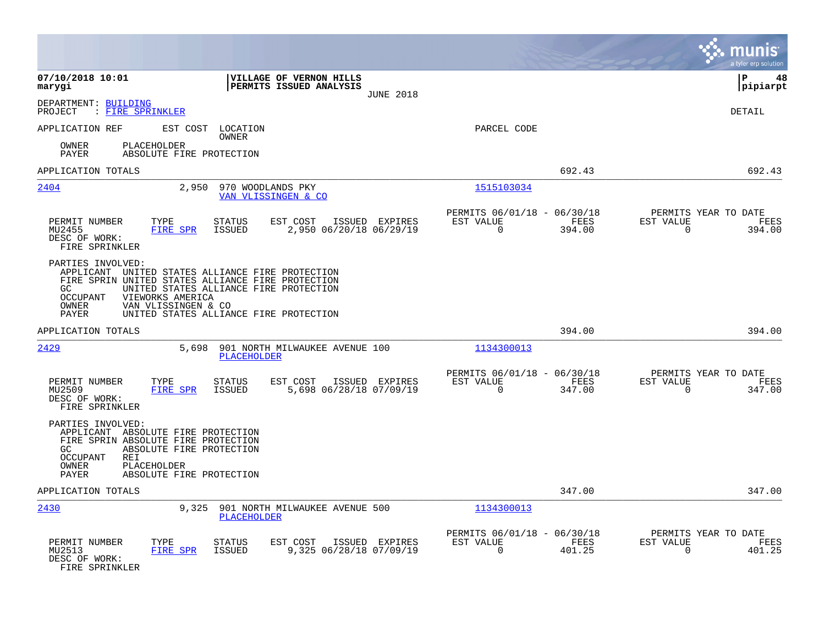|                                                                                                                                                                                                                          |                                                                                         |                                                                           | munis<br>a tyler erp solution                                      |
|--------------------------------------------------------------------------------------------------------------------------------------------------------------------------------------------------------------------------|-----------------------------------------------------------------------------------------|---------------------------------------------------------------------------|--------------------------------------------------------------------|
| 07/10/2018 10:01<br>marygi                                                                                                                                                                                               | VILLAGE OF VERNON HILLS<br>PERMITS ISSUED ANALYSIS<br><b>JUNE 2018</b>                  |                                                                           | ΙP<br>48<br> pipiarpt                                              |
| DEPARTMENT: BUILDING<br>: FIRE SPRINKLER<br>PROJECT                                                                                                                                                                      |                                                                                         |                                                                           | DETAIL                                                             |
| APPLICATION REF                                                                                                                                                                                                          | EST COST LOCATION<br>OWNER                                                              | PARCEL CODE                                                               |                                                                    |
| PLACEHOLDER<br>OWNER<br>PAYER<br>ABSOLUTE FIRE PROTECTION                                                                                                                                                                |                                                                                         |                                                                           |                                                                    |
| APPLICATION TOTALS                                                                                                                                                                                                       |                                                                                         | 692.43                                                                    | 692.43                                                             |
| 2404<br>2,950                                                                                                                                                                                                            | 970 WOODLANDS PKY<br>VAN VLISSINGEN & CO                                                | 1515103034                                                                |                                                                    |
| PERMIT NUMBER<br>TYPE<br><b>FIRE SPR</b><br>MU2455<br>DESC OF WORK:<br>FIRE SPRINKLER                                                                                                                                    | <b>STATUS</b><br>EST COST<br>ISSUED EXPIRES<br><b>ISSUED</b><br>2,950 06/20/18 06/29/19 | PERMITS 06/01/18 - 06/30/18<br>EST VALUE<br>FEES<br>$\mathbf 0$<br>394.00 | PERMITS YEAR TO DATE<br>EST VALUE<br>FEES<br>$\mathbf 0$<br>394.00 |
| PARTIES INVOLVED:<br>APPLICANT UNITED STATES ALLIANCE FIRE PROTECTION<br>FIRE SPRIN UNITED STATES ALLIANCE FIRE PROTECTION<br>GC.<br>VIEWORKS AMERICA<br>OCCUPANT<br>OWNER<br>VAN VLISSINGEN & CO<br>PAYER               | UNITED STATES ALLIANCE FIRE PROTECTION<br>UNITED STATES ALLIANCE FIRE PROTECTION        |                                                                           |                                                                    |
| APPLICATION TOTALS                                                                                                                                                                                                       |                                                                                         | 394.00                                                                    | 394.00                                                             |
| 2429<br>5,698                                                                                                                                                                                                            | 901 NORTH MILWAUKEE AVENUE 100<br><b>PLACEHOLDER</b>                                    | 1134300013                                                                |                                                                    |
| PERMIT NUMBER<br>TYPE<br>MU2509<br><b>FIRE SPR</b><br>DESC OF WORK:<br>FIRE SPRINKLER                                                                                                                                    | EST COST<br>ISSUED EXPIRES<br>STATUS<br><b>ISSUED</b><br>5,698 06/28/18 07/09/19        | PERMITS 06/01/18 - 06/30/18<br>EST VALUE<br>FEES<br>$\mathbf 0$<br>347.00 | PERMITS YEAR TO DATE<br>EST VALUE<br>FEES<br>$\mathbf 0$<br>347.00 |
| PARTIES INVOLVED:<br>APPLICANT ABSOLUTE FIRE PROTECTION<br>FIRE SPRIN ABSOLUTE FIRE PROTECTION<br>GC.<br>ABSOLUTE FIRE PROTECTION<br>OCCUPANT<br><b>REI</b><br>OWNER<br>PLACEHOLDER<br>PAYER<br>ABSOLUTE FIRE PROTECTION |                                                                                         |                                                                           |                                                                    |
| APPLICATION TOTALS                                                                                                                                                                                                       |                                                                                         | 347.00                                                                    | 347.00                                                             |
| 2430<br>9,325                                                                                                                                                                                                            | 901 NORTH MILWAUKEE AVENUE 500<br>PLACEHOLDER                                           | 1134300013                                                                |                                                                    |
| PERMIT NUMBER<br>TYPE<br>MU2513<br>FIRE SPR<br>DESC OF WORK:<br>FIRE SPRINKLER                                                                                                                                           | <b>STATUS</b><br>EST COST<br>ISSUED EXPIRES<br>9,325 06/28/18 07/09/19<br>ISSUED        | PERMITS 06/01/18 - 06/30/18<br>EST VALUE<br>FEES<br>$\Omega$<br>401.25    | PERMITS YEAR TO DATE<br>EST VALUE<br>FEES<br>401.25<br>0           |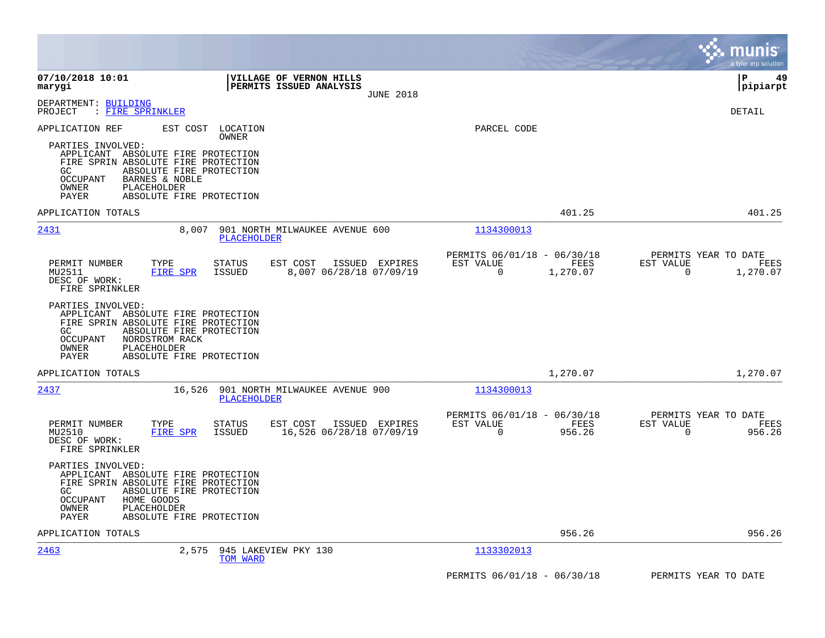|                                                                                                                                                                                                                                                                                         |                                                                           | munis<br>a tyler erp solution                                      |
|-----------------------------------------------------------------------------------------------------------------------------------------------------------------------------------------------------------------------------------------------------------------------------------------|---------------------------------------------------------------------------|--------------------------------------------------------------------|
| 07/10/2018 10:01<br>VILLAGE OF VERNON HILLS<br>PERMITS ISSUED ANALYSIS<br>marygi<br><b>JUNE 2018</b>                                                                                                                                                                                    |                                                                           | l P<br>49<br> pipiarpt                                             |
| DEPARTMENT: BUILDING<br>: FIRE SPRINKLER<br>PROJECT                                                                                                                                                                                                                                     |                                                                           | <b>DETAIL</b>                                                      |
| APPLICATION REF<br>EST COST<br>LOCATION<br>OWNER<br>PARTIES INVOLVED:<br>APPLICANT ABSOLUTE FIRE PROTECTION<br>FIRE SPRIN ABSOLUTE FIRE PROTECTION<br>ABSOLUTE FIRE PROTECTION<br>GC.<br><b>OCCUPANT</b><br>BARNES & NOBLE<br>PLACEHOLDER<br>OWNER<br>ABSOLUTE FIRE PROTECTION<br>PAYER | PARCEL CODE                                                               |                                                                    |
| APPLICATION TOTALS                                                                                                                                                                                                                                                                      | 401.25                                                                    | 401.25                                                             |
| 2431<br>901 NORTH MILWAUKEE AVENUE 600<br>8,007<br><b>PLACEHOLDER</b>                                                                                                                                                                                                                   | 1134300013                                                                |                                                                    |
| PERMIT NUMBER<br>EST COST<br>ISSUED EXPIRES<br>TYPE<br>STATUS<br>MU2511<br>FIRE SPR<br>ISSUED<br>8,007 06/28/18 07/09/19<br>DESC OF WORK:<br>FIRE SPRINKLER                                                                                                                             | PERMITS 06/01/18 - 06/30/18<br>EST VALUE<br>FEES<br>1,270.07<br>$\Omega$  | PERMITS YEAR TO DATE<br>EST VALUE<br>FEES<br>$\Omega$<br>1,270.07  |
| PARTIES INVOLVED:<br>APPLICANT ABSOLUTE FIRE PROTECTION<br>FIRE SPRIN ABSOLUTE FIRE PROTECTION<br>GC<br>ABSOLUTE FIRE PROTECTION<br><b>OCCUPANT</b><br>NORDSTROM RACK<br><b>PLACEHOLDER</b><br>OWNER<br>PAYER<br>ABSOLUTE FIRE PROTECTION                                               |                                                                           |                                                                    |
| APPLICATION TOTALS                                                                                                                                                                                                                                                                      | 1,270.07                                                                  | 1,270.07                                                           |
| 2437<br>16,526<br>901 NORTH MILWAUKEE AVENUE 900<br><b>PLACEHOLDER</b>                                                                                                                                                                                                                  | 1134300013                                                                |                                                                    |
| STATUS<br>EST COST<br>PERMIT NUMBER<br>TYPE<br>ISSUED EXPIRES<br>FIRE SPR<br><b>ISSUED</b><br>16,526 06/28/18 07/09/19<br>MU2510<br>DESC OF WORK:<br>FIRE SPRINKLER                                                                                                                     | PERMITS 06/01/18 - 06/30/18<br>FEES<br>EST VALUE<br>$\mathbf 0$<br>956.26 | PERMITS YEAR TO DATE<br>EST VALUE<br>FEES<br>$\mathbf 0$<br>956.26 |
| PARTIES INVOLVED:<br>APPLICANT ABSOLUTE FIRE PROTECTION<br>FIRE SPRIN ABSOLUTE FIRE PROTECTION<br>GC.<br>ABSOLUTE FIRE PROTECTION<br><b>OCCUPANT</b><br>HOME GOODS<br>OWNER<br>PLACEHOLDER<br>PAYER<br>ABSOLUTE FIRE PROTECTION                                                         |                                                                           |                                                                    |
| APPLICATION TOTALS                                                                                                                                                                                                                                                                      | 956.26                                                                    | 956.26                                                             |
| 2463<br>2,575<br>945 LAKEVIEW PKY 130<br>TOM WARD                                                                                                                                                                                                                                       | 1133302013                                                                |                                                                    |
|                                                                                                                                                                                                                                                                                         | PERMITS 06/01/18 - 06/30/18                                               | PERMITS YEAR TO DATE                                               |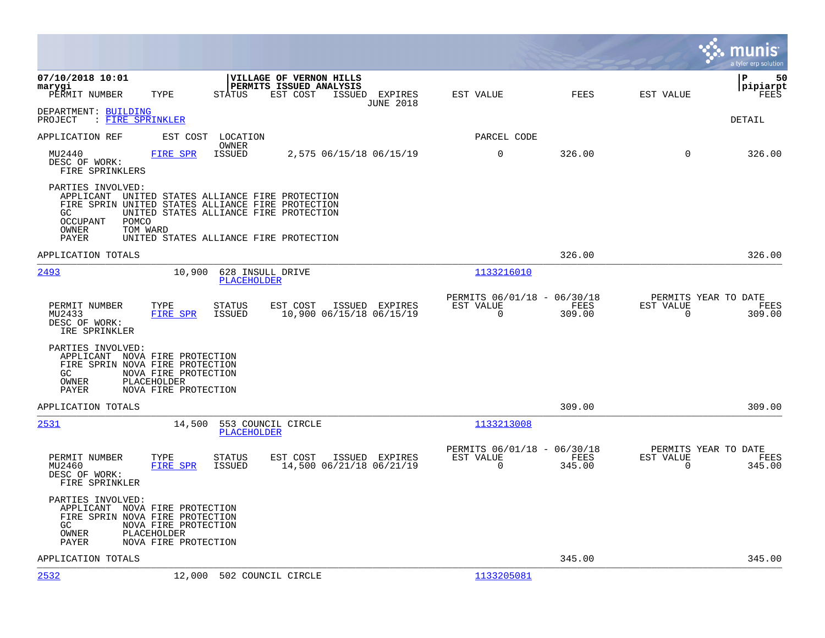|                                                                                                                                                                                                                                                                                |                                                         |                                            | munis<br>a tyler erp solution          |
|--------------------------------------------------------------------------------------------------------------------------------------------------------------------------------------------------------------------------------------------------------------------------------|---------------------------------------------------------|--------------------------------------------|----------------------------------------|
| 07/10/2018 10:01<br>VILLAGE OF VERNON HILLS<br>PERMITS ISSUED ANALYSIS<br>marygi<br><b>STATUS</b><br>EST COST<br>ISSUED EXPIRES<br>PERMIT NUMBER<br>TYPE<br><b>JUNE 2018</b>                                                                                                   | EST VALUE                                               | <b>FEES</b><br>EST VALUE                   | 50<br>l P<br> pipiarpt<br>FEES         |
| DEPARTMENT: BUILDING<br>: FIRE SPRINKLER<br>PROJECT                                                                                                                                                                                                                            |                                                         |                                            | DETAIL                                 |
| APPLICATION REF<br>LOCATION<br>EST COST<br>OWNER                                                                                                                                                                                                                               | PARCEL CODE                                             |                                            |                                        |
| <b>ISSUED</b><br>MU2440<br><b>FIRE SPR</b><br>2,575 06/15/18 06/15/19<br>DESC OF WORK:<br>FIRE SPRINKLERS                                                                                                                                                                      | 0                                                       | 326.00<br>0                                | 326.00                                 |
| PARTIES INVOLVED:<br>APPLICANT UNITED STATES ALLIANCE FIRE PROTECTION<br>FIRE SPRIN UNITED STATES ALLIANCE FIRE PROTECTION<br>UNITED STATES ALLIANCE FIRE PROTECTION<br>GC<br><b>OCCUPANT</b><br>POMCO<br>OWNER<br>TOM WARD<br>PAYER<br>UNITED STATES ALLIANCE FIRE PROTECTION |                                                         |                                            |                                        |
| APPLICATION TOTALS                                                                                                                                                                                                                                                             |                                                         | 326.00                                     | 326.00                                 |
| 2493<br>10,900<br>628 INSULL DRIVE<br><b>PLACEHOLDER</b>                                                                                                                                                                                                                       | 1133216010                                              |                                            |                                        |
| PERMIT NUMBER<br>TYPE<br>STATUS<br>EST COST<br>ISSUED EXPIRES<br>MU2433<br>FIRE SPR<br>ISSUED<br>10,900 06/15/18 06/15/19<br>DESC OF WORK:<br>IRE SPRINKLER                                                                                                                    | PERMITS 06/01/18 - 06/30/18<br>EST VALUE<br>$\mathbf 0$ | FEES<br>EST VALUE<br>309.00<br>$\mathbf 0$ | PERMITS YEAR TO DATE<br>FEES<br>309.00 |
| PARTIES INVOLVED:<br>APPLICANT NOVA FIRE PROTECTION<br>FIRE SPRIN NOVA FIRE PROTECTION<br>GC<br>NOVA FIRE PROTECTION<br>OWNER<br>PLACEHOLDER<br>NOVA FIRE PROTECTION<br>PAYER                                                                                                  |                                                         |                                            |                                        |
| APPLICATION TOTALS                                                                                                                                                                                                                                                             |                                                         | 309.00                                     | 309.00                                 |
| 2531<br>14,500<br>553 COUNCIL CIRCLE<br><b>PLACEHOLDER</b>                                                                                                                                                                                                                     | 1133213008                                              |                                            |                                        |
| EST COST<br>ISSUED EXPIRES<br>PERMIT NUMBER<br>TYPE<br>STATUS<br>MU2460<br>FIRE SPR<br>14,500 06/21/18 06/21/19<br>ISSUED<br>DESC OF WORK:<br>FIRE SPRINKLER                                                                                                                   | PERMITS 06/01/18 - 06/30/18<br>EST VALUE<br>$\mathbf 0$ | FEES<br>EST VALUE<br>$\mathbf 0$<br>345.00 | PERMITS YEAR TO DATE<br>FEES<br>345.00 |
| PARTIES INVOLVED:<br>APPLICANT NOVA FIRE PROTECTION<br>FIRE SPRIN NOVA FIRE PROTECTION<br>NOVA FIRE PROTECTION<br>GC<br>PLACEHOLDER<br>OWNER<br>PAYER<br>NOVA FIRE PROTECTION                                                                                                  |                                                         |                                            |                                        |
| APPLICATION TOTALS                                                                                                                                                                                                                                                             |                                                         | 345.00                                     | 345.00                                 |
| 2532<br>12,000<br>502 COUNCIL CIRCLE                                                                                                                                                                                                                                           | 1133205081                                              |                                            |                                        |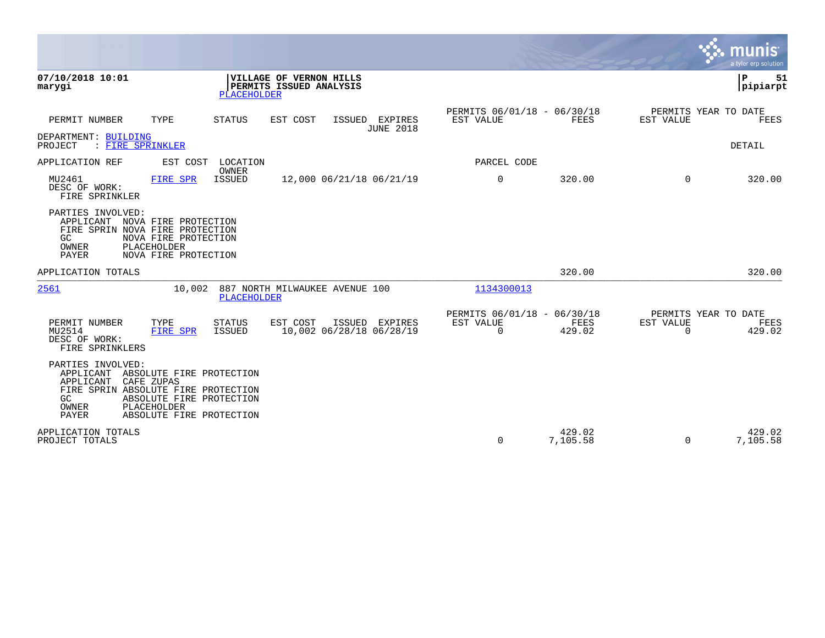|                                                                                                                                                                                                                                    |                                                        |                                                         |                    |                                                  | <u>्. munis</u><br>a tyler erp solution |
|------------------------------------------------------------------------------------------------------------------------------------------------------------------------------------------------------------------------------------|--------------------------------------------------------|---------------------------------------------------------|--------------------|--------------------------------------------------|-----------------------------------------|
| 07/10/2018 10:01<br>marygi<br><b>PLACEHOLDER</b>                                                                                                                                                                                   | VILLAGE OF VERNON HILLS<br>PERMITS ISSUED ANALYSIS     |                                                         |                    |                                                  | ΙP<br>51<br> pipiarpt                   |
| PERMIT NUMBER<br>TYPE<br>STATUS                                                                                                                                                                                                    | EST COST<br>ISSUED EXPIRES<br><b>JUNE 2018</b>         | PERMITS 06/01/18 - 06/30/18<br>EST VALUE                | FEES               | PERMITS YEAR TO DATE<br>EST VALUE                | <b>FEES</b>                             |
| DEPARTMENT: BUILDING<br>: FIRE SPRINKLER<br>PROJECT                                                                                                                                                                                |                                                        |                                                         |                    |                                                  | DETAIL                                  |
| APPLICATION REF<br>EST COST<br>LOCATION<br>OWNER                                                                                                                                                                                   |                                                        | PARCEL CODE                                             |                    |                                                  |                                         |
| MU2461<br><b>ISSUED</b><br><b>FIRE SPR</b><br>DESC OF WORK:<br>FIRE SPRINKLER                                                                                                                                                      | 12,000 06/21/18 06/21/19                               | $\mathbf 0$                                             | 320.00             | $\mathbf 0$                                      | 320.00                                  |
| PARTIES INVOLVED:<br>APPLICANT NOVA FIRE PROTECTION<br>FIRE SPRIN NOVA FIRE PROTECTION<br>NOVA FIRE PROTECTION<br>GC<br>PLACEHOLDER<br>OWNER<br>NOVA FIRE PROTECTION<br>PAYER                                                      |                                                        |                                                         |                    |                                                  |                                         |
| APPLICATION TOTALS                                                                                                                                                                                                                 |                                                        |                                                         | 320.00             |                                                  | 320.00                                  |
| 2561<br>10,002<br>PLACEHOLDER                                                                                                                                                                                                      | 887 NORTH MILWAUKEE AVENUE 100                         | 1134300013                                              |                    |                                                  |                                         |
| PERMIT NUMBER<br><b>STATUS</b><br>TYPE<br><b>ISSUED</b><br>MU2514<br><b>FIRE SPR</b><br>DESC OF WORK:<br>FIRE SPRINKLERS                                                                                                           | EST COST<br>ISSUED EXPIRES<br>10,002 06/28/18 06/28/19 | PERMITS 06/01/18 - 06/30/18<br>EST VALUE<br>$\mathbf 0$ | FEES<br>429.02     | PERMITS YEAR TO DATE<br>EST VALUE<br>$\mathbf 0$ | FEES<br>429.02                          |
| PARTIES INVOLVED:<br>APPLICANT<br>ABSOLUTE FIRE PROTECTION<br>APPLICANT<br>CAFE ZUPAS<br>FIRE SPRIN ABSOLUTE FIRE PROTECTION<br>GC<br>ABSOLUTE FIRE PROTECTION<br>PLACEHOLDER<br>OWNER<br><b>PAYER</b><br>ABSOLUTE FIRE PROTECTION |                                                        |                                                         |                    |                                                  |                                         |
| APPLICATION TOTALS<br>PROJECT TOTALS                                                                                                                                                                                               |                                                        | 0                                                       | 429.02<br>7,105.58 | $\Omega$                                         | 429.02<br>7,105.58                      |

 $\mathcal{L}^{\bullet}$  .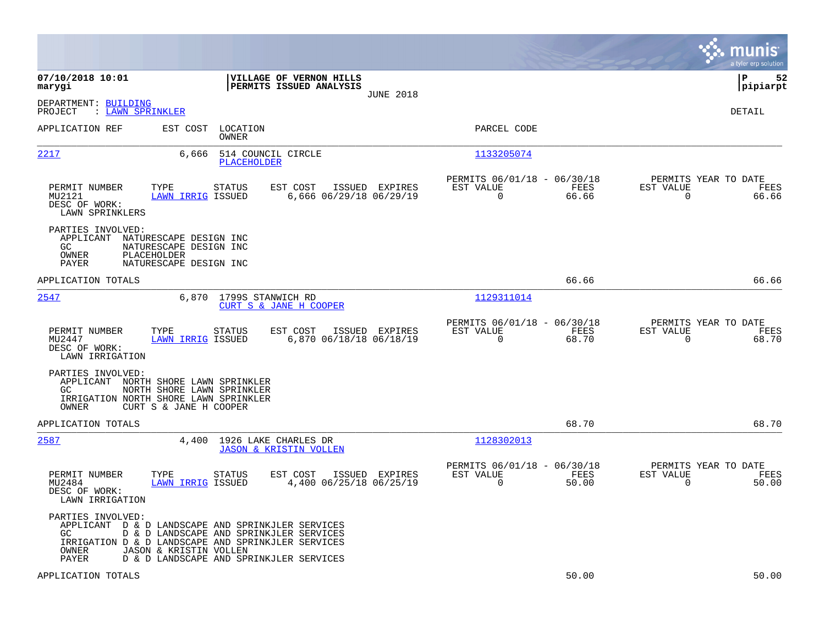|                                                                                                                                                       |                                                                                                              |                                                           |                                                    |                  |                                                         |               |                                                  | munis<br>a tyler erp solution |
|-------------------------------------------------------------------------------------------------------------------------------------------------------|--------------------------------------------------------------------------------------------------------------|-----------------------------------------------------------|----------------------------------------------------|------------------|---------------------------------------------------------|---------------|--------------------------------------------------|-------------------------------|
| 07/10/2018 10:01<br>marygi                                                                                                                            |                                                                                                              |                                                           | VILLAGE OF VERNON HILLS<br>PERMITS ISSUED ANALYSIS | <b>JUNE 2018</b> |                                                         |               |                                                  | lР<br>52<br> pipiarpt         |
| DEPARTMENT: BUILDING<br>: LAWN SPRINKLER<br>PROJECT                                                                                                   |                                                                                                              |                                                           |                                                    |                  |                                                         |               |                                                  | DETAIL                        |
| APPLICATION REF                                                                                                                                       | EST COST                                                                                                     | LOCATION<br>OWNER                                         |                                                    |                  | PARCEL CODE                                             |               |                                                  |                               |
| 2217                                                                                                                                                  | 6,666                                                                                                        | 514 COUNCIL CIRCLE<br>PLACEHOLDER                         |                                                    |                  | 1133205074                                              |               |                                                  |                               |
| PERMIT NUMBER<br>MU2121<br>DESC OF WORK:<br>LAWN SPRINKLERS                                                                                           | TYPE<br><b>LAWN IRRIG ISSUED</b>                                                                             | STATUS                                                    | EST COST<br>6,666 06/29/18 06/29/19                | ISSUED EXPIRES   | PERMITS 06/01/18 - 06/30/18<br>EST VALUE<br>$\mathbf 0$ | FEES<br>66.66 | PERMITS YEAR TO DATE<br>EST VALUE<br>$\mathbf 0$ | FEES<br>66.66                 |
| PARTIES INVOLVED:<br>APPLICANT NATURESCAPE DESIGN INC<br>GC<br>OWNER<br>PAYER                                                                         | NATURESCAPE DESIGN INC<br>PLACEHOLDER<br>NATURESCAPE DESIGN INC                                              |                                                           |                                                    |                  |                                                         |               |                                                  |                               |
| APPLICATION TOTALS                                                                                                                                    |                                                                                                              |                                                           |                                                    |                  |                                                         | 66.66         |                                                  | 66.66                         |
| 2547                                                                                                                                                  |                                                                                                              | 6,870 1799S STANWICH RD<br>CURT S & JANE H COOPER         |                                                    |                  | 1129311014                                              |               |                                                  |                               |
| PERMIT NUMBER<br>MU2447<br>DESC OF WORK:<br>LAWN IRRIGATION                                                                                           | TYPE<br><b>LAWN IRRIG ISSUED</b>                                                                             | STATUS                                                    | EST COST<br>6,870 06/18/18 06/18/19                | ISSUED EXPIRES   | PERMITS 06/01/18 - 06/30/18<br>EST VALUE<br>$\Omega$    | FEES<br>68.70 | PERMITS YEAR TO DATE<br>EST VALUE<br>$\Omega$    | FEES<br>68.70                 |
| PARTIES INVOLVED:<br>APPLICANT NORTH SHORE LAWN SPRINKLER<br>GC<br>IRRIGATION NORTH SHORE LAWN SPRINKLER<br>OWNER                                     | NORTH SHORE LAWN SPRINKLER<br>CURT S & JANE H COOPER                                                         |                                                           |                                                    |                  |                                                         |               |                                                  |                               |
| APPLICATION TOTALS                                                                                                                                    |                                                                                                              |                                                           |                                                    |                  |                                                         | 68.70         |                                                  | 68.70                         |
| 2587                                                                                                                                                  | 4,400                                                                                                        | 1926 LAKE CHARLES DR<br><b>JASON &amp; KRISTIN VOLLEN</b> |                                                    |                  | 1128302013                                              |               |                                                  |                               |
| PERMIT NUMBER<br>MU2484<br>DESC OF WORK:<br>LAWN IRRIGATION                                                                                           | TYPE<br>LAWN IRRIG ISSUED                                                                                    | STATUS                                                    | EST COST<br>4,400 06/25/18 06/25/19                | ISSUED EXPIRES   | PERMITS 06/01/18 - 06/30/18<br>EST VALUE<br>0           | FEES<br>50.00 | PERMITS YEAR TO DATE<br>EST VALUE<br>$\mathbf 0$ | FEES<br>50.00                 |
| PARTIES INVOLVED:<br>APPLICANT D & D LANDSCAPE AND SPRINKJLER SERVICES<br>GC.<br>IRRIGATION D & D LANDSCAPE AND SPRINKJLER SERVICES<br>OWNER<br>PAYER | D & D LANDSCAPE AND SPRINKJLER SERVICES<br>JASON & KRISTIN VOLLEN<br>D & D LANDSCAPE AND SPRINKJLER SERVICES |                                                           |                                                    |                  |                                                         |               |                                                  |                               |
| APPLICATION TOTALS                                                                                                                                    |                                                                                                              |                                                           |                                                    |                  |                                                         | 50.00         |                                                  | 50.00                         |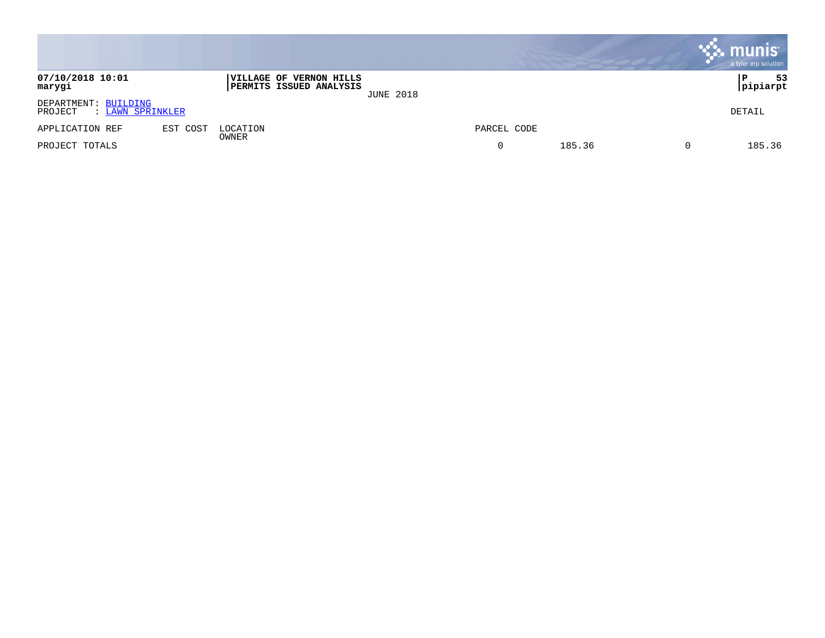|                                                     |          |                                                                  |                  |             |        | . munis <sup>.</sup><br>a tyler erp solution |
|-----------------------------------------------------|----------|------------------------------------------------------------------|------------------|-------------|--------|----------------------------------------------|
| 07/10/2018 10:01<br>marygi                          |          | <b>VILLAGE OF VERNON HILLS</b><br><b>PERMITS ISSUED ANALYSIS</b> | <b>JUNE 2018</b> |             |        | 53<br>P<br>pipiarpt                          |
| DEPARTMENT: BUILDING<br>PROJECT<br>: LAWN SPRINKLER |          |                                                                  |                  |             |        | DETAIL                                       |
| APPLICATION REF                                     | EST COST | LOCATION                                                         |                  | PARCEL CODE |        |                                              |
| PROJECT TOTALS                                      |          | OWNER                                                            |                  |             | 185.36 | 185.36                                       |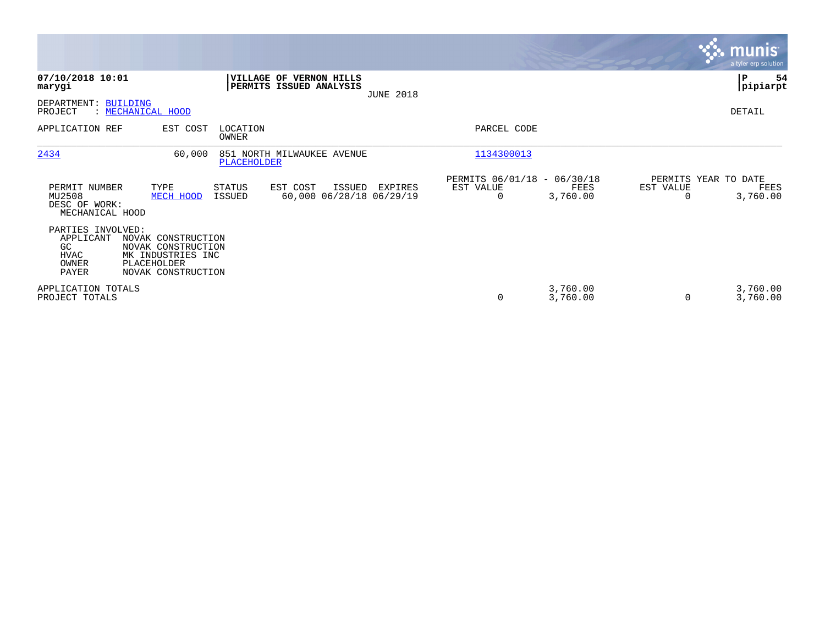|                                                                        |                                                                                                    |                          |                                                           |                  |                                               |                      |           | <b>munis</b><br>a tyler erp solution     |
|------------------------------------------------------------------------|----------------------------------------------------------------------------------------------------|--------------------------|-----------------------------------------------------------|------------------|-----------------------------------------------|----------------------|-----------|------------------------------------------|
| 07/10/2018 10:01<br>marygi                                             |                                                                                                    |                          | <b>VILLAGE OF VERNON HILLS</b><br>PERMITS ISSUED ANALYSIS | <b>JUNE 2018</b> |                                               |                      |           | ∣₽<br>54<br> pipiarpt                    |
| DEPARTMENT:<br>PROJECT                                                 | <b>BUILDING</b><br>: MECHANICAL HOOD                                                               |                          |                                                           |                  |                                               |                      |           | DETAIL                                   |
| APPLICATION REF                                                        | EST COST                                                                                           | LOCATION<br><b>OWNER</b> |                                                           |                  | PARCEL CODE                                   |                      |           |                                          |
| 2434                                                                   | 60,000                                                                                             | PLACEHOLDER              | 851 NORTH MILWAUKEE AVENUE                                |                  | 1134300013                                    |                      |           |                                          |
| PERMIT NUMBER<br>MU2508<br>DESC OF WORK:<br>MECHANICAL HOOD            | TYPE<br>MECH HOOD                                                                                  | STATUS<br><b>ISSUED</b>  | EST COST<br>ISSUED<br>60,000 06/28/18 06/29/19            | EXPIRES          | PERMITS 06/01/18 - 06/30/18<br>EST VALUE<br>0 | FEES<br>3,760.00     | EST VALUE | PERMITS YEAR TO DATE<br>FEES<br>3,760.00 |
| PARTIES INVOLVED:<br>APPLICANT<br>GC.<br><b>HVAC</b><br>OWNER<br>PAYER | NOVAK CONSTRUCTION<br>NOVAK CONSTRUCTION<br>MK INDUSTRIES INC<br>PLACEHOLDER<br>NOVAK CONSTRUCTION |                          |                                                           |                  |                                               |                      |           |                                          |
| APPLICATION TOTALS<br>PROJECT TOTALS                                   |                                                                                                    |                          |                                                           |                  | 0                                             | 3,760.00<br>3,760.00 |           | 3,760.00<br>3,760.00                     |

**Contract**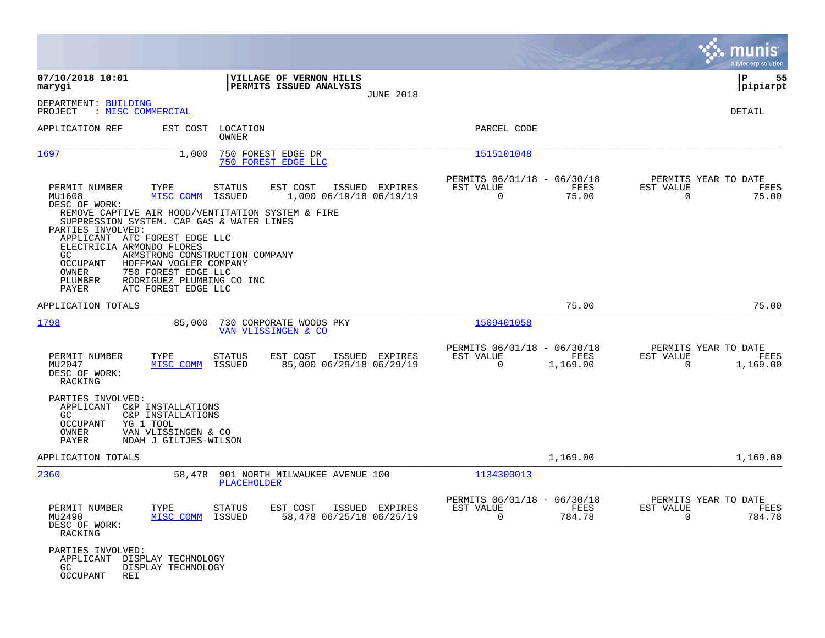|                                                                                                                                                                                                                                                                                                                                                                                                        |                                                                                                             |                                                                             | munis<br>a tyler erp solution                                   |
|--------------------------------------------------------------------------------------------------------------------------------------------------------------------------------------------------------------------------------------------------------------------------------------------------------------------------------------------------------------------------------------------------------|-------------------------------------------------------------------------------------------------------------|-----------------------------------------------------------------------------|-----------------------------------------------------------------|
| 07/10/2018 10:01<br>marygi                                                                                                                                                                                                                                                                                                                                                                             | VILLAGE OF VERNON HILLS<br>PERMITS ISSUED ANALYSIS<br><b>JUNE 2018</b>                                      |                                                                             | 55<br>l P<br> pipiarpt                                          |
| DEPARTMENT: BUILDING<br>: MISC COMMERCIAL<br>PROJECT                                                                                                                                                                                                                                                                                                                                                   |                                                                                                             |                                                                             | DETAIL                                                          |
| APPLICATION REF<br>EST COST                                                                                                                                                                                                                                                                                                                                                                            | LOCATION<br>OWNER                                                                                           | PARCEL CODE                                                                 |                                                                 |
| 1697<br>1,000                                                                                                                                                                                                                                                                                                                                                                                          | 750 FOREST EDGE DR<br>750 FOREST EDGE LLC                                                                   | 1515101048                                                                  |                                                                 |
| PERMIT NUMBER<br>TYPE<br>MU1608<br>MISC COMM<br>DESC OF WORK:<br>REMOVE CAPTIVE AIR HOOD/VENTITATION SYSTEM & FIRE<br>SUPPRESSION SYSTEM. CAP GAS & WATER LINES<br>PARTIES INVOLVED:<br>APPLICANT ATC FOREST EDGE LLC<br>ELECTRICIA ARMONDO FLORES<br>GC<br>OCCUPANT<br>HOFFMAN VOGLER COMPANY<br>750 FOREST EDGE LLC<br>OWNER<br>RODRIGUEZ PLUMBING CO INC<br>PLUMBER<br>PAYER<br>ATC FOREST EDGE LLC | STATUS<br>EST COST<br>ISSUED EXPIRES<br>ISSUED<br>1,000 06/19/18 06/19/19<br>ARMSTRONG CONSTRUCTION COMPANY | PERMITS 06/01/18 - 06/30/18<br>EST VALUE<br>FEES<br>$\overline{0}$<br>75.00 | PERMITS YEAR TO DATE<br>EST VALUE<br>FEES<br>75.00<br>$\Omega$  |
| APPLICATION TOTALS                                                                                                                                                                                                                                                                                                                                                                                     |                                                                                                             | 75.00                                                                       | 75.00                                                           |
| 1798<br>85,000                                                                                                                                                                                                                                                                                                                                                                                         | 730 CORPORATE WOODS PKY<br>VAN VLISSINGEN & CO                                                              | 1509401058                                                                  |                                                                 |
| PERMIT NUMBER<br>TYPE<br>MU2047<br>MISC COMM<br>DESC OF WORK:<br>RACKING                                                                                                                                                                                                                                                                                                                               | <b>STATUS</b><br>EST COST<br>ISSUED EXPIRES<br>ISSUED<br>85,000 06/29/18 06/29/19                           | PERMITS 06/01/18 - 06/30/18<br>EST VALUE<br>FEES<br>1,169.00<br>0           | PERMITS YEAR TO DATE<br>EST VALUE<br>FEES<br>1,169.00<br>0      |
| PARTIES INVOLVED:<br>APPLICANT<br>C&P INSTALLATIONS<br>C&P INSTALLATIONS<br>GC.<br>YG 1 TOOL<br>OCCUPANT<br>OWNER<br>VAN VLISSINGEN & CO<br>PAYER<br>NOAH J GILTJES-WILSON                                                                                                                                                                                                                             |                                                                                                             |                                                                             |                                                                 |
| APPLICATION TOTALS                                                                                                                                                                                                                                                                                                                                                                                     |                                                                                                             | 1,169.00                                                                    | 1,169.00                                                        |
| 2360<br>58,478                                                                                                                                                                                                                                                                                                                                                                                         | 901 NORTH MILWAUKEE AVENUE 100<br>PLACEHOLDER                                                               | 1134300013                                                                  |                                                                 |
| PERMIT NUMBER<br>MU2490<br>DESC OF WORK:<br>RACKING                                                                                                                                                                                                                                                                                                                                                    | TYPE STATUS<br>EST COST ISSUED EXPIRES<br>MISC COMM ISSUED<br>58,478 06/25/18 06/25/19                      | PERMITS 06/01/18 - 06/30/18<br>EST VALUE<br>FEES<br>$\Omega$<br>784.78      | PERMITS YEAR TO DATE<br>EST VALUE<br>FEES<br>$\Omega$<br>784.78 |
| PARTIES INVOLVED:<br>APPLICANT DISPLAY TECHNOLOGY<br>GC<br>DISPLAY TECHNOLOGY<br>OCCUPANT<br>REI                                                                                                                                                                                                                                                                                                       |                                                                                                             |                                                                             |                                                                 |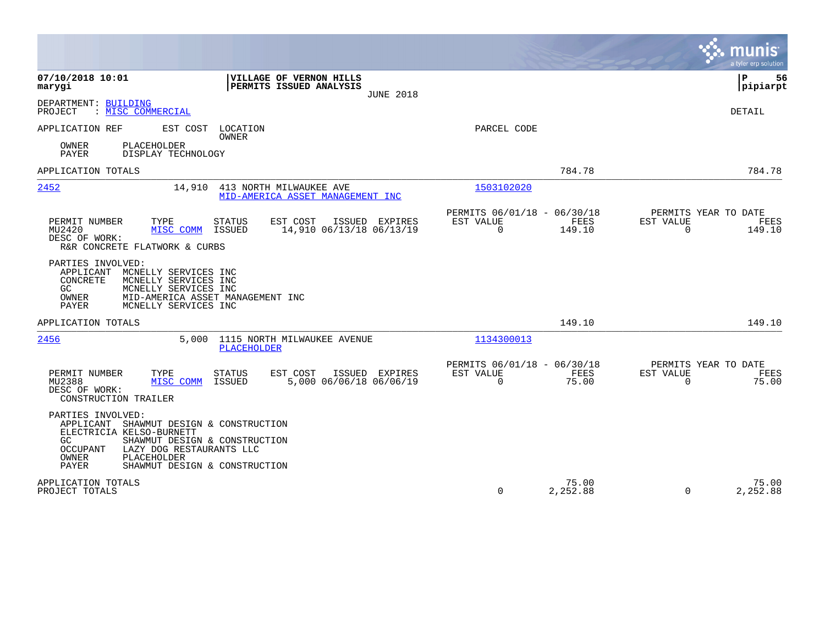|                                                                                                                                                                                                                                                             |                                                                        | munis<br>a tyler erp solution                                   |
|-------------------------------------------------------------------------------------------------------------------------------------------------------------------------------------------------------------------------------------------------------------|------------------------------------------------------------------------|-----------------------------------------------------------------|
| 07/10/2018 10:01<br>VILLAGE OF VERNON HILLS<br>PERMITS ISSUED ANALYSIS<br>marygi<br><b>JUNE 2018</b>                                                                                                                                                        |                                                                        | 56<br>ΙP<br> pipiarpt                                           |
| DEPARTMENT: BUILDING<br>PROJECT<br>: MISC COMMERCIAL                                                                                                                                                                                                        |                                                                        | DETAIL                                                          |
| APPLICATION REF<br>EST COST<br>LOCATION<br><b>OWNER</b><br>PLACEHOLDER<br>OWNER<br><b>PAYER</b><br>DISPLAY TECHNOLOGY                                                                                                                                       | PARCEL CODE                                                            |                                                                 |
| APPLICATION TOTALS                                                                                                                                                                                                                                          | 784.78                                                                 | 784.78                                                          |
| 2452<br>14,910 413 NORTH MILWAUKEE AVE<br>MID-AMERICA ASSET MANAGEMENT INC                                                                                                                                                                                  | 1503102020                                                             |                                                                 |
| PERMIT NUMBER<br>TYPE<br>EST COST<br>ISSUED EXPIRES<br><b>STATUS</b><br>14,910 06/13/18 06/13/19<br>MU2420<br>MISC COMM<br>ISSUED<br>DESC OF WORK:<br>R&R CONCRETE FLATWORK & CURBS                                                                         | PERMITS 06/01/18 - 06/30/18<br>EST VALUE<br>FEES<br>$\Omega$<br>149.10 | PERMITS YEAR TO DATE<br>EST VALUE<br>FEES<br>$\Omega$<br>149.10 |
| PARTIES INVOLVED:<br>APPLICANT<br>MCNELLY SERVICES INC<br>CONCRETE<br>MCNELLY SERVICES INC<br>GC<br>MCNELLY SERVICES INC<br>OWNER<br>MID-AMERICA ASSET MANAGEMENT INC<br>PAYER<br>MCNELLY SERVICES INC                                                      |                                                                        |                                                                 |
| APPLICATION TOTALS                                                                                                                                                                                                                                          | 149.10                                                                 | 149.10                                                          |
| 2456<br>5,000<br>1115 NORTH MILWAUKEE AVENUE<br>PLACEHOLDER                                                                                                                                                                                                 | 1134300013                                                             |                                                                 |
| PERMIT NUMBER<br>TYPE<br><b>STATUS</b><br>EST COST<br>ISSUED EXPIRES<br>5,000 06/06/18 06/06/19<br>MU2388<br>MISC COMM<br>ISSUED<br>DESC OF WORK:<br>CONSTRUCTION TRAILER                                                                                   | PERMITS 06/01/18 - 06/30/18<br>EST VALUE<br>FEES<br>$\Omega$<br>75.00  | PERMITS YEAR TO DATE<br>EST VALUE<br>FEES<br>$\Omega$<br>75.00  |
| PARTIES INVOLVED:<br>SHAWMUT DESIGN & CONSTRUCTION<br>APPLICANT<br>ELECTRICIA KELSO-BURNETT<br>SHAWMUT DESIGN & CONSTRUCTION<br>GC.<br><b>OCCUPANT</b><br>LAZY DOG RESTAURANTS LLC<br>OWNER<br>PLACEHOLDER<br><b>PAYER</b><br>SHAWMUT DESIGN & CONSTRUCTION |                                                                        |                                                                 |
| APPLICATION TOTALS<br>PROJECT TOTALS                                                                                                                                                                                                                        | 75.00<br>0<br>2,252.88                                                 | 75.00<br>2,252.88<br>$\Omega$                                   |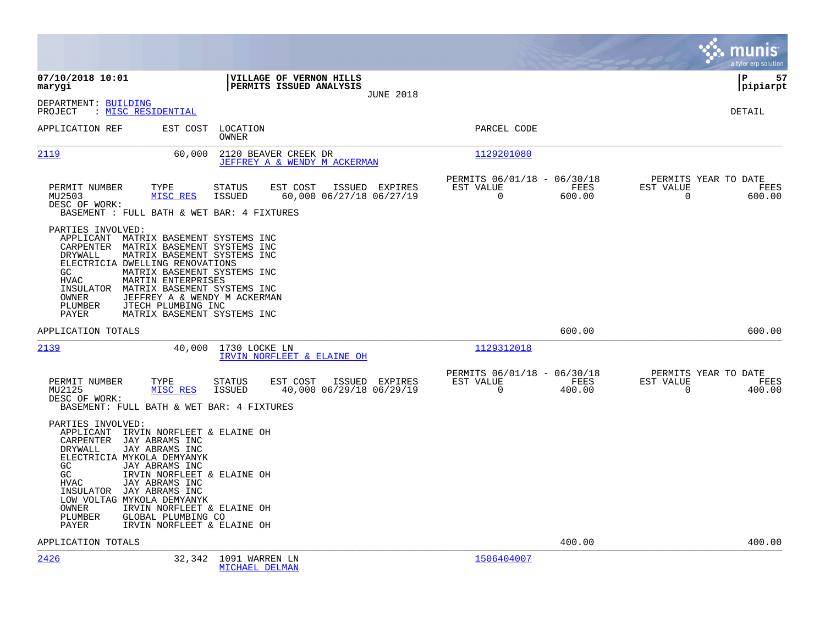|                                                                                                                                                                                                                                                                                                                                    |                                                                                                                                                          |                                                                           | munis<br>a tyler erp solution                                   |
|------------------------------------------------------------------------------------------------------------------------------------------------------------------------------------------------------------------------------------------------------------------------------------------------------------------------------------|----------------------------------------------------------------------------------------------------------------------------------------------------------|---------------------------------------------------------------------------|-----------------------------------------------------------------|
| 07/10/2018 10:01<br>marygi                                                                                                                                                                                                                                                                                                         | VILLAGE OF VERNON HILLS<br>PERMITS ISSUED ANALYSIS<br><b>JUNE 2018</b>                                                                                   |                                                                           | l P<br>57<br>pipiarpt                                           |
| DEPARTMENT: BUILDING<br>: MISC RESIDENTIAL<br>PROJECT                                                                                                                                                                                                                                                                              |                                                                                                                                                          |                                                                           | <b>DETAIL</b>                                                   |
| APPLICATION REF<br>EST COST                                                                                                                                                                                                                                                                                                        | LOCATION<br>OWNER                                                                                                                                        | PARCEL CODE                                                               |                                                                 |
| 2119                                                                                                                                                                                                                                                                                                                               | 60,000<br>2120 BEAVER CREEK DR<br>JEFFREY A & WENDY M ACKERMAN                                                                                           | 1129201080                                                                |                                                                 |
| PERMIT NUMBER<br>TYPE<br>MISC RES<br>MU2503<br>DESC OF WORK:<br>BASEMENT : FULL BATH & WET BAR: 4 FIXTURES                                                                                                                                                                                                                         | EST COST<br><b>STATUS</b><br>ISSUED EXPIRES<br>60,000 06/27/18 06/27/19<br><b>ISSUED</b>                                                                 | PERMITS 06/01/18 - 06/30/18<br>EST VALUE<br>FEES<br>$\mathbf 0$<br>600.00 | PERMITS YEAR TO DATE<br>EST VALUE<br>FEES<br>0<br>600.00        |
| PARTIES INVOLVED:<br>APPLICANT MATRIX BASEMENT SYSTEMS INC<br>CARPENTER MATRIX BASEMENT SYSTEMS INC<br>DRYWALL<br>ELECTRICIA DWELLING RENOVATIONS<br>GC<br>MARTIN ENTERPRISES<br>HVAC<br>INSULATOR<br>OWNER<br>PLUMBER<br>JTECH PLUMBING INC<br>PAYER                                                                              | MATRIX BASEMENT SYSTEMS INC<br>MATRIX BASEMENT SYSTEMS INC<br>MATRIX BASEMENT SYSTEMS INC<br>JEFFREY A & WENDY M ACKERMAN<br>MATRIX BASEMENT SYSTEMS INC |                                                                           |                                                                 |
| APPLICATION TOTALS                                                                                                                                                                                                                                                                                                                 |                                                                                                                                                          | 600.00                                                                    | 600.00                                                          |
| 2139                                                                                                                                                                                                                                                                                                                               | 40,000<br>1730 LOCKE LN<br>IRVIN NORFLEET & ELAINE OH                                                                                                    | 1129312018                                                                |                                                                 |
| PERMIT NUMBER<br>TYPE<br>MU2125<br>MISC RES<br>DESC OF WORK:<br>BASEMENT: FULL BATH & WET BAR: 4 FIXTURES                                                                                                                                                                                                                          | <b>STATUS</b><br>EST COST<br>ISSUED EXPIRES<br><b>ISSUED</b><br>40,000 06/29/18 06/29/19                                                                 | PERMITS 06/01/18 - 06/30/18<br>EST VALUE<br>FEES<br>$\Omega$<br>400.00    | PERMITS YEAR TO DATE<br>EST VALUE<br>FEES<br>$\Omega$<br>400.00 |
| PARTIES INVOLVED:<br>APPLICANT IRVIN NORFLEET & ELAINE OH<br>JAY ABRAMS INC<br>CARPENTER<br>JAY ABRAMS INC<br>DRYWALL<br>ELECTRICIA MYKOLA DEMYANYK<br>GC<br>JAY ABRAMS INC<br>GC<br><b>HVAC</b><br>JAY ABRAMS INC<br>JAY ABRAMS INC<br>INSULATOR<br>LOW VOLTAG MYKOLA DEMYANYK<br>OWNER<br>PLUMBER<br>GLOBAL PLUMBING CO<br>PAYER | IRVIN NORFLEET & ELAINE OH<br>IRVIN NORFLEET & ELAINE OH<br>IRVIN NORFLEET & ELAINE OH                                                                   |                                                                           |                                                                 |
| APPLICATION TOTALS                                                                                                                                                                                                                                                                                                                 |                                                                                                                                                          | 400.00                                                                    | 400.00                                                          |
| 2426                                                                                                                                                                                                                                                                                                                               | 32,342 1091 WARREN LN<br>MICHAEL DELMAN                                                                                                                  | 1506404007                                                                |                                                                 |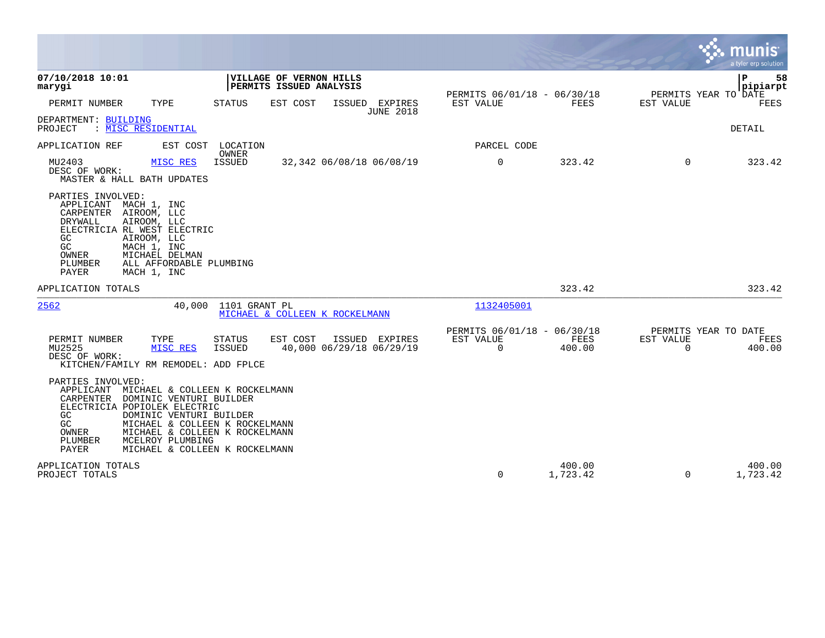|                                                                                                                                                                                                                                                                                                                                             |                                                                                   |                                                      |                    |                                                  | munis<br>a tyler erp solution |
|---------------------------------------------------------------------------------------------------------------------------------------------------------------------------------------------------------------------------------------------------------------------------------------------------------------------------------------------|-----------------------------------------------------------------------------------|------------------------------------------------------|--------------------|--------------------------------------------------|-------------------------------|
| 07/10/2018 10:01<br>marygi                                                                                                                                                                                                                                                                                                                  | VILLAGE OF VERNON HILLS<br><b>PERMITS ISSUED ANALYSIS</b>                         |                                                      |                    |                                                  | l P<br>58<br> pipiarpt        |
| PERMIT NUMBER<br>TYPE                                                                                                                                                                                                                                                                                                                       | STATUS<br>EST COST<br>ISSUED EXPIRES<br><b>JUNE 2018</b>                          | PERMITS 06/01/18 - 06/30/18<br>EST VALUE             | FEES               | PERMITS YEAR TO DATE<br>EST VALUE                | FEES                          |
| DEPARTMENT: BUILDING<br>: MISC RESIDENTIAL<br>PROJECT                                                                                                                                                                                                                                                                                       |                                                                                   |                                                      |                    |                                                  | DETAIL                        |
| APPLICATION REF<br>EST COST LOCATION                                                                                                                                                                                                                                                                                                        | OWNER                                                                             | PARCEL CODE                                          |                    |                                                  |                               |
| MU2403<br>MISC RES<br>DESC OF WORK:<br>MASTER & HALL BATH UPDATES                                                                                                                                                                                                                                                                           | <b>ISSUED</b><br>32,342 06/08/18 06/08/19                                         | 0                                                    | 323.42             | $\Omega$                                         | 323.42                        |
| PARTIES INVOLVED:<br>MACH 1, INC<br>APPLICANT<br>CARPENTER AIROOM, LLC<br>AIROOM, LLC<br>DRYWALL<br>ELECTRICIA RL WEST ELECTRIC<br>GC<br>AIROOM, LLC<br>GC<br>MACH 1, INC<br>OWNER<br>MICHAEL DELMAN<br>PLUMBER<br>ALL AFFORDABLE PLUMBING<br>PAYER<br>MACH 1, INC                                                                          |                                                                                   |                                                      |                    |                                                  |                               |
| APPLICATION TOTALS                                                                                                                                                                                                                                                                                                                          |                                                                                   |                                                      | 323.42             |                                                  | 323.42                        |
| 2562<br>40,000                                                                                                                                                                                                                                                                                                                              | 1101 GRANT PL<br>MICHAEL & COLLEEN K ROCKELMANN                                   | 1132405001                                           |                    |                                                  |                               |
| PERMIT NUMBER<br>TYPE<br>MU2525<br>MISC RES<br>DESC OF WORK:<br>KITCHEN/FAMILY RM REMODEL: ADD FPLCE                                                                                                                                                                                                                                        | <b>STATUS</b><br>EST COST<br>ISSUED EXPIRES<br>40,000 06/29/18 06/29/19<br>ISSUED | PERMITS 06/01/18 - 06/30/18<br><b>EST VALUE</b><br>0 | FEES<br>400.00     | PERMITS YEAR TO DATE<br>EST VALUE<br>$\mathbf 0$ | FEES<br>400.00                |
| PARTIES INVOLVED:<br>APPLICANT MICHAEL & COLLEEN K ROCKELMANN<br>CARPENTER<br>DOMINIC VENTURI BUILDER<br>ELECTRICIA POPIOLEK ELECTRIC<br>DOMINIC VENTURI BUILDER<br>GC.<br>GC<br>MICHAEL & COLLEEN K ROCKELMANN<br>OWNER<br>MICHAEL & COLLEEN K ROCKELMANN<br>PLUMBER<br>MCELROY PLUMBING<br><b>PAYER</b><br>MICHAEL & COLLEEN K ROCKELMANN |                                                                                   |                                                      |                    |                                                  |                               |
| APPLICATION TOTALS<br>PROJECT TOTALS                                                                                                                                                                                                                                                                                                        |                                                                                   | 0                                                    | 400.00<br>1,723.42 | $\Omega$                                         | 400.00<br>1,723.42            |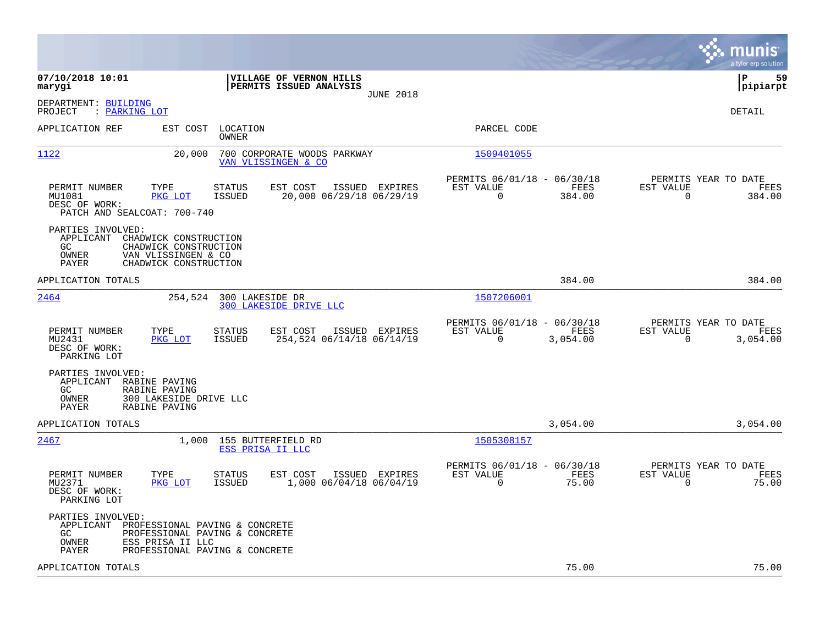|                                                                                                                                                                                |                                                                             | munis<br>a tyler erp solution                                        |
|--------------------------------------------------------------------------------------------------------------------------------------------------------------------------------|-----------------------------------------------------------------------------|----------------------------------------------------------------------|
| 07/10/2018 10:01<br>VILLAGE OF VERNON HILLS<br>PERMITS ISSUED ANALYSIS<br>marygi<br><b>JUNE 2018</b>                                                                           |                                                                             | l P<br>59<br> pipiarpt                                               |
| DEPARTMENT: BUILDING<br>: PARKING LOT<br>PROJECT                                                                                                                               |                                                                             | DETAIL                                                               |
| APPLICATION REF<br>EST COST<br>LOCATION<br>OWNER                                                                                                                               | PARCEL CODE                                                                 |                                                                      |
| 1122<br>20,000<br>700 CORPORATE WOODS PARKWAY<br>VAN_VLISSINGEN & CO                                                                                                           | 1509401055                                                                  |                                                                      |
| PERMIT NUMBER<br>TYPE<br>STATUS<br>EST COST<br>ISSUED EXPIRES<br>MU1081<br>PKG LOT<br>ISSUED<br>20,000 06/29/18 06/29/19<br>DESC OF WORK:<br>PATCH AND SEALCOAT: 700-740       | PERMITS 06/01/18 - 06/30/18<br>EST VALUE<br>FEES<br>$\Omega$<br>384.00      | PERMITS YEAR TO DATE<br>EST VALUE<br>FEES<br>$\Omega$<br>384.00      |
| PARTIES INVOLVED:<br>APPLICANT<br>CHADWICK CONSTRUCTION<br>CHADWICK CONSTRUCTION<br>GC.<br>OWNER<br>VAN VLISSINGEN & CO<br><b>PAYER</b><br>CHADWICK CONSTRUCTION               |                                                                             |                                                                      |
| APPLICATION TOTALS                                                                                                                                                             | 384.00                                                                      | 384.00                                                               |
| 2464<br>254,524<br>300 LAKESIDE DR<br>300 LAKESIDE DRIVE LLC                                                                                                                   | 1507206001                                                                  |                                                                      |
| PERMIT NUMBER<br>TYPE<br>STATUS<br>EST COST<br>ISSUED EXPIRES<br>MU2431<br>PKG LOT<br>ISSUED<br>254,524 06/14/18 06/14/19<br>DESC OF WORK:<br>PARKING LOT                      | PERMITS 06/01/18 - 06/30/18<br>EST VALUE<br>FEES<br>$\mathbf 0$<br>3,054.00 | PERMITS YEAR TO DATE<br>EST VALUE<br>FEES<br>$\mathbf 0$<br>3,054.00 |
| PARTIES INVOLVED:<br>APPLICANT<br>RABINE PAVING<br>GC.<br>RABINE PAVING<br>OWNER<br>300 LAKESIDE DRIVE LLC<br>PAYER<br>RABINE PAVING                                           |                                                                             |                                                                      |
| APPLICATION TOTALS                                                                                                                                                             | 3,054.00                                                                    | 3,054.00                                                             |
| 2467<br>1,000<br>155 BUTTERFIELD RD<br>ESS PRISA II LLC                                                                                                                        | 1505308157                                                                  |                                                                      |
| PERMIT NUMBER<br>TYPE<br>STATUS<br>EST COST<br>ISSUED EXPIRES<br>MU2371<br>PKG LOT<br><b>ISSUED</b><br>1,000 06/04/18 06/04/19<br>DESC OF WORK:<br>PARKING LOT                 | PERMITS 06/01/18 - 06/30/18<br>EST VALUE<br>FEES<br>0<br>75.00              | PERMITS YEAR TO DATE<br>EST VALUE<br>FEES<br>75.00<br>0              |
| PARTIES INVOLVED:<br>APPLICANT PROFESSIONAL PAVING & CONCRETE<br>GC.<br>PROFESSIONAL PAVING & CONCRETE<br>OWNER<br>ESS PRISA II LLC<br>PAYER<br>PROFESSIONAL PAVING & CONCRETE |                                                                             |                                                                      |
| APPLICATION TOTALS                                                                                                                                                             | 75.00                                                                       | 75.00                                                                |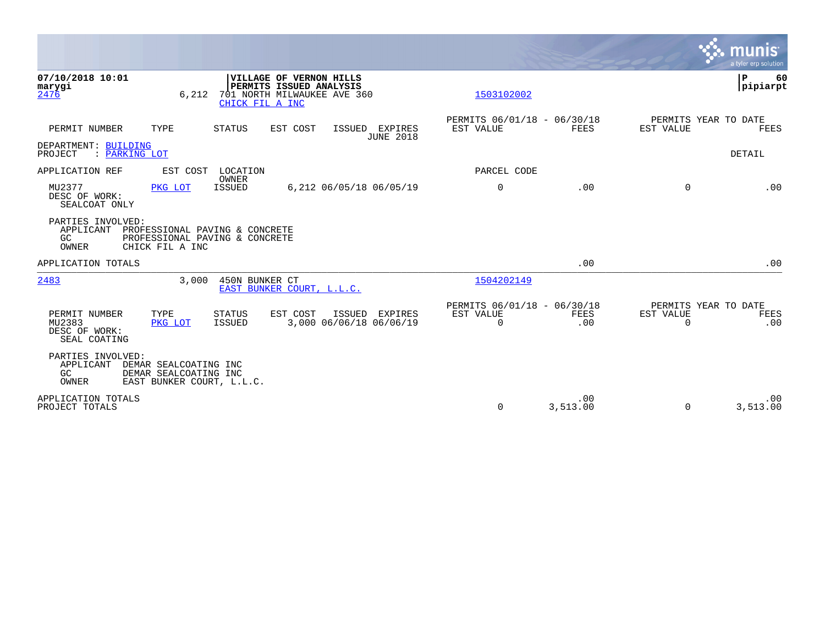|                                                                                                                                                                           |                                                      |                 |                                               | <b>munis</b><br>a tyler erp solution |
|---------------------------------------------------------------------------------------------------------------------------------------------------------------------------|------------------------------------------------------|-----------------|-----------------------------------------------|--------------------------------------|
| 07/10/2018 10:01<br>VILLAGE OF VERNON HILLS<br>PERMITS ISSUED ANALYSIS<br>marygi<br>2476<br>701 NORTH MILWAUKEE AVE 360<br>6,212<br>CHICK FIL A INC                       | 1503102002                                           |                 |                                               | ΙP<br>60<br> pipiarpt                |
| PERMIT NUMBER<br>TYPE<br>STATUS<br>EST COST<br>EXPIRES<br>ISSUED<br><b>JUNE 2018</b>                                                                                      | PERMITS 06/01/18 - 06/30/18<br>EST VALUE             | FEES            | PERMITS YEAR TO DATE<br>EST VALUE             | FEES                                 |
| DEPARTMENT: BUILDING<br>: PARKING LOT<br>PROJECT                                                                                                                          |                                                      |                 |                                               | <b>DETAIL</b>                        |
| EST COST LOCATION<br>APPLICATION REF                                                                                                                                      | PARCEL CODE                                          |                 |                                               |                                      |
| OWNER<br>MU2377<br><b>ISSUED</b><br>6,212 06/05/18 06/05/19<br>PKG LOT<br>DESC OF WORK:<br>SEALCOAT ONLY                                                                  | $\mathbf 0$                                          | .00             | $\Omega$                                      | .00                                  |
| PARTIES INVOLVED:<br>APPLICANT<br>PROFESSIONAL PAVING & CONCRETE<br>GC<br>PROFESSIONAL PAVING & CONCRETE<br>OWNER<br>CHICK FIL A INC                                      |                                                      |                 |                                               |                                      |
| APPLICATION TOTALS                                                                                                                                                        |                                                      | .00             |                                               | .00                                  |
| 3.000<br>2483<br>450N BUNKER CT<br>EAST BUNKER COURT, L.L.C.                                                                                                              | 1504202149                                           |                 |                                               |                                      |
| EST COST<br>PERMIT NUMBER<br>TYPE<br>STATUS<br>ISSUED<br><b>EXPIRES</b><br>MU2383<br><b>ISSUED</b><br>3,000 06/06/18 06/06/19<br>PKG LOT<br>DESC OF WORK:<br>SEAL COATING | PERMITS 06/01/18 - 06/30/18<br>EST VALUE<br>$\Omega$ | FEES<br>.00     | PERMITS YEAR TO DATE<br>EST VALUE<br>$\Omega$ | FEES<br>.00                          |
| PARTIES INVOLVED:<br>APPLICANT<br>DEMAR SEALCOATING INC<br>DEMAR SEALCOATING INC<br>GC<br>OWNER<br>EAST BUNKER COURT, L.L.C.                                              |                                                      |                 |                                               |                                      |
| APPLICATION TOTALS<br>PROJECT TOTALS                                                                                                                                      | $\Omega$                                             | .00<br>3,513.00 | $\Omega$                                      | .00<br>3,513.00                      |

**Tara**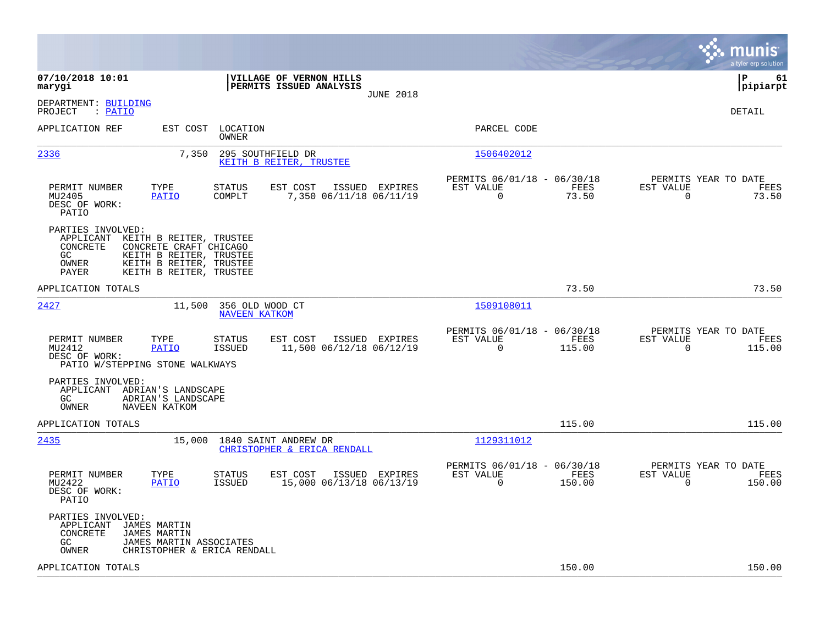|                                                                                                                                                                                                           |                                                                        |                                                                           | munis<br>a tyler erp solution                                      |
|-----------------------------------------------------------------------------------------------------------------------------------------------------------------------------------------------------------|------------------------------------------------------------------------|---------------------------------------------------------------------------|--------------------------------------------------------------------|
| 07/10/2018 10:01<br>marygi                                                                                                                                                                                | VILLAGE OF VERNON HILLS<br>PERMITS ISSUED ANALYSIS<br><b>JUNE 2018</b> |                                                                           | l P<br>61<br> pipiarpt                                             |
| DEPARTMENT: BUILDING<br>: PATIO<br>PROJECT                                                                                                                                                                |                                                                        |                                                                           | DETAIL                                                             |
| APPLICATION REF<br>EST COST<br>LOCATION<br>OWNER                                                                                                                                                          |                                                                        | PARCEL CODE                                                               |                                                                    |
| 2336<br>7,350                                                                                                                                                                                             | 295 SOUTHFIELD DR<br>KEITH B REITER, TRUSTEE                           | 1506402012                                                                |                                                                    |
| TYPE<br>PERMIT NUMBER<br>STATUS<br>MU2405<br>PATIO<br>COMPLT<br>DESC OF WORK:<br>PATIO                                                                                                                    | EST COST<br>ISSUED EXPIRES<br>7,350 06/11/18 06/11/19                  | PERMITS 06/01/18 - 06/30/18<br>FEES<br>EST VALUE<br>$\mathbf 0$<br>73.50  | PERMITS YEAR TO DATE<br>EST VALUE<br>FEES<br>$\mathbf 0$<br>73.50  |
| PARTIES INVOLVED:<br>APPLICANT<br>KEITH B REITER, TRUSTEE<br>CONCRETE<br>CONCRETE CRAFT CHICAGO<br>GC.<br>KEITH B REITER, TRUSTEE<br>KEITH B REITER, TRUSTEE<br>OWNER<br>PAYER<br>KEITH B REITER, TRUSTEE |                                                                        |                                                                           |                                                                    |
| APPLICATION TOTALS                                                                                                                                                                                        |                                                                        | 73.50                                                                     | 73.50                                                              |
| 2427<br>11,500<br>356 OLD WOOD CT<br><b>NAVEEN KATKOM</b>                                                                                                                                                 |                                                                        | 1509108011                                                                |                                                                    |
| TYPE<br>PERMIT NUMBER<br>STATUS<br><b>PATIO</b><br><b>ISSUED</b><br>MU2412<br>DESC OF WORK:<br>PATIO W/STEPPING STONE WALKWAYS                                                                            | EST COST<br>ISSUED EXPIRES<br>11,500 06/12/18 06/12/19                 | PERMITS 06/01/18 - 06/30/18<br>FEES<br>EST VALUE<br>$\Omega$<br>115.00    | PERMITS YEAR TO DATE<br>EST VALUE<br>FEES<br>$\Omega$<br>115.00    |
| PARTIES INVOLVED:<br>APPLICANT ADRIAN'S LANDSCAPE<br>ADRIAN'S LANDSCAPE<br>GC.<br>OWNER<br>NAVEEN KATKOM                                                                                                  |                                                                        |                                                                           |                                                                    |
| APPLICATION TOTALS                                                                                                                                                                                        |                                                                        | 115.00                                                                    | 115.00                                                             |
| 2435<br>15,000 1840 SAINT ANDREW DR                                                                                                                                                                       | CHRISTOPHER & ERICA RENDALL                                            | 1129311012                                                                |                                                                    |
| PERMIT NUMBER<br>TYPE<br>STATUS<br>MU2422<br><b>PATIO</b><br>ISSUED<br>DESC OF WORK:<br>PATIO                                                                                                             | EST COST<br>ISSUED EXPIRES<br>15,000 06/13/18 06/13/19                 | PERMITS 06/01/18 - 06/30/18<br>EST VALUE<br>FEES<br>$\mathbf 0$<br>150.00 | PERMITS YEAR TO DATE<br>EST VALUE<br>FEES<br>$\mathbf 0$<br>150.00 |
| PARTIES INVOLVED:<br>APPLICANT<br>JAMES MARTIN<br>CONCRETE<br><b>JAMES MARTIN</b><br>GC.<br>JAMES MARTIN ASSOCIATES<br>OWNER<br>CHRISTOPHER & ERICA RENDALL                                               |                                                                        |                                                                           |                                                                    |
| APPLICATION TOTALS                                                                                                                                                                                        |                                                                        | 150.00                                                                    | 150.00                                                             |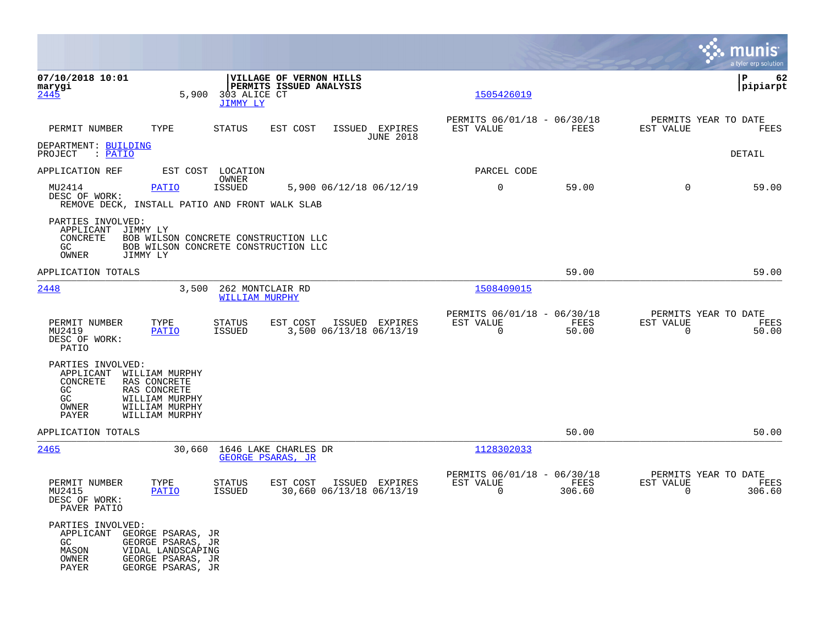|                                                                                                                                                                                  |                                                                                       |                                                                        | munis<br>a tyler erp solution                                   |
|----------------------------------------------------------------------------------------------------------------------------------------------------------------------------------|---------------------------------------------------------------------------------------|------------------------------------------------------------------------|-----------------------------------------------------------------|
| 07/10/2018 10:01<br>marygi<br>5,900<br>2445                                                                                                                                      | VILLAGE OF VERNON HILLS<br>PERMITS ISSUED ANALYSIS<br>303 ALICE CT<br><b>JIMMY LY</b> | 1505426019                                                             | l P<br>62<br> pipiarpt                                          |
| PERMIT NUMBER<br>TYPE                                                                                                                                                            | <b>STATUS</b><br>EST COST<br>ISSUED EXPIRES<br><b>JUNE 2018</b>                       | PERMITS 06/01/18 - 06/30/18<br><b>FEES</b><br>EST VALUE                | PERMITS YEAR TO DATE<br>EST VALUE<br><b>FEES</b>                |
| DEPARTMENT: BUILDING<br>PROJECT : PATIO                                                                                                                                          |                                                                                       |                                                                        | DETAIL                                                          |
| APPLICATION REF                                                                                                                                                                  | EST COST LOCATION<br>OWNER                                                            | PARCEL CODE                                                            |                                                                 |
| MU2414<br>PATIO<br>DESC OF WORK:<br>REMOVE DECK, INSTALL PATIO AND FRONT WALK SLAB                                                                                               | <b>ISSUED</b><br>5,900 06/12/18 06/12/19                                              | $\mathbf 0$<br>59.00                                                   | $\Omega$<br>59.00                                               |
| PARTIES INVOLVED:<br>APPLICANT<br>JIMMY LY<br>CONCRETE<br>GC<br>OWNER<br>JIMMY LY                                                                                                | BOB WILSON CONCRETE CONSTRUCTION LLC<br>BOB WILSON CONCRETE CONSTRUCTION LLC          |                                                                        |                                                                 |
| APPLICATION TOTALS                                                                                                                                                               |                                                                                       | 59.00                                                                  | 59.00                                                           |
| 2448<br>3,500                                                                                                                                                                    | 262 MONTCLAIR RD<br><b>WILLIAM MURPHY</b>                                             | 1508409015                                                             |                                                                 |
| PERMIT NUMBER<br>TYPE<br>MU2419<br><b>PATIO</b><br>DESC OF WORK:<br>PATIO                                                                                                        | STATUS<br>EST COST<br>ISSUED EXPIRES<br>3,500 06/13/18 06/13/19<br><b>ISSUED</b>      | PERMITS 06/01/18 - 06/30/18<br>EST VALUE<br>FEES<br>$\Omega$<br>50.00  | PERMITS YEAR TO DATE<br>EST VALUE<br>FEES<br>$\Omega$<br>50.00  |
| PARTIES INVOLVED:<br>APPLICANT<br>WILLIAM MURPHY<br>CONCRETE<br>RAS CONCRETE<br>GC<br>RAS CONCRETE<br>GC<br>WILLIAM MURPHY<br>OWNER<br>WILLIAM MURPHY<br>PAYER<br>WILLIAM MURPHY |                                                                                       |                                                                        |                                                                 |
| APPLICATION TOTALS                                                                                                                                                               |                                                                                       | 50.00                                                                  | 50.00                                                           |
| 2465<br>30,660                                                                                                                                                                   | 1646 LAKE CHARLES DR<br>GEORGE PSARAS, JR                                             | 1128302033                                                             |                                                                 |
| TYPE<br>PERMIT NUMBER<br>MU2415<br>PATIO<br>DESC OF WORK:<br>PAVER PATIO                                                                                                         | EST COST<br>STATUS<br>ISSUED EXPIRES<br><b>ISSUED</b><br>30,660 06/13/18 06/13/19     | PERMITS 06/01/18 - 06/30/18<br>EST VALUE<br>FEES<br>$\Omega$<br>306.60 | PERMITS YEAR TO DATE<br>EST VALUE<br>FEES<br>$\Omega$<br>306.60 |
| PARTIES INVOLVED:<br>APPLICANT<br>GEORGE PSARAS, JR<br>GC<br>GEORGE PSARAS, JR<br>MASON<br>VIDAL LANDSCAPING<br>GEORGE PSARAS, JR<br>OWNER<br>PAYER<br>GEORGE PSARAS, JR         |                                                                                       |                                                                        |                                                                 |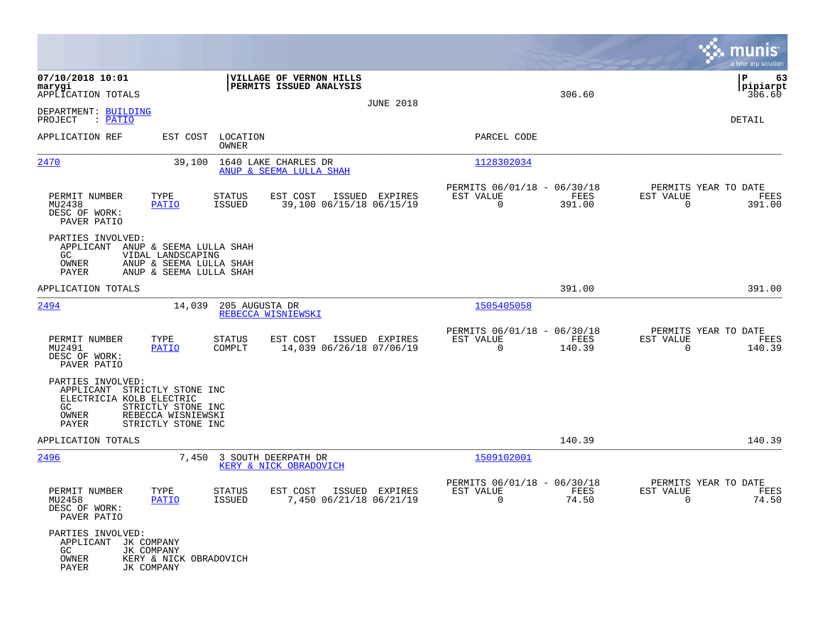|                                                                                                       |                                                                         |                                      |                                                    |                  |                                                         |                |                                                  | munis<br>a tyler erp solution    |
|-------------------------------------------------------------------------------------------------------|-------------------------------------------------------------------------|--------------------------------------|----------------------------------------------------|------------------|---------------------------------------------------------|----------------|--------------------------------------------------|----------------------------------|
| 07/10/2018 10:01<br>marygi<br>APPLICATION TOTALS                                                      |                                                                         |                                      | VILLAGE OF VERNON HILLS<br>PERMITS ISSUED ANALYSIS | <b>JUNE 2018</b> |                                                         | 306.60         |                                                  | l P<br>63<br> pipiarpt<br>306.60 |
| DEPARTMENT: BUILDING<br>PROJECT : PATIO                                                               |                                                                         |                                      |                                                    |                  |                                                         |                |                                                  | DETAIL                           |
| APPLICATION REF                                                                                       | EST COST LOCATION                                                       | OWNER                                |                                                    |                  | PARCEL CODE                                             |                |                                                  |                                  |
| 2470                                                                                                  | 39,100                                                                  |                                      | 1640 LAKE CHARLES DR<br>ANUP & SEEMA LULLA SHAH    |                  | 1128302034                                              |                |                                                  |                                  |
| PERMIT NUMBER<br>MU2438<br>DESC OF WORK:<br>PAVER PATIO                                               | TYPE<br><b>PATIO</b>                                                    | <b>STATUS</b><br>ISSUED              | EST COST<br>39,100 06/15/18 06/15/19               | ISSUED EXPIRES   | PERMITS 06/01/18 - 06/30/18<br>EST VALUE<br>$\mathbf 0$ | FEES<br>391.00 | PERMITS YEAR TO DATE<br>EST VALUE<br>$\mathbf 0$ | FEES<br>391.00                   |
| PARTIES INVOLVED:<br>APPLICANT ANUP & SEEMA LULLA SHAH<br>GC<br>OWNER<br>PAYER                        | VIDAL LANDSCAPING<br>ANUP & SEEMA LULLA SHAH<br>ANUP & SEEMA LULLA SHAH |                                      |                                                    |                  |                                                         |                |                                                  |                                  |
| APPLICATION TOTALS                                                                                    |                                                                         |                                      |                                                    |                  |                                                         | 391.00         |                                                  | 391.00                           |
| 2494                                                                                                  | 14,039                                                                  | 205 AUGUSTA DR<br>REBECCA WISNIEWSKI |                                                    |                  | 1505405058                                              |                |                                                  |                                  |
| PERMIT NUMBER<br>MU2491<br>DESC OF WORK:<br>PAVER PATIO                                               | TYPE<br><b>PATIO</b>                                                    | <b>STATUS</b><br>COMPLT              | EST COST<br>14,039 06/26/18 07/06/19               | ISSUED EXPIRES   | PERMITS 06/01/18 - 06/30/18<br>EST VALUE<br>$\mathbf 0$ | FEES<br>140.39 | PERMITS YEAR TO DATE<br>EST VALUE<br>0           | FEES<br>140.39                   |
| PARTIES INVOLVED:<br>APPLICANT STRICTLY STONE INC<br>ELECTRICIA KOLB ELECTRIC<br>GC<br>OWNER<br>PAYER | STRICTLY STONE INC<br>REBECCA WISNIEWSKI<br>STRICTLY STONE INC          |                                      |                                                    |                  |                                                         |                |                                                  |                                  |
| APPLICATION TOTALS                                                                                    |                                                                         |                                      |                                                    |                  |                                                         | 140.39         |                                                  | 140.39                           |
| 2496                                                                                                  |                                                                         | 7,450 3 SOUTH DEERPATH DR            | KERY & NICK OBRADOVICH                             |                  | 1509102001                                              |                |                                                  |                                  |
| PERMIT NUMBER<br>MU2458<br>DESC OF WORK:<br>PAVER PATIO                                               | TYPE<br><b>PATIO</b>                                                    | STATUS<br>ISSUED                     | EST COST<br>7,450 06/21/18 06/21/19                | ISSUED EXPIRES   | PERMITS 06/01/18 - 06/30/18<br>EST VALUE<br>$\Omega$    | FEES<br>74.50  | PERMITS YEAR TO DATE<br>EST VALUE<br>$\Omega$    | FEES<br>74.50                    |
| PARTIES INVOLVED:<br>APPLICANT JK COMPANY<br>GC.<br>OWNER<br>PAYER                                    | JK COMPANY<br>KERY & NICK OBRADOVICH<br>JK COMPANY                      |                                      |                                                    |                  |                                                         |                |                                                  |                                  |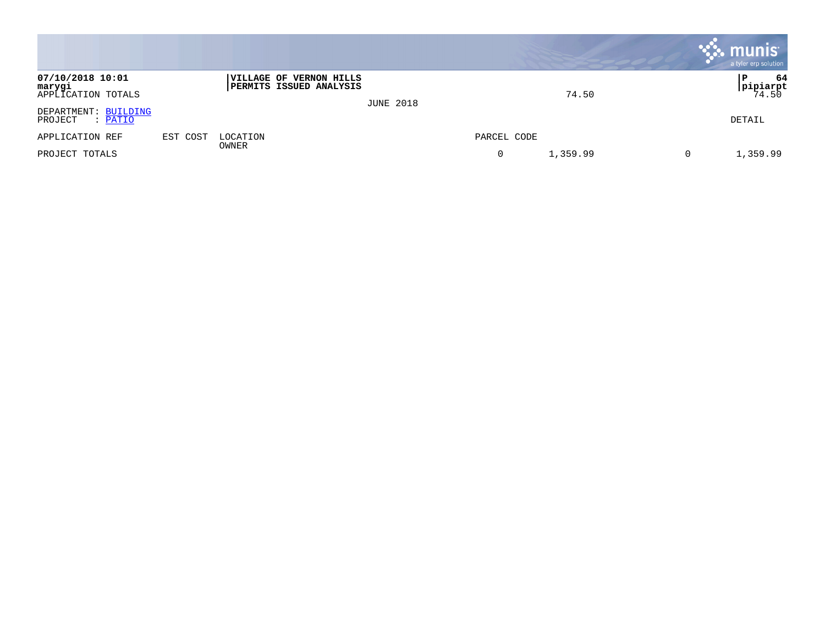|                                                  |          |                                                           |                  |             |          |   | $\cdot$ munis<br>a tyler erp solution |
|--------------------------------------------------|----------|-----------------------------------------------------------|------------------|-------------|----------|---|---------------------------------------|
| 07/10/2018 10:01<br>marygi<br>APPLICATION TOTALS |          | VILLAGE OF VERNON HILLS<br><b>PERMITS ISSUED ANALYSIS</b> | <b>JUNE 2018</b> |             | 74.50    |   | 64<br>P<br> pipiarpt<br>74.50         |
| DEPARTMENT: BUILDING<br>PROJECT<br>: PATIO       |          |                                                           |                  |             |          |   | DETAIL                                |
| APPLICATION REF                                  | EST COST | LOCATION<br>OWNER                                         |                  | PARCEL CODE |          |   |                                       |
| PROJECT TOTALS                                   |          |                                                           |                  | 0           | 1,359.99 | 0 | 1,359.99                              |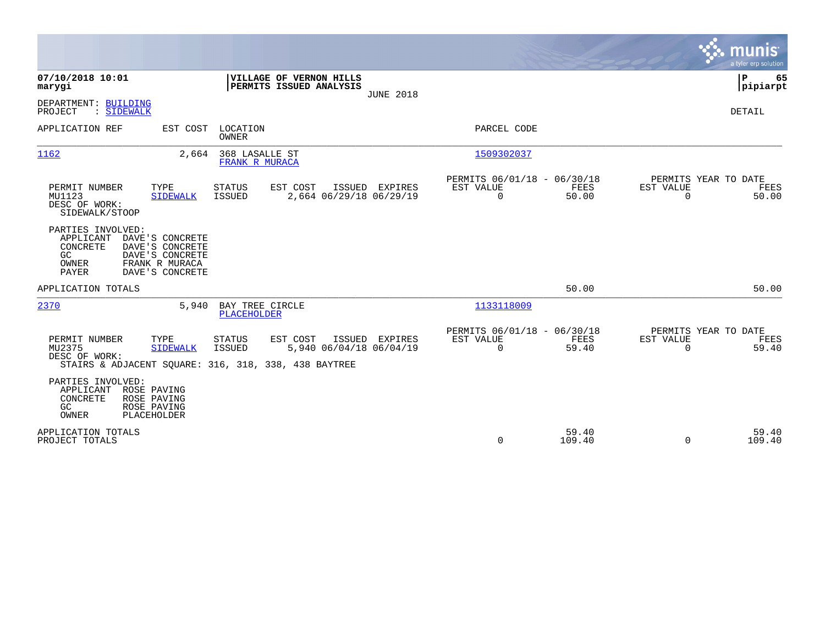|                                                                                                                                                                           |                                                                                                                                                       | munis<br>a tyler erp solution         |
|---------------------------------------------------------------------------------------------------------------------------------------------------------------------------|-------------------------------------------------------------------------------------------------------------------------------------------------------|---------------------------------------|
| 07/10/2018 10:01<br>VILLAGE OF VERNON HILLS<br>PERMITS ISSUED ANALYSIS<br>marygi                                                                                          | <b>JUNE 2018</b>                                                                                                                                      | P<br>65<br> pipiarpt                  |
| DEPARTMENT: BUILDING<br>: SIDEWALK<br>PROJECT                                                                                                                             |                                                                                                                                                       | <b>DETAIL</b>                         |
| APPLICATION REF<br>LOCATION<br>EST COST<br>OWNER                                                                                                                          | PARCEL CODE                                                                                                                                           |                                       |
| 1162<br>368 LASALLE ST<br>2,664<br>FRANK R MURACA                                                                                                                         | 1509302037                                                                                                                                            |                                       |
| EST COST<br>PERMIT NUMBER<br>TYPE<br><b>STATUS</b><br>MU1123<br><b>ISSUED</b><br><b>SIDEWALK</b><br>DESC OF WORK:<br>SIDEWALK/STOOP                                       | PERMITS 06/01/18 - 06/30/18<br>EST VALUE<br>ISSUED<br><b>EXPIRES</b><br>EST VALUE<br>FEES<br>2,664 06/29/18 06/29/19<br>$\Omega$<br>50.00<br>$\Omega$ | PERMITS YEAR TO DATE<br>FEES<br>50.00 |
| PARTIES INVOLVED:<br>APPLICANT<br>DAVE'S CONCRETE<br>CONCRETE<br>DAVE'S CONCRETE<br>GC<br>DAVE'S CONCRETE<br>FRANK R MURACA<br>OWNER<br>PAYER<br>DAVE'S CONCRETE          |                                                                                                                                                       |                                       |
| APPLICATION TOTALS                                                                                                                                                        | 50.00                                                                                                                                                 | 50.00                                 |
| 2370<br>BAY TREE CIRCLE<br>5,940<br>PLACEHOLDER                                                                                                                           | 1133118009                                                                                                                                            |                                       |
| PERMIT NUMBER<br>TYPE<br><b>STATUS</b><br>EST COST<br>MU2375<br><b>SIDEWALK</b><br><b>ISSUED</b><br>DESC OF WORK:<br>STAIRS & ADJACENT SOUARE: 316, 318, 338, 438 BAYTREE | PERMITS 06/01/18 - 06/30/18<br>EST VALUE<br><b>FEES</b><br>ISSUED<br>EXPIRES<br>EST VALUE<br>$\Omega$<br>$\Omega$<br>5,940 06/04/18 06/04/19<br>59.40 | PERMITS YEAR TO DATE<br>FEES<br>59.40 |
| PARTIES INVOLVED:<br>APPLICANT<br>ROSE PAVING<br>CONCRETE<br>ROSE PAVING<br>GC<br>ROSE PAVING<br>OWNER<br>PLACEHOLDER                                                     |                                                                                                                                                       |                                       |
| APPLICATION TOTALS<br>PROJECT TOTALS                                                                                                                                      | 59.40<br>$\Omega$<br>109.40<br>$\Omega$                                                                                                               | 59.40<br>109.40                       |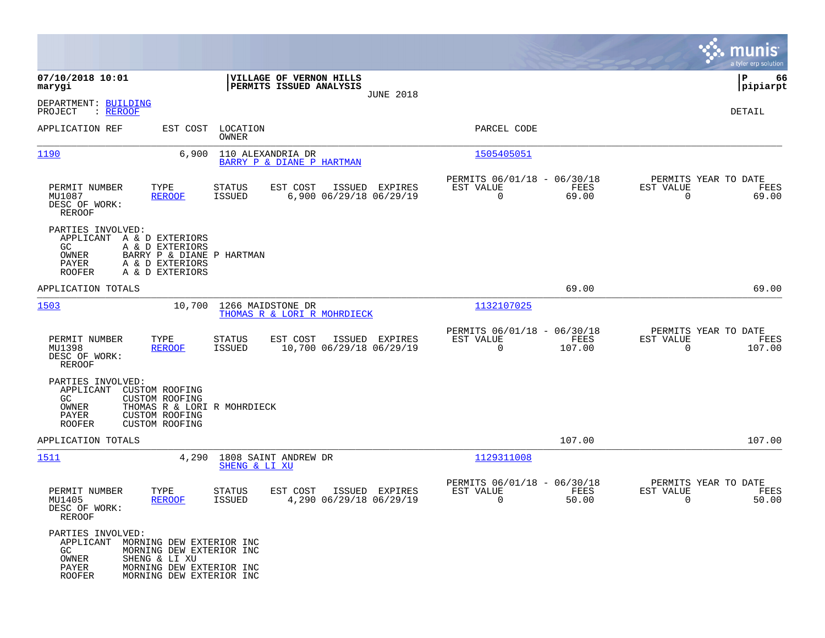|                                                                                                                                                                                                          |                                                                                   |                                                                          | munis<br>a tyler erp solution                                   |
|----------------------------------------------------------------------------------------------------------------------------------------------------------------------------------------------------------|-----------------------------------------------------------------------------------|--------------------------------------------------------------------------|-----------------------------------------------------------------|
| 07/10/2018 10:01<br>marygi                                                                                                                                                                               | VILLAGE OF VERNON HILLS<br>PERMITS ISSUED ANALYSIS                                |                                                                          | 66<br>IΡ<br> pipiarpt                                           |
| DEPARTMENT: BUILDING<br>PROJECT<br>: <u>REROOF</u>                                                                                                                                                       | <b>JUNE 2018</b>                                                                  |                                                                          | DETAIL                                                          |
| APPLICATION REF<br>EST COST                                                                                                                                                                              | LOCATION<br>OWNER                                                                 | PARCEL CODE                                                              |                                                                 |
| 1190<br>6,900                                                                                                                                                                                            | 110 ALEXANDRIA DR<br>BARRY P & DIANE P HARTMAN                                    | 1505405051                                                               |                                                                 |
| PERMIT NUMBER<br>TYPE<br>MU1087<br><b>REROOF</b><br>DESC OF WORK:<br><b>REROOF</b>                                                                                                                       | EST COST<br>STATUS<br>ISSUED EXPIRES<br><b>ISSUED</b><br>6,900 06/29/18 06/29/19  | PERMITS 06/01/18 - 06/30/18<br>FEES<br>EST VALUE<br>$\mathbf 0$<br>69.00 | PERMITS YEAR TO DATE<br>EST VALUE<br>FEES<br>$\Omega$<br>69.00  |
| PARTIES INVOLVED:<br>APPLICANT A & D EXTERIORS<br>GC.<br>A & D EXTERIORS<br>OWNER<br>BARRY P & DIANE P HARTMAN<br>PAYER<br>A & D EXTERIORS<br><b>ROOFER</b><br>A & D EXTERIORS                           |                                                                                   |                                                                          |                                                                 |
| APPLICATION TOTALS                                                                                                                                                                                       |                                                                                   | 69.00                                                                    | 69.00                                                           |
| 1503<br>10,700                                                                                                                                                                                           | 1266 MAIDSTONE DR<br>THOMAS R & LORI R MOHRDIECK                                  | 1132107025                                                               |                                                                 |
| PERMIT NUMBER<br>TYPE<br>MU1398<br><b>REROOF</b><br>DESC OF WORK:<br><b>REROOF</b>                                                                                                                       | EST COST<br>ISSUED EXPIRES<br>STATUS<br>10,700 06/29/18 06/29/19<br><b>ISSUED</b> | PERMITS 06/01/18 - 06/30/18<br>EST VALUE<br>FEES<br>$\Omega$<br>107.00   | PERMITS YEAR TO DATE<br>EST VALUE<br>FEES<br>$\Omega$<br>107.00 |
| PARTIES INVOLVED:<br>APPLICANT<br><b>CUSTOM ROOFING</b><br>GC.<br>CUSTOM ROOFING<br>OWNER<br>THOMAS R & LORI R MOHRDIECK<br>PAYER<br><b>CUSTOM ROOFING</b><br><b>ROOFER</b><br><b>CUSTOM ROOFING</b>     |                                                                                   |                                                                          |                                                                 |
| APPLICATION TOTALS                                                                                                                                                                                       |                                                                                   | 107.00                                                                   | 107.00                                                          |
| 1511<br>4,290                                                                                                                                                                                            | 1808 SAINT ANDREW DR<br>SHENG & LI XU                                             | 1129311008                                                               |                                                                 |
| PERMIT NUMBER<br>TYPE<br>MU1405<br><b>REROOF</b><br>DESC OF WORK:<br>REROOF                                                                                                                              | STATUS<br>EST COST<br>ISSUED EXPIRES<br>4,290 06/29/18 06/29/19<br><b>ISSUED</b>  | PERMITS 06/01/18 - 06/30/18<br>EST VALUE<br>FEES<br>0<br>50.00           | PERMITS YEAR TO DATE<br>EST VALUE<br>FEES<br>0<br>50.00         |
| PARTIES INVOLVED:<br>APPLICANT<br>MORNING DEW EXTERIOR INC<br>GC<br>MORNING DEW EXTERIOR INC<br>OWNER<br>SHENG & LI XU<br>PAYER<br>MORNING DEW EXTERIOR INC<br><b>ROOFER</b><br>MORNING DEW EXTERIOR INC |                                                                                   |                                                                          |                                                                 |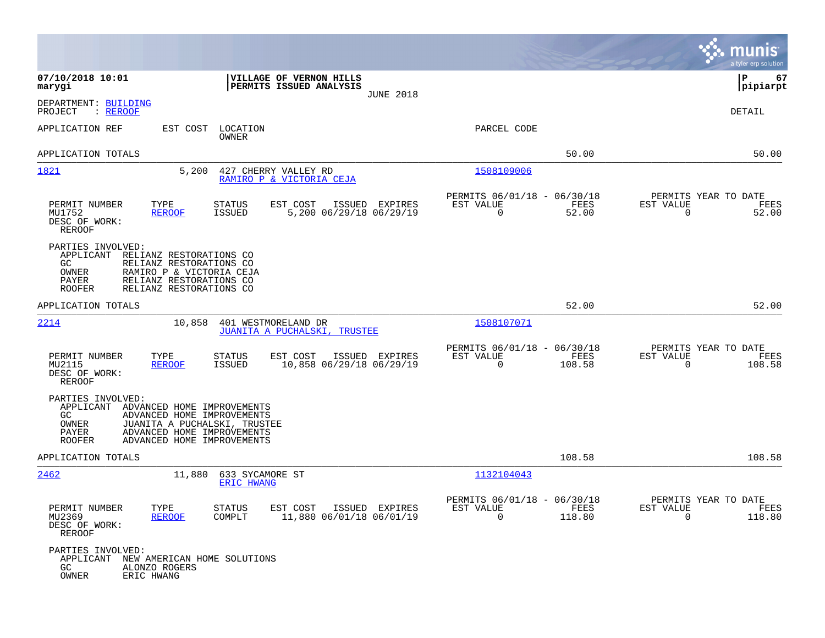|                                                                                                                                                                                                                                  |                                                                                          |                                                                           | munis<br>a tyler erp solution                                      |
|----------------------------------------------------------------------------------------------------------------------------------------------------------------------------------------------------------------------------------|------------------------------------------------------------------------------------------|---------------------------------------------------------------------------|--------------------------------------------------------------------|
| 07/10/2018 10:01<br>marygi                                                                                                                                                                                                       | VILLAGE OF VERNON HILLS<br>PERMITS ISSUED ANALYSIS<br><b>JUNE 2018</b>                   |                                                                           | 67<br>P<br> pipiarpt                                               |
| DEPARTMENT: BUILDING<br>PROJECT<br>: <u>REROOF</u>                                                                                                                                                                               |                                                                                          |                                                                           | <b>DETAIL</b>                                                      |
| APPLICATION REF<br>EST COST                                                                                                                                                                                                      | LOCATION<br>OWNER                                                                        | PARCEL CODE                                                               |                                                                    |
| APPLICATION TOTALS                                                                                                                                                                                                               |                                                                                          | 50.00                                                                     | 50.00                                                              |
| 1821<br>5,200                                                                                                                                                                                                                    | 427 CHERRY VALLEY RD<br>RAMIRO P & VICTORIA CEJA                                         | 1508109006                                                                |                                                                    |
| PERMIT NUMBER<br>TYPE<br>MU1752<br><b>REROOF</b><br>DESC OF WORK:<br><b>REROOF</b>                                                                                                                                               | STATUS<br>EST COST<br>ISSUED EXPIRES<br>5,200 06/29/18 06/29/19<br><b>ISSUED</b>         | PERMITS 06/01/18 - 06/30/18<br>EST VALUE<br>FEES<br>$\mathbf 0$<br>52.00  | PERMITS YEAR TO DATE<br>EST VALUE<br>FEES<br>$\mathbf 0$<br>52.00  |
| PARTIES INVOLVED:<br>APPLICANT<br>RELIANZ RESTORATIONS CO<br>RELIANZ RESTORATIONS CO<br>GC.<br>OWNER<br>RAMIRO P & VICTORIA CEJA<br>PAYER<br>RELIANZ RESTORATIONS CO<br>RELIANZ RESTORATIONS CO<br><b>ROOFER</b>                 |                                                                                          |                                                                           |                                                                    |
| APPLICATION TOTALS                                                                                                                                                                                                               |                                                                                          | 52.00                                                                     | 52.00                                                              |
| 2214<br>10,858                                                                                                                                                                                                                   | 401 WESTMORELAND DR<br>JUANITA A PUCHALSKI, TRUSTEE                                      | 1508107071                                                                |                                                                    |
| PERMIT NUMBER<br>TYPE<br>MU2115<br><b>REROOF</b><br>DESC OF WORK:<br>REROOF                                                                                                                                                      | <b>STATUS</b><br>EST COST<br>ISSUED EXPIRES<br>10,858 06/29/18 06/29/19<br><b>ISSUED</b> | PERMITS 06/01/18 - 06/30/18<br>EST VALUE<br>FEES<br>$\mathbf 0$<br>108.58 | PERMITS YEAR TO DATE<br>EST VALUE<br>FEES<br>$\mathbf 0$<br>108.58 |
| PARTIES INVOLVED:<br>APPLICANT<br>ADVANCED HOME IMPROVEMENTS<br>ADVANCED HOME IMPROVEMENTS<br>GC.<br>OWNER<br>JUANITA A PUCHALSKI, TRUSTEE<br>ADVANCED HOME IMPROVEMENTS<br>PAYER<br><b>ROOFER</b><br>ADVANCED HOME IMPROVEMENTS |                                                                                          |                                                                           |                                                                    |
| APPLICATION TOTALS                                                                                                                                                                                                               |                                                                                          | 108.58                                                                    | 108.58                                                             |
| 2462<br>11,880                                                                                                                                                                                                                   | 633 SYCAMORE ST<br><b>ERIC HWANG</b>                                                     | 1132104043                                                                |                                                                    |
| PERMIT NUMBER<br>TYPE<br>MU2369<br><u>REROOF</u><br>DESC OF WORK:<br>REROOF                                                                                                                                                      | STATUS<br>EST COST ISSUED EXPIRES<br>11,880 06/01/18 06/01/19<br>COMPLT                  | PERMITS 06/01/18 - 06/30/18<br>FEES<br>EST AUTOE<br>$\Omega$<br>118.80    | PERMITS YEAR TO DATE<br>EST VALUE<br>FEES<br>$\Omega$<br>118.80    |
| PARTIES INVOLVED:<br>APPLICANT NEW AMERICAN HOME SOLUTIONS<br>GC<br>ALONZO ROGERS<br>OWNER<br>ERIC HWANG                                                                                                                         |                                                                                          |                                                                           |                                                                    |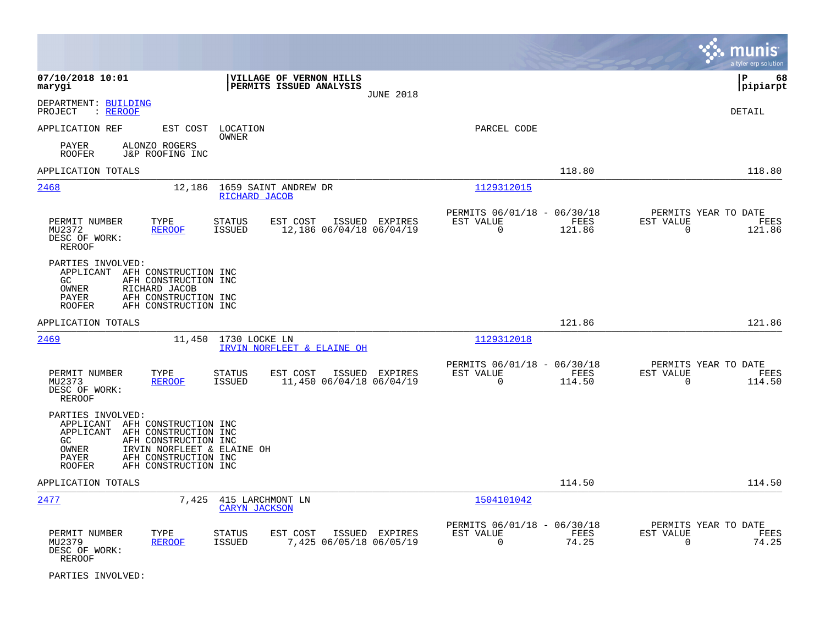|                                                                                                            |                                                                                                                            |                                          |                                                    |                  |                                                         |                |                                                  | munis<br>a tyler erp solution |
|------------------------------------------------------------------------------------------------------------|----------------------------------------------------------------------------------------------------------------------------|------------------------------------------|----------------------------------------------------|------------------|---------------------------------------------------------|----------------|--------------------------------------------------|-------------------------------|
| 07/10/2018 10:01<br>marygi                                                                                 |                                                                                                                            |                                          | VILLAGE OF VERNON HILLS<br>PERMITS ISSUED ANALYSIS | <b>JUNE 2018</b> |                                                         |                |                                                  | P<br>68<br> pipiarpt          |
| DEPARTMENT: BUILDING<br>PROJECT<br>: <u>REROOF</u>                                                         |                                                                                                                            |                                          |                                                    |                  |                                                         |                |                                                  | DETAIL                        |
| APPLICATION REF                                                                                            |                                                                                                                            | EST COST LOCATION<br>OWNER               |                                                    |                  | PARCEL CODE                                             |                |                                                  |                               |
| PAYER<br><b>ROOFER</b>                                                                                     | ALONZO ROGERS<br>J&P ROOFING INC                                                                                           |                                          |                                                    |                  |                                                         |                |                                                  |                               |
| APPLICATION TOTALS                                                                                         |                                                                                                                            |                                          |                                                    |                  |                                                         | 118.80         |                                                  | 118.80                        |
| 2468                                                                                                       | 12,186                                                                                                                     | RICHARD JACOB                            | 1659 SAINT ANDREW DR                               |                  | 1129312015                                              |                |                                                  |                               |
| PERMIT NUMBER<br>MU2372                                                                                    | TYPE<br><b>REROOF</b>                                                                                                      | <b>STATUS</b><br><b>ISSUED</b>           | EST COST<br>12,186 06/04/18 06/04/19               | ISSUED EXPIRES   | PERMITS 06/01/18 - 06/30/18<br>EST VALUE<br>$\mathbf 0$ | FEES<br>121.86 | PERMITS YEAR TO DATE<br>EST VALUE<br>$\mathbf 0$ | FEES<br>121.86                |
| DESC OF WORK:<br>REROOF                                                                                    |                                                                                                                            |                                          |                                                    |                  |                                                         |                |                                                  |                               |
| PARTIES INVOLVED:<br>APPLICANT AFH CONSTRUCTION INC<br>GC<br>OWNER<br>PAYER<br><b>ROOFER</b>               | AFH CONSTRUCTION INC<br>RICHARD JACOB<br>AFH CONSTRUCTION INC<br>AFH CONSTRUCTION INC                                      |                                          |                                                    |                  |                                                         |                |                                                  |                               |
| APPLICATION TOTALS                                                                                         |                                                                                                                            |                                          |                                                    |                  |                                                         | 121.86         |                                                  | 121.86                        |
| 2469                                                                                                       |                                                                                                                            | 11,450 1730 LOCKE LN                     | IRVIN NORFLEET & ELAINE OH                         |                  | 1129312018                                              |                |                                                  |                               |
| PERMIT NUMBER<br>MU2373<br>DESC OF WORK:<br><b>REROOF</b>                                                  | TYPE<br><b>REROOF</b>                                                                                                      | <b>STATUS</b><br><b>ISSUED</b>           | EST COST<br>11,450 06/04/18 06/04/19               | ISSUED EXPIRES   | PERMITS 06/01/18 - 06/30/18<br>EST VALUE<br>$\Omega$    | FEES<br>114.50 | PERMITS YEAR TO DATE<br>EST VALUE<br>$\Omega$    | FEES<br>114.50                |
| PARTIES INVOLVED:<br>APPLICANT AFH CONSTRUCTION INC<br>APPLICANT<br>GC.<br>OWNER<br>PAYER<br><b>ROOFER</b> | AFH CONSTRUCTION INC<br>AFH CONSTRUCTION INC<br>IRVIN NORFLEET & ELAINE OH<br>AFH CONSTRUCTION INC<br>AFH CONSTRUCTION INC |                                          |                                                    |                  |                                                         |                |                                                  |                               |
| APPLICATION TOTALS                                                                                         |                                                                                                                            |                                          |                                                    |                  |                                                         | 114.50         |                                                  | 114.50                        |
| 2477                                                                                                       | 7,425                                                                                                                      | 415 LARCHMONT LN<br><b>CARYN JACKSON</b> |                                                    |                  | 1504101042                                              |                |                                                  |                               |
| PERMIT NUMBER<br>MU2379<br>DESC OF WORK:<br>REROOF                                                         | TYPE<br><b>REROOF</b>                                                                                                      | <b>STATUS</b><br>ISSUED                  | EST COST<br>7,425 06/05/18 06/05/19                | ISSUED EXPIRES   | PERMITS 06/01/18 - 06/30/18<br>EST VALUE<br>0           | FEES<br>74.25  | PERMITS YEAR TO DATE<br>EST VALUE<br>0           | FEES<br>74.25                 |

PARTIES INVOLVED: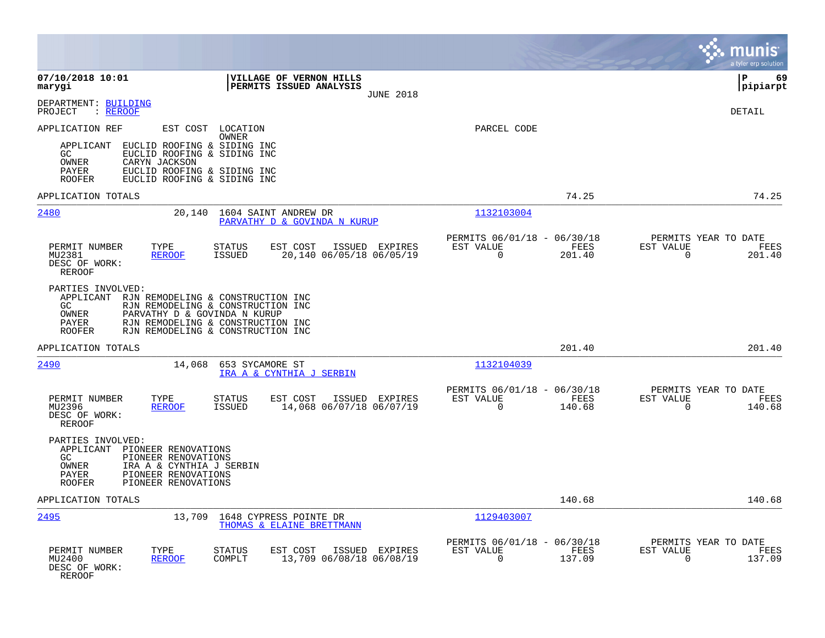|                                                                                                                                                                                                                                 |                                                                                                                                                  |                                                                           | munis<br>a tyler erp solution                                      |
|---------------------------------------------------------------------------------------------------------------------------------------------------------------------------------------------------------------------------------|--------------------------------------------------------------------------------------------------------------------------------------------------|---------------------------------------------------------------------------|--------------------------------------------------------------------|
| 07/10/2018 10:01<br>marygi                                                                                                                                                                                                      | VILLAGE OF VERNON HILLS<br>PERMITS ISSUED ANALYSIS<br><b>JUNE 2018</b>                                                                           |                                                                           | l P<br>69<br> pipiarpt                                             |
| DEPARTMENT: BUILDING<br>: REROOF<br>PROJECT                                                                                                                                                                                     |                                                                                                                                                  |                                                                           | <b>DETAIL</b>                                                      |
| APPLICATION REF<br>EST COST<br>EUCLID ROOFING & SIDING INC<br>APPLICANT<br>EUCLID ROOFING & SIDING INC<br>GC.<br>OWNER<br>CARYN JACKSON<br>EUCLID ROOFING & SIDING INC<br>PAYER<br>EUCLID ROOFING & SIDING INC<br><b>ROOFER</b> | LOCATION<br><b>OWNER</b>                                                                                                                         | PARCEL CODE                                                               |                                                                    |
| APPLICATION TOTALS                                                                                                                                                                                                              |                                                                                                                                                  | 74.25                                                                     | 74.25                                                              |
| 2480<br>20,140                                                                                                                                                                                                                  | 1604 SAINT ANDREW DR<br>PARVATHY D & GOVINDA N KURUP                                                                                             | 1132103004                                                                |                                                                    |
| PERMIT NUMBER<br>TYPE<br><b>REROOF</b><br>MU2381<br>DESC OF WORK:<br><b>REROOF</b>                                                                                                                                              | EST COST<br>STATUS<br>ISSUED EXPIRES<br>20,140 06/05/18 06/05/19<br>ISSUED                                                                       | PERMITS 06/01/18 - 06/30/18<br>EST VALUE<br>FEES<br>$\Omega$<br>201.40    | PERMITS YEAR TO DATE<br>EST VALUE<br>FEES<br>$\Omega$<br>201.40    |
| PARTIES INVOLVED:<br>APPLICANT<br>GC.<br>PARVATHY D & GOVINDA N KURUP<br>OWNER<br>PAYER<br><b>ROOFER</b>                                                                                                                        | RJN REMODELING & CONSTRUCTION INC<br>RJN REMODELING & CONSTRUCTION INC<br>RJN REMODELING & CONSTRUCTION INC<br>RJN REMODELING & CONSTRUCTION INC |                                                                           |                                                                    |
| APPLICATION TOTALS                                                                                                                                                                                                              |                                                                                                                                                  | 201.40                                                                    | 201.40                                                             |
| 2490<br>14,068                                                                                                                                                                                                                  | 653 SYCAMORE ST<br>IRA A & CYNTHIA J SERBIN                                                                                                      | 1132104039                                                                |                                                                    |
| PERMIT NUMBER<br>TYPE<br>MU2396<br><b>REROOF</b><br>DESC OF WORK:<br><b>REROOF</b>                                                                                                                                              | EST COST<br>ISSUED EXPIRES<br>STATUS<br>14,068 06/07/18 06/07/19<br><b>ISSUED</b>                                                                | PERMITS 06/01/18 - 06/30/18<br>EST VALUE<br>FEES<br>$\mathbf 0$<br>140.68 | PERMITS YEAR TO DATE<br>EST VALUE<br>FEES<br>$\mathbf 0$<br>140.68 |
| PARTIES INVOLVED:<br>APPLICANT<br>PIONEER RENOVATIONS<br>GC<br>PIONEER RENOVATIONS<br>OWNER<br>IRA A & CYNTHIA J SERBIN<br>PIONEER RENOVATIONS<br>PAYER<br>PIONEER RENOVATIONS<br><b>ROOFER</b>                                 |                                                                                                                                                  |                                                                           |                                                                    |
| APPLICATION TOTALS                                                                                                                                                                                                              |                                                                                                                                                  | 140.68                                                                    | 140.68                                                             |
| 2495<br>13,709                                                                                                                                                                                                                  | 1648 CYPRESS POINTE DR<br>THOMAS & ELAINE BRETTMANN                                                                                              | 1129403007                                                                |                                                                    |
| PERMIT NUMBER<br>TYPE<br>MU2400<br><b>REROOF</b><br>DESC OF WORK:<br><b>REROOF</b>                                                                                                                                              | <b>STATUS</b><br>EST COST<br>ISSUED EXPIRES<br>13,709 06/08/18 06/08/19<br>COMPLT                                                                | PERMITS 06/01/18 - 06/30/18<br>EST VALUE<br>FEES<br>$\mathbf 0$<br>137.09 | PERMITS YEAR TO DATE<br>EST VALUE<br>FEES<br>137.09<br>0           |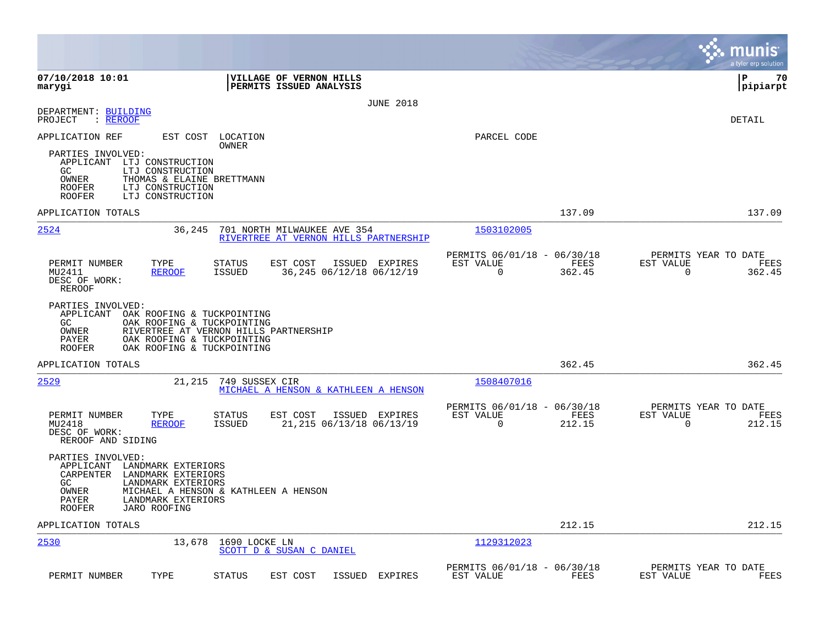|                                                                                                                                                                                                     |                                                                                   |                                                                           | munis<br>a tyler erp solution                                      |
|-----------------------------------------------------------------------------------------------------------------------------------------------------------------------------------------------------|-----------------------------------------------------------------------------------|---------------------------------------------------------------------------|--------------------------------------------------------------------|
| 07/10/2018 10:01<br>marygi                                                                                                                                                                          | VILLAGE OF VERNON HILLS<br>PERMITS ISSUED ANALYSIS                                |                                                                           | l P<br>70<br> pipiarpt                                             |
|                                                                                                                                                                                                     | <b>JUNE 2018</b>                                                                  |                                                                           |                                                                    |
| DEPARTMENT: BUILDING<br>PROJECT<br>: REROOF                                                                                                                                                         |                                                                                   |                                                                           | DETAIL                                                             |
| APPLICATION REF<br>EST COST                                                                                                                                                                         | LOCATION                                                                          | PARCEL CODE                                                               |                                                                    |
| PARTIES INVOLVED:<br>APPLICANT LTJ CONSTRUCTION<br>GC.<br>LTJ CONSTRUCTION<br>OWNER<br>THOMAS & ELAINE BRETTMANN<br><b>ROOFER</b><br>LTJ CONSTRUCTION<br><b>ROOFER</b><br>LTJ CONSTRUCTION          | OWNER                                                                             |                                                                           |                                                                    |
| APPLICATION TOTALS                                                                                                                                                                                  |                                                                                   | 137.09                                                                    | 137.09                                                             |
| 2524<br>36,245                                                                                                                                                                                      | 701 NORTH MILWAUKEE AVE 354<br>RIVERTREE AT VERNON HILLS PARTNERSHIP              | 1503102005                                                                |                                                                    |
| PERMIT NUMBER<br>TYPE<br>MU2411<br><b>REROOF</b><br>DESC OF WORK:<br>REROOF                                                                                                                         | EST COST<br>STATUS<br>ISSUED EXPIRES<br><b>ISSUED</b><br>36,245 06/12/18 06/12/19 | PERMITS 06/01/18 - 06/30/18<br>FEES<br>EST VALUE<br>$\Omega$<br>362.45    | PERMITS YEAR TO DATE<br>EST VALUE<br>FEES<br>$\mathbf 0$<br>362.45 |
| PARTIES INVOLVED:<br>APPLICANT<br>OAK ROOFING & TUCKPOINTING<br>GC<br>OAK ROOFING & TUCKPOINTING<br>OWNER<br>PAYER<br>OAK ROOFING & TUCKPOINTING<br>OAK ROOFING & TUCKPOINTING<br><b>ROOFER</b>     | RIVERTREE AT VERNON HILLS PARTNERSHIP                                             |                                                                           |                                                                    |
| APPLICATION TOTALS                                                                                                                                                                                  |                                                                                   | 362.45                                                                    | 362.45                                                             |
| 2529<br>21,215                                                                                                                                                                                      | 749 SUSSEX CIR<br>MICHAEL A HENSON & KATHLEEN A HENSON                            | <u>1508407016</u>                                                         |                                                                    |
| PERMIT NUMBER<br>TYPE<br>MU2418<br><b>REROOF</b><br>DESC OF WORK:<br>REROOF AND SIDING                                                                                                              | EST COST<br>ISSUED EXPIRES<br>STATUS<br>ISSUED<br>21, 215 06/13/18 06/13/19       | PERMITS 06/01/18 - 06/30/18<br>EST VALUE<br>FEES<br>$\mathbf 0$<br>212.15 | PERMITS YEAR TO DATE<br>EST VALUE<br>FEES<br>0<br>212.15           |
| PARTIES INVOLVED:<br>APPLICANT<br>LANDMARK EXTERIORS<br>CARPENTER<br>LANDMARK EXTERIORS<br>GC<br>LANDMARK EXTERIORS<br>OWNER<br>PAYER<br>LANDMARK EXTERIORS<br><b>ROOFER</b><br><b>JARO ROOFING</b> | MICHAEL A HENSON & KATHLEEN A HENSON                                              |                                                                           |                                                                    |
| APPLICATION TOTALS                                                                                                                                                                                  |                                                                                   | 212.15                                                                    | 212.15                                                             |
| 2530<br>13,678                                                                                                                                                                                      | 1690 LOCKE LN<br>SCOTT D & SUSAN C DANIEL                                         | 1129312023                                                                |                                                                    |
| TYPE<br>PERMIT NUMBER                                                                                                                                                                               | <b>STATUS</b><br>EST COST<br>ISSUED EXPIRES                                       | PERMITS 06/01/18 - 06/30/18<br>EST VALUE<br>FEES                          | PERMITS YEAR TO DATE<br>EST VALUE<br>FEES                          |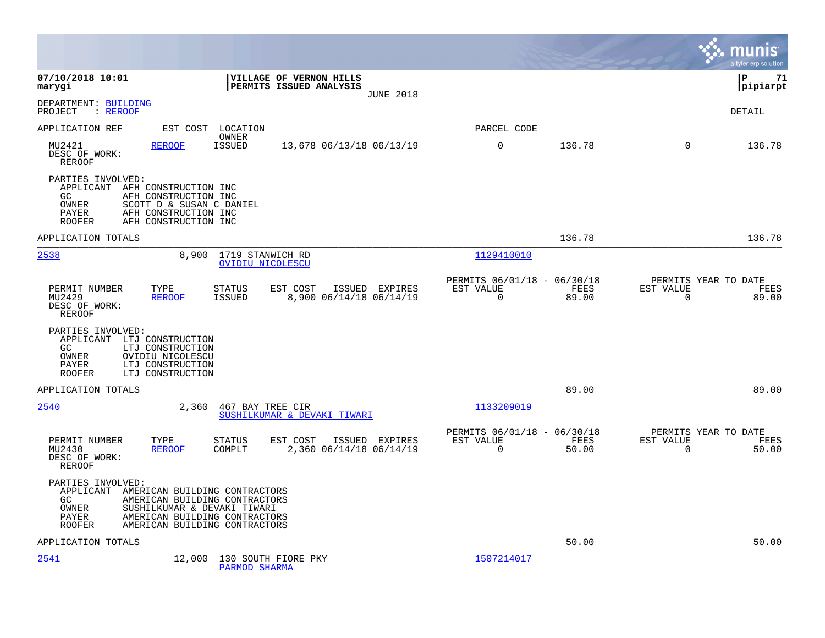|                                                                                                                                                                                                                                             |                                           |                                                      |               |                                                  | munis<br>a tyler erp solution |
|---------------------------------------------------------------------------------------------------------------------------------------------------------------------------------------------------------------------------------------------|-------------------------------------------|------------------------------------------------------|---------------|--------------------------------------------------|-------------------------------|
| 07/10/2018 10:01<br>VILLAGE OF VERNON HILLS<br>marygi<br>PERMITS ISSUED ANALYSIS                                                                                                                                                            | <b>JUNE 2018</b>                          |                                                      |               |                                                  | ΙP<br>71<br> pipiarpt         |
| DEPARTMENT: BUILDING<br>PROJECT<br>: <u>REROOF</u>                                                                                                                                                                                          |                                           |                                                      |               |                                                  | <b>DETAIL</b>                 |
| APPLICATION REF<br>EST COST LOCATION<br>OWNER                                                                                                                                                                                               |                                           | PARCEL CODE                                          |               |                                                  |                               |
| MU2421<br><b>REROOF</b><br>ISSUED<br>13,678 06/13/18 06/13/19<br>DESC OF WORK:<br>REROOF                                                                                                                                                    |                                           | 0                                                    | 136.78        | $\mathbf 0$                                      | 136.78                        |
| PARTIES INVOLVED:<br>APPLICANT AFH CONSTRUCTION INC<br>GC.<br>AFH CONSTRUCTION INC<br>OWNER<br>SCOTT D & SUSAN C DANIEL<br>PAYER<br>AFH CONSTRUCTION INC<br>AFH CONSTRUCTION INC<br><b>ROOFER</b>                                           |                                           |                                                      |               |                                                  |                               |
| APPLICATION TOTALS                                                                                                                                                                                                                          |                                           |                                                      | 136.78        |                                                  | 136.78                        |
| 2538<br>8,900<br>1719 STANWICH RD<br><b>OVIDIU NICOLESCU</b>                                                                                                                                                                                |                                           | 1129410010                                           |               |                                                  |                               |
| PERMIT NUMBER<br>TYPE<br><b>STATUS</b><br>EST COST<br>MU2429<br><b>REROOF</b><br>ISSUED<br>DESC OF WORK:<br><b>REROOF</b>                                                                                                                   | ISSUED EXPIRES<br>8,900 06/14/18 06/14/19 | PERMITS 06/01/18 - 06/30/18<br>EST VALUE<br>0        | FEES<br>89.00 | PERMITS YEAR TO DATE<br>EST VALUE<br>$\mathbf 0$ | FEES<br>89.00                 |
| PARTIES INVOLVED:<br>APPLICANT LTJ CONSTRUCTION<br>GC.<br>LTJ CONSTRUCTION<br>OWNER<br>OVIDIU NICOLESCU<br>LTJ CONSTRUCTION<br>PAYER<br>LTJ CONSTRUCTION<br><b>ROOFER</b>                                                                   |                                           |                                                      |               |                                                  |                               |
| APPLICATION TOTALS                                                                                                                                                                                                                          |                                           |                                                      | 89.00         |                                                  | 89.00                         |
| 2540<br>2,360<br>467 BAY TREE CIR<br>SUSHILKUMAR & DEVAKI TIWARI                                                                                                                                                                            |                                           | 1133209019                                           |               |                                                  |                               |
| PERMIT NUMBER<br>TYPE<br><b>STATUS</b><br>EST COST<br>MU2430<br><b>REROOF</b><br>COMPLT<br>DESC OF WORK:<br><b>REROOF</b>                                                                                                                   | ISSUED EXPIRES<br>2,360 06/14/18 06/14/19 | PERMITS 06/01/18 - 06/30/18<br>EST VALUE<br>$\Omega$ | FEES<br>50.00 | PERMITS YEAR TO DATE<br>EST VALUE<br>$\mathbf 0$ | FEES<br>50.00                 |
| PARTIES INVOLVED:<br>APPLICANT<br>AMERICAN BUILDING CONTRACTORS<br>GC.<br>AMERICAN BUILDING CONTRACTORS<br>OWNER<br>SUSHILKUMAR & DEVAKI TIWARI<br>PAYER<br>AMERICAN BUILDING CONTRACTORS<br>AMERICAN BUILDING CONTRACTORS<br><b>ROOFER</b> |                                           |                                                      |               |                                                  |                               |
| APPLICATION TOTALS                                                                                                                                                                                                                          |                                           |                                                      | 50.00         |                                                  | 50.00                         |
| 2541<br>12,000<br>130 SOUTH FIORE PKY<br>PARMOD SHARMA                                                                                                                                                                                      |                                           | 1507214017                                           |               |                                                  |                               |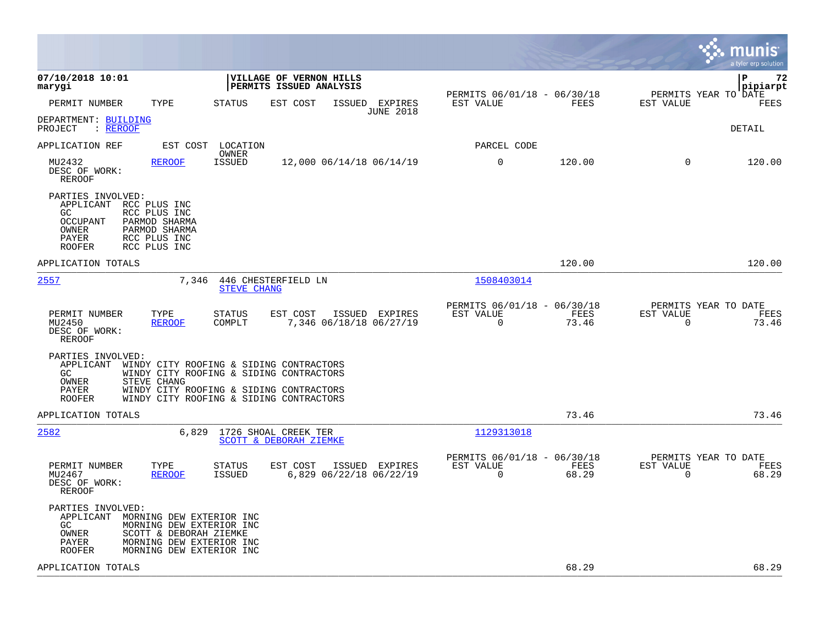|                                                                                                                                                                                     |                                                                                                                                                                          |                                                                          | munis<br>a tyler erp solution                                     |
|-------------------------------------------------------------------------------------------------------------------------------------------------------------------------------------|--------------------------------------------------------------------------------------------------------------------------------------------------------------------------|--------------------------------------------------------------------------|-------------------------------------------------------------------|
| 07/10/2018 10:01<br>marygi                                                                                                                                                          | <b>VILLAGE OF VERNON HILLS</b><br><b>  PERMITS ISSUED ANALYSIS</b>                                                                                                       |                                                                          | l P<br>72<br> pipiarpt<br>PERMITS YEAR TO DATE                    |
| TYPE<br>PERMIT NUMBER                                                                                                                                                               | <b>STATUS</b><br>EST COST<br>ISSUED EXPIRES<br><b>JUNE 2018</b>                                                                                                          | PERMITS 06/01/18 - 06/30/18<br>EST VALUE<br>FEES                         | EST VALUE<br>FEES                                                 |
| DEPARTMENT: BUILDING<br>: REROOF<br>PROJECT                                                                                                                                         |                                                                                                                                                                          |                                                                          | DETAIL                                                            |
| APPLICATION REF                                                                                                                                                                     | EST COST<br>LOCATION<br>OWNER                                                                                                                                            | PARCEL CODE                                                              |                                                                   |
| <b>REROOF</b><br>MU2432<br>DESC OF WORK:<br><b>REROOF</b>                                                                                                                           | <b>ISSUED</b><br>12,000 06/14/18 06/14/19                                                                                                                                | 0<br>120.00                                                              | $\Omega$<br>120.00                                                |
| PARTIES INVOLVED:<br>APPLICANT RCC PLUS INC<br>GC.<br>RCC PLUS INC<br>OCCUPANT<br>PARMOD SHARMA<br>OWNER<br>PARMOD SHARMA<br>RCC PLUS INC<br>PAYER<br>RCC PLUS INC<br><b>ROOFER</b> |                                                                                                                                                                          |                                                                          |                                                                   |
| APPLICATION TOTALS                                                                                                                                                                  |                                                                                                                                                                          | 120.00                                                                   | 120.00                                                            |
| 2557                                                                                                                                                                                | 7,346<br>446 CHESTERFIELD LN<br><b>STEVE CHANG</b>                                                                                                                       | 1508403014                                                               |                                                                   |
| TYPE<br>PERMIT NUMBER<br>MU2450<br><b>REROOF</b><br>DESC OF WORK:<br>REROOF                                                                                                         | ISSUED EXPIRES<br><b>STATUS</b><br>EST COST<br>COMPLT<br>7,346 06/18/18 06/27/19                                                                                         | PERMITS 06/01/18 - 06/30/18<br>EST VALUE<br>FEES<br>$\Omega$<br>73.46    | PERMITS YEAR TO DATE<br>EST VALUE<br>FEES<br>$\mathbf 0$<br>73.46 |
| PARTIES INVOLVED:<br>APPLICANT<br>GC.<br>OWNER<br>STEVE CHANG<br>PAYER<br><b>ROOFER</b>                                                                                             | WINDY CITY ROOFING & SIDING CONTRACTORS<br>WINDY CITY ROOFING & SIDING CONTRACTORS<br>WINDY CITY ROOFING & SIDING CONTRACTORS<br>WINDY CITY ROOFING & SIDING CONTRACTORS |                                                                          |                                                                   |
| APPLICATION TOTALS                                                                                                                                                                  |                                                                                                                                                                          | 73.46                                                                    | 73.46                                                             |
| 2582                                                                                                                                                                                | 6,829<br>1726 SHOAL CREEK TER<br>SCOTT & DEBORAH ZIEMKE                                                                                                                  | 1129313018                                                               |                                                                   |
| PERMIT NUMBER<br>TYPE<br>MU2467<br><b>REROOF</b><br>DESC OF WORK:<br><b>REROOF</b>                                                                                                  | <b>STATUS</b><br>EST COST<br>ISSUED EXPIRES<br>6,829 06/22/18 06/22/19<br><b>ISSUED</b>                                                                                  | PERMITS 06/01/18 - 06/30/18<br>EST VALUE<br>FEES<br>$\mathbf 0$<br>68.29 | PERMITS YEAR TO DATE<br>EST VALUE<br>FEES<br>68.29<br>$\mathbf 0$ |
| PARTIES INVOLVED:<br>APPLICANT<br>GC.<br>OWNER<br>PAYER<br><b>ROOFER</b>                                                                                                            | MORNING DEW EXTERIOR INC<br>MORNING DEW EXTERIOR INC<br>SCOTT & DEBORAH ZIEMKE<br>MORNING DEW EXTERIOR INC<br>MORNING DEW EXTERIOR INC                                   |                                                                          |                                                                   |
| APPLICATION TOTALS                                                                                                                                                                  |                                                                                                                                                                          | 68.29                                                                    | 68.29                                                             |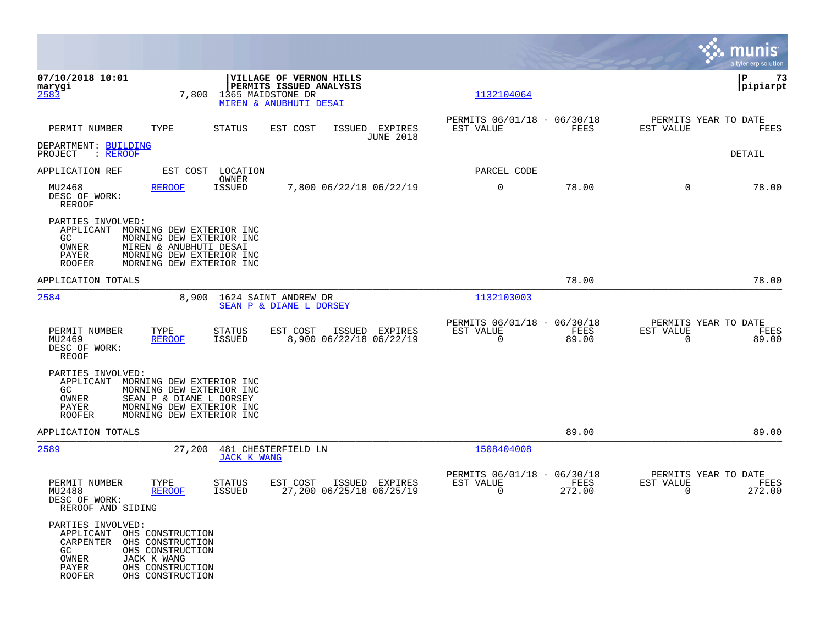|                                                                                                       |                                                                                                                                         |                                |                                                                              |                                            |                                               |                |                                                  | munis<br>a tyler erp solution |
|-------------------------------------------------------------------------------------------------------|-----------------------------------------------------------------------------------------------------------------------------------------|--------------------------------|------------------------------------------------------------------------------|--------------------------------------------|-----------------------------------------------|----------------|--------------------------------------------------|-------------------------------|
| 07/10/2018 10:01<br>marygi<br>2583                                                                    |                                                                                                                                         | 7,800 1365 MAIDSTONE DR        | VILLAGE OF VERNON HILLS<br>PERMITS ISSUED ANALYSIS<br>MIREN & ANUBHUTI DESAI |                                            | 1132104064                                    |                |                                                  | P<br>73<br> pipiarpt          |
| PERMIT NUMBER                                                                                         | TYPE                                                                                                                                    | STATUS                         | EST COST                                                                     | ISSUED EXPIRES<br><b>JUNE 2018</b>         | PERMITS 06/01/18 - 06/30/18<br>EST VALUE      | FEES           | PERMITS YEAR TO DATE<br>EST VALUE                | FEES                          |
| DEPARTMENT: BUILDING<br>: REROOF<br>PROJECT                                                           |                                                                                                                                         |                                |                                                                              |                                            |                                               |                |                                                  | DETAIL                        |
| APPLICATION REF                                                                                       | EST COST                                                                                                                                | LOCATION                       |                                                                              |                                            | PARCEL CODE                                   |                |                                                  |                               |
| MU2468<br>DESC OF WORK:<br>REROOF                                                                     | <b>REROOF</b>                                                                                                                           | OWNER<br><b>ISSUED</b>         |                                                                              | 7,800 06/22/18 06/22/19                    | $\mathbf 0$                                   | 78.00          | $\Omega$                                         | 78.00                         |
| PARTIES INVOLVED:<br>APPLICANT<br>GC<br>OWNER<br>PAYER<br><b>ROOFER</b>                               | MORNING DEW EXTERIOR INC<br>MORNING DEW EXTERIOR INC<br>MIREN & ANUBHUTI DESAI<br>MORNING DEW EXTERIOR INC<br>MORNING DEW EXTERIOR INC  |                                |                                                                              |                                            |                                               |                |                                                  |                               |
| APPLICATION TOTALS                                                                                    |                                                                                                                                         |                                |                                                                              |                                            |                                               | 78.00          |                                                  | 78.00                         |
| 2584                                                                                                  | 8,900                                                                                                                                   |                                | 1624 SAINT ANDREW DR<br>SEAN P & DIANE L DORSEY                              |                                            | 1132103003                                    |                |                                                  |                               |
| PERMIT NUMBER<br>MU2469<br>DESC OF WORK:<br><b>REOOF</b>                                              | TYPE<br><b>REROOF</b>                                                                                                                   | <b>STATUS</b><br>ISSUED        | EST COST                                                                     | ISSUED EXPIRES<br>8,900 06/22/18 06/22/19  | PERMITS 06/01/18 - 06/30/18<br>EST VALUE<br>0 | FEES<br>89.00  | PERMITS YEAR TO DATE<br>EST VALUE<br>$\mathbf 0$ | FEES<br>89.00                 |
| PARTIES INVOLVED:<br>APPLICANT<br>GC.<br>OWNER<br>PAYER<br><b>ROOFER</b>                              | MORNING DEW EXTERIOR INC<br>MORNING DEW EXTERIOR INC<br>SEAN P & DIANE L DORSEY<br>MORNING DEW EXTERIOR INC<br>MORNING DEW EXTERIOR INC |                                |                                                                              |                                            |                                               |                |                                                  |                               |
| APPLICATION TOTALS                                                                                    |                                                                                                                                         |                                |                                                                              |                                            |                                               | 89.00          |                                                  | 89.00                         |
| 2589                                                                                                  | 27,200                                                                                                                                  | <b>JACK K WANG</b>             | 481 CHESTERFIELD LN                                                          |                                            | 1508404008                                    |                |                                                  |                               |
| PERMIT NUMBER<br>MU2488<br>DESC OF WORK:<br>REROOF AND SIDING                                         | TYPE<br><b>REROOF</b>                                                                                                                   | <b>STATUS</b><br><b>ISSUED</b> | EST COST                                                                     | ISSUED EXPIRES<br>27,200 06/25/18 06/25/19 | PERMITS 06/01/18 - 06/30/18<br>EST VALUE<br>0 | FEES<br>272.00 | PERMITS YEAR TO DATE<br>EST VALUE<br>0           | FEES<br>272.00                |
| PARTIES INVOLVED:<br>APPLICANT OHS CONSTRUCTION<br>CARPENTER<br>GC<br>OWNER<br>PAYER<br><b>ROOFER</b> | OHS CONSTRUCTION<br>OHS CONSTRUCTION<br>JACK K WANG<br>OHS CONSTRUCTION<br>OHS CONSTRUCTION                                             |                                |                                                                              |                                            |                                               |                |                                                  |                               |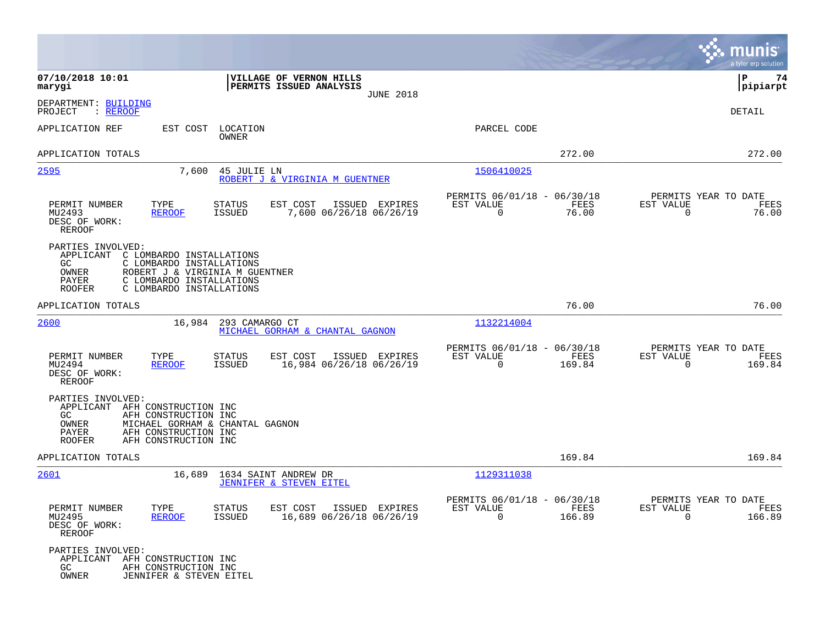|                                                                                                                                                                                                                           |                                                                           | munis<br>a tyler erp solution                                      |
|---------------------------------------------------------------------------------------------------------------------------------------------------------------------------------------------------------------------------|---------------------------------------------------------------------------|--------------------------------------------------------------------|
| 07/10/2018 10:01<br>VILLAGE OF VERNON HILLS<br>PERMITS ISSUED ANALYSIS<br>marygi<br><b>JUNE 2018</b>                                                                                                                      |                                                                           | P<br>74<br> pipiarpt                                               |
| DEPARTMENT: BUILDING<br>: REROOF<br>PROJECT                                                                                                                                                                               |                                                                           | DETAIL                                                             |
| APPLICATION REF<br>EST COST<br>LOCATION<br><b>OWNER</b>                                                                                                                                                                   | PARCEL CODE                                                               |                                                                    |
| APPLICATION TOTALS                                                                                                                                                                                                        | 272.00                                                                    | 272.00                                                             |
| 2595<br>7,600<br>45 JULIE LN<br>ROBERT J & VIRGINIA M GUENTNER                                                                                                                                                            | 1506410025                                                                |                                                                    |
| TYPE<br>PERMIT NUMBER<br><b>STATUS</b><br>EST COST<br>ISSUED EXPIRES<br><b>REROOF</b><br><b>ISSUED</b><br>7,600 06/26/18 06/26/19<br>MU2493<br>DESC OF WORK:<br><b>REROOF</b>                                             | PERMITS 06/01/18 - 06/30/18<br>FEES<br>EST VALUE<br>$\mathbf 0$<br>76.00  | PERMITS YEAR TO DATE<br>EST VALUE<br>FEES<br>$\mathbf 0$<br>76.00  |
| PARTIES INVOLVED:<br>APPLICANT<br>C LOMBARDO INSTALLATIONS<br>C LOMBARDO INSTALLATIONS<br>GC<br>OWNER<br>ROBERT J & VIRGINIA M GUENTNER<br>PAYER<br>C LOMBARDO INSTALLATIONS<br>C LOMBARDO INSTALLATIONS<br><b>ROOFER</b> |                                                                           |                                                                    |
| APPLICATION TOTALS                                                                                                                                                                                                        | 76.00                                                                     | 76.00                                                              |
| 2600<br>16,984<br>293 CAMARGO CT<br>MICHAEL GORHAM & CHANTAL GAGNON                                                                                                                                                       | 1132214004                                                                |                                                                    |
| TYPE<br>PERMIT NUMBER<br>STATUS<br>EST COST<br>ISSUED EXPIRES<br>MU2494<br><b>REROOF</b><br><b>ISSUED</b><br>16,984 06/26/18 06/26/19<br>DESC OF WORK:<br><b>REROOF</b>                                                   | PERMITS 06/01/18 - 06/30/18<br>EST VALUE<br>FEES<br>0<br>169.84           | PERMITS YEAR TO DATE<br>EST VALUE<br>FEES<br>$\mathbf 0$<br>169.84 |
| PARTIES INVOLVED:<br>APPLICANT<br>AFH CONSTRUCTION INC<br>AFH CONSTRUCTION INC<br>GC.<br>OWNER<br>MICHAEL GORHAM & CHANTAL GAGNON<br>PAYER<br>AFH CONSTRUCTION INC<br>AFH CONSTRUCTION INC<br><b>ROOFER</b>               |                                                                           |                                                                    |
| APPLICATION TOTALS                                                                                                                                                                                                        | 169.84                                                                    | 169.84                                                             |
| 2601<br>16,689<br>1634 SAINT ANDREW DR<br>JENNIFER & STEVEN EITEL                                                                                                                                                         | 1129311038                                                                |                                                                    |
| PERMIT NUMBER<br>TYPE<br><b>STATUS</b><br>EST COST<br>ISSUED EXPIRES<br>MU2495<br><b>REROOF</b><br><b>ISSUED</b><br>16,689 06/26/18 06/26/19<br>DESC OF WORK:<br><b>REROOF</b>                                            | PERMITS 06/01/18 - 06/30/18<br>EST VALUE<br>FEES<br>$\mathbf 0$<br>166.89 | PERMITS YEAR TO DATE<br>EST VALUE<br>FEES<br>$\mathbf 0$<br>166.89 |
| PARTIES INVOLVED:<br>APPLICANT<br>AFH CONSTRUCTION INC<br>AFH CONSTRUCTION INC<br>GC.<br>OWNER<br>JENNIFER & STEVEN EITEL                                                                                                 |                                                                           |                                                                    |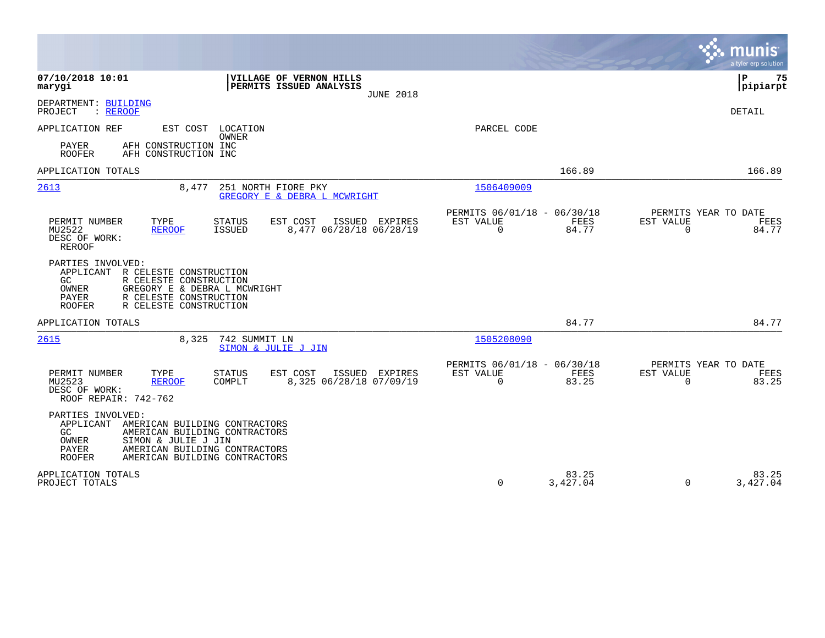|                                                                                                                                                                                                                                     |                                                                       | munis<br>a tyler erp solution                                     |
|-------------------------------------------------------------------------------------------------------------------------------------------------------------------------------------------------------------------------------------|-----------------------------------------------------------------------|-------------------------------------------------------------------|
| 07/10/2018 10:01<br>VILLAGE OF VERNON HILLS<br>PERMITS ISSUED ANALYSIS<br>marygi<br><b>JUNE 2018</b>                                                                                                                                |                                                                       | P<br>75<br> pipiarpt                                              |
| DEPARTMENT: BUILDING<br>PROJECT<br>: REROOF                                                                                                                                                                                         |                                                                       | DETAIL                                                            |
| APPLICATION REF<br>EST COST LOCATION<br>OWNER                                                                                                                                                                                       | PARCEL CODE                                                           |                                                                   |
| PAYER<br>AFH CONSTRUCTION INC<br><b>ROOFER</b><br>AFH CONSTRUCTION INC                                                                                                                                                              |                                                                       |                                                                   |
| APPLICATION TOTALS                                                                                                                                                                                                                  | 166.89                                                                | 166.89                                                            |
| 2613<br>251 NORTH FIORE PKY<br>8,477<br>GREGORY E & DEBRA L MCWRIGHT                                                                                                                                                                | 1506409009                                                            |                                                                   |
| PERMIT NUMBER<br>TYPE<br><b>STATUS</b><br>EST COST<br>ISSUED EXPIRES<br>MU2522<br>8,477 06/28/18 06/28/19<br><b>REROOF</b><br><b>ISSUED</b><br>DESC OF WORK:<br><b>REROOF</b>                                                       | PERMITS 06/01/18 - 06/30/18<br>EST VALUE<br><b>FEES</b><br>0<br>84.77 | PERMITS YEAR TO DATE<br>EST VALUE<br>FEES<br>$\mathbf 0$<br>84.77 |
| PARTIES INVOLVED:<br>R CELESTE CONSTRUCTION<br>APPLICANT<br>R CELESTE CONSTRUCTION<br>GC<br>GREGORY E & DEBRA L MCWRIGHT<br>OWNER<br>PAYER<br>R CELESTE CONSTRUCTION<br><b>ROOFER</b><br>R CELESTE CONSTRUCTION                     |                                                                       |                                                                   |
| APPLICATION TOTALS                                                                                                                                                                                                                  | 84.77                                                                 | 84.77                                                             |
| 742 SUMMIT LN<br>2615<br>8,325<br>SIMON & JULIE J JIN                                                                                                                                                                               | 1505208090                                                            |                                                                   |
| PERMIT NUMBER<br>TYPE<br>EST COST<br>ISSUED<br>EXPIRES<br><b>STATUS</b><br>MU2523<br>COMPLT<br>8,325 06/28/18 07/09/19<br><b>REROOF</b><br>DESC OF WORK:<br>ROOF REPAIR: 742-762                                                    | PERMITS 06/01/18 - 06/30/18<br>EST VALUE<br>FEES<br>$\Omega$<br>83.25 | PERMITS YEAR TO DATE<br>EST VALUE<br>FEES<br>$\Omega$<br>83.25    |
| PARTIES INVOLVED:<br>APPLICANT<br>AMERICAN BUILDING CONTRACTORS<br>GC.<br>AMERICAN BUILDING CONTRACTORS<br>SIMON & JULIE J JIN<br>OWNER<br>PAYER<br>AMERICAN BUILDING CONTRACTORS<br><b>ROOFER</b><br>AMERICAN BUILDING CONTRACTORS |                                                                       |                                                                   |
| APPLICATION TOTALS<br>PROJECT TOTALS                                                                                                                                                                                                | 83.25<br>0<br>3,427.04                                                | 83.25<br>$\Omega$<br>3,427.04                                     |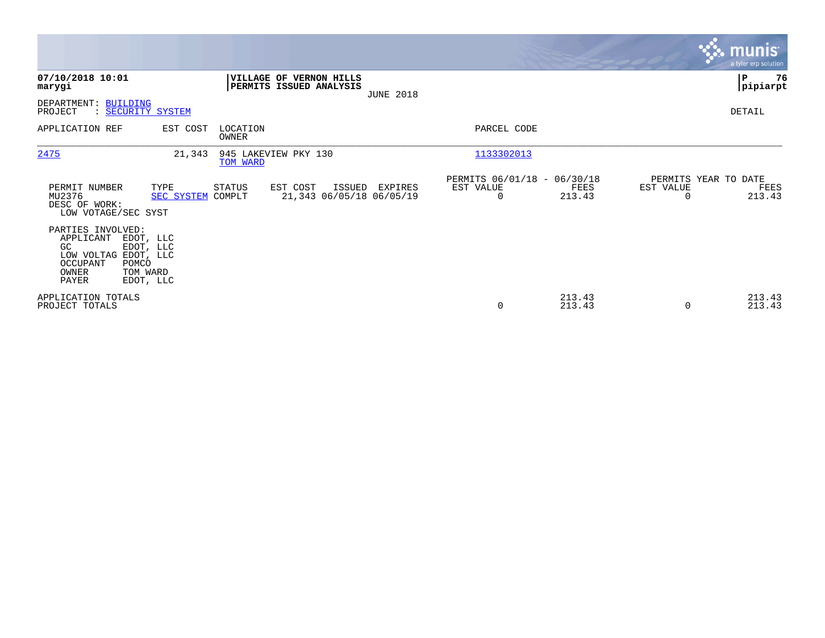|                                                                                                                                                        |                               |                                                            |                  |                                               |                  |           | <b>munis</b><br>a tyler erp solution   |
|--------------------------------------------------------------------------------------------------------------------------------------------------------|-------------------------------|------------------------------------------------------------|------------------|-----------------------------------------------|------------------|-----------|----------------------------------------|
| 07/10/2018 10:01<br>marygi                                                                                                                             |                               | <b> VILLAGE OF VERNON HILLS</b><br>PERMITS ISSUED ANALYSIS | <b>JUNE 2018</b> |                                               |                  |           | ∣₽<br>76<br> pipiarpt                  |
| DEPARTMENT: BUILDING<br>PROJECT<br>: SECURITY SYSTEM                                                                                                   |                               |                                                            |                  |                                               |                  |           | DETAIL                                 |
| APPLICATION REF                                                                                                                                        | EST COST<br>LOCATION<br>OWNER |                                                            |                  | PARCEL CODE                                   |                  |           |                                        |
| 2475                                                                                                                                                   | 21,343<br>TOM WARD            | 945 LAKEVIEW PKY 130                                       |                  | 1133302013                                    |                  |           |                                        |
| PERMIT NUMBER<br>TYPE<br>MU2376<br>DESC OF WORK:<br>LOW VOTAGE/SEC SYST                                                                                | STATUS<br>SEC SYSTEM COMPLT   | EST COST<br>ISSUED<br>21,343 06/05/18 06/05/19             | EXPIRES          | PERMITS 06/01/18 - 06/30/18<br>EST VALUE<br>0 | FEES<br>213.43   | EST VALUE | PERMITS YEAR TO DATE<br>FEES<br>213.43 |
| PARTIES INVOLVED:<br>APPLICANT<br>EDOT, LLC<br>GC<br>EDOT, LLC<br>LOW VOLTAG EDOT, LLC<br>OCCUPANT<br>POMCO<br>TOM WARD<br>OWNER<br>PAYER<br>EDOT, LLC |                               |                                                            |                  |                                               |                  |           |                                        |
| APPLICATION TOTALS<br>PROJECT TOTALS                                                                                                                   |                               |                                                            |                  | 0                                             | 213.43<br>213.43 | $\Omega$  | 213.43<br>213.43                       |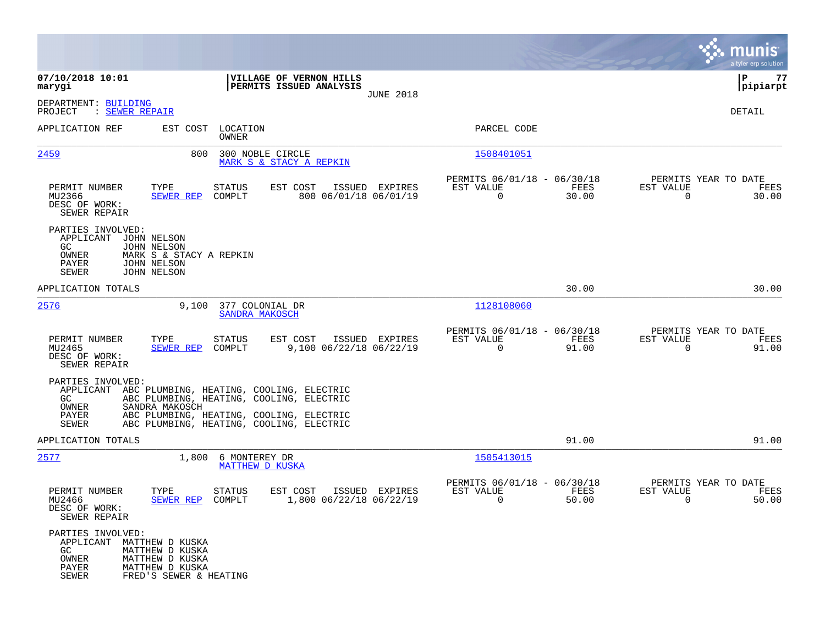|                                                                                  |                                                                                                                                                                                                |                                                         |                                           | munis<br>a tyler erp solution         |
|----------------------------------------------------------------------------------|------------------------------------------------------------------------------------------------------------------------------------------------------------------------------------------------|---------------------------------------------------------|-------------------------------------------|---------------------------------------|
| 07/10/2018 10:01<br>marygi                                                       | VILLAGE OF VERNON HILLS<br>PERMITS ISSUED ANALYSIS                                                                                                                                             |                                                         |                                           | 77<br>IΡ<br> pipiarpt                 |
| DEPARTMENT: BUILDING<br>PROJECT<br>: SEWER REPAIR                                | <b>JUNE 2018</b>                                                                                                                                                                               |                                                         |                                           | DETAIL                                |
| APPLICATION REF                                                                  | EST COST<br>LOCATION<br>OWNER                                                                                                                                                                  | PARCEL CODE                                             |                                           |                                       |
| 2459                                                                             | 300 NOBLE CIRCLE<br>800<br>MARK S & STACY A REPKIN                                                                                                                                             | 1508401051                                              |                                           |                                       |
| PERMIT NUMBER<br>MU2366<br>DESC OF WORK:<br>SEWER REPAIR                         | TYPE<br>STATUS<br>EST COST<br>ISSUED EXPIRES<br>800 06/01/18 06/01/19<br>SEWER REP<br>COMPLT                                                                                                   | PERMITS 06/01/18 - 06/30/18<br>EST VALUE<br>$\mathbf 0$ | FEES<br>EST VALUE<br>30.00<br>$\mathbf 0$ | PERMITS YEAR TO DATE<br>FEES<br>30.00 |
| PARTIES INVOLVED:<br>APPLICANT<br>GC.<br>OWNER<br><b>PAYER</b><br><b>SEWER</b>   | JOHN NELSON<br><b>JOHN NELSON</b><br>MARK S & STACY A REPKIN<br><b>JOHN NELSON</b><br>JOHN NELSON                                                                                              |                                                         |                                           |                                       |
| APPLICATION TOTALS                                                               |                                                                                                                                                                                                |                                                         | 30.00                                     | 30.00                                 |
| 2576                                                                             | 9,100<br>377 COLONIAL DR<br><b>SANDRA MAKOSCH</b>                                                                                                                                              | 1128108060                                              |                                           |                                       |
| PERMIT NUMBER<br>MU2465<br>DESC OF WORK:<br>SEWER REPAIR                         | ISSUED EXPIRES<br>TYPE<br>STATUS<br>EST COST<br>COMPLT<br>9,100 06/22/18 06/22/19<br><b>SEWER REP</b>                                                                                          | PERMITS 06/01/18 - 06/30/18<br>EST VALUE<br>$\Omega$    | FEES<br>EST VALUE<br>91.00<br>$\Omega$    | PERMITS YEAR TO DATE<br>FEES<br>91.00 |
| PARTIES INVOLVED:<br>APPLICANT<br>GC.<br>OWNER<br>PAYER<br><b>SEWER</b>          | ABC PLUMBING, HEATING, COOLING, ELECTRIC<br>ABC PLUMBING, HEATING, COOLING, ELECTRIC<br>SANDRA MAKOSCH<br>ABC PLUMBING, HEATING, COOLING, ELECTRIC<br>ABC PLUMBING, HEATING, COOLING, ELECTRIC |                                                         |                                           |                                       |
| APPLICATION TOTALS                                                               |                                                                                                                                                                                                |                                                         | 91.00                                     | 91.00                                 |
| 2577                                                                             | 1,800 6 MONTEREY DR<br><b>MATTHEW D KUSKA</b>                                                                                                                                                  | 1505413015                                              |                                           |                                       |
| PERMIT NUMBER<br>MU2466<br>DESC OF WORK:<br>SEWER REPAIR                         | TYPE<br>STATUS<br>EST COST<br>ISSUED EXPIRES<br>SEWER REP<br>COMPLT<br>1,800 06/22/18 06/22/19                                                                                                 | PERMITS 06/01/18 - 06/30/18<br>EST VALUE<br>0           | EST VALUE<br>FEES<br>0<br>50.00           | PERMITS YEAR TO DATE<br>FEES<br>50.00 |
| PARTIES INVOLVED:<br>APPLICANT MATTHEW D KUSKA<br>GC.<br>OWNER<br>PAYER<br>SEWER | MATTHEW D KUSKA<br>MATTHEW D KUSKA<br>MATTHEW D KUSKA<br>FRED'S SEWER & HEATING                                                                                                                |                                                         |                                           |                                       |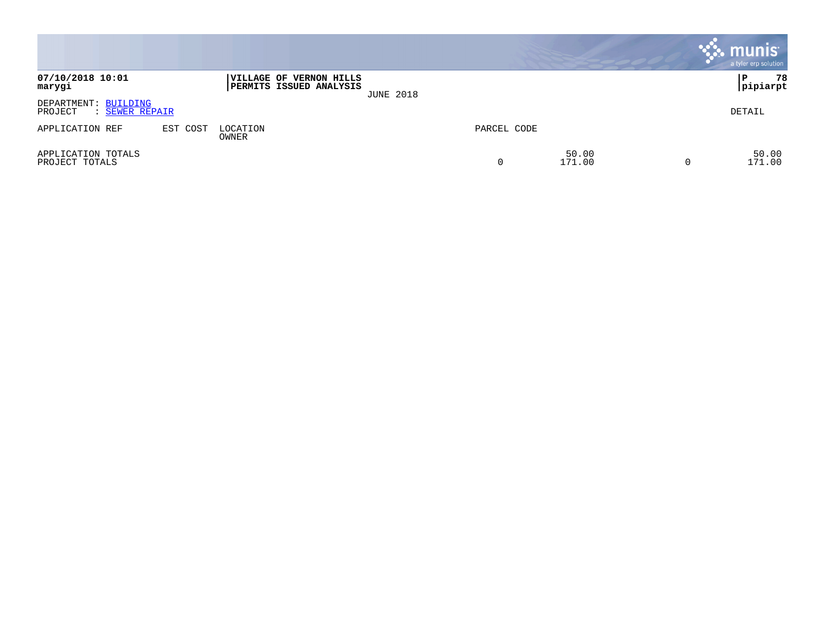|                                                   |          |                                                    |                  |             |                 |                | munis <sup>.</sup><br>a tyler erp solution |
|---------------------------------------------------|----------|----------------------------------------------------|------------------|-------------|-----------------|----------------|--------------------------------------------|
| 07/10/2018 10:01<br>marygi                        |          | VILLAGE OF VERNON HILLS<br>PERMITS ISSUED ANALYSIS | <b>JUNE 2018</b> |             |                 |                | 78<br>P<br> pipiarpt                       |
| DEPARTMENT: BUILDING<br>PROJECT<br>: SEWER REPAIR |          |                                                    |                  |             |                 |                | DETAIL                                     |
| APPLICATION REF                                   | EST COST | LOCATION<br>OWNER                                  |                  | PARCEL CODE |                 |                |                                            |
| APPLICATION TOTALS<br>PROJECT TOTALS              |          |                                                    |                  | 0           | 50.00<br>171.00 | $\overline{0}$ | 50.00<br>171.00                            |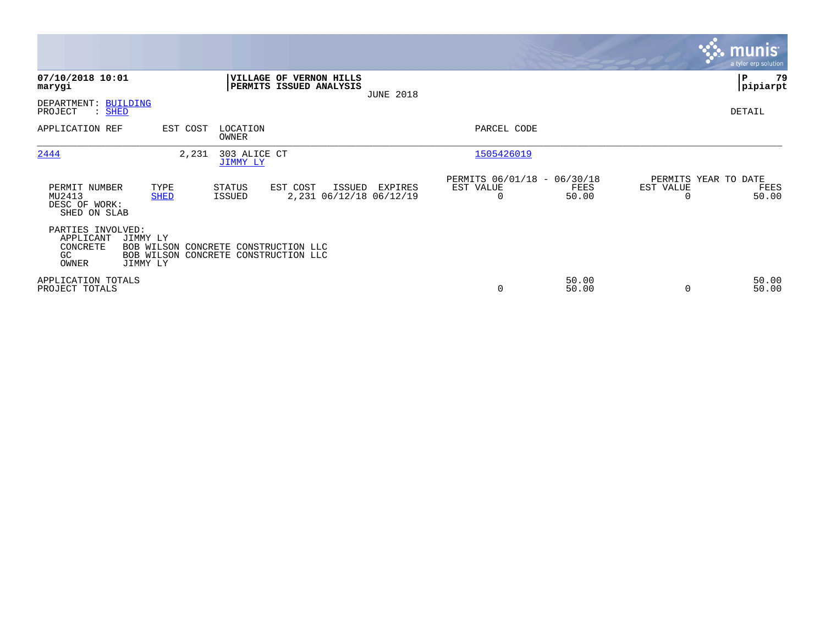|                                                            |                                                                                                      |                          |                                                           |                  |                                               |                |                       | <b>munis</b><br>a tyler erp solution  |
|------------------------------------------------------------|------------------------------------------------------------------------------------------------------|--------------------------|-----------------------------------------------------------|------------------|-----------------------------------------------|----------------|-----------------------|---------------------------------------|
| 07/10/2018 10:01<br>marygi                                 |                                                                                                      |                          | <b>VILLAGE OF VERNON HILLS</b><br>PERMITS ISSUED ANALYSIS | <b>JUNE 2018</b> |                                               |                |                       | P<br>79<br> pipiarpt                  |
| DEPARTMENT:<br>PROJECT<br>$:$ SHED                         | <b>BUILDING</b>                                                                                      |                          |                                                           |                  |                                               |                |                       | DETAIL                                |
| APPLICATION REF                                            | EST COST                                                                                             | LOCATION<br>OWNER        |                                                           |                  | PARCEL CODE                                   |                |                       |                                       |
| 2444                                                       | 2,231                                                                                                | 303 ALICE CT<br>JIMMY LY |                                                           |                  | 1505426019                                    |                |                       |                                       |
| PERMIT NUMBER<br>MU2413<br>DESC OF WORK:<br>SHED ON SLAB   | TYPE<br><b>SHED</b>                                                                                  | STATUS<br>ISSUED         | EST COST<br>ISSUED<br>2,231 06/12/18 06/12/19             | EXPIRES          | PERMITS 06/01/18 - 06/30/18<br>EST VALUE<br>0 | FEES<br>50.00  | EST VALUE<br>$\Omega$ | PERMITS YEAR TO DATE<br>FEES<br>50.00 |
| PARTIES INVOLVED:<br>APPLICANT<br>CONCRETE<br>GC.<br>OWNER | JIMMY LY<br>BOB WILSON CONCRETE CONSTRUCTION LLC<br>BOB WILSON CONCRETE CONSTRUCTION LLC<br>JIMMY LY |                          |                                                           |                  |                                               |                |                       |                                       |
| APPLICATION TOTALS<br>PROJECT TOTALS                       |                                                                                                      |                          |                                                           |                  | 0                                             | 50.00<br>50.00 | $\Omega$              | 50.00<br>50.00                        |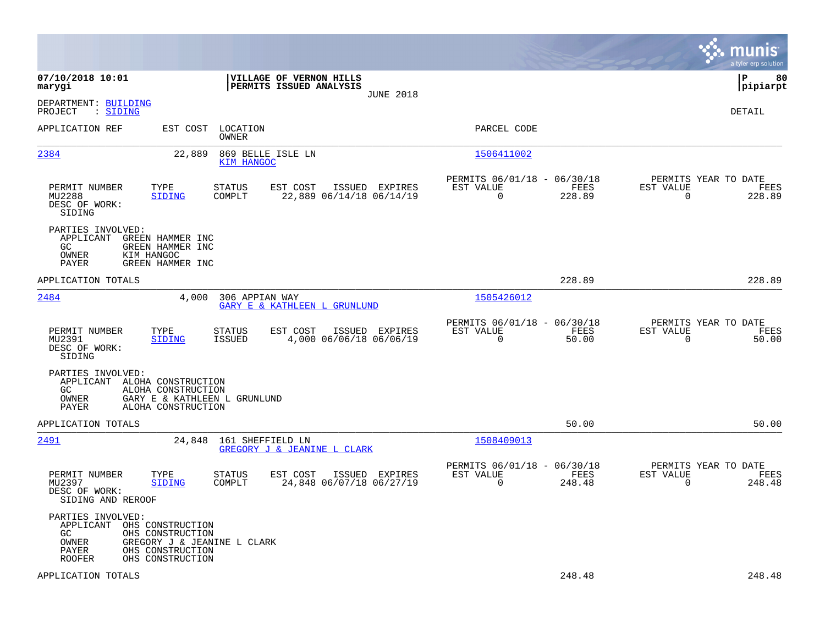|                                                                                                                                                                                      |                                                                        | munis<br>a tyler erp solution                                         |
|--------------------------------------------------------------------------------------------------------------------------------------------------------------------------------------|------------------------------------------------------------------------|-----------------------------------------------------------------------|
| 07/10/2018 10:01<br>VILLAGE OF VERNON HILLS<br>marygi<br>PERMITS ISSUED ANALYSIS<br><b>JUNE 2018</b>                                                                                 |                                                                        | ΙP<br>80<br> pipiarpt                                                 |
| DEPARTMENT: BUILDING<br>: SIDING<br>PROJECT                                                                                                                                          |                                                                        | <b>DETAIL</b>                                                         |
| APPLICATION REF<br>EST COST<br>LOCATION<br>OWNER                                                                                                                                     | PARCEL CODE                                                            |                                                                       |
| 2384<br>22,889<br>869 BELLE ISLE LN<br>KIM HANGOC                                                                                                                                    | 1506411002                                                             |                                                                       |
| PERMIT NUMBER<br>TYPE<br><b>STATUS</b><br>EST COST<br>ISSUED EXPIRES<br>MU2288<br>COMPLT<br>22,889 06/14/18 06/14/19<br>SIDING<br>DESC OF WORK:<br>SIDING                            | PERMITS 06/01/18 - 06/30/18<br>EST VALUE<br>FEES<br>0<br>228.89        | PERMITS YEAR TO DATE<br>EST VALUE<br>FEES<br>$\overline{0}$<br>228.89 |
| PARTIES INVOLVED:<br>APPLICANT<br>GREEN HAMMER INC<br>GC.<br>GREEN HAMMER INC<br>OWNER<br>KIM HANGOC<br>PAYER<br>GREEN HAMMER INC                                                    |                                                                        |                                                                       |
| APPLICATION TOTALS                                                                                                                                                                   | 228.89                                                                 | 228.89                                                                |
| 2484<br>4,000<br>306 APPIAN WAY<br>GARY E & KATHLEEN L GRUNLUND                                                                                                                      | 1505426012                                                             |                                                                       |
| TYPE<br>EST COST<br>ISSUED EXPIRES<br>PERMIT NUMBER<br>STATUS<br>MU2391<br><b>ISSUED</b><br>4,000 06/06/18 06/06/19<br>SIDING<br>DESC OF WORK:<br>SIDING                             | PERMITS 06/01/18 - 06/30/18<br>EST VALUE<br>FEES<br>$\Omega$<br>50.00  | PERMITS YEAR TO DATE<br>EST VALUE<br>FEES<br>$\mathbf 0$<br>50.00     |
| PARTIES INVOLVED:<br>APPLICANT ALOHA CONSTRUCTION<br>GC<br>ALOHA CONSTRUCTION<br>OWNER<br>GARY E & KATHLEEN L GRUNLUND<br>PAYER<br>ALOHA CONSTRUCTION                                |                                                                        |                                                                       |
| APPLICATION TOTALS                                                                                                                                                                   | 50.00                                                                  | 50.00                                                                 |
| 2491<br>24,848 161 SHEFFIELD LN<br>GREGORY J & JEANINE L CLARK                                                                                                                       | 1508409013                                                             |                                                                       |
| PERMIT NUMBER<br><b>STATUS</b><br>ISSUED EXPIRES<br>TYPE<br>EST COST<br>MU2397<br>24,848 06/07/18 06/27/19<br><b>SIDING</b><br>COMPLT<br>DESC OF WORK:<br>SIDING AND REROOF          | PERMITS 06/01/18 - 06/30/18<br>EST VALUE<br>FEES<br>$\Omega$<br>248.48 | PERMITS YEAR TO DATE<br>EST VALUE<br>FEES<br>$\mathbf 0$<br>248.48    |
| PARTIES INVOLVED:<br>APPLICANT OHS CONSTRUCTION<br>GC.<br>OHS CONSTRUCTION<br>OWNER<br>GREGORY J & JEANINE L CLARK<br>OHS CONSTRUCTION<br>PAYER<br><b>ROOFER</b><br>OHS CONSTRUCTION |                                                                        |                                                                       |
| APPLICATION TOTALS                                                                                                                                                                   | 248.48                                                                 | 248.48                                                                |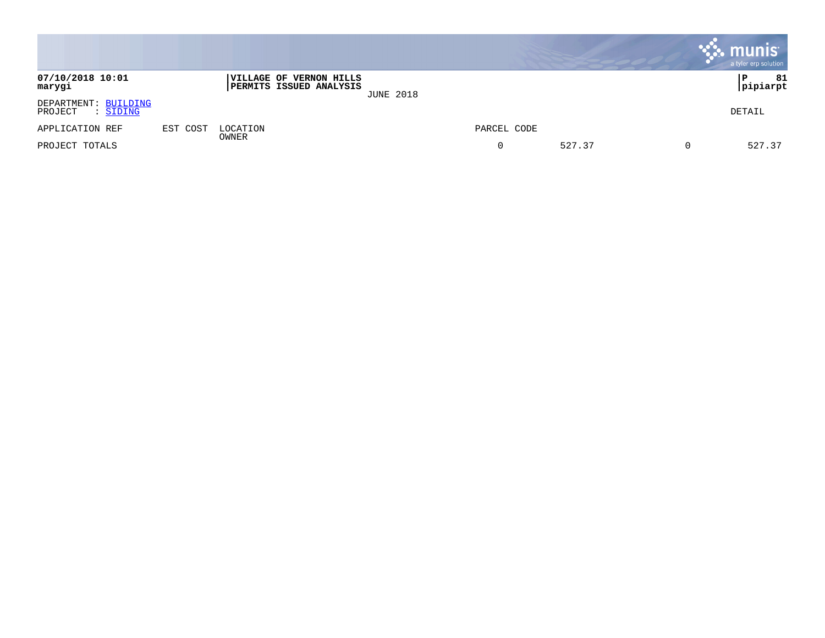|                                                    |          |                                                    |                  |             |        | munis<br>a tyler erp solution |
|----------------------------------------------------|----------|----------------------------------------------------|------------------|-------------|--------|-------------------------------|
| 07/10/2018 10:01<br>marygi                         |          | VILLAGE OF VERNON HILLS<br>PERMITS ISSUED ANALYSIS | <b>JUNE 2018</b> |             |        | 81<br> P<br>pipiarpt          |
| DEPARTMENT: BUILDING<br>PROJECT<br>: <u>SIDING</u> |          |                                                    |                  |             |        | DETAIL                        |
| APPLICATION REF                                    | EST COST | LOCATION                                           |                  | PARCEL CODE |        |                               |
| PROJECT TOTALS                                     |          | OWNER                                              |                  | 0           | 527.37 | 527.37                        |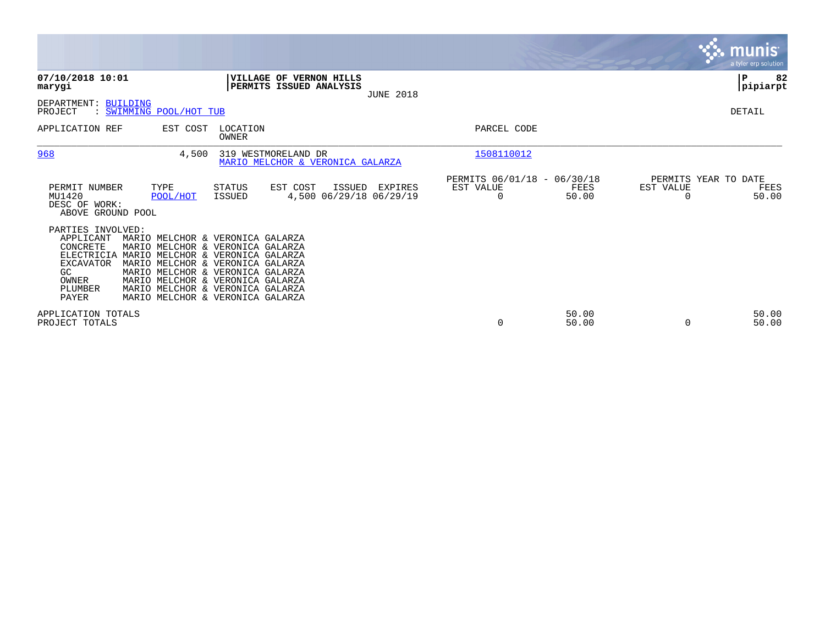|                                                                                                                  |                                                                                                                                                                                                                                                                                              |                   |                                                         |                  |                                               |                |                       | <b>munis</b><br>a tyler erp solution  |
|------------------------------------------------------------------------------------------------------------------|----------------------------------------------------------------------------------------------------------------------------------------------------------------------------------------------------------------------------------------------------------------------------------------------|-------------------|---------------------------------------------------------|------------------|-----------------------------------------------|----------------|-----------------------|---------------------------------------|
| 07/10/2018 10:01<br>marygi                                                                                       |                                                                                                                                                                                                                                                                                              |                   | VILLAGE OF VERNON HILLS<br>PERMITS ISSUED ANALYSIS      | <b>JUNE 2018</b> |                                               |                |                       | 82<br>P<br> pipiarpt                  |
| DEPARTMENT:<br>BUILDING<br>PROJECT                                                                               | : SWIMMING POOL/HOT TUB                                                                                                                                                                                                                                                                      |                   |                                                         |                  |                                               |                |                       | DETAIL                                |
| APPLICATION REF                                                                                                  | EST COST                                                                                                                                                                                                                                                                                     | LOCATION<br>OWNER |                                                         |                  | PARCEL CODE                                   |                |                       |                                       |
| 968                                                                                                              | 4,500                                                                                                                                                                                                                                                                                        |                   | 319 WESTMORELAND DR<br>MARIO MELCHOR & VERONICA GALARZA |                  | 1508110012                                    |                |                       |                                       |
| PERMIT NUMBER<br>MU1420<br>DESC OF WORK:<br>ABOVE GROUND POOL                                                    | TYPE<br>POOL/HOT                                                                                                                                                                                                                                                                             | STATUS<br>ISSUED  | EST COST<br>ISSUED<br>4,500 06/29/18 06/29/19           | EXPIRES          | PERMITS 06/01/18 - 06/30/18<br>EST VALUE<br>0 | FEES<br>50.00  | EST VALUE<br>$\Omega$ | PERMITS YEAR TO DATE<br>FEES<br>50.00 |
| PARTIES INVOLVED:<br>APPLICANT<br>CONCRETE<br>ELECTRICIA<br><b>EXCAVATOR</b><br>GC.<br>OWNER<br>PLUMBER<br>PAYER | MARIO MELCHOR & VERONICA GALARZA<br>MARIO MELCHOR & VERONICA GALARZA<br>MARIO MELCHOR & VERONICA GALARZA<br>MARIO MELCHOR & VERONICA GALARZA<br>MARIO MELCHOR & VERONICA GALARZA<br>MARIO MELCHOR & VERONICA GALARZA<br>MARIO MELCHOR & VERONICA GALARZA<br>MARIO MELCHOR & VERONICA GALARZA |                   |                                                         |                  |                                               |                |                       |                                       |
| APPLICATION TOTALS<br>PROJECT TOTALS                                                                             |                                                                                                                                                                                                                                                                                              |                   |                                                         |                  | 0                                             | 50.00<br>50.00 |                       | 50.00<br>50.00                        |

**Contract**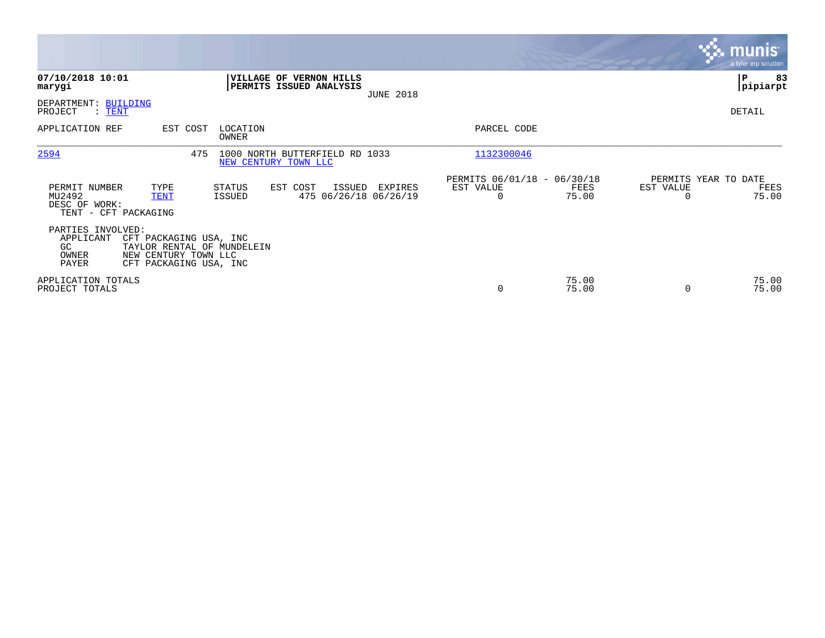|                                                                                                           |                                                                            |                                                                | munis'<br>a tyler erp solution                                 |
|-----------------------------------------------------------------------------------------------------------|----------------------------------------------------------------------------|----------------------------------------------------------------|----------------------------------------------------------------|
| 07/10/2018 10:01<br>marygi                                                                                | VILLAGE OF VERNON HILLS<br>PERMITS ISSUED ANALYSIS<br><b>JUNE 2018</b>     |                                                                | ∣P<br>83<br> pipiarpt                                          |
| DEPARTMENT: BUILDING<br>PROJECT<br>$\colon$ TENT                                                          |                                                                            |                                                                | DETAIL                                                         |
| APPLICATION REF<br>EST COST                                                                               | LOCATION<br>OWNER                                                          | PARCEL CODE                                                    |                                                                |
| 2594                                                                                                      | 475<br>1000 NORTH BUTTERFIELD RD 1033<br>NEW CENTURY TOWN LLC              | 1132300046                                                     |                                                                |
| PERMIT NUMBER<br>TYPE<br>MU2492<br><b>TENT</b><br>DESC OF WORK:<br>TENT - CFT PACKAGING                   | STATUS<br>EST COST<br>EXPIRES<br>ISSUED<br>475 06/26/18 06/26/19<br>ISSUED | PERMITS 06/01/18 - 06/30/18<br>EST VALUE<br>FEES<br>75.00<br>0 | PERMITS YEAR TO DATE<br>EST VALUE<br>FEES<br>$\Omega$<br>75.00 |
| PARTIES INVOLVED:<br>APPLICANT<br>CFT PACKAGING USA, INC<br>GC.<br>NEW CENTURY TOWN LLC<br>OWNER<br>PAYER | TAYLOR RENTAL OF MUNDELEIN<br>CFT PACKAGING USA, INC                       |                                                                |                                                                |
| APPLICATION TOTALS<br>PROJECT TOTALS                                                                      |                                                                            | 75.00<br>0<br>75.00                                            | 75.00<br>75.00                                                 |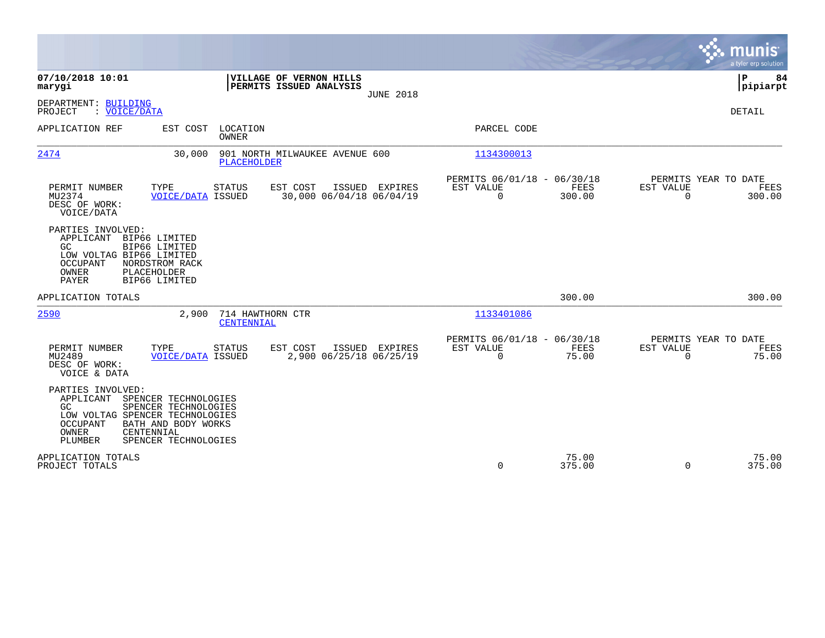|                                                                                                                                     |                                                                                   |                                |                                                    |                  |                                                         |                 |                          | munis<br>a tyler erp solution          |
|-------------------------------------------------------------------------------------------------------------------------------------|-----------------------------------------------------------------------------------|--------------------------------|----------------------------------------------------|------------------|---------------------------------------------------------|-----------------|--------------------------|----------------------------------------|
| 07/10/2018 10:01<br>marygi                                                                                                          |                                                                                   |                                | VILLAGE OF VERNON HILLS<br>PERMITS ISSUED ANALYSIS | <b>JUNE 2018</b> |                                                         |                 |                          | $\mathbf P$<br>84<br> pipiarpt         |
| DEPARTMENT: BUILDING<br>: VOICE/DATA<br>PROJECT                                                                                     |                                                                                   |                                |                                                    |                  |                                                         |                 |                          | <b>DETAIL</b>                          |
| APPLICATION REF                                                                                                                     | EST COST                                                                          | LOCATION<br>OWNER              |                                                    |                  | PARCEL CODE                                             |                 |                          |                                        |
| 2474                                                                                                                                | 30,000                                                                            | PLACEHOLDER                    | 901 NORTH MILWAUKEE AVENUE 600                     |                  | 1134300013                                              |                 |                          |                                        |
| PERMIT NUMBER<br>MU2374<br>DESC OF WORK:<br>VOICE/DATA                                                                              | TYPE<br><b>VOICE/DATA ISSUED</b>                                                  | <b>STATUS</b>                  | EST COST<br>30,000 06/04/18 06/04/19               | ISSUED EXPIRES   | PERMITS 06/01/18 - 06/30/18<br>EST VALUE<br>$\mathbf 0$ | FEES<br>300.00  | EST VALUE<br>$\Omega$    | PERMITS YEAR TO DATE<br>FEES<br>300.00 |
| PARTIES INVOLVED:<br>APPLICANT<br><b>GC</b><br>LOW VOLTAG BIP66 LIMITED<br><b>OCCUPANT</b><br>OWNER<br>PAYER                        | BIP66 LIMITED<br>BIP66 LIMITED<br>NORDSTROM RACK<br>PLACEHOLDER<br>BIP66 LIMITED  |                                |                                                    |                  |                                                         |                 |                          |                                        |
| APPLICATION TOTALS                                                                                                                  |                                                                                   |                                |                                                    |                  |                                                         | 300.00          |                          | 300.00                                 |
| 2590                                                                                                                                | 2,900                                                                             | 714 HAWTHORN CTR<br>CENTENNIAL |                                                    |                  | 1133401086                                              |                 |                          |                                        |
| PERMIT NUMBER<br>MU2489<br>DESC OF WORK:<br>VOICE & DATA                                                                            | TYPE<br><b>VOICE/DATA ISSUED</b>                                                  | <b>STATUS</b>                  | EST COST<br>2,900 06/25/18 06/25/19                | ISSUED EXPIRES   | PERMITS 06/01/18 - 06/30/18<br>EST VALUE<br>$\mathbf 0$ | FEES<br>75.00   | EST VALUE<br>$\mathbf 0$ | PERMITS YEAR TO DATE<br>FEES<br>75.00  |
| PARTIES INVOLVED:<br>APPLICANT SPENCER TECHNOLOGIES<br>GC<br>LOW VOLTAG SPENCER TECHNOLOGIES<br><b>OCCUPANT</b><br>OWNER<br>PLUMBER | SPENCER TECHNOLOGIES<br>BATH AND BODY WORKS<br>CENTENNIAL<br>SPENCER TECHNOLOGIES |                                |                                                    |                  |                                                         |                 |                          |                                        |
| APPLICATION TOTALS<br>PROJECT TOTALS                                                                                                |                                                                                   |                                |                                                    |                  | $\Omega$                                                | 75.00<br>375.00 | $\Omega$                 | 75.00<br>375.00                        |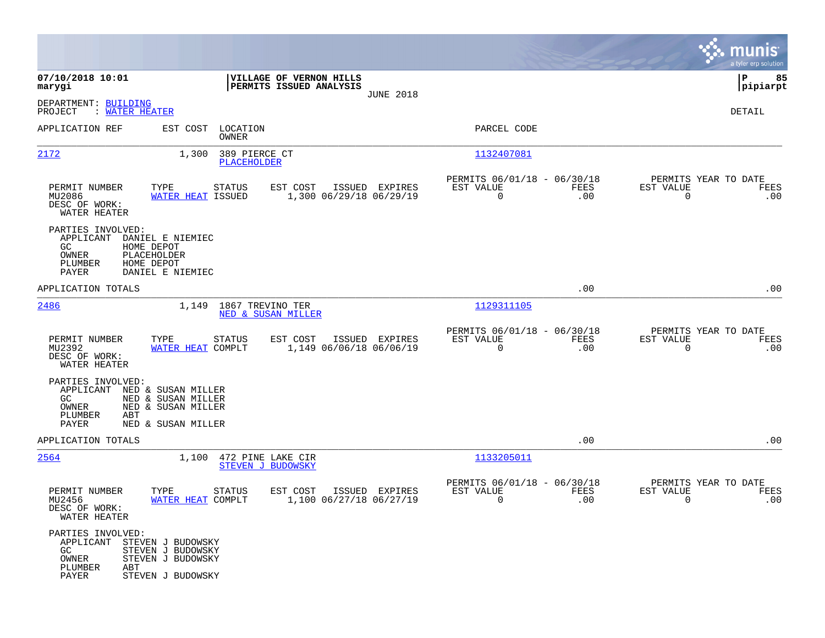|                                                                                            |                                                                                                |                                                    |                  |                                                            |             |                                                     | munis<br>a tyler erp solution |
|--------------------------------------------------------------------------------------------|------------------------------------------------------------------------------------------------|----------------------------------------------------|------------------|------------------------------------------------------------|-------------|-----------------------------------------------------|-------------------------------|
| 07/10/2018 10:01<br>marygi                                                                 |                                                                                                | VILLAGE OF VERNON HILLS<br>PERMITS ISSUED ANALYSIS |                  |                                                            |             |                                                     | 85<br>ΙP<br> pipiarpt         |
| DEPARTMENT: BUILDING<br>PROJECT<br>: WATER HEATER                                          |                                                                                                |                                                    | <b>JUNE 2018</b> |                                                            |             |                                                     | DETAIL                        |
| APPLICATION REF                                                                            | EST COST LOCATION<br><b>OWNER</b>                                                              |                                                    |                  | PARCEL CODE                                                |             |                                                     |                               |
| 2172                                                                                       | 389 PIERCE CT<br>1,300<br>PLACEHOLDER                                                          |                                                    |                  | <u> 1132407081</u>                                         |             |                                                     |                               |
| PERMIT NUMBER<br>MU2086<br>DESC OF WORK:<br>WATER HEATER                                   | TYPE<br>STATUS<br>WATER HEAT ISSUED                                                            | EST COST<br>1,300 06/29/18 06/29/19                | ISSUED EXPIRES   | PERMITS 06/01/18 - 06/30/18<br>EST VALUE<br>$\overline{0}$ | FEES<br>.00 | PERMITS YEAR TO DATE<br>EST VALUE<br>$\overline{0}$ | FEES<br>.00                   |
| PARTIES INVOLVED:<br>APPLICANT<br>GC<br>OWNER<br>PLUMBER<br>PAYER                          | DANIEL E NIEMIEC<br>HOME DEPOT<br>PLACEHOLDER<br>HOME DEPOT<br>DANIEL E NIEMIEC                |                                                    |                  |                                                            |             |                                                     |                               |
| APPLICATION TOTALS                                                                         |                                                                                                |                                                    |                  |                                                            | .00         |                                                     | .00                           |
| 2486                                                                                       | 1,149 1867 TREVINO TER                                                                         | NED & SUSAN MILLER                                 |                  | 1129311105                                                 |             |                                                     |                               |
| PERMIT NUMBER<br>MU2392<br>DESC OF WORK:<br>WATER HEATER                                   | TYPE<br>STATUS<br>WATER HEAT COMPLT                                                            | EST COST<br>1,149 06/06/18 06/06/19                | ISSUED EXPIRES   | PERMITS 06/01/18 - 06/30/18<br>EST VALUE<br>$\mathbf 0$    | FEES<br>.00 | PERMITS YEAR TO DATE<br>EST VALUE<br>$\overline{0}$ | FEES<br>.00                   |
| PARTIES INVOLVED:<br>GC<br>OWNER<br>PLUMBER<br>ABT<br>PAYER                                | APPLICANT NED & SUSAN MILLER<br>NED & SUSAN MILLER<br>NED & SUSAN MILLER<br>NED & SUSAN MILLER |                                                    |                  |                                                            |             |                                                     |                               |
| APPLICATION TOTALS                                                                         |                                                                                                |                                                    |                  |                                                            | .00         |                                                     | .00                           |
| 2564                                                                                       | 1,100 472 PINE LAKE CIR                                                                        | <b>STEVEN J BUDOWSKY</b>                           |                  | 1133205011                                                 |             |                                                     |                               |
| PERMIT NUMBER<br>MU2456<br>DESC OF WORK:<br>WATER HEATER                                   | <b>STATUS</b><br>TYPE<br>WATER HEAT COMPLT                                                     | EST COST<br>1,100 06/27/18 06/27/19                | ISSUED EXPIRES   | PERMITS 06/01/18 - 06/30/18<br>EST VALUE<br>0              | FEES<br>.00 | PERMITS YEAR TO DATE<br>EST VALUE<br>0              | FEES<br>.00                   |
| PARTIES INVOLVED:<br>APPLICANT STEVEN J BUDOWSKY<br>GC<br>OWNER<br>PLUMBER<br>ABT<br>PAYER | STEVEN J BUDOWSKY<br>STEVEN J BUDOWSKY<br>STEVEN J BUDOWSKY                                    |                                                    |                  |                                                            |             |                                                     |                               |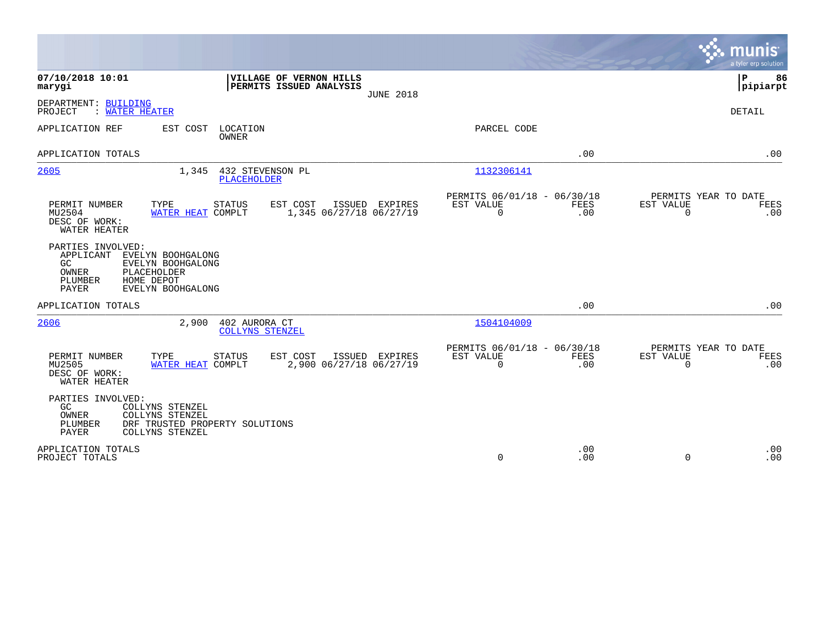|                                                                                                                                                                    |                                                                        | munis<br>a tyler erp solution                                   |
|--------------------------------------------------------------------------------------------------------------------------------------------------------------------|------------------------------------------------------------------------|-----------------------------------------------------------------|
| 07/10/2018 10:01<br>VILLAGE OF VERNON HILLS<br>PERMITS ISSUED ANALYSIS<br>marygi<br><b>JUNE 2018</b>                                                               |                                                                        | l P<br>86<br> pipiarpt                                          |
| DEPARTMENT: BUILDING<br>: WATER HEATER<br>PROJECT                                                                                                                  |                                                                        | <b>DETAIL</b>                                                   |
| APPLICATION REF<br>EST COST<br>LOCATION<br><b>OWNER</b>                                                                                                            | PARCEL CODE                                                            |                                                                 |
| APPLICATION TOTALS                                                                                                                                                 | .00                                                                    | .00                                                             |
| 2605<br>432 STEVENSON PL<br>1,345<br><b>PLACEHOLDER</b>                                                                                                            | 1132306141                                                             |                                                                 |
| PERMIT NUMBER<br>TYPE<br><b>STATUS</b><br>EST COST<br>ISSUED<br>EXPIRES<br>1,345 06/27/18 06/27/19<br>MU2504<br>WATER HEAT COMPLT<br>DESC OF WORK:<br>WATER HEATER | PERMITS 06/01/18 - 06/30/18<br>EST VALUE<br>FEES<br>$\mathbf 0$<br>.00 | PERMITS YEAR TO DATE<br>EST VALUE<br>FEES<br>0<br>.00           |
| PARTIES INVOLVED:<br>APPLICANT<br>EVELYN BOOHGALONG<br>GC<br>EVELYN BOOHGALONG<br>OWNER<br>PLACEHOLDER<br>PLUMBER<br>HOME DEPOT<br>PAYER<br>EVELYN BOOHGALONG      |                                                                        |                                                                 |
| APPLICATION TOTALS                                                                                                                                                 | .00                                                                    | .00                                                             |
| 2606<br>2,900<br>402 AURORA CT<br><b>COLLYNS STENZEL</b>                                                                                                           | 1504104009                                                             |                                                                 |
| TYPE<br><b>STATUS</b><br>EST COST<br>PERMIT NUMBER<br>ISSUED EXPIRES<br>2,900 06/27/18 06/27/19<br>MU2505<br>WATER HEAT COMPLT<br>DESC OF WORK:<br>WATER HEATER    | PERMITS 06/01/18 - 06/30/18<br>EST VALUE<br>FEES<br>0<br>.00           | PERMITS YEAR TO DATE<br>EST VALUE<br>FEES<br>.00<br>$\mathbf 0$ |
| PARTIES INVOLVED:<br>GC<br>COLLYNS STENZEL<br>OWNER<br>COLLYNS STENZEL<br>PLUMBER<br>DRF TRUSTED PROPERTY SOLUTIONS<br><b>PAYER</b><br>COLLYNS STENZEL             |                                                                        |                                                                 |
| APPLICATION TOTALS<br>PROJECT TOTALS                                                                                                                               | .00<br>$\mathbf 0$<br>.00                                              | .00<br>$\Omega$<br>.00                                          |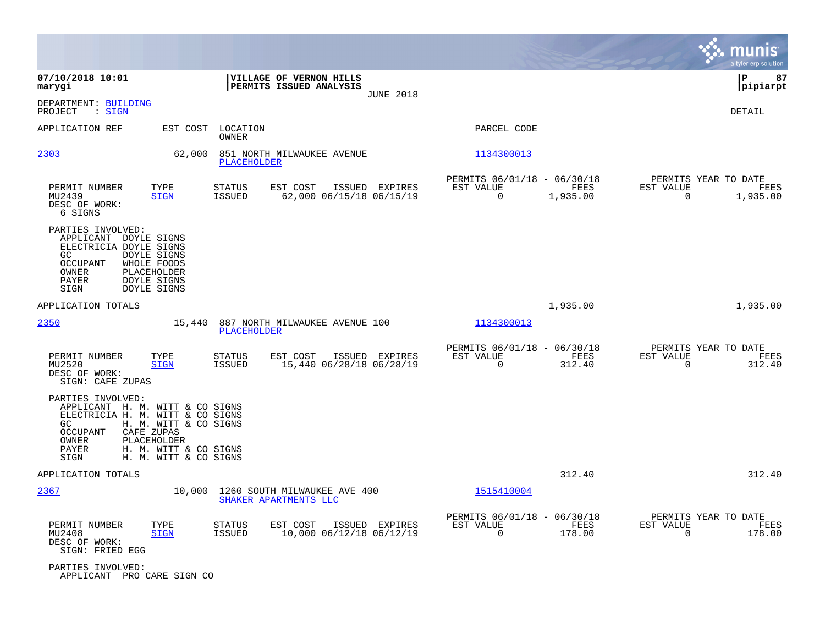|                                                                                                                                                                                                                   |                                                                         |                                                       |                  |                                                         |                       |                                                  | munis<br>a tyler erp solution |
|-------------------------------------------------------------------------------------------------------------------------------------------------------------------------------------------------------------------|-------------------------------------------------------------------------|-------------------------------------------------------|------------------|---------------------------------------------------------|-----------------------|--------------------------------------------------|-------------------------------|
| 07/10/2018 10:01<br>marygi                                                                                                                                                                                        |                                                                         | VILLAGE OF VERNON HILLS<br>PERMITS ISSUED ANALYSIS    | <b>JUNE 2018</b> |                                                         |                       |                                                  | 87<br> P<br> pipiarpt         |
| DEPARTMENT: BUILDING<br>: SIGN<br>PROJECT                                                                                                                                                                         |                                                                         |                                                       |                  |                                                         |                       |                                                  | DETAIL                        |
| APPLICATION REF                                                                                                                                                                                                   | EST COST<br>LOCATION<br>OWNER                                           |                                                       |                  | PARCEL CODE                                             |                       |                                                  |                               |
| <u> 2303</u>                                                                                                                                                                                                      | 62,000<br>PLACEHOLDER                                                   | 851 NORTH MILWAUKEE AVENUE                            |                  | 1134300013                                              |                       |                                                  |                               |
| PERMIT NUMBER<br>TYPE<br>MU2439<br><b>SIGN</b><br>DESC OF WORK:<br>6 SIGNS                                                                                                                                        | <b>STATUS</b><br><b>ISSUED</b>                                          | EST COST<br>62,000 06/15/18 06/15/19                  | ISSUED EXPIRES   | PERMITS 06/01/18 - 06/30/18<br>EST VALUE<br>0           | FEES<br>1,935.00      | PERMITS YEAR TO DATE<br>EST VALUE<br>0           | FEES<br>1,935.00              |
| PARTIES INVOLVED:<br>APPLICANT DOYLE SIGNS<br>ELECTRICIA DOYLE SIGNS<br><b>DOYLE SIGNS</b><br>GC.<br><b>OCCUPANT</b><br>WHOLE FOODS<br>OWNER<br>PLACEHOLDER<br><b>DOYLE SIGNS</b><br>PAYER<br>DOYLE SIGNS<br>SIGN |                                                                         |                                                       |                  |                                                         |                       |                                                  |                               |
| APPLICATION TOTALS                                                                                                                                                                                                |                                                                         |                                                       |                  |                                                         | 1,935.00              |                                                  | 1,935.00                      |
| 2350                                                                                                                                                                                                              | 15,440<br><b>PLACEHOLDER</b>                                            | 887 NORTH MILWAUKEE AVENUE 100                        |                  | 1134300013                                              |                       |                                                  |                               |
| PERMIT NUMBER<br>TYPE<br>MU2520<br><b>SIGN</b><br>DESC OF WORK:<br>SIGN: CAFE ZUPAS                                                                                                                               | STATUS<br><b>ISSUED</b>                                                 | EST COST<br>15,440 06/28/18 06/28/19                  | ISSUED EXPIRES   | PERMITS 06/01/18 - 06/30/18<br>EST VALUE<br>$\mathbf 0$ | <b>FEES</b><br>312.40 | PERMITS YEAR TO DATE<br>EST VALUE<br>$\mathbf 0$ | FEES<br>312.40                |
| PARTIES INVOLVED:<br>APPLICANT H. M. WITT & CO SIGNS<br>ELECTRICIA H. M. WITT & CO SIGNS<br>GC.<br>CAFE ZUPAS<br>OCCUPANT<br>PLACEHOLDER<br>OWNER<br>PAYER<br>SIGN                                                | H. M. WITT & CO SIGNS<br>H. M. WITT & CO SIGNS<br>H. M. WITT & CO SIGNS |                                                       |                  |                                                         |                       |                                                  |                               |
| APPLICATION TOTALS                                                                                                                                                                                                |                                                                         |                                                       |                  |                                                         | 312.40                |                                                  | 312.40                        |
| 2367                                                                                                                                                                                                              | 10,000                                                                  | 1260 SOUTH MILWAUKEE AVE 400<br>SHAKER APARTMENTS LLC |                  | 1515410004                                              |                       |                                                  |                               |
| PERMIT NUMBER<br>TYPE<br>MU2408<br><b>SIGN</b><br>DESC OF WORK:<br>SIGN: FRIED EGG                                                                                                                                | STATUS<br>ISSUED                                                        | EST COST<br>10,000 06/12/18 06/12/19                  | ISSUED EXPIRES   | PERMITS 06/01/18 - 06/30/18<br>EST VALUE<br>$\mathbf 0$ | FEES<br>178.00        | PERMITS YEAR TO DATE<br>EST VALUE<br>0           | FEES<br>178.00                |
| PARTIES INVOLVED:<br>APPLICANT PRO CARE SIGN CO                                                                                                                                                                   |                                                                         |                                                       |                  |                                                         |                       |                                                  |                               |